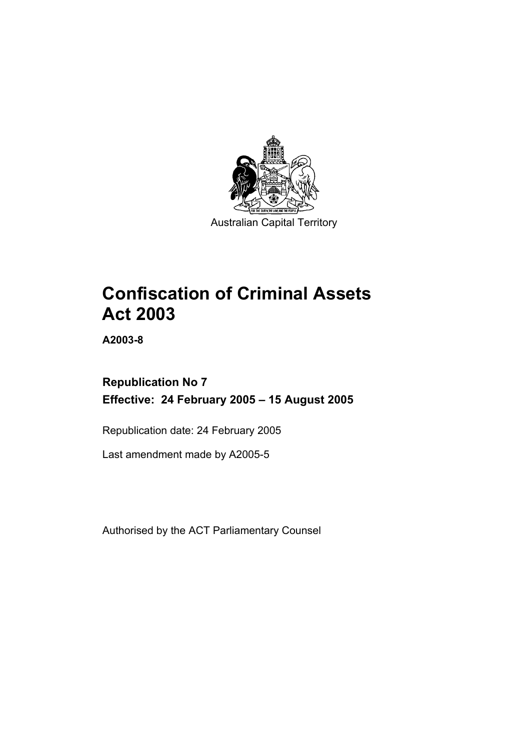

Australian Capital Territory

# **Confiscation of Criminal Assets Act 2003**

**A2003-8** 

# **Republication No 7 Effective: 24 February 2005 – 15 August 2005**

Republication date: 24 February 2005

Last amendment made by A2005-5

Authorised by the ACT Parliamentary Counsel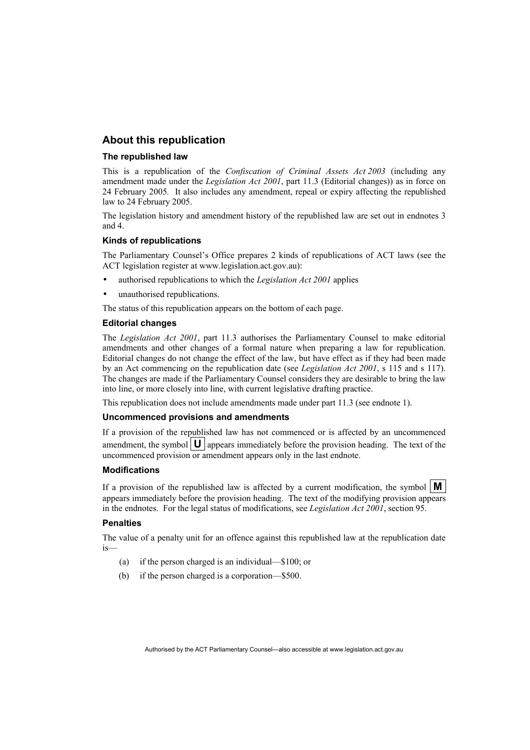# **About this republication**

#### **The republished law**

This is a republication of the *Confiscation of Criminal Assets Act 2003* (including any amendment made under the *Legislation Act 2001*, part 11.3 (Editorial changes)) as in force on 24 February 2005*.* It also includes any amendment, repeal or expiry affecting the republished law to 24 February 2005.

The legislation history and amendment history of the republished law are set out in endnotes 3 and 4.

#### **Kinds of republications**

The Parliamentary Counsel's Office prepares 2 kinds of republications of ACT laws (see the ACT legislation register at www.legislation.act.gov.au):

- authorised republications to which the *Legislation Act 2001* applies
- unauthorised republications.

The status of this republication appears on the bottom of each page.

#### **Editorial changes**

The *Legislation Act 2001*, part 11.3 authorises the Parliamentary Counsel to make editorial amendments and other changes of a formal nature when preparing a law for republication. Editorial changes do not change the effect of the law, but have effect as if they had been made by an Act commencing on the republication date (see *Legislation Act 2001*, s 115 and s 117). The changes are made if the Parliamentary Counsel considers they are desirable to bring the law into line, or more closely into line, with current legislative drafting practice.

This republication does not include amendments made under part 11.3 (see endnote 1).

#### **Uncommenced provisions and amendments**

If a provision of the republished law has not commenced or is affected by an uncommenced amendment, the symbol  $\mathbf{U}$  appears immediately before the provision heading. The text of the uncommenced provision or amendment appears only in the last endnote.

#### **Modifications**

If a provision of the republished law is affected by a current modification, the symbol  $\mathbf{M}$ appears immediately before the provision heading. The text of the modifying provision appears in the endnotes. For the legal status of modifications, see *Legislation Act 2001*, section 95.

#### **Penalties**

The value of a penalty unit for an offence against this republished law at the republication date is—

- (a) if the person charged is an individual—\$100; or
- (b) if the person charged is a corporation—\$500.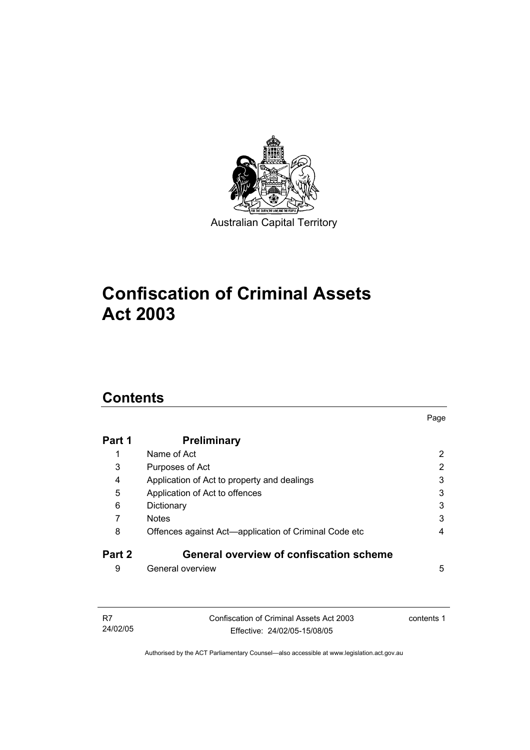

# **Confiscation of Criminal Assets Act 2003**

# **Contents**

| Part 1 | <b>Preliminary</b>                                    |                       |
|--------|-------------------------------------------------------|-----------------------|
| 1      | Name of Act                                           | 2                     |
| 3      | Purposes of Act                                       | $\mathbf{2}^{\prime}$ |
| 4      | Application of Act to property and dealings           | 3                     |
| 5      | Application of Act to offences                        | 3                     |
| 6      | Dictionary                                            | 3                     |
| 7      | <b>Notes</b>                                          | 3                     |
| 8      | Offences against Act-application of Criminal Code etc | 4                     |
| Part 2 | General overview of confiscation scheme               |                       |
| 9      | General overview                                      | 5                     |

Page

| - R7     | Confiscation of Criminal Assets Act 2003 | contents 1 |
|----------|------------------------------------------|------------|
| 24/02/05 | Effective: 24/02/05-15/08/05             |            |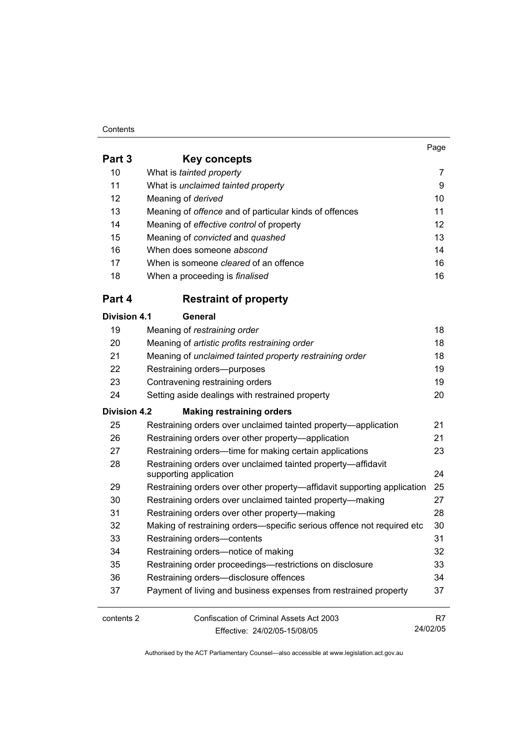#### **Contents**

|                     |                                                                                        | Page |
|---------------------|----------------------------------------------------------------------------------------|------|
| Part 3              | Key concepts                                                                           |      |
| 10                  | What is tainted property                                                               | 7    |
| 11                  | What is unclaimed tainted property                                                     | 9    |
| 12                  | Meaning of derived                                                                     | 10   |
| 13                  | Meaning of offence and of particular kinds of offences                                 | 11   |
| 14                  | Meaning of effective control of property                                               | 12   |
| 15                  | Meaning of convicted and quashed                                                       | 13   |
| 16                  | When does someone abscond                                                              | 14   |
| 17                  | When is someone cleared of an offence                                                  | 16   |
| 18                  | When a proceeding is finalised                                                         | 16   |
| Part 4              | <b>Restraint of property</b>                                                           |      |
| <b>Division 4.1</b> | General                                                                                |      |
| 19                  | Meaning of restraining order                                                           | 18   |
| 20                  | Meaning of artistic profits restraining order                                          | 18   |
| 21                  | Meaning of unclaimed tainted property restraining order                                | 18   |
| 22                  | Restraining orders--purposes                                                           | 19   |
| 23                  | Contravening restraining orders                                                        | 19   |
| 24                  | Setting aside dealings with restrained property                                        | 20   |
| <b>Division 4.2</b> | <b>Making restraining orders</b>                                                       |      |
| 25                  | Restraining orders over unclaimed tainted property—application                         | 21   |
| 26                  | Restraining orders over other property-application                                     | 21   |
| 27                  | Restraining orders-time for making certain applications                                | 23   |
| 28                  | Restraining orders over unclaimed tainted property-affidavit<br>supporting application | 24   |
| 29                  | Restraining orders over other property—affidavit supporting application                | 25   |
| 30                  | Restraining orders over unclaimed tainted property-making                              | 27   |
| 31                  | Restraining orders over other property-making                                          | 28   |
| 32                  | Making of restraining orders-specific serious offence not required etc                 | 30   |
| 33                  | Restraining orders-contents                                                            | 31   |
| 34                  | Restraining orders-notice of making                                                    | 32   |

 35 Restraining order proceedings—restrictions on disclosure 33 36 Restraining orders—disclosure offences 34 37 Payment of living and business expenses from restrained property 37

| contents 2 | Confiscation of Criminal Assets Act 2003 |          |
|------------|------------------------------------------|----------|
|            | Effective: 24/02/05-15/08/05             | 24/02/05 |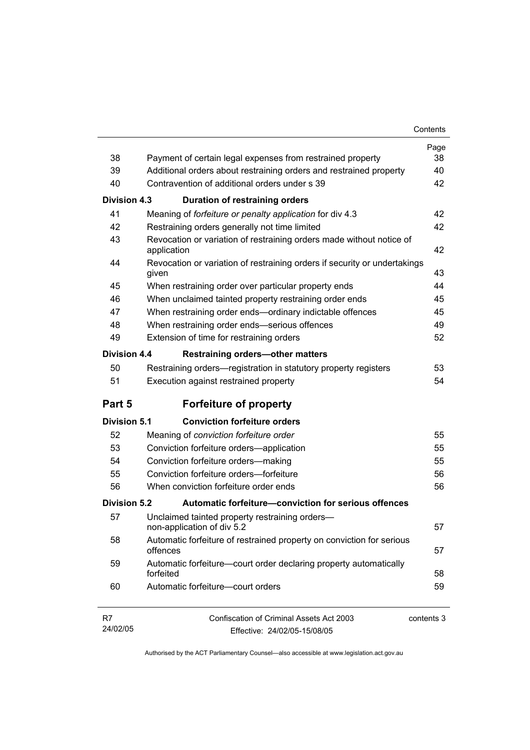| 38                  |                                                                                                                                  | Page<br>38 |
|---------------------|----------------------------------------------------------------------------------------------------------------------------------|------------|
| 39                  | Payment of certain legal expenses from restrained property<br>Additional orders about restraining orders and restrained property | 40         |
| 40                  | Contravention of additional orders under s 39                                                                                    | 42         |
|                     |                                                                                                                                  |            |
| Division 4.3        | Duration of restraining orders                                                                                                   |            |
| 41                  | Meaning of forfeiture or penalty application for div 4.3                                                                         | 42         |
| 42                  | Restraining orders generally not time limited                                                                                    | 42         |
| 43                  | Revocation or variation of restraining orders made without notice of<br>application                                              | 42         |
| 44                  | Revocation or variation of restraining orders if security or undertakings<br>given                                               | 43         |
| 45                  | When restraining order over particular property ends                                                                             | 44         |
| 46                  | When unclaimed tainted property restraining order ends                                                                           | 45         |
| 47                  | When restraining order ends-ordinary indictable offences                                                                         | 45         |
| 48                  | When restraining order ends-serious offences                                                                                     | 49         |
| 49                  | Extension of time for restraining orders                                                                                         | 52         |
| Division 4.4        | <b>Restraining orders-other matters</b>                                                                                          |            |
| 50                  | Restraining orders—registration in statutory property registers                                                                  | 53         |
| 51                  | Execution against restrained property                                                                                            | 54         |
| Part 5              | <b>Forfeiture of property</b>                                                                                                    |            |
| <b>Division 5.1</b> | <b>Conviction forfeiture orders</b>                                                                                              |            |
| 52                  | Meaning of conviction forfeiture order                                                                                           | 55         |
| 53                  | Conviction forfeiture orders-application                                                                                         | 55         |
| 54                  | Conviction forfeiture orders-making                                                                                              | 55         |
| 55                  | Conviction forfeiture orders-forfeiture                                                                                          | 56         |
| 56                  | When conviction forfeiture order ends                                                                                            | 56         |
| Division 5.2        | Automatic forfeiture-conviction for serious offences                                                                             |            |
| 57                  | Unclaimed tainted property restraining orders-<br>non-application of div 5.2                                                     | 57         |
| 58                  | Automatic forfeiture of restrained property on conviction for serious<br>offences                                                | 57         |
| 59                  | Automatic forfeiture-court order declaring property automatically<br>forfeited                                                   | 58         |
| 60                  | Automatic forfeiture-court orders                                                                                                | 59         |
| R7<br>24/02/05      | <b>Confiscation of Criminal Assets Act 2003</b><br>Fffective: 24/02/05-15/08/05                                                  | contents 3 |

Effective: 24/02/05-15/08/05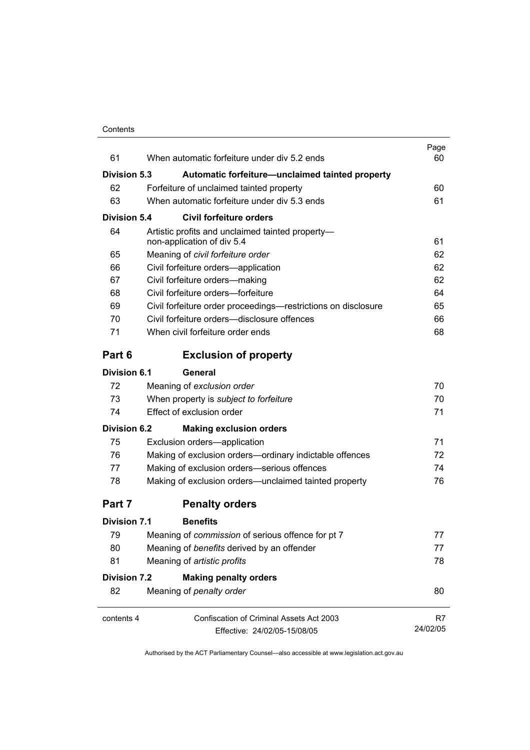| 61                  | When automatic forfeiture under div 5.2 ends                                   | Page<br>60 |
|---------------------|--------------------------------------------------------------------------------|------------|
| <b>Division 5.3</b> | Automatic forfeiture-unclaimed tainted property                                |            |
| 62                  | Forfeiture of unclaimed tainted property                                       | 60         |
| 63                  | When automatic forfeiture under div 5.3 ends                                   | 61         |
| Division 5.4        | <b>Civil forfeiture orders</b>                                                 |            |
| 64                  | Artistic profits and unclaimed tainted property-<br>non-application of div 5.4 | 61         |
| 65                  | Meaning of civil forfeiture order                                              | 62         |
| 66                  | Civil forfeiture orders-application                                            | 62         |
| 67                  | Civil forfeiture orders-making                                                 | 62         |
| 68                  | Civil forfeiture orders-forfeiture                                             | 64         |
| 69                  | Civil forfeiture order proceedings—restrictions on disclosure                  | 65         |
| 70                  | Civil forfeiture orders—disclosure offences                                    | 66         |
| 71                  | When civil forfeiture order ends                                               | 68         |
| Part 6              | <b>Exclusion of property</b>                                                   |            |
| Division 6.1        | General                                                                        |            |
| 72                  | Meaning of exclusion order                                                     | 70         |
| 73                  | When property is subject to forfeiture                                         | 70         |
| 74                  | Effect of exclusion order                                                      | 71         |
| <b>Division 6.2</b> | <b>Making exclusion orders</b>                                                 |            |
| 75                  | Exclusion orders-application                                                   | 71         |
| 76                  | Making of exclusion orders-ordinary indictable offences                        | 72         |
| 77                  | Making of exclusion orders-serious offences                                    | 74         |
| 78                  | Making of exclusion orders-unclaimed tainted property                          | 76         |
| Part 7              | <b>Penalty orders</b>                                                          |            |
| Division 7.1        | <b>Benefits</b>                                                                |            |
| 79                  | Meaning of commission of serious offence for pt 7                              | 77         |
| 80                  | Meaning of benefits derived by an offender                                     | 77         |
| 81                  | Meaning of artistic profits                                                    | 78         |
| <b>Division 7.2</b> | <b>Making penalty orders</b>                                                   |            |
| 82                  | Meaning of penalty order                                                       | 80         |
| contents 4          | Confiscation of Criminal Assets Act 2003                                       | R7         |
|                     | Effective: 24/02/05-15/08/05                                                   | 24/02/05   |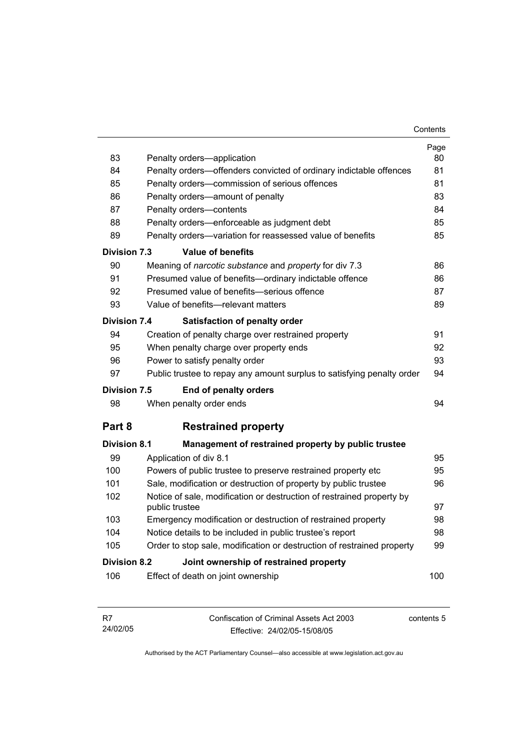| 83                  | Penalty orders-application                                                              | Page<br>80 |
|---------------------|-----------------------------------------------------------------------------------------|------------|
| 84                  | Penalty orders-offenders convicted of ordinary indictable offences                      | 81         |
| 85                  | Penalty orders-commission of serious offences                                           | 81         |
| 86                  | Penalty orders-amount of penalty                                                        | 83         |
| 87                  | Penalty orders-contents                                                                 | 84         |
| 88                  | Penalty orders—enforceable as judgment debt                                             | 85         |
| 89                  | Penalty orders-variation for reassessed value of benefits                               | 85         |
| Division 7.3        | Value of benefits                                                                       |            |
| 90                  | Meaning of <i>narcotic substance</i> and <i>property</i> for div 7.3                    | 86         |
| 91                  | Presumed value of benefits-ordinary indictable offence                                  | 86         |
| 92                  | Presumed value of benefits-serious offence                                              | 87         |
| 93                  | Value of benefits-relevant matters                                                      | 89         |
| <b>Division 7.4</b> | <b>Satisfaction of penalty order</b>                                                    |            |
| 94                  | Creation of penalty charge over restrained property                                     | 91         |
| 95                  | When penalty charge over property ends                                                  | 92         |
| 96                  | Power to satisfy penalty order                                                          | 93         |
| 97                  | Public trustee to repay any amount surplus to satisfying penalty order                  | 94         |
| Division 7.5        | <b>End of penalty orders</b>                                                            |            |
| 98                  | When penalty order ends                                                                 | 94         |
| Part 8              | <b>Restrained property</b>                                                              |            |
| <b>Division 8.1</b> | Management of restrained property by public trustee                                     |            |
| 99                  | Application of div 8.1                                                                  | 95         |
| 100                 | Powers of public trustee to preserve restrained property etc                            | 95         |
| 101                 | Sale, modification or destruction of property by public trustee                         | 96         |
| 102                 | Notice of sale, modification or destruction of restrained property by<br>public trustee | 97         |
| 103                 | Emergency modification or destruction of restrained property                            | 98         |
| 104                 | Notice details to be included in public trustee's report                                | 98         |
| 105                 | Order to stop sale, modification or destruction of restrained property                  | 99         |
| Division 8.2        | Joint ownership of restrained property                                                  |            |
| 106                 | Effect of death on joint ownership                                                      | 100        |

| - R7     | Confiscation of Criminal Assets Act 2003 | contents 5 |
|----------|------------------------------------------|------------|
| 24/02/05 | Effective: 24/02/05-15/08/05             |            |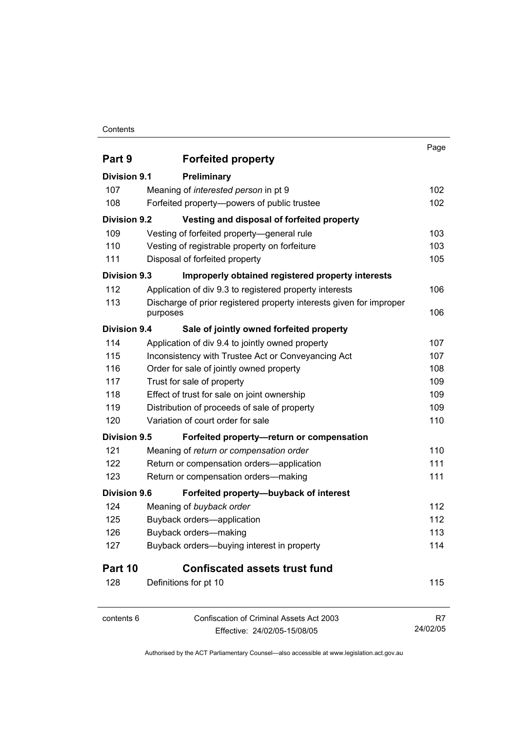#### **Contents**

|                     |                                                                                 | Page     |
|---------------------|---------------------------------------------------------------------------------|----------|
| Part 9              | <b>Forfeited property</b>                                                       |          |
| <b>Division 9.1</b> | Preliminary                                                                     |          |
| 107                 | Meaning of interested person in pt 9                                            | 102      |
| 108                 | Forfeited property--powers of public trustee                                    | 102      |
| <b>Division 9.2</b> | Vesting and disposal of forfeited property                                      |          |
| 109                 | Vesting of forfeited property-general rule                                      | 103      |
| 110                 | Vesting of registrable property on forfeiture                                   | 103      |
| 111                 | Disposal of forfeited property                                                  | 105      |
| <b>Division 9.3</b> | Improperly obtained registered property interests                               |          |
| 112                 | Application of div 9.3 to registered property interests                         | 106      |
| 113                 | Discharge of prior registered property interests given for improper<br>purposes | 106      |
| <b>Division 9.4</b> | Sale of jointly owned forfeited property                                        |          |
| 114                 | Application of div 9.4 to jointly owned property                                | 107      |
| 115                 | Inconsistency with Trustee Act or Conveyancing Act                              | 107      |
| 116                 | Order for sale of jointly owned property                                        | 108      |
| 117                 | Trust for sale of property                                                      | 109      |
| 118                 | Effect of trust for sale on joint ownership                                     | 109      |
| 119                 | Distribution of proceeds of sale of property                                    | 109      |
| 120                 | Variation of court order for sale                                               | 110      |
| <b>Division 9.5</b> | Forfeited property-return or compensation                                       |          |
| 121                 | Meaning of return or compensation order                                         | 110      |
| 122                 | Return or compensation orders-application                                       | 111      |
| 123                 | Return or compensation orders-making                                            | 111      |
| <b>Division 9.6</b> | Forfeited property-buyback of interest                                          |          |
| 124                 | Meaning of buyback order                                                        | 112      |
| 125                 | Buyback orders-application                                                      | 112      |
| 126                 | Buyback orders-making                                                           | 113      |
| 127                 | Buyback orders-buying interest in property                                      | 114      |
| Part 10             | <b>Confiscated assets trust fund</b>                                            |          |
| 128                 | Definitions for pt 10                                                           | 115      |
| contents 6          | Confiscation of Criminal Assets Act 2003                                        | R7       |
|                     | Effective: 24/02/05-15/08/05                                                    | 24/02/05 |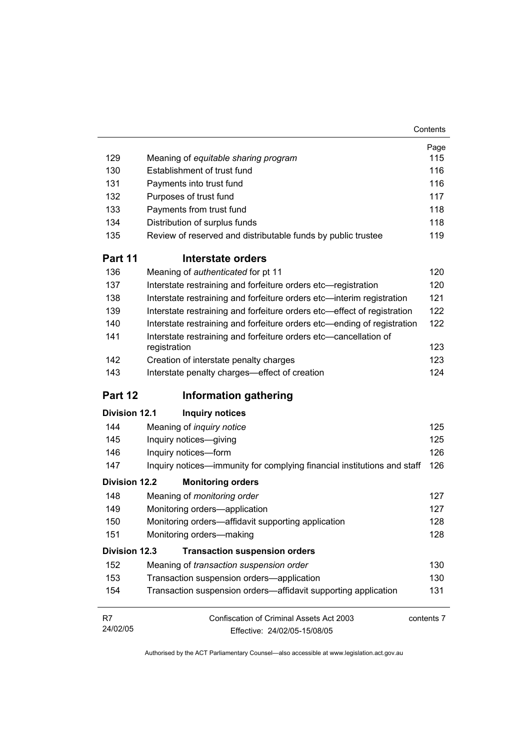|                      |                                                                                  | Page       |
|----------------------|----------------------------------------------------------------------------------|------------|
| 129                  | Meaning of equitable sharing program                                             | 115        |
| 130                  | Establishment of trust fund                                                      | 116        |
| 131                  | Payments into trust fund                                                         | 116        |
| 132                  | Purposes of trust fund                                                           | 117        |
| 133                  | Payments from trust fund                                                         | 118        |
| 134                  | Distribution of surplus funds                                                    | 118        |
| 135                  | Review of reserved and distributable funds by public trustee                     | 119        |
| Part 11              | Interstate orders                                                                |            |
| 136                  | Meaning of authenticated for pt 11                                               | 120        |
| 137                  | Interstate restraining and forfeiture orders etc-registration                    | 120        |
| 138                  | Interstate restraining and forfeiture orders etc-interim registration            | 121        |
| 139                  | Interstate restraining and forfeiture orders etc-effect of registration          | 122        |
| 140                  | Interstate restraining and forfeiture orders etc—ending of registration          | 122        |
| 141                  | Interstate restraining and forfeiture orders etc-cancellation of<br>registration | 123        |
| 142                  | Creation of interstate penalty charges                                           | 123        |
| 143                  | Interstate penalty charges-effect of creation                                    | 124        |
| Part 12              | <b>Information gathering</b>                                                     |            |
| <b>Division 12.1</b> | <b>Inquiry notices</b>                                                           |            |
| 144                  | Meaning of <i>inquiry notice</i>                                                 | 125        |
| 145                  | Inquiry notices-giving                                                           | 125        |
| 146                  | Inquiry notices-form                                                             | 126        |
| 147                  | Inquiry notices—immunity for complying financial institutions and staff          | 126        |
| <b>Division 12.2</b> | <b>Monitoring orders</b>                                                         |            |
| 148                  | Meaning of monitoring order                                                      | 127        |
| 149                  | Monitoring orders-application                                                    | 127        |
| 150                  | Monitoring orders-affidavit supporting application                               | 128        |
| 151                  | Monitoring orders-making                                                         | 128        |
| <b>Division 12.3</b> | <b>Transaction suspension orders</b>                                             |            |
| 152                  | Meaning of transaction suspension order                                          | 130        |
| 153                  | Transaction suspension orders-application                                        | 130        |
| 154                  | Transaction suspension orders—affidavit supporting application                   | 131        |
| R7                   | Confiscation of Criminal Assets Act 2003                                         | contents 7 |
| 24/02/05             | Effective: 24/02/05-15/08/05                                                     |            |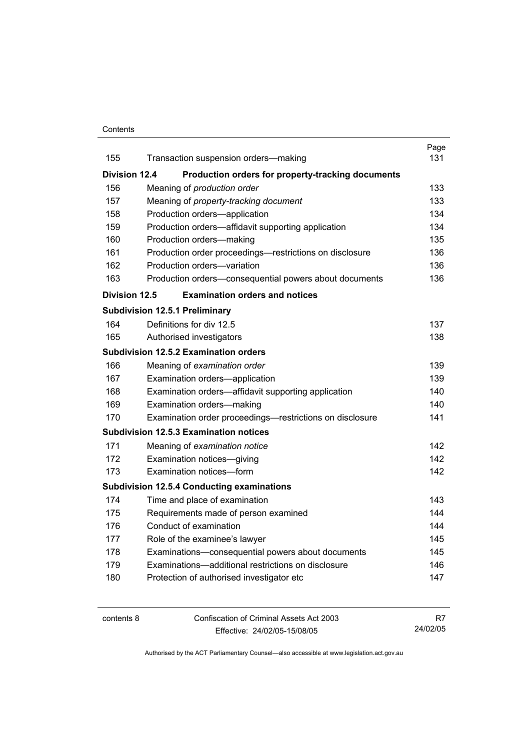#### **Contents**

|                      |                                                          | Page |
|----------------------|----------------------------------------------------------|------|
| 155                  | Transaction suspension orders-making                     | 131  |
| <b>Division 12.4</b> | Production orders for property-tracking documents        |      |
| 156                  | Meaning of production order                              | 133  |
| 157                  | Meaning of property-tracking document                    | 133  |
| 158                  | Production orders-application                            | 134  |
| 159                  | Production orders—affidavit supporting application       | 134  |
| 160                  | Production orders-making                                 | 135  |
| 161                  | Production order proceedings—restrictions on disclosure  | 136  |
| 162                  | Production orders-variation                              | 136  |
| 163                  | Production orders-consequential powers about documents   | 136  |
| <b>Division 12.5</b> | <b>Examination orders and notices</b>                    |      |
|                      | <b>Subdivision 12.5.1 Preliminary</b>                    |      |
| 164                  | Definitions for div 12.5                                 | 137  |
| 165                  | Authorised investigators                                 | 138  |
|                      | <b>Subdivision 12.5.2 Examination orders</b>             |      |
| 166                  | Meaning of examination order                             | 139  |
| 167                  | Examination orders-application                           | 139  |
| 168                  | Examination orders—affidavit supporting application      | 140  |
| 169                  | Examination orders-making                                | 140. |
| 170                  | Examination order proceedings—restrictions on disclosure | 141  |
|                      | <b>Subdivision 12.5.3 Examination notices</b>            |      |
| 171                  | Meaning of examination notice                            | 142  |
| 172                  | Examination notices-giving                               | 142  |
| 173                  | Examination notices-form                                 | 142  |
|                      | <b>Subdivision 12.5.4 Conducting examinations</b>        |      |
| 174                  | Time and place of examination                            | 143  |
| 175                  | Requirements made of person examined                     | 144  |
| 176                  | Conduct of examination                                   | 144  |
| 177                  | Role of the examinee's lawyer                            | 145  |
| 178                  | Examinations-consequential powers about documents        | 145  |
| 179                  | Examinations-additional restrictions on disclosure       | 146  |
| 180                  | Protection of authorised investigator etc                | 147  |
|                      |                                                          |      |

contents 8 Confiscation of Criminal Assets Act 2003 Effective: 24/02/05-15/08/05 R7 24/02/05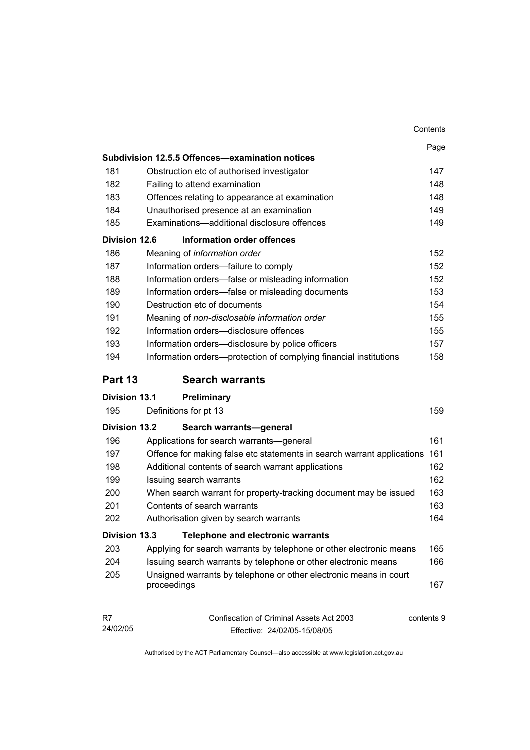|                      |                                                                                               | Contents |
|----------------------|-----------------------------------------------------------------------------------------------|----------|
|                      |                                                                                               | Page     |
|                      | Subdivision 12.5.5 Offences-examination notices                                               |          |
| 181                  | Obstruction etc of authorised investigator                                                    | 147      |
| 182                  | Failing to attend examination                                                                 | 148      |
| 183                  | Offences relating to appearance at examination                                                | 148      |
| 184                  | Unauthorised presence at an examination                                                       | 149      |
| 185                  | Examinations-additional disclosure offences                                                   | 149      |
| Division 12.6        | <b>Information order offences</b>                                                             |          |
| 186                  | Meaning of information order                                                                  | 152      |
| 187                  | Information orders-failure to comply                                                          | 152      |
| 188                  | Information orders-false or misleading information                                            | 152      |
| 189                  | Information orders-false or misleading documents                                              | 153      |
| 190                  | Destruction etc of documents                                                                  | 154      |
| 191                  | Meaning of non-disclosable information order                                                  | 155      |
| 192                  | Information orders-disclosure offences                                                        | 155      |
| 193                  | Information orders-disclosure by police officers                                              | 157      |
| 194                  | Information orders-protection of complying financial institutions                             | 158      |
| Part 13              | <b>Search warrants</b>                                                                        |          |
| <b>Division 13.1</b> | Preliminary                                                                                   |          |
| 195                  | Definitions for pt 13                                                                         | 159      |
| <b>Division 13.2</b> | Search warrants-general                                                                       |          |
| 196                  | Applications for search warrants—general                                                      | 161      |
| 197                  | Offence for making false etc statements in search warrant applications                        | 161      |
| 198                  | Additional contents of search warrant applications                                            | 162      |
| 199                  | Issuing search warrants                                                                       | 162      |
| 200                  | When search warrant for property-tracking document may be issued                              | 163      |
| 201                  | Contents of search warrants                                                                   | 163      |
| 202                  | Authorisation given by search warrants                                                        | 164      |
| <b>Division 13.3</b> | <b>Telephone and electronic warrants</b>                                                      |          |
| 203                  | Applying for search warrants by telephone or other electronic means                           | 165      |
| 204                  | Issuing search warrants by telephone or other electronic means                                | 166      |
| 205                  | Unsigned warrants by telephone or other electronic means in court<br>proceedings              | 167      |
| R7<br>24/02/05       | <b>Confiscation of Criminal Assets Act 2003</b><br>contents 9<br>Effective: 24/02/05-15/08/05 |          |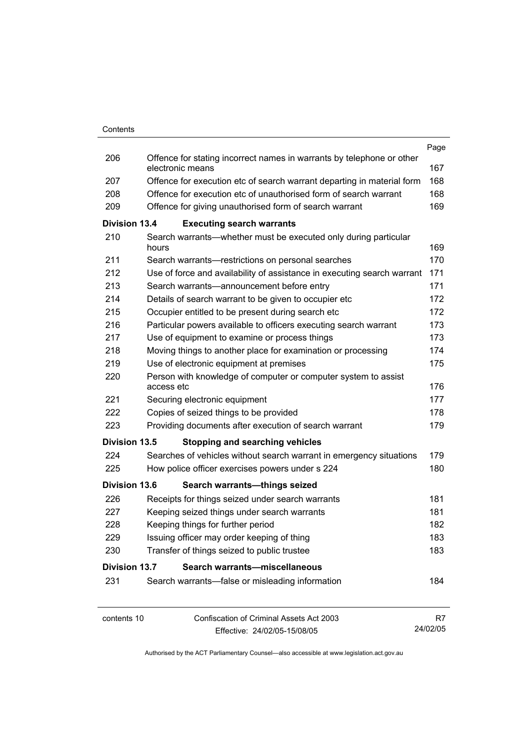|                      |                                                                                           | Page       |
|----------------------|-------------------------------------------------------------------------------------------|------------|
| 206                  | Offence for stating incorrect names in warrants by telephone or other<br>electronic means | 167        |
| 207                  | Offence for execution etc of search warrant departing in material form                    | 168        |
| 208                  | Offence for execution etc of unauthorised form of search warrant                          | 168        |
| 209                  | Offence for giving unauthorised form of search warrant                                    | 169        |
| <b>Division 13.4</b> | <b>Executing search warrants</b>                                                          |            |
| 210                  | Search warrants—whether must be executed only during particular<br>hours                  | 169        |
| 211                  | Search warrants—restrictions on personal searches                                         | 170        |
| 212                  | Use of force and availability of assistance in executing search warrant                   | 171        |
| 213                  | Search warrants-announcement before entry                                                 | 171        |
| 214                  | Details of search warrant to be given to occupier etc                                     | 172        |
| 215                  | Occupier entitled to be present during search etc                                         | 172        |
| 216                  | Particular powers available to officers executing search warrant                          | 173        |
| 217                  | Use of equipment to examine or process things                                             | 173        |
| 218                  | Moving things to another place for examination or processing                              | 174        |
| 219                  | Use of electronic equipment at premises                                                   | 175        |
| 220                  | Person with knowledge of computer or computer system to assist<br>access etc              | 176        |
| 221                  | Securing electronic equipment                                                             | 177        |
| 222                  | Copies of seized things to be provided                                                    | 178        |
| 223                  | Providing documents after execution of search warrant                                     | 179        |
| <b>Division 13.5</b> | <b>Stopping and searching vehicles</b>                                                    |            |
| 224                  | Searches of vehicles without search warrant in emergency situations                       | 179        |
| 225                  | How police officer exercises powers under s 224                                           | 180        |
| <b>Division 13.6</b> |                                                                                           |            |
| 226                  | Search warrants-things seized                                                             |            |
| 227                  | Receipts for things seized under search warrants                                          | 181<br>181 |
| 228                  | Keeping seized things under search warrants                                               | 182        |
| 229                  | Keeping things for further period                                                         | 183        |
| 230                  | Issuing officer may order keeping of thing<br>Transfer of things seized to public trustee | 183        |
|                      |                                                                                           |            |
| <b>Division 13.7</b> | Search warrants-miscellaneous                                                             |            |
| 231                  | Search warrants-false or misleading information                                           | 184        |
| contents 10          | Confiscation of Criminal Assets Act 2003                                                  | R7         |
|                      | Effective: 24/02/05-15/08/05                                                              | 24/02/05   |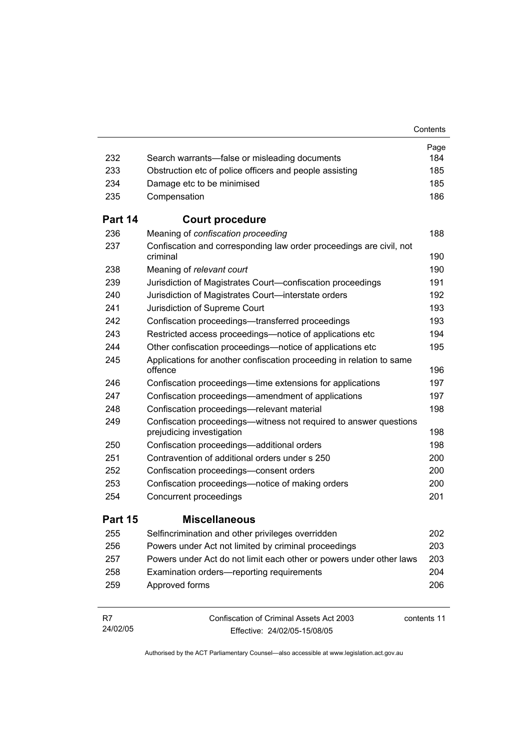|                |                                                                                                 | Contents    |
|----------------|-------------------------------------------------------------------------------------------------|-------------|
|                |                                                                                                 | Page        |
| 232            | Search warrants—false or misleading documents                                                   | 184         |
| 233            | Obstruction etc of police officers and people assisting                                         | 185         |
| 234            | Damage etc to be minimised                                                                      | 185         |
| 235            | Compensation                                                                                    | 186         |
| Part 14        | <b>Court procedure</b>                                                                          |             |
| 236            | Meaning of confiscation proceeding                                                              | 188         |
| 237            | Confiscation and corresponding law order proceedings are civil, not<br>criminal                 | 190         |
| 238            | Meaning of relevant court                                                                       | 190         |
| 239            | Jurisdiction of Magistrates Court-confiscation proceedings                                      | 191         |
| 240            | Jurisdiction of Magistrates Court-interstate orders                                             | 192         |
| 241            | Jurisdiction of Supreme Court                                                                   | 193         |
| 242            | Confiscation proceedings—transferred proceedings                                                | 193         |
| 243            | Restricted access proceedings—notice of applications etc                                        | 194         |
| 244            | Other confiscation proceedings—notice of applications etc                                       | 195         |
| 245            | Applications for another confiscation proceeding in relation to same<br>offence                 | 196         |
| 246            | Confiscation proceedings—time extensions for applications                                       | 197         |
| 247            | Confiscation proceedings—amendment of applications                                              | 197         |
| 248            | Confiscation proceedings-relevant material                                                      | 198         |
| 249            | Confiscation proceedings--witness not required to answer questions<br>prejudicing investigation | 198         |
| 250            | Confiscation proceedings-additional orders                                                      | 198         |
| 251            | Contravention of additional orders under s 250                                                  | 200         |
| 252            | Confiscation proceedings-consent orders                                                         | 200         |
| 253            | Confiscation proceedings—notice of making orders                                                | 200         |
| 254            | Concurrent proceedings                                                                          | 201         |
| Part 15        | <b>Miscellaneous</b>                                                                            |             |
| 255            | Selfincrimination and other privileges overridden                                               | 202         |
| 256            | Powers under Act not limited by criminal proceedings                                            | 203         |
| 257            | Powers under Act do not limit each other or powers under other laws                             | 203         |
| 258            | Examination orders-reporting requirements                                                       | 204         |
| 259            | Approved forms                                                                                  | 206         |
| R7<br>24/02/05 | Confiscation of Criminal Assets Act 2003<br>Fffective: 24/02/05-15/08/05                        | contents 11 |

Effective: 24/02/05-15/08/05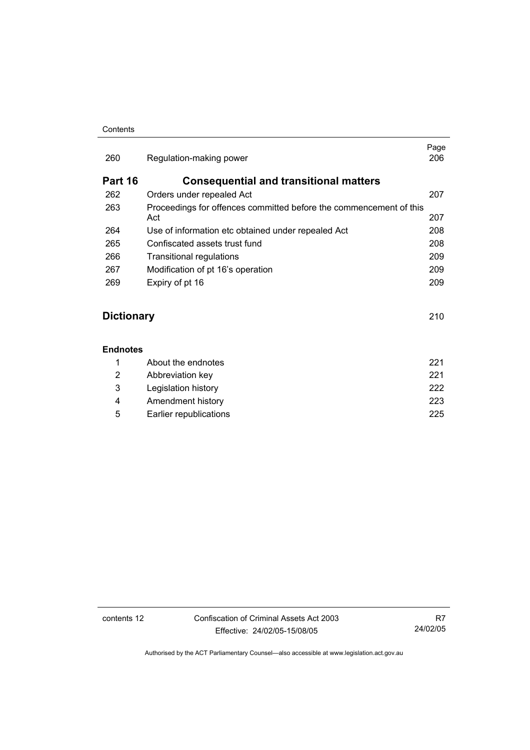#### **Contents**

| 260     | Regulation-making power                                                   | Page<br>206 |
|---------|---------------------------------------------------------------------------|-------------|
| Part 16 | <b>Consequential and transitional matters</b>                             |             |
| 262     | Orders under repealed Act                                                 | 207         |
| 263     | Proceedings for offences committed before the commencement of this<br>Act | 207         |
| 264     | Use of information etc obtained under repealed Act                        | 208         |
| 265     | Confiscated assets trust fund                                             | 208         |
| 266     | Transitional regulations                                                  | 209         |
| 267     | Modification of pt 16's operation                                         | 209         |
| 269     | Expiry of pt 16                                                           | 209         |
|         |                                                                           |             |

# **Dictionary** 210

### **Endnotes**

|    | About the endnotes     | 221  |
|----|------------------------|------|
| 2  | Abbreviation key       | 221  |
| -3 | Legislation history    | 222. |
| 4  | Amendment history      | 223  |
| 5  | Earlier republications | 225  |

contents 12 Confiscation of Criminal Assets Act 2003 Effective: 24/02/05-15/08/05

R7 24/02/05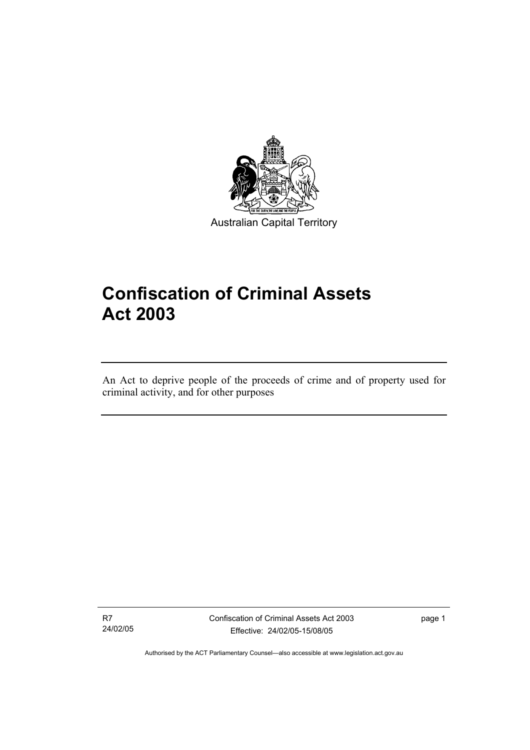

Australian Capital Territory

# **Confiscation of Criminal Assets Act 2003**

An Act to deprive people of the proceeds of crime and of property used for criminal activity, and for other purposes

R7 24/02/05

I

Confiscation of Criminal Assets Act 2003 Effective: 24/02/05-15/08/05

page 1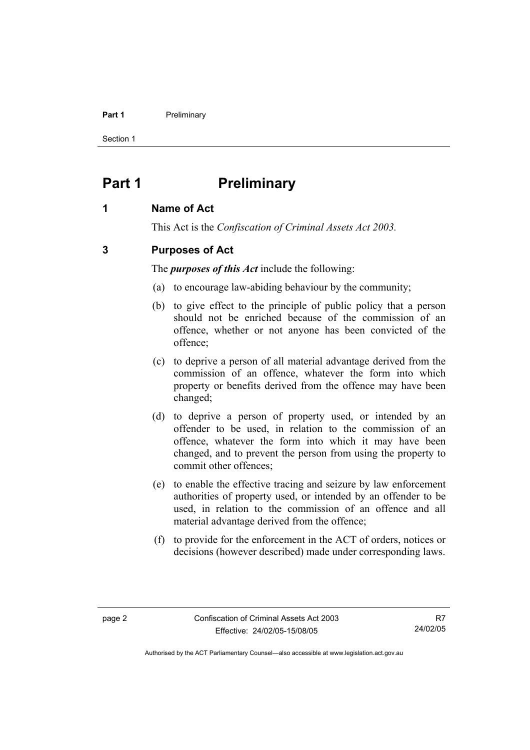#### **Part 1** Preliminary

Section 1

# **Part 1** Preliminary

# **1 Name of Act**

This Act is the *Confiscation of Criminal Assets Act 2003.*

# **3 Purposes of Act**

The *purposes of this Act* include the following:

- (a) to encourage law-abiding behaviour by the community;
- (b) to give effect to the principle of public policy that a person should not be enriched because of the commission of an offence, whether or not anyone has been convicted of the offence;
- (c) to deprive a person of all material advantage derived from the commission of an offence, whatever the form into which property or benefits derived from the offence may have been changed;
- (d) to deprive a person of property used, or intended by an offender to be used, in relation to the commission of an offence, whatever the form into which it may have been changed, and to prevent the person from using the property to commit other offences;
- (e) to enable the effective tracing and seizure by law enforcement authorities of property used, or intended by an offender to be used, in relation to the commission of an offence and all material advantage derived from the offence;
- (f) to provide for the enforcement in the ACT of orders, notices or decisions (however described) made under corresponding laws.

R7 24/02/05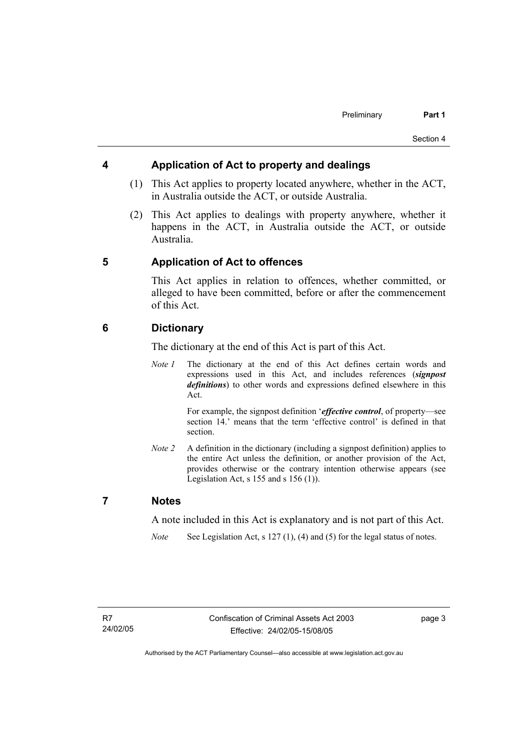# **4 Application of Act to property and dealings**

- (1) This Act applies to property located anywhere, whether in the ACT, in Australia outside the ACT, or outside Australia.
- (2) This Act applies to dealings with property anywhere, whether it happens in the ACT, in Australia outside the ACT, or outside Australia.

# **5 Application of Act to offences**

This Act applies in relation to offences, whether committed, or alleged to have been committed, before or after the commencement of this Act.

# **6 Dictionary**

The dictionary at the end of this Act is part of this Act.

*Note 1* The dictionary at the end of this Act defines certain words and expressions used in this Act, and includes references (*signpost definitions*) to other words and expressions defined elsewhere in this Act.

> For example, the signpost definition '*effective control*, of property—see section 14.' means that the term 'effective control' is defined in that section.

*Note 2* A definition in the dictionary (including a signpost definition) applies to the entire Act unless the definition, or another provision of the Act, provides otherwise or the contrary intention otherwise appears (see Legislation Act,  $s$  155 and  $s$  156 (1)).

# **7 Notes**

A note included in this Act is explanatory and is not part of this Act.

*Note* See Legislation Act, s 127 (1), (4) and (5) for the legal status of notes.

page 3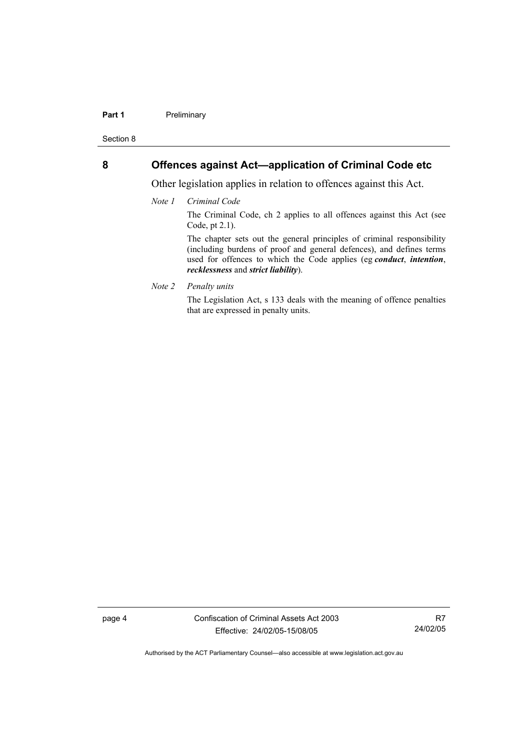#### **Part 1** Preliminary

Section 8

# **8 Offences against Act—application of Criminal Code etc**

Other legislation applies in relation to offences against this Act.

*Note 1 Criminal Code*

The Criminal Code, ch 2 applies to all offences against this Act (see Code, pt 2.1).

The chapter sets out the general principles of criminal responsibility (including burdens of proof and general defences), and defines terms used for offences to which the Code applies (eg *conduct*, *intention*, *recklessness* and *strict liability*).

*Note 2 Penalty units* 

The Legislation Act, s 133 deals with the meaning of offence penalties that are expressed in penalty units.

page 4 Confiscation of Criminal Assets Act 2003 Effective: 24/02/05-15/08/05

R7 24/02/05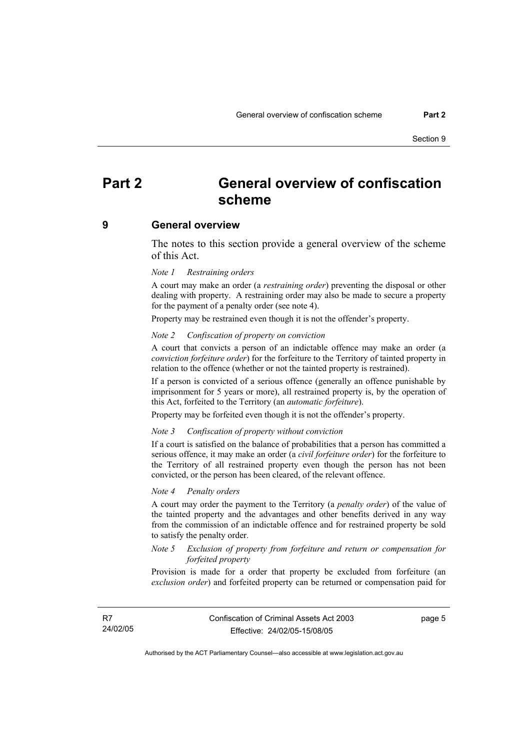# **Part 2 General overview of confiscation scheme**

#### **9 General overview**

The notes to this section provide a general overview of the scheme of this Act.

#### *Note 1 Restraining orders*

A court may make an order (a *restraining order*) preventing the disposal or other dealing with property. A restraining order may also be made to secure a property for the payment of a penalty order (see note 4).

Property may be restrained even though it is not the offender's property.

#### *Note 2 Confiscation of property on conviction*

A court that convicts a person of an indictable offence may make an order (a *conviction forfeiture order*) for the forfeiture to the Territory of tainted property in relation to the offence (whether or not the tainted property is restrained).

If a person is convicted of a serious offence (generally an offence punishable by imprisonment for 5 years or more), all restrained property is, by the operation of this Act, forfeited to the Territory (an *automatic forfeiture*).

Property may be forfeited even though it is not the offender's property.

#### *Note 3 Confiscation of property without conviction*

If a court is satisfied on the balance of probabilities that a person has committed a serious offence, it may make an order (a *civil forfeiture order*) for the forfeiture to the Territory of all restrained property even though the person has not been convicted, or the person has been cleared, of the relevant offence.

#### *Note 4 Penalty orders*

A court may order the payment to the Territory (a *penalty order*) of the value of the tainted property and the advantages and other benefits derived in any way from the commission of an indictable offence and for restrained property be sold to satisfy the penalty order.

#### *Note 5 Exclusion of property from forfeiture and return or compensation for forfeited property*

Provision is made for a order that property be excluded from forfeiture (an *exclusion order*) and forfeited property can be returned or compensation paid for

R7 24/02/05 page 5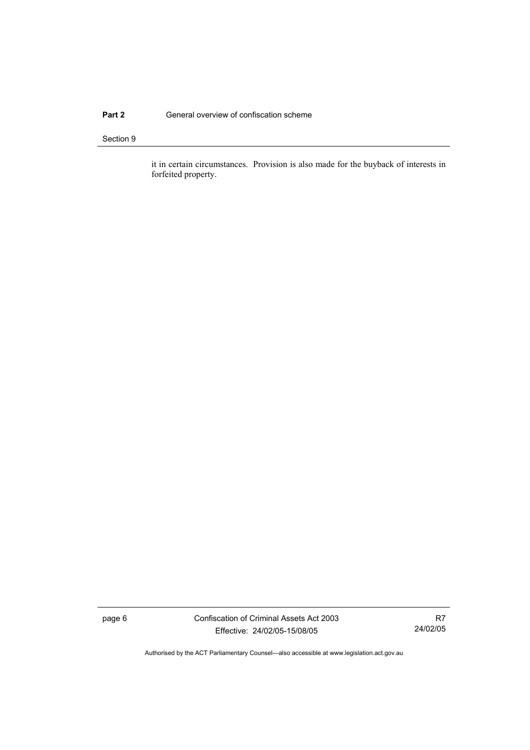## **Part 2 General overview of confiscation scheme**

#### Section 9

it in certain circumstances. Provision is also made for the buyback of interests in forfeited property.

page 6 Confiscation of Criminal Assets Act 2003 Effective: 24/02/05-15/08/05

R7 24/02/05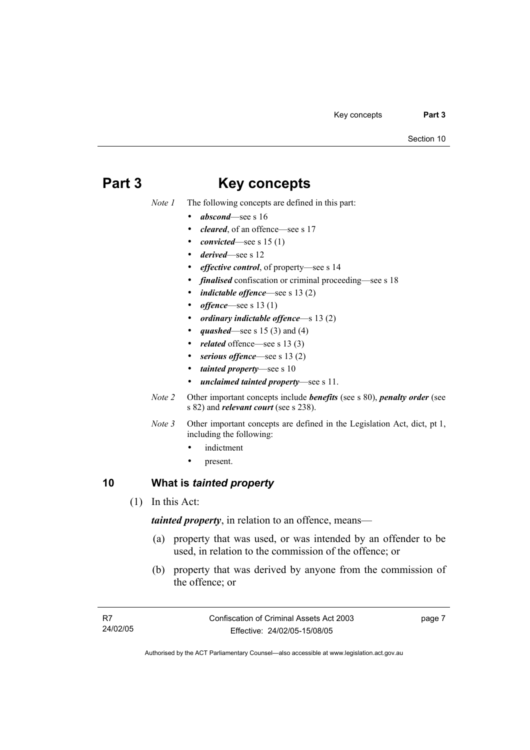# **Part 3 Key concepts**

*Note 1* The following concepts are defined in this part:

- *abscond*—see s 16
- *cleared*, of an offence—see s 17
- *convicted*—see s 15 (1)
- *derived*—see s 12
- *effective control*, of property—see s 14
- *finalised* confiscation or criminal proceeding—see s 18
- *indictable offence*—see s 13 (2)
- *offence*—see s 13 (1)
- *ordinary indictable offence*—s 13 (2)
- *quashed*—see s 15 (3) and (4)
- related offence—see s 13 (3)
- serious offence—see s 13 (2)
- *tainted property*—see s 10
- *unclaimed tainted property*—see s 11.
- *Note 2* Other important concepts include *benefits* (see s 80), *penalty order* (see s 82) and *relevant court* (see s 238).
- *Note 3* Other important concepts are defined in the Legislation Act, dict, pt 1, including the following:
	- indictment
	- present.

# **10 What is** *tainted property*

(1) In this Act:

*tainted property*, in relation to an offence, means—

- (a) property that was used, or was intended by an offender to be used, in relation to the commission of the offence; or
- (b) property that was derived by anyone from the commission of the offence; or

page 7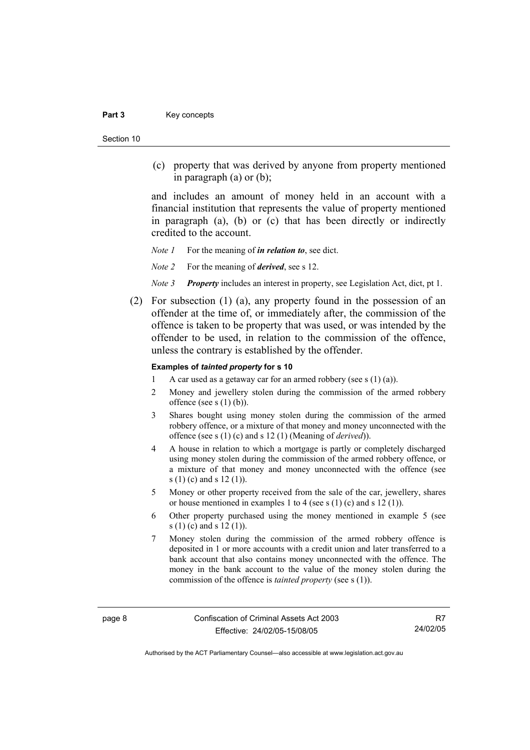#### Part 3 **Key concepts**

Section 10

 (c) property that was derived by anyone from property mentioned in paragraph (a) or (b);

and includes an amount of money held in an account with a financial institution that represents the value of property mentioned in paragraph (a), (b) or (c) that has been directly or indirectly credited to the account.

*Note 1* For the meaning of *in relation to*, see dict.

*Note 2* For the meaning of *derived*, see s 12.

- *Note 3 Property* includes an interest in property, see Legislation Act, dict, pt 1.
- (2) For subsection (1) (a), any property found in the possession of an offender at the time of, or immediately after, the commission of the offence is taken to be property that was used, or was intended by the offender to be used, in relation to the commission of the offence, unless the contrary is established by the offender.

#### **Examples of** *tainted property* **for s 10**

- 1 A car used as a getaway car for an armed robbery (see s  $(1)$  (a)).
- 2 Money and jewellery stolen during the commission of the armed robbery offence (see s  $(1)$  (b)).
- 3 Shares bought using money stolen during the commission of the armed robbery offence, or a mixture of that money and money unconnected with the offence (see s (1) (c) and s 12 (1) (Meaning of *derived*)).
- 4 A house in relation to which a mortgage is partly or completely discharged using money stolen during the commission of the armed robbery offence, or a mixture of that money and money unconnected with the offence (see s (1) (c) and s 12 (1)).
- 5 Money or other property received from the sale of the car, jewellery, shares or house mentioned in examples 1 to 4 (see s (1) (c) and s 12 (1)).
- 6 Other property purchased using the money mentioned in example 5 (see s (1) (c) and s 12 (1)).
- 7 Money stolen during the commission of the armed robbery offence is deposited in 1 or more accounts with a credit union and later transferred to a bank account that also contains money unconnected with the offence. The money in the bank account to the value of the money stolen during the commission of the offence is *tainted property* (see s (1)).

R7 24/02/05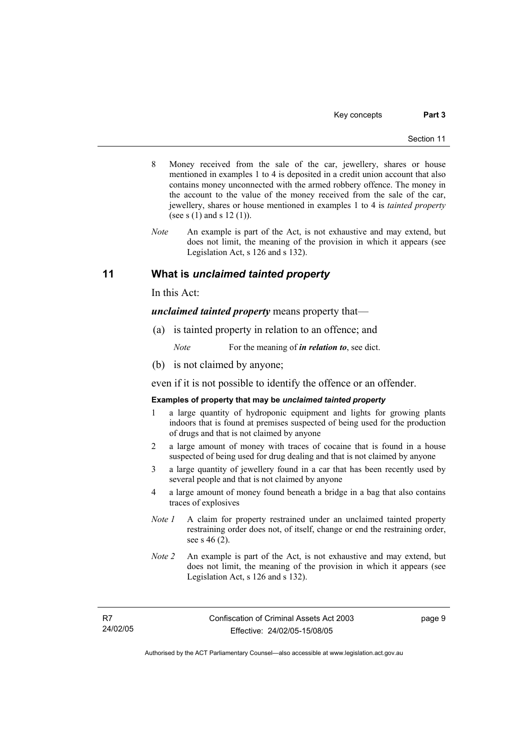- 8 Money received from the sale of the car, jewellery, shares or house mentioned in examples 1 to 4 is deposited in a credit union account that also contains money unconnected with the armed robbery offence. The money in the account to the value of the money received from the sale of the car, jewellery, shares or house mentioned in examples 1 to 4 is *tainted property* (see s (1) and s 12 (1)).
- *Note* An example is part of the Act, is not exhaustive and may extend, but does not limit, the meaning of the provision in which it appears (see Legislation Act, s 126 and s 132).

# **11 What is** *unclaimed tainted property*

In this Act:

*unclaimed tainted property* means property that—

(a) is tainted property in relation to an offence; and

*Note* For the meaning of *in relation to*, see dict.

(b) is not claimed by anyone;

even if it is not possible to identify the offence or an offender.

#### **Examples of property that may be** *unclaimed tainted property*

- 1 a large quantity of hydroponic equipment and lights for growing plants indoors that is found at premises suspected of being used for the production of drugs and that is not claimed by anyone
- 2 a large amount of money with traces of cocaine that is found in a house suspected of being used for drug dealing and that is not claimed by anyone
- 3 a large quantity of jewellery found in a car that has been recently used by several people and that is not claimed by anyone
- 4 a large amount of money found beneath a bridge in a bag that also contains traces of explosives
- *Note 1* A claim for property restrained under an unclaimed tainted property restraining order does not, of itself, change or end the restraining order, see s 46 (2).
- *Note 2* An example is part of the Act, is not exhaustive and may extend, but does not limit, the meaning of the provision in which it appears (see Legislation Act, s 126 and s 132).

R7 24/02/05 page 9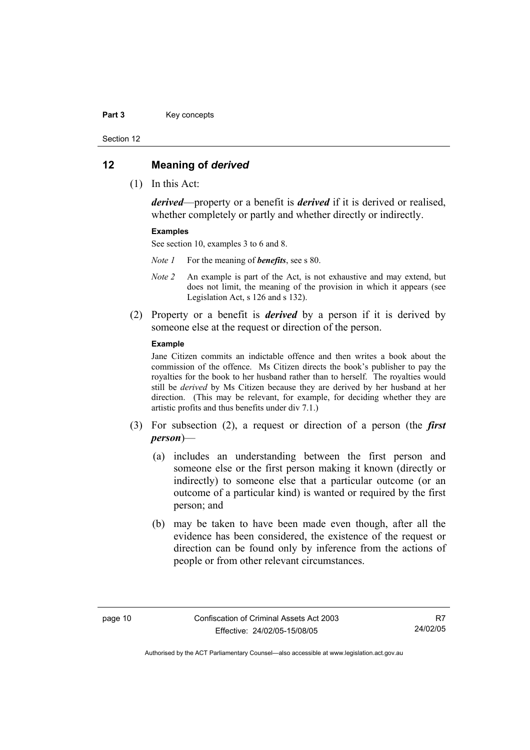#### Part 3 **Key concepts**

Section 12

### **12 Meaning of** *derived*

(1) In this Act:

*derived*—property or a benefit is *derived* if it is derived or realised, whether completely or partly and whether directly or indirectly.

#### **Examples**

See section 10, examples 3 to 6 and 8.

*Note 1* For the meaning of *benefits*, see s 80.

- *Note 2* An example is part of the Act, is not exhaustive and may extend, but does not limit, the meaning of the provision in which it appears (see Legislation Act, s 126 and s 132).
- (2) Property or a benefit is *derived* by a person if it is derived by someone else at the request or direction of the person.

#### **Example**

Jane Citizen commits an indictable offence and then writes a book about the commission of the offence. Ms Citizen directs the book's publisher to pay the royalties for the book to her husband rather than to herself. The royalties would still be *derived* by Ms Citizen because they are derived by her husband at her direction. (This may be relevant, for example, for deciding whether they are artistic profits and thus benefits under div 7.1.)

- (3) For subsection (2), a request or direction of a person (the *first person*)—
	- (a) includes an understanding between the first person and someone else or the first person making it known (directly or indirectly) to someone else that a particular outcome (or an outcome of a particular kind) is wanted or required by the first person; and
	- (b) may be taken to have been made even though, after all the evidence has been considered, the existence of the request or direction can be found only by inference from the actions of people or from other relevant circumstances.

R7 24/02/05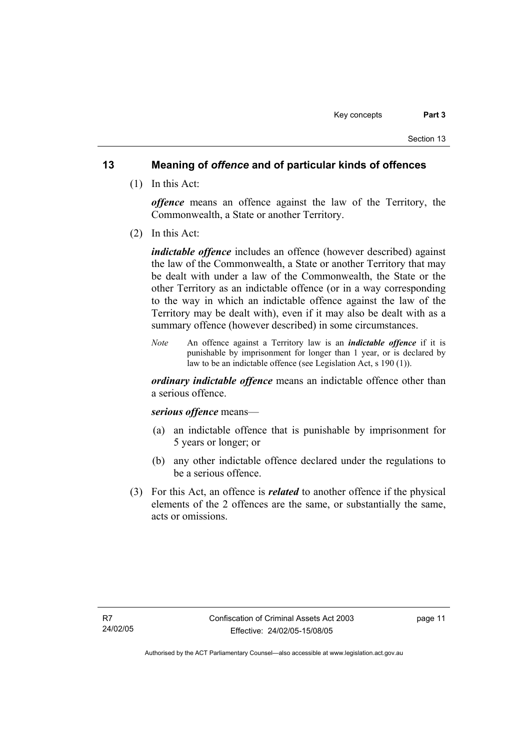# **13 Meaning of** *offence* **and of particular kinds of offences**

(1) In this Act:

*offence* means an offence against the law of the Territory, the Commonwealth, a State or another Territory.

(2) In this Act:

*indictable offence* includes an offence (however described) against the law of the Commonwealth, a State or another Territory that may be dealt with under a law of the Commonwealth, the State or the other Territory as an indictable offence (or in a way corresponding to the way in which an indictable offence against the law of the Territory may be dealt with), even if it may also be dealt with as a summary offence (however described) in some circumstances.

*Note* An offence against a Territory law is an *indictable offence* if it is punishable by imprisonment for longer than 1 year, or is declared by law to be an indictable offence (see Legislation Act, s 190 (1)).

*ordinary indictable offence* means an indictable offence other than a serious offence.

## *serious offence* means—

- (a) an indictable offence that is punishable by imprisonment for 5 years or longer; or
- (b) any other indictable offence declared under the regulations to be a serious offence.
- (3) For this Act, an offence is *related* to another offence if the physical elements of the 2 offences are the same, or substantially the same, acts or omissions.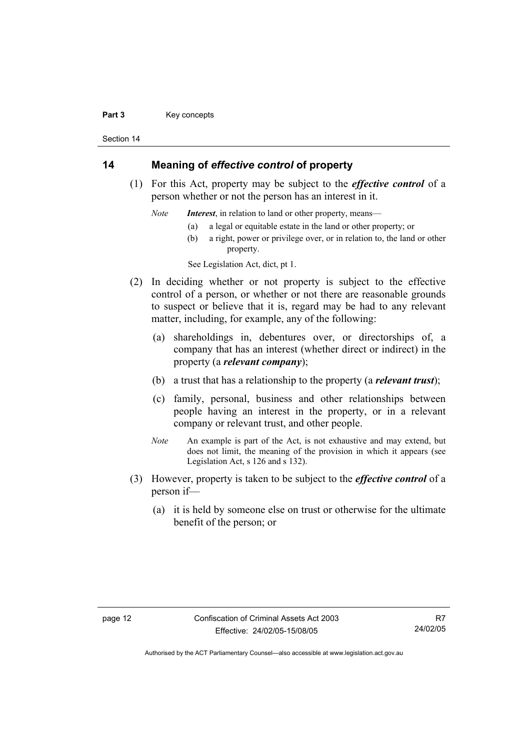#### Part 3 **Key concepts**

Section 14

# **14 Meaning of** *effective control* **of property**

 (1) For this Act, property may be subject to the *effective control* of a person whether or not the person has an interest in it.

*Note Interest*, in relation to land or other property, means—

- (a) a legal or equitable estate in the land or other property; or
- (b) a right, power or privilege over, or in relation to, the land or other property.

See Legislation Act, dict, pt 1.

- (2) In deciding whether or not property is subject to the effective control of a person, or whether or not there are reasonable grounds to suspect or believe that it is, regard may be had to any relevant matter, including, for example, any of the following:
	- (a) shareholdings in, debentures over, or directorships of, a company that has an interest (whether direct or indirect) in the property (a *relevant company*);
	- (b) a trust that has a relationship to the property (a *relevant trust*);
	- (c) family, personal, business and other relationships between people having an interest in the property, or in a relevant company or relevant trust, and other people.
	- *Note* An example is part of the Act, is not exhaustive and may extend, but does not limit, the meaning of the provision in which it appears (see Legislation Act, s 126 and s 132).
- (3) However, property is taken to be subject to the *effective control* of a person if—
	- (a) it is held by someone else on trust or otherwise for the ultimate benefit of the person; or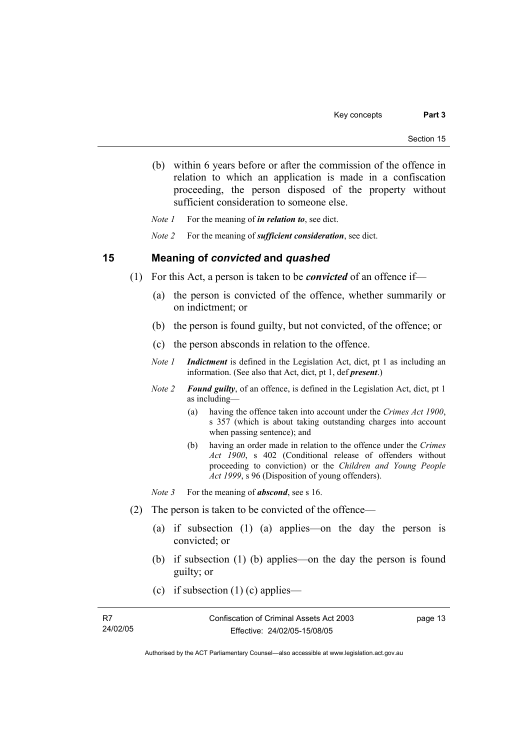(b) within 6 years before or after the commission of the offence in relation to which an application is made in a confiscation proceeding, the person disposed of the property without sufficient consideration to someone else.

*Note 1* For the meaning of *in relation to*, see dict.

*Note 2* For the meaning of *sufficient consideration*, see dict.

## **15 Meaning of** *convicted* **and** *quashed*

- (1) For this Act, a person is taken to be *convicted* of an offence if—
	- (a) the person is convicted of the offence, whether summarily or on indictment; or
	- (b) the person is found guilty, but not convicted, of the offence; or
	- (c) the person absconds in relation to the offence.
	- *Note 1 Indictment* is defined in the Legislation Act, dict, pt 1 as including an information. (See also that Act, dict, pt 1, def *present*.)
	- *Note 2 Found guilty*, of an offence, is defined in the Legislation Act, dict, pt 1 as including—
		- (a) having the offence taken into account under the *Crimes Act 1900*, s 357 (which is about taking outstanding charges into account when passing sentence); and
		- (b) having an order made in relation to the offence under the *Crimes Act 1900*, s 402 (Conditional release of offenders without proceeding to conviction) or the *Children and Young People Act 1999*, s 96 (Disposition of young offenders).
	- *Note* 3 For the meaning of *abscond*, see s 16.
- (2) The person is taken to be convicted of the offence—
	- (a) if subsection (1) (a) applies—on the day the person is convicted; or
	- (b) if subsection (1) (b) applies—on the day the person is found guilty; or
	- (c) if subsection  $(1)$  (c) applies—

| R7       | Confiscation of Criminal Assets Act 2003 | page 13 |
|----------|------------------------------------------|---------|
| 24/02/05 | Effective: 24/02/05-15/08/05             |         |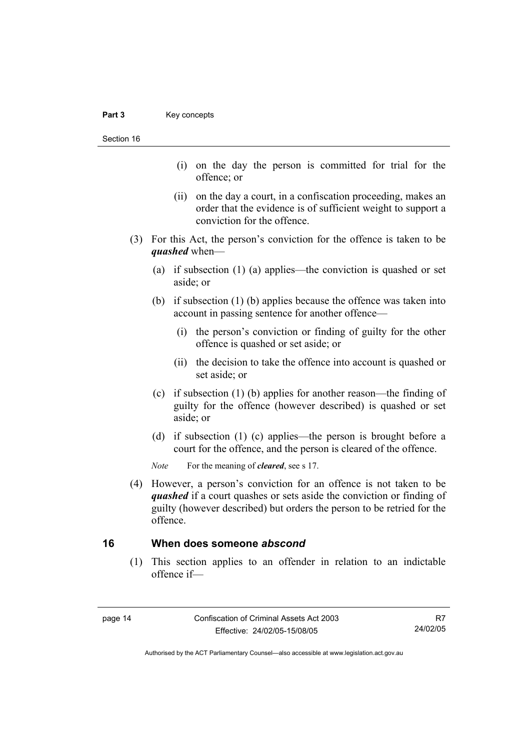Section 16

- (i) on the day the person is committed for trial for the offence; or
- (ii) on the day a court, in a confiscation proceeding, makes an order that the evidence is of sufficient weight to support a conviction for the offence.
- (3) For this Act, the person's conviction for the offence is taken to be *quashed* when—
	- (a) if subsection (1) (a) applies—the conviction is quashed or set aside; or
	- (b) if subsection (1) (b) applies because the offence was taken into account in passing sentence for another offence—
		- (i) the person's conviction or finding of guilty for the other offence is quashed or set aside; or
		- (ii) the decision to take the offence into account is quashed or set aside; or
	- (c) if subsection (1) (b) applies for another reason—the finding of guilty for the offence (however described) is quashed or set aside; or
	- (d) if subsection (1) (c) applies—the person is brought before a court for the offence, and the person is cleared of the offence.

*Note* For the meaning of *cleared*, see s 17.

 (4) However, a person's conviction for an offence is not taken to be *quashed* if a court quashes or sets aside the conviction or finding of guilty (however described) but orders the person to be retried for the offence.

## **16 When does someone** *abscond*

 (1) This section applies to an offender in relation to an indictable offence if—

R7 24/02/05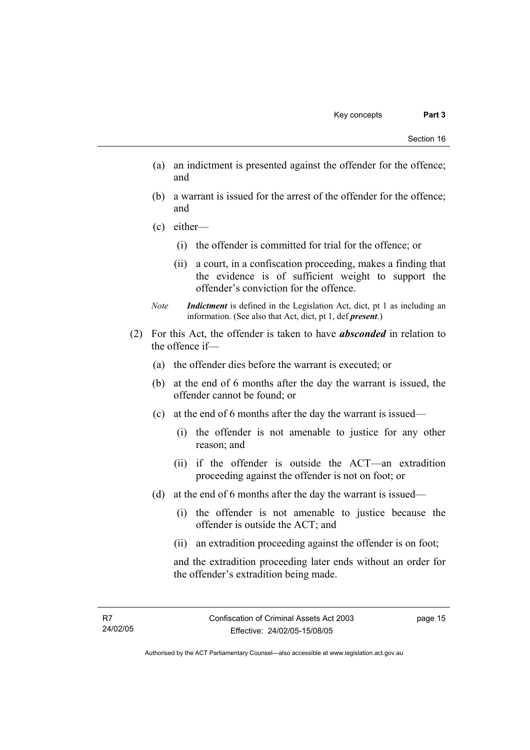- (a) an indictment is presented against the offender for the offence; and
- (b) a warrant is issued for the arrest of the offender for the offence; and
- (c) either—
	- (i) the offender is committed for trial for the offence; or
	- (ii) a court, in a confiscation proceeding, makes a finding that the evidence is of sufficient weight to support the offender's conviction for the offence.
- *Note Indictment* is defined in the Legislation Act, dict, pt 1 as including an information. (See also that Act, dict, pt 1, def *present*.)
- (2) For this Act, the offender is taken to have *absconded* in relation to the offence if—
	- (a) the offender dies before the warrant is executed; or
	- (b) at the end of 6 months after the day the warrant is issued, the offender cannot be found; or
	- (c) at the end of 6 months after the day the warrant is issued—
		- (i) the offender is not amenable to justice for any other reason; and
		- (ii) if the offender is outside the ACT—an extradition proceeding against the offender is not on foot; or
	- (d) at the end of 6 months after the day the warrant is issued—
		- (i) the offender is not amenable to justice because the offender is outside the ACT; and
		- (ii) an extradition proceeding against the offender is on foot;

and the extradition proceeding later ends without an order for the offender's extradition being made.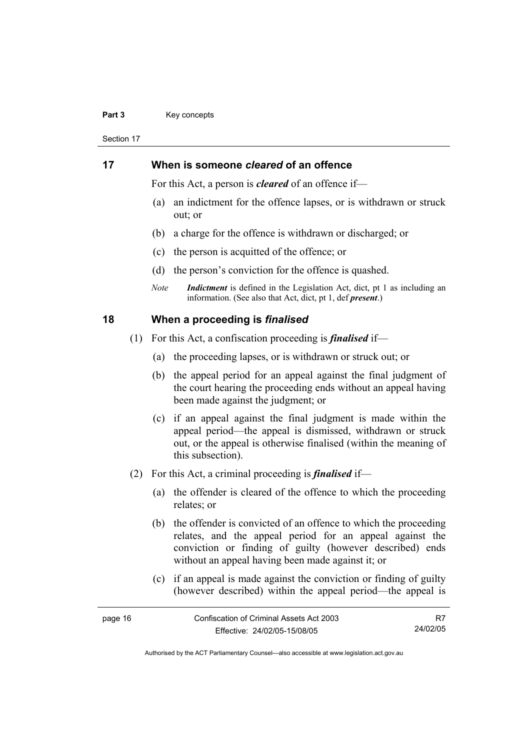#### Part 3 **Key concepts**

Section 17

# **17 When is someone** *cleared* **of an offence**

For this Act, a person is *cleared* of an offence if—

- (a) an indictment for the offence lapses, or is withdrawn or struck out; or
- (b) a charge for the offence is withdrawn or discharged; or
- (c) the person is acquitted of the offence; or
- (d) the person's conviction for the offence is quashed.
- *Note Indictment* is defined in the Legislation Act, dict, pt 1 as including an information. (See also that Act, dict, pt 1, def *present*.)

## **18 When a proceeding is** *finalised*

- (1) For this Act, a confiscation proceeding is *finalised* if—
	- (a) the proceeding lapses, or is withdrawn or struck out; or
	- (b) the appeal period for an appeal against the final judgment of the court hearing the proceeding ends without an appeal having been made against the judgment; or
	- (c) if an appeal against the final judgment is made within the appeal period—the appeal is dismissed, withdrawn or struck out, or the appeal is otherwise finalised (within the meaning of this subsection).
- (2) For this Act, a criminal proceeding is *finalised* if—
	- (a) the offender is cleared of the offence to which the proceeding relates; or
	- (b) the offender is convicted of an offence to which the proceeding relates, and the appeal period for an appeal against the conviction or finding of guilty (however described) ends without an appeal having been made against it; or
	- (c) if an appeal is made against the conviction or finding of guilty (however described) within the appeal period—the appeal is

| page 16 | Confiscation of Criminal Assets Act 2003 |          |
|---------|------------------------------------------|----------|
|         | Effective: 24/02/05-15/08/05             | 24/02/05 |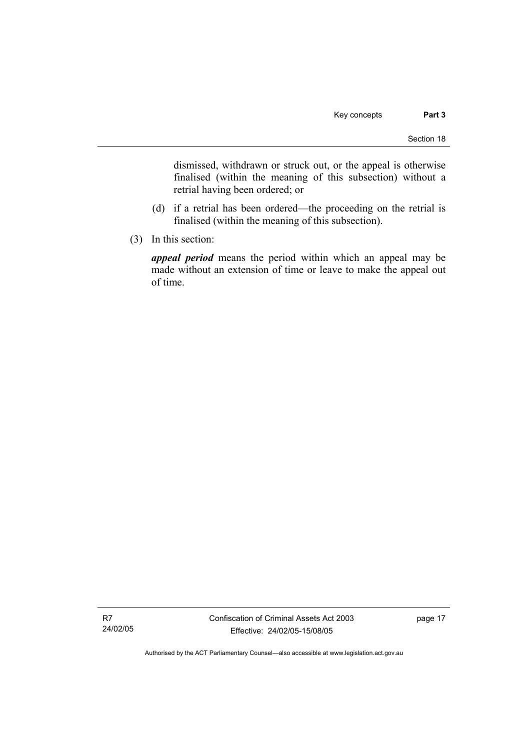dismissed, withdrawn or struck out, or the appeal is otherwise finalised (within the meaning of this subsection) without a retrial having been ordered; or

- (d) if a retrial has been ordered—the proceeding on the retrial is finalised (within the meaning of this subsection).
- (3) In this section:

*appeal period* means the period within which an appeal may be made without an extension of time or leave to make the appeal out of time.

R7 24/02/05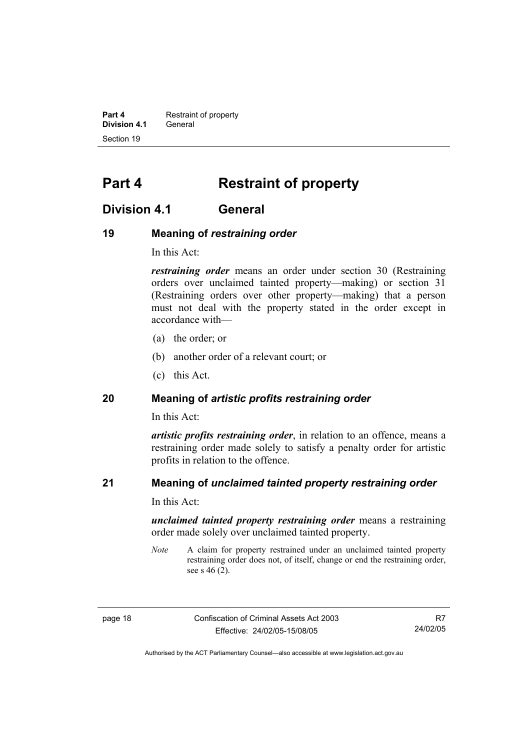**Part 4 Restraint of property Division 4.1** General Section 19

# **Part 4 Restraint of property**

# **Division 4.1 General**

## **19 Meaning of** *restraining order*

In this Act:

*restraining order* means an order under section 30 (Restraining orders over unclaimed tainted property—making) or section 31 (Restraining orders over other property—making) that a person must not deal with the property stated in the order except in accordance with—

- (a) the order; or
- (b) another order of a relevant court; or
- (c) this Act.

# **20 Meaning of** *artistic profits restraining order*

In this Act:

*artistic profits restraining order*, in relation to an offence, means a restraining order made solely to satisfy a penalty order for artistic profits in relation to the offence.

# **21 Meaning of** *unclaimed tainted property restraining order*

In this Act:

*unclaimed tainted property restraining order* means a restraining order made solely over unclaimed tainted property.

*Note* A claim for property restrained under an unclaimed tainted property restraining order does not, of itself, change or end the restraining order, see s 46 (2).

page 18 Confiscation of Criminal Assets Act 2003 Effective: 24/02/05-15/08/05

R7 24/02/05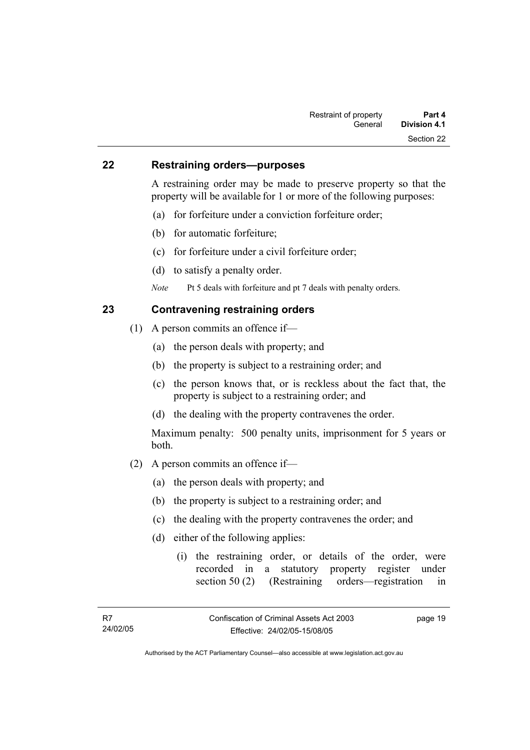## **22 Restraining orders—purposes**

A restraining order may be made to preserve property so that the property will be available for 1 or more of the following purposes:

- (a) for forfeiture under a conviction forfeiture order;
- (b) for automatic forfeiture;
- (c) for forfeiture under a civil forfeiture order;
- (d) to satisfy a penalty order.
- *Note* Pt 5 deals with forfeiture and pt 7 deals with penalty orders.

# **23 Contravening restraining orders**

- (1) A person commits an offence if—
	- (a) the person deals with property; and
	- (b) the property is subject to a restraining order; and
	- (c) the person knows that, or is reckless about the fact that, the property is subject to a restraining order; and
	- (d) the dealing with the property contravenes the order.

Maximum penalty: 500 penalty units, imprisonment for 5 years or both.

- (2) A person commits an offence if—
	- (a) the person deals with property; and
	- (b) the property is subject to a restraining order; and
	- (c) the dealing with the property contravenes the order; and
	- (d) either of the following applies:
		- (i) the restraining order, or details of the order, were recorded in a statutory property register under section 50 (2) (Restraining orders—registration in

page 19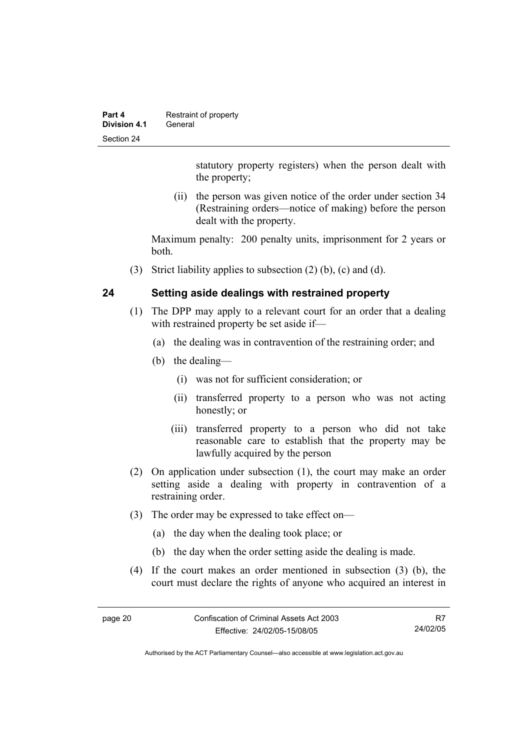| Part 4       | Restraint of property |
|--------------|-----------------------|
| Division 4.1 | General               |
| Section 24   |                       |

statutory property registers) when the person dealt with the property;

 (ii) the person was given notice of the order under section 34 (Restraining orders—notice of making) before the person dealt with the property.

Maximum penalty: 200 penalty units, imprisonment for 2 years or both.

(3) Strict liability applies to subsection (2) (b), (c) and (d).

# **24 Setting aside dealings with restrained property**

- (1) The DPP may apply to a relevant court for an order that a dealing with restrained property be set aside if—
	- (a) the dealing was in contravention of the restraining order; and
	- (b) the dealing—
		- (i) was not for sufficient consideration; or
		- (ii) transferred property to a person who was not acting honestly; or
		- (iii) transferred property to a person who did not take reasonable care to establish that the property may be lawfully acquired by the person
- (2) On application under subsection (1), the court may make an order setting aside a dealing with property in contravention of a restraining order.
- (3) The order may be expressed to take effect on—
	- (a) the day when the dealing took place; or
	- (b) the day when the order setting aside the dealing is made.
- (4) If the court makes an order mentioned in subsection (3) (b), the court must declare the rights of anyone who acquired an interest in

R7 24/02/05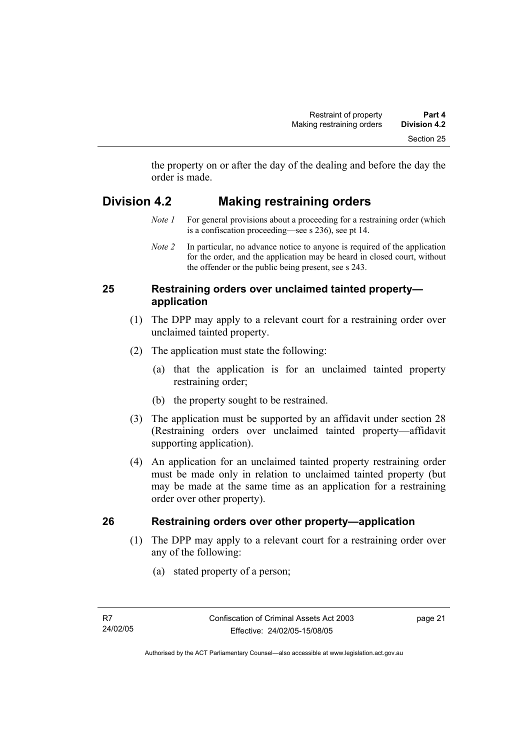the property on or after the day of the dealing and before the day the order is made.

# **Division 4.2 Making restraining orders**

- *Note 1* For general provisions about a proceeding for a restraining order (which is a confiscation proceeding—see s 236), see pt 14.
- *Note 2* In particular, no advance notice to anyone is required of the application for the order, and the application may be heard in closed court, without the offender or the public being present, see s 243.

# **25 Restraining orders over unclaimed tainted property application**

- (1) The DPP may apply to a relevant court for a restraining order over unclaimed tainted property.
- (2) The application must state the following:
	- (a) that the application is for an unclaimed tainted property restraining order;
	- (b) the property sought to be restrained.
- (3) The application must be supported by an affidavit under section 28 (Restraining orders over unclaimed tainted property—affidavit supporting application).
- (4) An application for an unclaimed tainted property restraining order must be made only in relation to unclaimed tainted property (but may be made at the same time as an application for a restraining order over other property).

# **26 Restraining orders over other property—application**

- (1) The DPP may apply to a relevant court for a restraining order over any of the following:
	- (a) stated property of a person;

page 21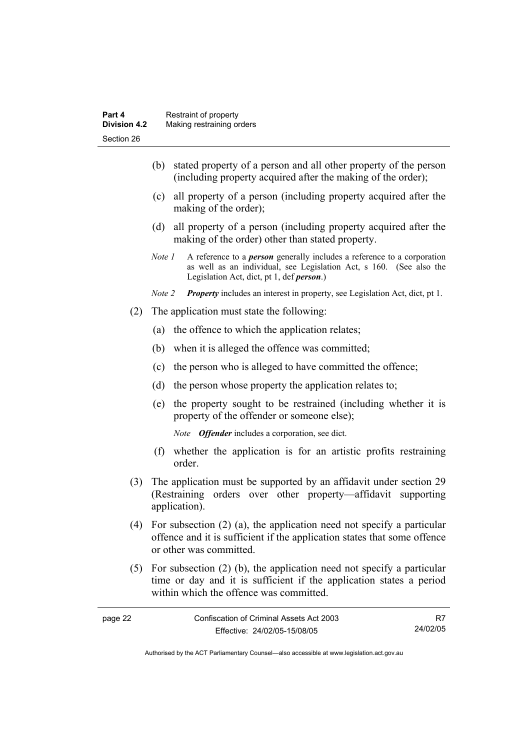- (b) stated property of a person and all other property of the person (including property acquired after the making of the order);
- (c) all property of a person (including property acquired after the making of the order);
- (d) all property of a person (including property acquired after the making of the order) other than stated property.
- *Note 1* A reference to a *person* generally includes a reference to a corporation as well as an individual, see Legislation Act, s 160. (See also the Legislation Act, dict, pt 1, def *person*.)
- *Note 2 Property* includes an interest in property, see Legislation Act, dict, pt 1.
- (2) The application must state the following:
	- (a) the offence to which the application relates;
	- (b) when it is alleged the offence was committed;
	- (c) the person who is alleged to have committed the offence;
	- (d) the person whose property the application relates to;
	- (e) the property sought to be restrained (including whether it is property of the offender or someone else);

*Note Offender* includes a corporation, see dict.

- (f) whether the application is for an artistic profits restraining order.
- (3) The application must be supported by an affidavit under section 29 (Restraining orders over other property—affidavit supporting application).
- (4) For subsection (2) (a), the application need not specify a particular offence and it is sufficient if the application states that some offence or other was committed.
- (5) For subsection (2) (b), the application need not specify a particular time or day and it is sufficient if the application states a period within which the offence was committed.

| page 22 | Confiscation of Criminal Assets Act 2003 |          |
|---------|------------------------------------------|----------|
|         | Effective: 24/02/05-15/08/05             | 24/02/05 |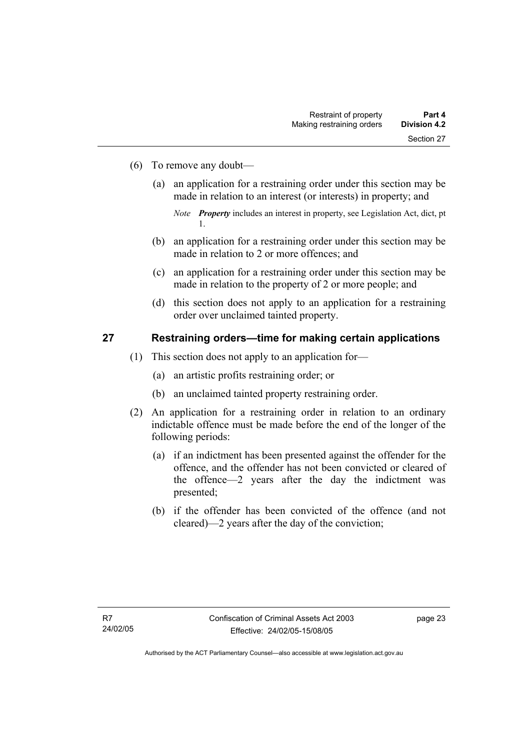- (6) To remove any doubt—
	- (a) an application for a restraining order under this section may be made in relation to an interest (or interests) in property; and

- (b) an application for a restraining order under this section may be made in relation to 2 or more offences; and
- (c) an application for a restraining order under this section may be made in relation to the property of 2 or more people; and
- (d) this section does not apply to an application for a restraining order over unclaimed tainted property.

#### **27 Restraining orders—time for making certain applications**

- (1) This section does not apply to an application for—
	- (a) an artistic profits restraining order; or
	- (b) an unclaimed tainted property restraining order.
- (2) An application for a restraining order in relation to an ordinary indictable offence must be made before the end of the longer of the following periods:
	- (a) if an indictment has been presented against the offender for the offence, and the offender has not been convicted or cleared of the offence—2 years after the day the indictment was presented;
	- (b) if the offender has been convicted of the offence (and not cleared)—2 years after the day of the conviction;

*Note Property* includes an interest in property, see Legislation Act, dict, pt 1.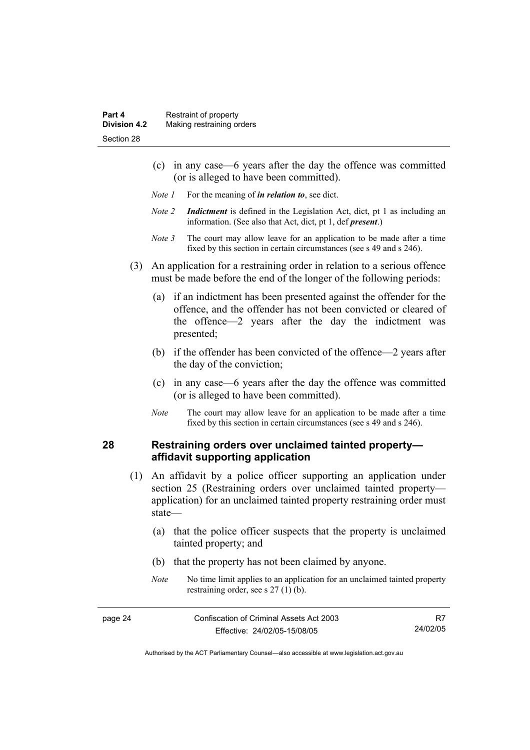- (c) in any case—6 years after the day the offence was committed (or is alleged to have been committed).
- *Note 1* For the meaning of *in relation to*, see dict.
- *Note 2 Indictment* is defined in the Legislation Act, dict, pt 1 as including an information. (See also that Act, dict, pt 1, def *present*.)
- *Note 3* The court may allow leave for an application to be made after a time fixed by this section in certain circumstances (see s 49 and s 246).
- (3) An application for a restraining order in relation to a serious offence must be made before the end of the longer of the following periods:
	- (a) if an indictment has been presented against the offender for the offence, and the offender has not been convicted or cleared of the offence—2 years after the day the indictment was presented;
	- (b) if the offender has been convicted of the offence—2 years after the day of the conviction;
	- (c) in any case—6 years after the day the offence was committed (or is alleged to have been committed).
	- *Note* The court may allow leave for an application to be made after a time fixed by this section in certain circumstances (see s 49 and s 246).

# **28 Restraining orders over unclaimed tainted property affidavit supporting application**

- (1) An affidavit by a police officer supporting an application under section 25 (Restraining orders over unclaimed tainted property application) for an unclaimed tainted property restraining order must state—
	- (a) that the police officer suspects that the property is unclaimed tainted property; and
	- (b) that the property has not been claimed by anyone.
	- *Note* No time limit applies to an application for an unclaimed tainted property restraining order, see s 27 (1) (b).

| page 24 | Confiscation of Criminal Assets Act 2003 |          |
|---------|------------------------------------------|----------|
|         | Effective: 24/02/05-15/08/05             | 24/02/05 |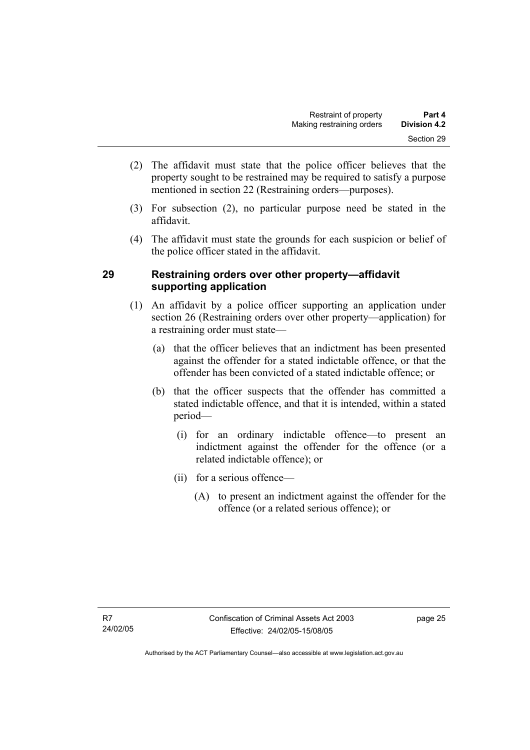- (2) The affidavit must state that the police officer believes that the property sought to be restrained may be required to satisfy a purpose mentioned in section 22 (Restraining orders—purposes).
- (3) For subsection (2), no particular purpose need be stated in the affidavit.
- (4) The affidavit must state the grounds for each suspicion or belief of the police officer stated in the affidavit.

# **29 Restraining orders over other property—affidavit supporting application**

- (1) An affidavit by a police officer supporting an application under section 26 (Restraining orders over other property—application) for a restraining order must state—
	- (a) that the officer believes that an indictment has been presented against the offender for a stated indictable offence, or that the offender has been convicted of a stated indictable offence; or
	- (b) that the officer suspects that the offender has committed a stated indictable offence, and that it is intended, within a stated period—
		- (i) for an ordinary indictable offence—to present an indictment against the offender for the offence (or a related indictable offence); or
		- (ii) for a serious offence—
			- (A) to present an indictment against the offender for the offence (or a related serious offence); or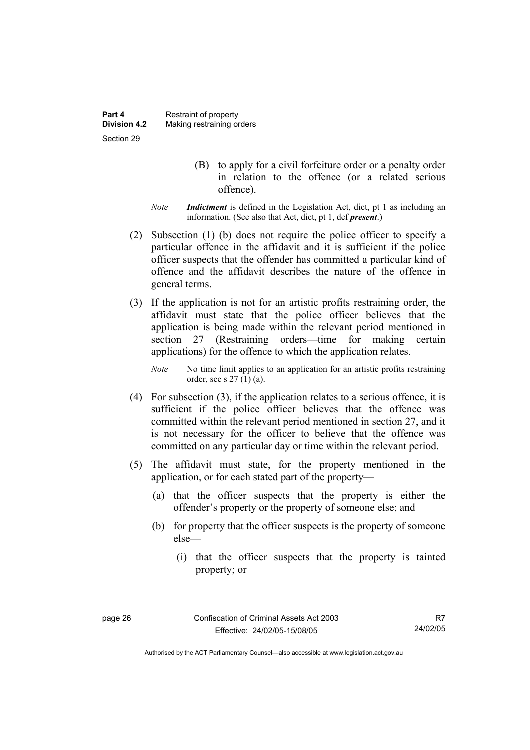- (B) to apply for a civil forfeiture order or a penalty order in relation to the offence (or a related serious offence).
- *Note Indictment* is defined in the Legislation Act, dict, pt 1 as including an information. (See also that Act, dict, pt 1, def *present*.)
- (2) Subsection (1) (b) does not require the police officer to specify a particular offence in the affidavit and it is sufficient if the police officer suspects that the offender has committed a particular kind of offence and the affidavit describes the nature of the offence in general terms.
- (3) If the application is not for an artistic profits restraining order, the affidavit must state that the police officer believes that the application is being made within the relevant period mentioned in section 27 (Restraining orders—time for making certain applications) for the offence to which the application relates.

*Note* No time limit applies to an application for an artistic profits restraining order, see s 27 (1) (a).

- (4) For subsection (3), if the application relates to a serious offence, it is sufficient if the police officer believes that the offence was committed within the relevant period mentioned in section 27, and it is not necessary for the officer to believe that the offence was committed on any particular day or time within the relevant period.
- (5) The affidavit must state, for the property mentioned in the application, or for each stated part of the property—
	- (a) that the officer suspects that the property is either the offender's property or the property of someone else; and
	- (b) for property that the officer suspects is the property of someone else—
		- (i) that the officer suspects that the property is tainted property; or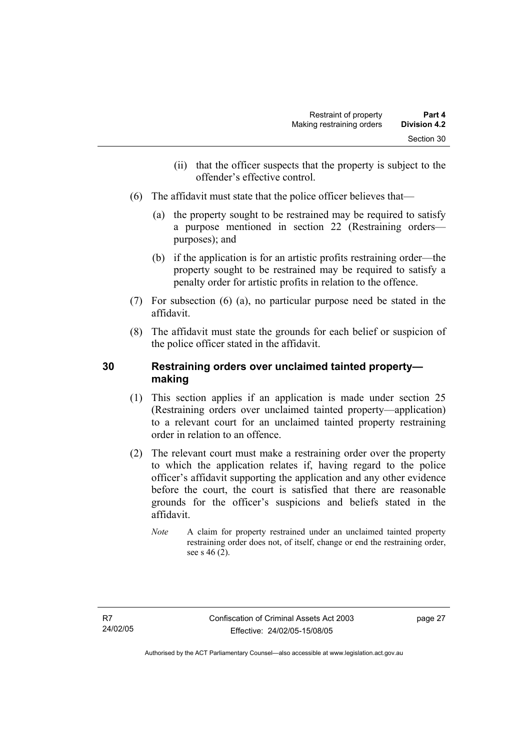- (ii) that the officer suspects that the property is subject to the offender's effective control.
- (6) The affidavit must state that the police officer believes that—
	- (a) the property sought to be restrained may be required to satisfy a purpose mentioned in section 22 (Restraining orders purposes); and
	- (b) if the application is for an artistic profits restraining order—the property sought to be restrained may be required to satisfy a penalty order for artistic profits in relation to the offence.
- (7) For subsection (6) (a), no particular purpose need be stated in the affidavit.
- (8) The affidavit must state the grounds for each belief or suspicion of the police officer stated in the affidavit.

# **30 Restraining orders over unclaimed tainted property making**

- (1) This section applies if an application is made under section 25 (Restraining orders over unclaimed tainted property—application) to a relevant court for an unclaimed tainted property restraining order in relation to an offence.
- (2) The relevant court must make a restraining order over the property to which the application relates if, having regard to the police officer's affidavit supporting the application and any other evidence before the court, the court is satisfied that there are reasonable grounds for the officer's suspicions and beliefs stated in the affidavit.
	- *Note* A claim for property restrained under an unclaimed tainted property restraining order does not, of itself, change or end the restraining order, see s 46 (2).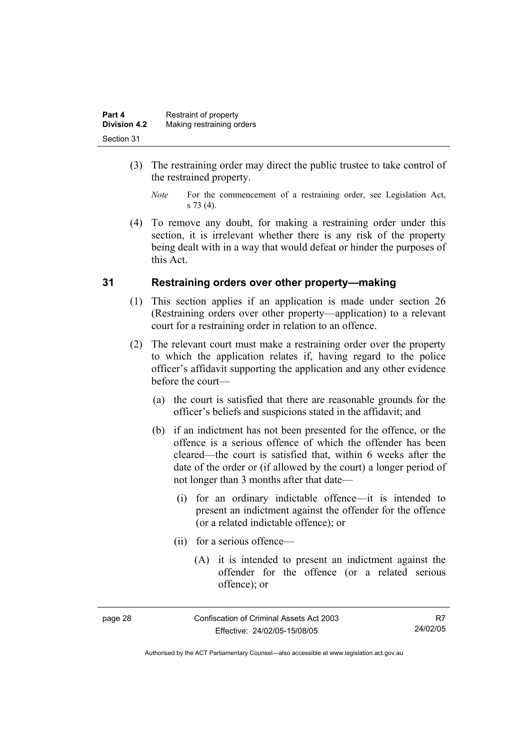| Part 4              | Restraint of property     |
|---------------------|---------------------------|
| <b>Division 4.2</b> | Making restraining orders |
| Section 31          |                           |

- (3) The restraining order may direct the public trustee to take control of the restrained property.
	- *Note* For the commencement of a restraining order, see Legislation Act, s 73 (4).
- (4) To remove any doubt, for making a restraining order under this section, it is irrelevant whether there is any risk of the property being dealt with in a way that would defeat or hinder the purposes of this Act.

#### **31 Restraining orders over other property—making**

- (1) This section applies if an application is made under section 26 (Restraining orders over other property—application) to a relevant court for a restraining order in relation to an offence.
- (2) The relevant court must make a restraining order over the property to which the application relates if, having regard to the police officer's affidavit supporting the application and any other evidence before the court—
	- (a) the court is satisfied that there are reasonable grounds for the officer's beliefs and suspicions stated in the affidavit; and
	- (b) if an indictment has not been presented for the offence, or the offence is a serious offence of which the offender has been cleared—the court is satisfied that, within 6 weeks after the date of the order or (if allowed by the court) a longer period of not longer than 3 months after that date—
		- (i) for an ordinary indictable offence—it is intended to present an indictment against the offender for the offence (or a related indictable offence); or
		- (ii) for a serious offence—
			- (A) it is intended to present an indictment against the offender for the offence (or a related serious offence); or

| ĸ<br>הו<br>c |  |
|--------------|--|
|--------------|--|

Confiscation of Criminal Assets Act 2003 Effective: 24/02/05-15/08/05

Authorised by the ACT Parliamentary Counsel—also accessible at www.legislation.act.gov.au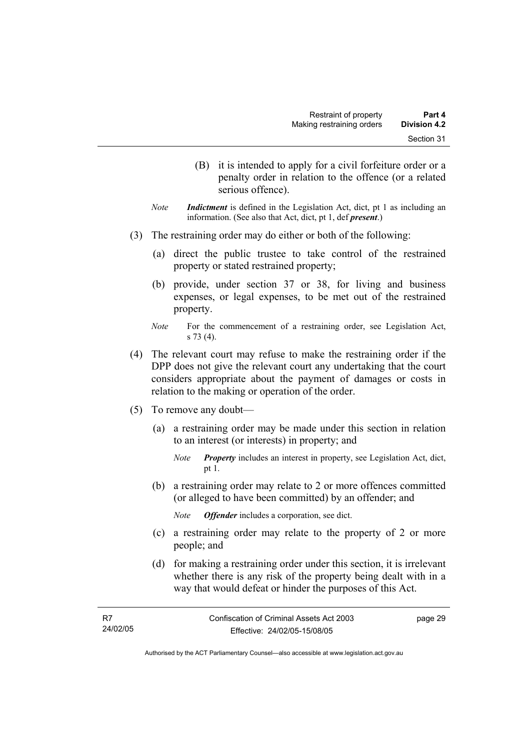- (B) it is intended to apply for a civil forfeiture order or a penalty order in relation to the offence (or a related serious offence).
- *Note Indictment* is defined in the Legislation Act, dict, pt 1 as including an information. (See also that Act, dict, pt 1, def *present*.)
- (3) The restraining order may do either or both of the following:
	- (a) direct the public trustee to take control of the restrained property or stated restrained property;
	- (b) provide, under section 37 or 38, for living and business expenses, or legal expenses, to be met out of the restrained property.
	- *Note* For the commencement of a restraining order, see Legislation Act, s 73 (4).
- (4) The relevant court may refuse to make the restraining order if the DPP does not give the relevant court any undertaking that the court considers appropriate about the payment of damages or costs in relation to the making or operation of the order.
- (5) To remove any doubt—
	- (a) a restraining order may be made under this section in relation to an interest (or interests) in property; and
		- *Note Property* includes an interest in property, see Legislation Act, dict, pt 1.
	- (b) a restraining order may relate to 2 or more offences committed (or alleged to have been committed) by an offender; and
		- *Note Offender* includes a corporation, see dict.
	- (c) a restraining order may relate to the property of 2 or more people; and
	- (d) for making a restraining order under this section, it is irrelevant whether there is any risk of the property being dealt with in a way that would defeat or hinder the purposes of this Act.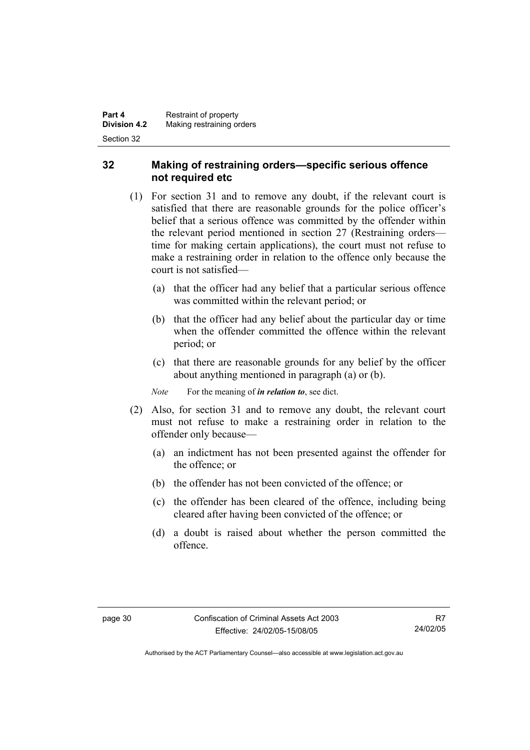# **32 Making of restraining orders—specific serious offence not required etc**

- (1) For section 31 and to remove any doubt, if the relevant court is satisfied that there are reasonable grounds for the police officer's belief that a serious offence was committed by the offender within the relevant period mentioned in section 27 (Restraining orders time for making certain applications), the court must not refuse to make a restraining order in relation to the offence only because the court is not satisfied—
	- (a) that the officer had any belief that a particular serious offence was committed within the relevant period; or
	- (b) that the officer had any belief about the particular day or time when the offender committed the offence within the relevant period; or
	- (c) that there are reasonable grounds for any belief by the officer about anything mentioned in paragraph (a) or (b).

*Note* For the meaning of *in relation to*, see dict.

- (2) Also, for section 31 and to remove any doubt, the relevant court must not refuse to make a restraining order in relation to the offender only because—
	- (a) an indictment has not been presented against the offender for the offence; or
	- (b) the offender has not been convicted of the offence; or
	- (c) the offender has been cleared of the offence, including being cleared after having been convicted of the offence; or
	- (d) a doubt is raised about whether the person committed the offence.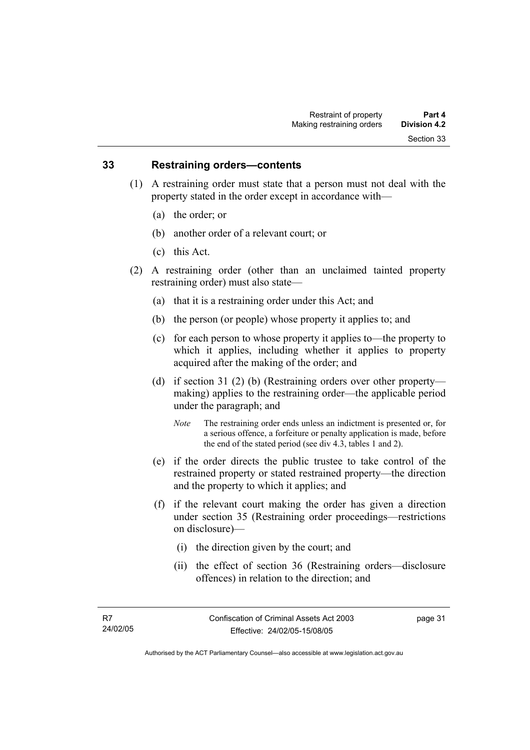#### **33 Restraining orders—contents**

- (1) A restraining order must state that a person must not deal with the property stated in the order except in accordance with—
	- (a) the order; or
	- (b) another order of a relevant court; or
	- (c) this Act.
- (2) A restraining order (other than an unclaimed tainted property restraining order) must also state—
	- (a) that it is a restraining order under this Act; and
	- (b) the person (or people) whose property it applies to; and
	- (c) for each person to whose property it applies to—the property to which it applies, including whether it applies to property acquired after the making of the order; and
	- (d) if section 31 (2) (b) (Restraining orders over other property making) applies to the restraining order—the applicable period under the paragraph; and
		- *Note* The restraining order ends unless an indictment is presented or, for a serious offence, a forfeiture or penalty application is made, before the end of the stated period (see div 4.3, tables 1 and 2).
	- (e) if the order directs the public trustee to take control of the restrained property or stated restrained property—the direction and the property to which it applies; and
	- (f) if the relevant court making the order has given a direction under section 35 (Restraining order proceedings—restrictions on disclosure)—
		- (i) the direction given by the court; and
		- (ii) the effect of section 36 (Restraining orders—disclosure offences) in relation to the direction; and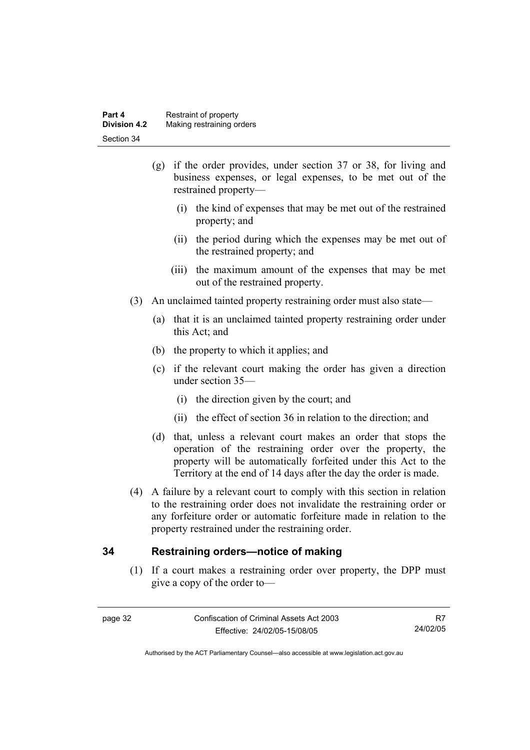| Part 4              | Restraint of property     |
|---------------------|---------------------------|
| <b>Division 4.2</b> | Making restraining orders |
| Section 34          |                           |

- (g) if the order provides, under section 37 or 38, for living and business expenses, or legal expenses, to be met out of the restrained property—
	- (i) the kind of expenses that may be met out of the restrained property; and
	- (ii) the period during which the expenses may be met out of the restrained property; and
	- (iii) the maximum amount of the expenses that may be met out of the restrained property.
- (3) An unclaimed tainted property restraining order must also state—
	- (a) that it is an unclaimed tainted property restraining order under this Act; and
	- (b) the property to which it applies; and
	- (c) if the relevant court making the order has given a direction under section 35—
		- (i) the direction given by the court; and
		- (ii) the effect of section 36 in relation to the direction; and
	- (d) that, unless a relevant court makes an order that stops the operation of the restraining order over the property, the property will be automatically forfeited under this Act to the Territory at the end of 14 days after the day the order is made.
- (4) A failure by a relevant court to comply with this section in relation to the restraining order does not invalidate the restraining order or any forfeiture order or automatic forfeiture made in relation to the property restrained under the restraining order.

#### **34 Restraining orders—notice of making**

 (1) If a court makes a restraining order over property, the DPP must give a copy of the order to—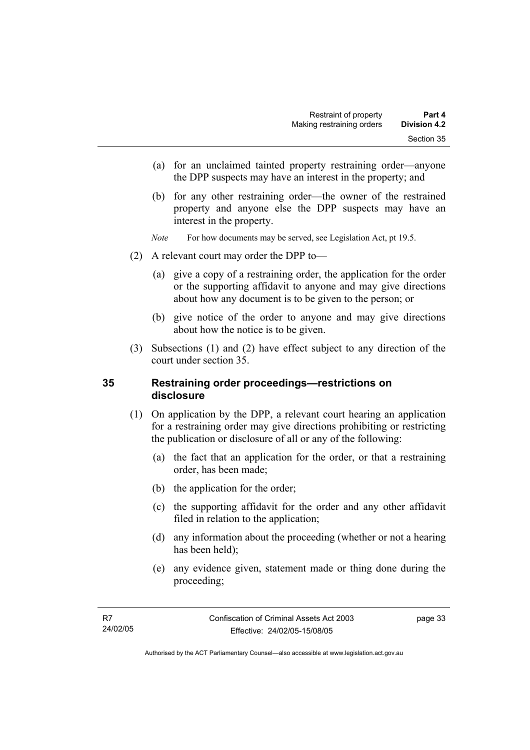- (a) for an unclaimed tainted property restraining order—anyone the DPP suspects may have an interest in the property; and
- (b) for any other restraining order—the owner of the restrained property and anyone else the DPP suspects may have an interest in the property.
- *Note* For how documents may be served, see Legislation Act, pt 19.5.
- (2) A relevant court may order the DPP to—
	- (a) give a copy of a restraining order, the application for the order or the supporting affidavit to anyone and may give directions about how any document is to be given to the person; or
	- (b) give notice of the order to anyone and may give directions about how the notice is to be given.
- (3) Subsections (1) and (2) have effect subject to any direction of the court under section 35.

#### **35 Restraining order proceedings—restrictions on disclosure**

- (1) On application by the DPP, a relevant court hearing an application for a restraining order may give directions prohibiting or restricting the publication or disclosure of all or any of the following:
	- (a) the fact that an application for the order, or that a restraining order, has been made;
	- (b) the application for the order;
	- (c) the supporting affidavit for the order and any other affidavit filed in relation to the application;
	- (d) any information about the proceeding (whether or not a hearing has been held);
	- (e) any evidence given, statement made or thing done during the proceeding;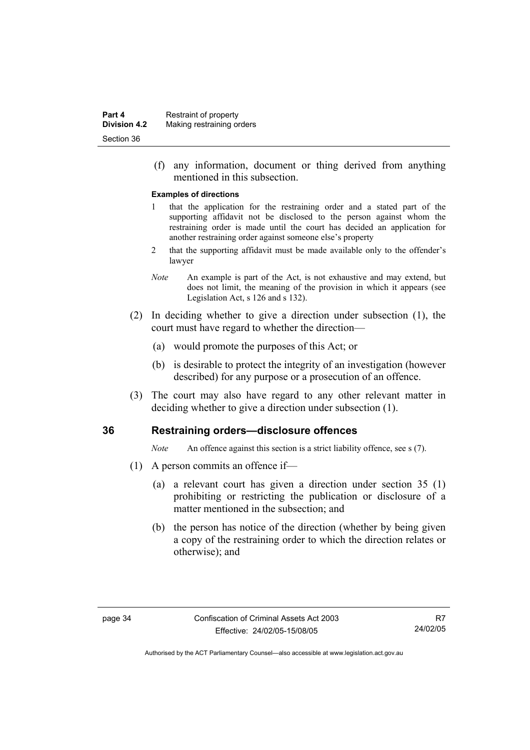(f) any information, document or thing derived from anything mentioned in this subsection.

#### **Examples of directions**

- 1 that the application for the restraining order and a stated part of the supporting affidavit not be disclosed to the person against whom the restraining order is made until the court has decided an application for another restraining order against someone else's property
- 2 that the supporting affidavit must be made available only to the offender's lawyer
- *Note* An example is part of the Act, is not exhaustive and may extend, but does not limit, the meaning of the provision in which it appears (see Legislation Act, s 126 and s 132).
- (2) In deciding whether to give a direction under subsection (1), the court must have regard to whether the direction—
	- (a) would promote the purposes of this Act; or
	- (b) is desirable to protect the integrity of an investigation (however described) for any purpose or a prosecution of an offence.
- (3) The court may also have regard to any other relevant matter in deciding whether to give a direction under subsection (1).

#### **36 Restraining orders—disclosure offences**

*Note* An offence against this section is a strict liability offence, see s (7).

- (1) A person commits an offence if—
	- (a) a relevant court has given a direction under section 35 (1) prohibiting or restricting the publication or disclosure of a matter mentioned in the subsection; and
	- (b) the person has notice of the direction (whether by being given a copy of the restraining order to which the direction relates or otherwise); and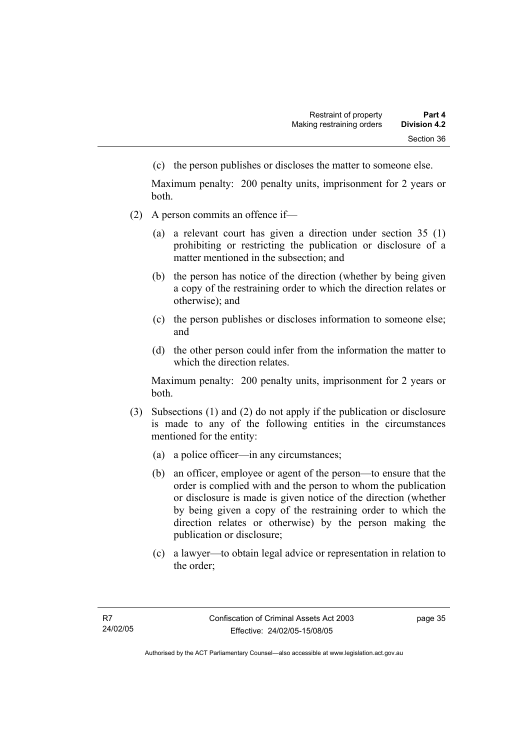(c) the person publishes or discloses the matter to someone else.

Maximum penalty: 200 penalty units, imprisonment for 2 years or both.

- (2) A person commits an offence if—
	- (a) a relevant court has given a direction under section 35 (1) prohibiting or restricting the publication or disclosure of a matter mentioned in the subsection; and
	- (b) the person has notice of the direction (whether by being given a copy of the restraining order to which the direction relates or otherwise); and
	- (c) the person publishes or discloses information to someone else; and
	- (d) the other person could infer from the information the matter to which the direction relates.

Maximum penalty: 200 penalty units, imprisonment for 2 years or both.

- (3) Subsections (1) and (2) do not apply if the publication or disclosure is made to any of the following entities in the circumstances mentioned for the entity:
	- (a) a police officer—in any circumstances;
	- (b) an officer, employee or agent of the person—to ensure that the order is complied with and the person to whom the publication or disclosure is made is given notice of the direction (whether by being given a copy of the restraining order to which the direction relates or otherwise) by the person making the publication or disclosure;
	- (c) a lawyer—to obtain legal advice or representation in relation to the order;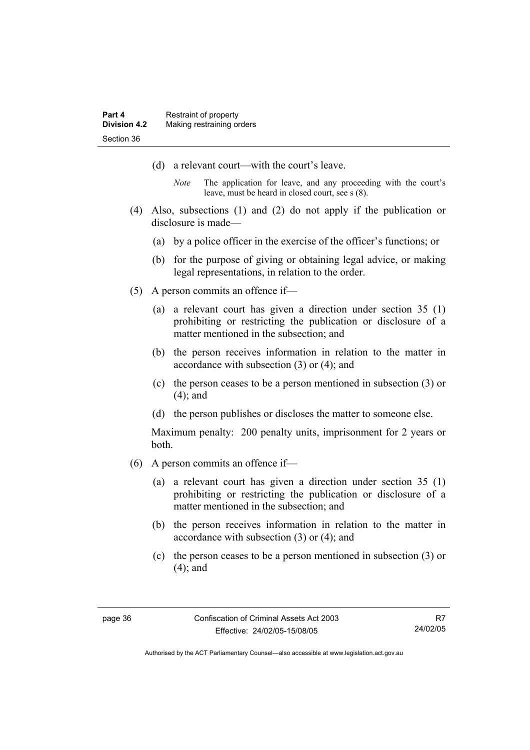- (d) a relevant court—with the court's leave.
	- *Note* The application for leave, and any proceeding with the court's leave, must be heard in closed court, see s (8).
- (4) Also, subsections (1) and (2) do not apply if the publication or disclosure is made—
	- (a) by a police officer in the exercise of the officer's functions; or
	- (b) for the purpose of giving or obtaining legal advice, or making legal representations, in relation to the order.
- (5) A person commits an offence if—
	- (a) a relevant court has given a direction under section 35 (1) prohibiting or restricting the publication or disclosure of a matter mentioned in the subsection; and
	- (b) the person receives information in relation to the matter in accordance with subsection (3) or (4); and
	- (c) the person ceases to be a person mentioned in subsection (3) or (4); and
	- (d) the person publishes or discloses the matter to someone else.

Maximum penalty: 200 penalty units, imprisonment for 2 years or both.

- (6) A person commits an offence if—
	- (a) a relevant court has given a direction under section 35 (1) prohibiting or restricting the publication or disclosure of a matter mentioned in the subsection; and
	- (b) the person receives information in relation to the matter in accordance with subsection (3) or (4); and
	- (c) the person ceases to be a person mentioned in subsection (3) or (4); and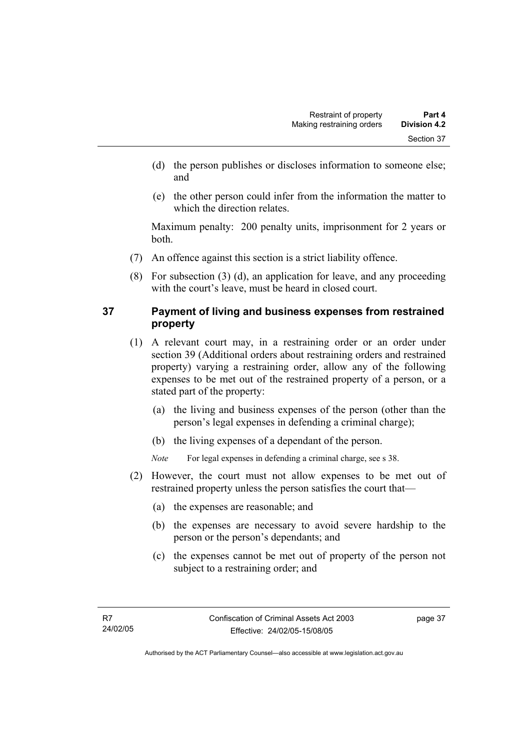- (d) the person publishes or discloses information to someone else; and
- (e) the other person could infer from the information the matter to which the direction relates.

Maximum penalty: 200 penalty units, imprisonment for 2 years or both.

- (7) An offence against this section is a strict liability offence.
- (8) For subsection (3) (d), an application for leave, and any proceeding with the court's leave, must be heard in closed court.

# **37 Payment of living and business expenses from restrained property**

- (1) A relevant court may, in a restraining order or an order under section 39 (Additional orders about restraining orders and restrained property) varying a restraining order, allow any of the following expenses to be met out of the restrained property of a person, or a stated part of the property:
	- (a) the living and business expenses of the person (other than the person's legal expenses in defending a criminal charge);
	- (b) the living expenses of a dependant of the person.

*Note* For legal expenses in defending a criminal charge, see s 38.

- (2) However, the court must not allow expenses to be met out of restrained property unless the person satisfies the court that—
	- (a) the expenses are reasonable; and
	- (b) the expenses are necessary to avoid severe hardship to the person or the person's dependants; and
	- (c) the expenses cannot be met out of property of the person not subject to a restraining order; and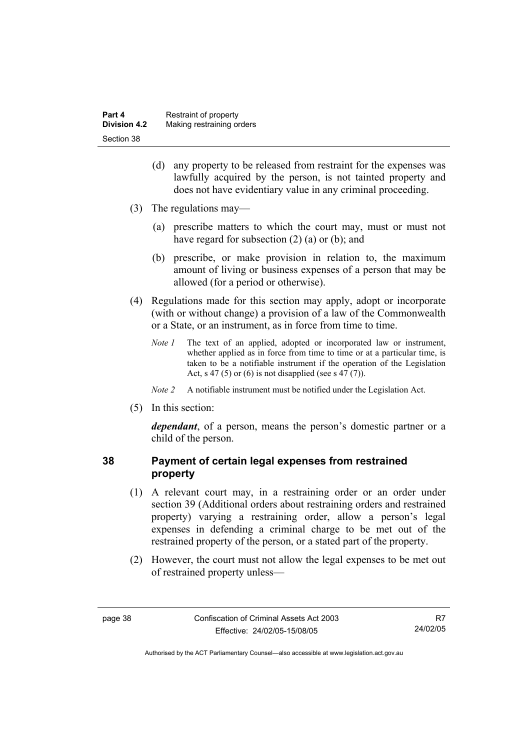| Part 4              | Restraint of property     |
|---------------------|---------------------------|
| <b>Division 4.2</b> | Making restraining orders |
| Section 38          |                           |

- (d) any property to be released from restraint for the expenses was lawfully acquired by the person, is not tainted property and does not have evidentiary value in any criminal proceeding.
- (3) The regulations may—
	- (a) prescribe matters to which the court may, must or must not have regard for subsection (2) (a) or (b); and
	- (b) prescribe, or make provision in relation to, the maximum amount of living or business expenses of a person that may be allowed (for a period or otherwise).
- (4) Regulations made for this section may apply, adopt or incorporate (with or without change) a provision of a law of the Commonwealth or a State, or an instrument, as in force from time to time.
	- *Note 1* The text of an applied, adopted or incorporated law or instrument, whether applied as in force from time to time or at a particular time, is taken to be a notifiable instrument if the operation of the Legislation Act, s 47 (5) or (6) is not disapplied (see s 47 (7)).
	- *Note 2* A notifiable instrument must be notified under the Legislation Act.
- (5) In this section:

*dependant*, of a person, means the person's domestic partner or a child of the person.

### **38 Payment of certain legal expenses from restrained property**

- (1) A relevant court may, in a restraining order or an order under section 39 (Additional orders about restraining orders and restrained property) varying a restraining order, allow a person's legal expenses in defending a criminal charge to be met out of the restrained property of the person, or a stated part of the property.
- (2) However, the court must not allow the legal expenses to be met out of restrained property unless—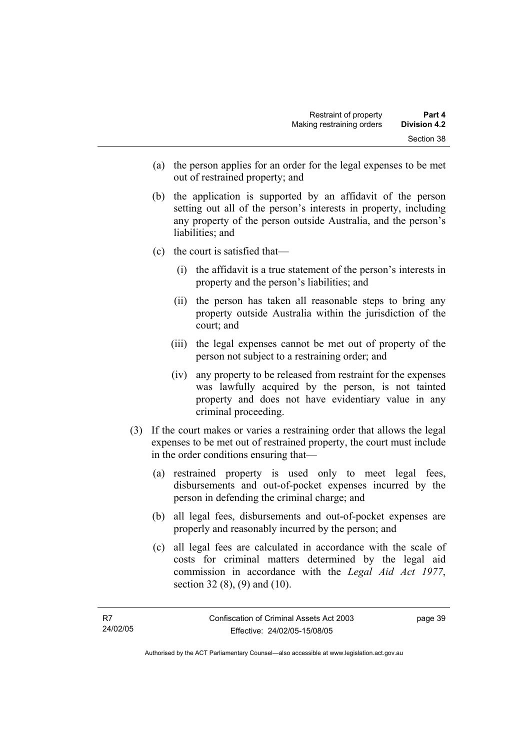- (a) the person applies for an order for the legal expenses to be met out of restrained property; and
- (b) the application is supported by an affidavit of the person setting out all of the person's interests in property, including any property of the person outside Australia, and the person's liabilities; and
- (c) the court is satisfied that—
	- (i) the affidavit is a true statement of the person's interests in property and the person's liabilities; and
	- (ii) the person has taken all reasonable steps to bring any property outside Australia within the jurisdiction of the court; and
	- (iii) the legal expenses cannot be met out of property of the person not subject to a restraining order; and
	- (iv) any property to be released from restraint for the expenses was lawfully acquired by the person, is not tainted property and does not have evidentiary value in any criminal proceeding.
- (3) If the court makes or varies a restraining order that allows the legal expenses to be met out of restrained property, the court must include in the order conditions ensuring that—
	- (a) restrained property is used only to meet legal fees, disbursements and out-of-pocket expenses incurred by the person in defending the criminal charge; and
	- (b) all legal fees, disbursements and out-of-pocket expenses are properly and reasonably incurred by the person; and
	- (c) all legal fees are calculated in accordance with the scale of costs for criminal matters determined by the legal aid commission in accordance with the *Legal Aid Act 1977*, section 32 (8), (9) and (10).

Authorised by the ACT Parliamentary Counsel—also accessible at www.legislation.act.gov.au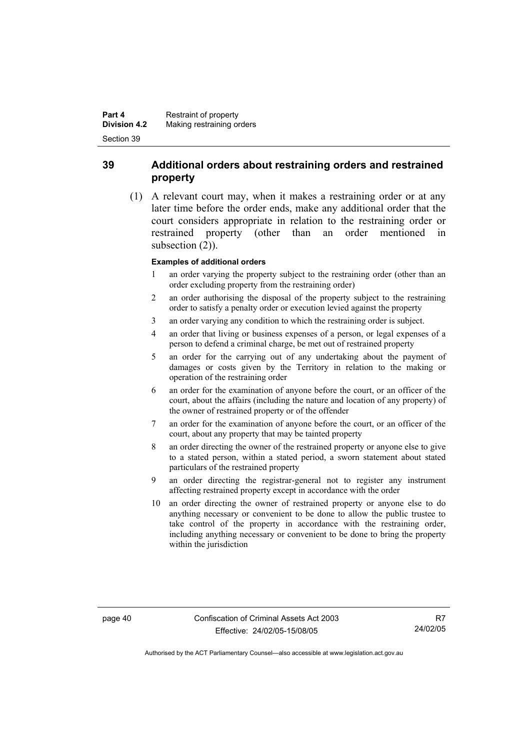# **39 Additional orders about restraining orders and restrained property**

 (1) A relevant court may, when it makes a restraining order or at any later time before the order ends, make any additional order that the court considers appropriate in relation to the restraining order or restrained property (other than an order mentioned in subsection  $(2)$ ).

#### **Examples of additional orders**

- 1 an order varying the property subject to the restraining order (other than an order excluding property from the restraining order)
- 2 an order authorising the disposal of the property subject to the restraining order to satisfy a penalty order or execution levied against the property
- 3 an order varying any condition to which the restraining order is subject.
- 4 an order that living or business expenses of a person, or legal expenses of a person to defend a criminal charge, be met out of restrained property
- 5 an order for the carrying out of any undertaking about the payment of damages or costs given by the Territory in relation to the making or operation of the restraining order
- 6 an order for the examination of anyone before the court, or an officer of the court, about the affairs (including the nature and location of any property) of the owner of restrained property or of the offender
- 7 an order for the examination of anyone before the court, or an officer of the court, about any property that may be tainted property
- 8 an order directing the owner of the restrained property or anyone else to give to a stated person, within a stated period, a sworn statement about stated particulars of the restrained property
- 9 an order directing the registrar-general not to register any instrument affecting restrained property except in accordance with the order
- 10 an order directing the owner of restrained property or anyone else to do anything necessary or convenient to be done to allow the public trustee to take control of the property in accordance with the restraining order, including anything necessary or convenient to be done to bring the property within the jurisdiction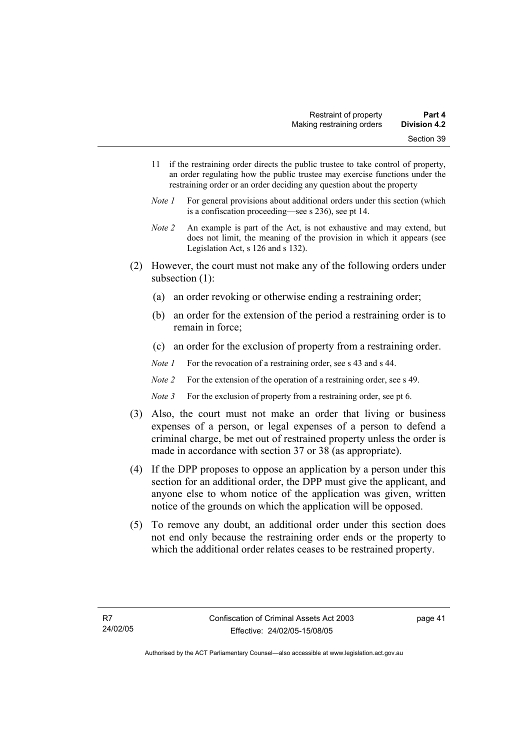- 11 if the restraining order directs the public trustee to take control of property, an order regulating how the public trustee may exercise functions under the restraining order or an order deciding any question about the property
- *Note 1* For general provisions about additional orders under this section (which is a confiscation proceeding—see s 236), see pt 14.
- *Note 2* An example is part of the Act, is not exhaustive and may extend, but does not limit, the meaning of the provision in which it appears (see Legislation Act, s 126 and s 132).
- (2) However, the court must not make any of the following orders under subsection (1):
	- (a) an order revoking or otherwise ending a restraining order;
	- (b) an order for the extension of the period a restraining order is to remain in force;
	- (c) an order for the exclusion of property from a restraining order.
	- *Note 1* For the revocation of a restraining order, see s 43 and s 44.
	- *Note 2* For the extension of the operation of a restraining order, see s 49.
	- *Note 3* For the exclusion of property from a restraining order, see pt 6.
- (3) Also, the court must not make an order that living or business expenses of a person, or legal expenses of a person to defend a criminal charge, be met out of restrained property unless the order is made in accordance with section 37 or 38 (as appropriate).
- (4) If the DPP proposes to oppose an application by a person under this section for an additional order, the DPP must give the applicant, and anyone else to whom notice of the application was given, written notice of the grounds on which the application will be opposed.
- (5) To remove any doubt, an additional order under this section does not end only because the restraining order ends or the property to which the additional order relates ceases to be restrained property.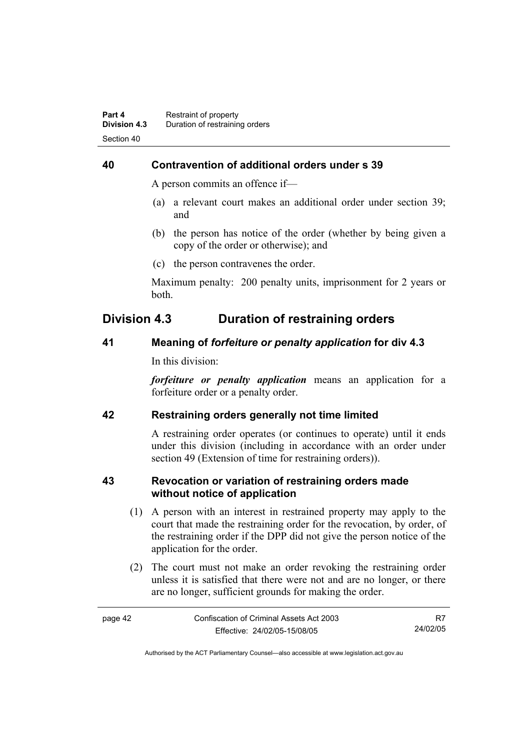# **40 Contravention of additional orders under s 39**

A person commits an offence if—

- (a) a relevant court makes an additional order under section 39; and
- (b) the person has notice of the order (whether by being given a copy of the order or otherwise); and
- (c) the person contravenes the order.

Maximum penalty: 200 penalty units, imprisonment for 2 years or both.

# **Division 4.3 Duration of restraining orders**

### **41 Meaning of** *forfeiture or penalty application* **for div 4.3**

In this division:

*forfeiture or penalty application* means an application for a forfeiture order or a penalty order.

# **42 Restraining orders generally not time limited**

A restraining order operates (or continues to operate) until it ends under this division (including in accordance with an order under section 49 (Extension of time for restraining orders)).

### **43 Revocation or variation of restraining orders made without notice of application**

- (1) A person with an interest in restrained property may apply to the court that made the restraining order for the revocation, by order, of the restraining order if the DPP did not give the person notice of the application for the order.
- (2) The court must not make an order revoking the restraining order unless it is satisfied that there were not and are no longer, or there are no longer, sufficient grounds for making the order.

| page 42 | Confiscation of Criminal Assets Act 2003 |          |
|---------|------------------------------------------|----------|
|         | Effective: 24/02/05-15/08/05             | 24/02/05 |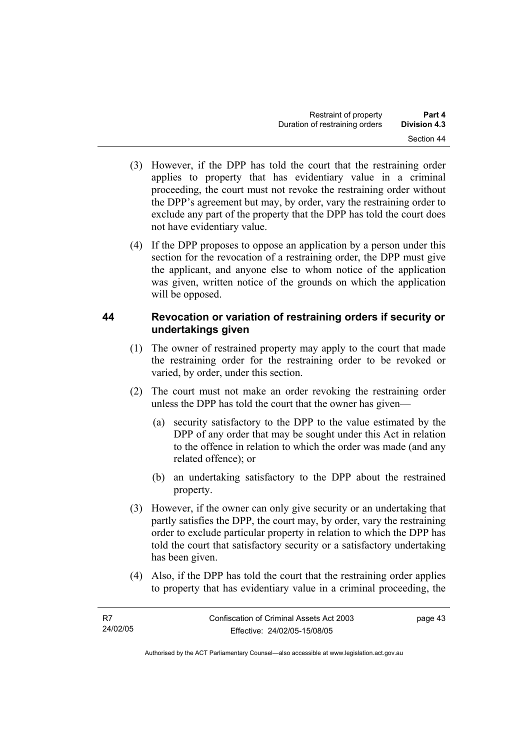- (3) However, if the DPP has told the court that the restraining order applies to property that has evidentiary value in a criminal proceeding, the court must not revoke the restraining order without the DPP's agreement but may, by order, vary the restraining order to exclude any part of the property that the DPP has told the court does not have evidentiary value.
- (4) If the DPP proposes to oppose an application by a person under this section for the revocation of a restraining order, the DPP must give the applicant, and anyone else to whom notice of the application was given, written notice of the grounds on which the application will be opposed.

# **44 Revocation or variation of restraining orders if security or undertakings given**

- (1) The owner of restrained property may apply to the court that made the restraining order for the restraining order to be revoked or varied, by order, under this section.
- (2) The court must not make an order revoking the restraining order unless the DPP has told the court that the owner has given—
	- (a) security satisfactory to the DPP to the value estimated by the DPP of any order that may be sought under this Act in relation to the offence in relation to which the order was made (and any related offence); or
	- (b) an undertaking satisfactory to the DPP about the restrained property.
- (3) However, if the owner can only give security or an undertaking that partly satisfies the DPP, the court may, by order, vary the restraining order to exclude particular property in relation to which the DPP has told the court that satisfactory security or a satisfactory undertaking has been given.
- (4) Also, if the DPP has told the court that the restraining order applies to property that has evidentiary value in a criminal proceeding, the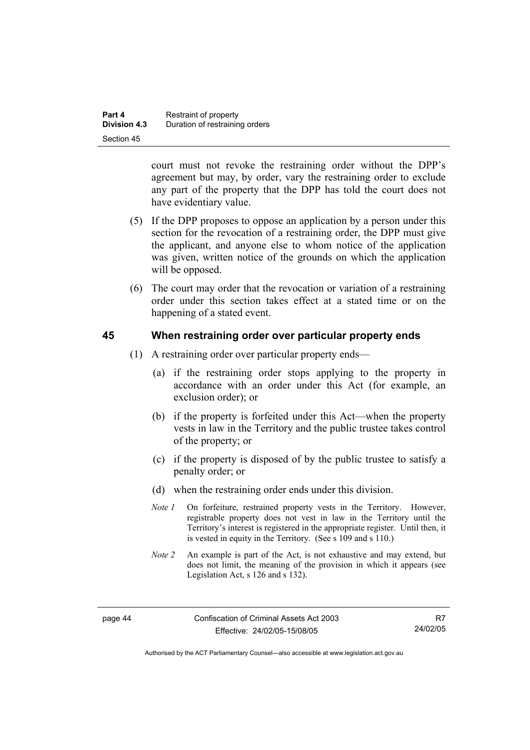| Part 4              | Restraint of property          |
|---------------------|--------------------------------|
| <b>Division 4.3</b> | Duration of restraining orders |
| Section 45          |                                |

court must not revoke the restraining order without the DPP's agreement but may, by order, vary the restraining order to exclude any part of the property that the DPP has told the court does not have evidentiary value.

- (5) If the DPP proposes to oppose an application by a person under this section for the revocation of a restraining order, the DPP must give the applicant, and anyone else to whom notice of the application was given, written notice of the grounds on which the application will be opposed.
- (6) The court may order that the revocation or variation of a restraining order under this section takes effect at a stated time or on the happening of a stated event.

#### **45 When restraining order over particular property ends**

- (1) A restraining order over particular property ends—
	- (a) if the restraining order stops applying to the property in accordance with an order under this Act (for example, an exclusion order); or
	- (b) if the property is forfeited under this Act—when the property vests in law in the Territory and the public trustee takes control of the property; or
	- (c) if the property is disposed of by the public trustee to satisfy a penalty order; or
	- (d) when the restraining order ends under this division.
	- *Note 1* On forfeiture, restrained property vests in the Territory. However, registrable property does not vest in law in the Territory until the Territory's interest is registered in the appropriate register. Until then, it is vested in equity in the Territory. (See s 109 and s 110.)
	- *Note 2* An example is part of the Act, is not exhaustive and may extend, but does not limit, the meaning of the provision in which it appears (see Legislation Act, s 126 and s 132).

Authorised by the ACT Parliamentary Counsel—also accessible at www.legislation.act.gov.au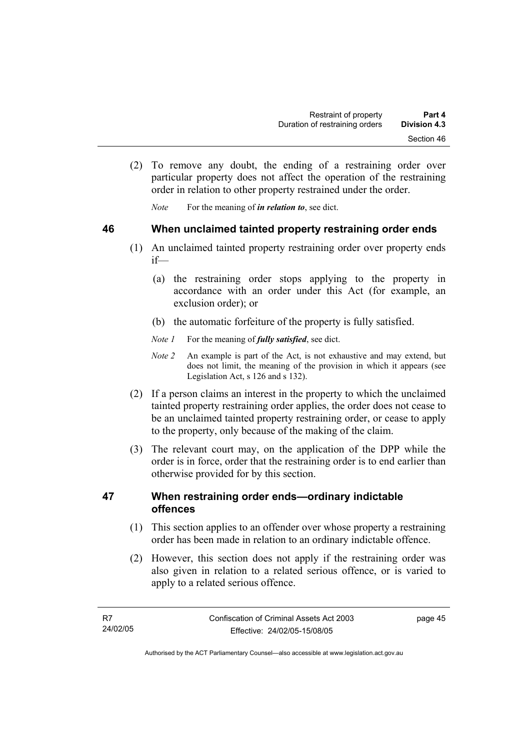(2) To remove any doubt, the ending of a restraining order over particular property does not affect the operation of the restraining order in relation to other property restrained under the order.

*Note* For the meaning of *in relation to*, see dict.

### **46 When unclaimed tainted property restraining order ends**

- (1) An unclaimed tainted property restraining order over property ends if—
	- (a) the restraining order stops applying to the property in accordance with an order under this Act (for example, an exclusion order); or
	- (b) the automatic forfeiture of the property is fully satisfied.
	- *Note 1* For the meaning of *fully satisfied*, see dict.
	- *Note 2* An example is part of the Act, is not exhaustive and may extend, but does not limit, the meaning of the provision in which it appears (see Legislation Act, s 126 and s 132).
- (2) If a person claims an interest in the property to which the unclaimed tainted property restraining order applies, the order does not cease to be an unclaimed tainted property restraining order, or cease to apply to the property, only because of the making of the claim.
- (3) The relevant court may, on the application of the DPP while the order is in force, order that the restraining order is to end earlier than otherwise provided for by this section.

### **47 When restraining order ends—ordinary indictable offences**

- (1) This section applies to an offender over whose property a restraining order has been made in relation to an ordinary indictable offence.
- (2) However, this section does not apply if the restraining order was also given in relation to a related serious offence, or is varied to apply to a related serious offence.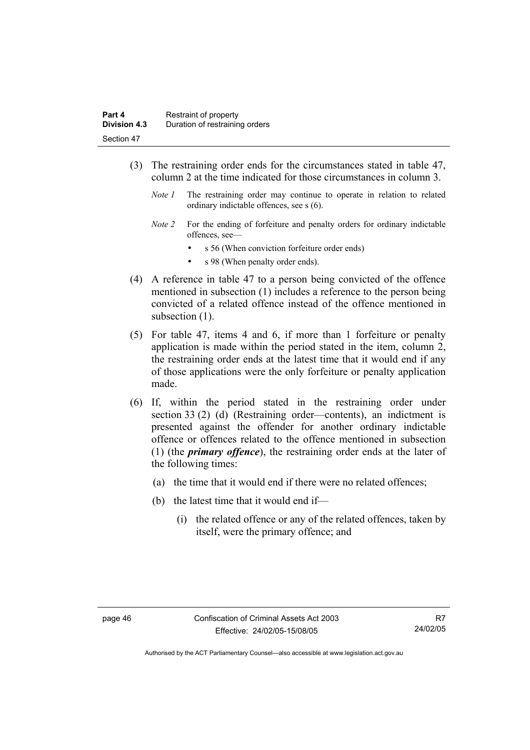- (3) The restraining order ends for the circumstances stated in table 47, column 2 at the time indicated for those circumstances in column 3.
	- *Note 1* The restraining order may continue to operate in relation to related ordinary indictable offences, see s (6).
	- *Note 2* For the ending of forfeiture and penalty orders for ordinary indictable offences, see
		- s 56 (When conviction forfeiture order ends)
		- s 98 (When penalty order ends).
- (4) A reference in table 47 to a person being convicted of the offence mentioned in subsection (1) includes a reference to the person being convicted of a related offence instead of the offence mentioned in subsection  $(1)$ .
- (5) For table 47, items 4 and 6, if more than 1 forfeiture or penalty application is made within the period stated in the item, column 2, the restraining order ends at the latest time that it would end if any of those applications were the only forfeiture or penalty application made.
- (6) If, within the period stated in the restraining order under section 33 (2) (d) (Restraining order—contents), an indictment is presented against the offender for another ordinary indictable offence or offences related to the offence mentioned in subsection (1) (the *primary offence*), the restraining order ends at the later of the following times:
	- (a) the time that it would end if there were no related offences;
	- (b) the latest time that it would end if—
		- (i) the related offence or any of the related offences, taken by itself, were the primary offence; and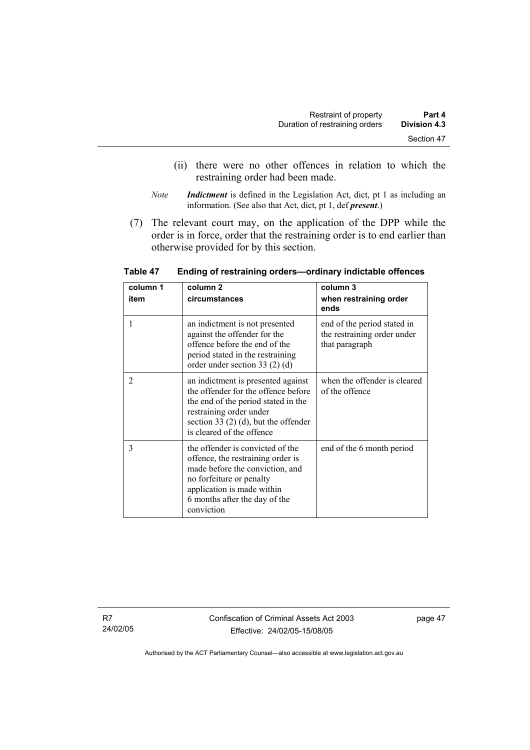- (ii) there were no other offences in relation to which the restraining order had been made.
- *Note Indictment* is defined in the Legislation Act, dict, pt 1 as including an information. (See also that Act, dict, pt 1, def *present*.)
- (7) The relevant court may, on the application of the DPP while the order is in force, order that the restraining order is to end earlier than otherwise provided for by this section.

| column 1 | column <sub>2</sub>                                                                                                                                                                                               | column 3                                                                     |
|----------|-------------------------------------------------------------------------------------------------------------------------------------------------------------------------------------------------------------------|------------------------------------------------------------------------------|
| item     | circumstances                                                                                                                                                                                                     | when restraining order<br>ends                                               |
|          | an indictment is not presented<br>against the offender for the<br>offence before the end of the<br>period stated in the restraining<br>order under section 33 $(2)$ $(d)$                                         | end of the period stated in<br>the restraining order under<br>that paragraph |
| 2        | an indictment is presented against<br>the offender for the offence before<br>the end of the period stated in the<br>restraining order under<br>section 33 (2) (d), but the offender<br>is cleared of the offence  | when the offender is cleared<br>of the offence                               |
| 3        | the offender is convicted of the<br>offence, the restraining order is<br>made before the conviction, and<br>no forfeiture or penalty<br>application is made within<br>6 months after the day of the<br>conviction | end of the 6 month period                                                    |

**Table 47 Ending of restraining orders—ordinary indictable offences**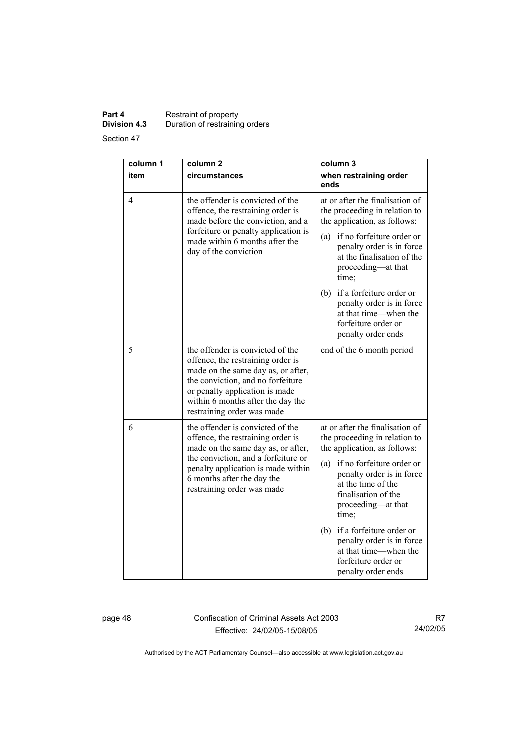### **Part 4 Restraint of property Division 4.3** Duration of restraining orders

Section 47

| column 1 | column <sub>2</sub>                                                                                                                                                                                                                                   | column 3                                                                                                                                                                                                                                                                                                                                                                            |
|----------|-------------------------------------------------------------------------------------------------------------------------------------------------------------------------------------------------------------------------------------------------------|-------------------------------------------------------------------------------------------------------------------------------------------------------------------------------------------------------------------------------------------------------------------------------------------------------------------------------------------------------------------------------------|
| item     | circumstances                                                                                                                                                                                                                                         | when restraining order<br>ends                                                                                                                                                                                                                                                                                                                                                      |
| 4        | the offender is convicted of the<br>offence, the restraining order is<br>made before the conviction, and a<br>forfeiture or penalty application is<br>made within 6 months after the<br>day of the conviction                                         | at or after the finalisation of<br>the proceeding in relation to<br>the application, as follows:<br>if no forfeiture order or<br>(a)<br>penalty order is in force<br>at the finalisation of the<br>proceeding—at that<br>time;<br>if a forfeiture order or<br>(b)<br>penalty order is in force<br>at that time—when the<br>forfeiture order or<br>penalty order ends                |
| 5        | the offender is convicted of the<br>offence, the restraining order is<br>made on the same day as, or after,<br>the conviction, and no forfeiture<br>or penalty application is made<br>within 6 months after the day the<br>restraining order was made | end of the 6 month period                                                                                                                                                                                                                                                                                                                                                           |
| 6        | the offender is convicted of the<br>offence, the restraining order is<br>made on the same day as, or after,<br>the conviction, and a forfeiture or<br>penalty application is made within<br>6 months after the day the<br>restraining order was made  | at or after the finalisation of<br>the proceeding in relation to<br>the application, as follows:<br>if no forfeiture order or<br>(a)<br>penalty order is in force<br>at the time of the<br>finalisation of the<br>proceeding-at that<br>time;<br>if a forfeiture order or<br>(b)<br>penalty order is in force<br>at that time—when the<br>forfeiture order or<br>penalty order ends |

page 48 Confiscation of Criminal Assets Act 2003 Effective: 24/02/05-15/08/05

R7 24/02/05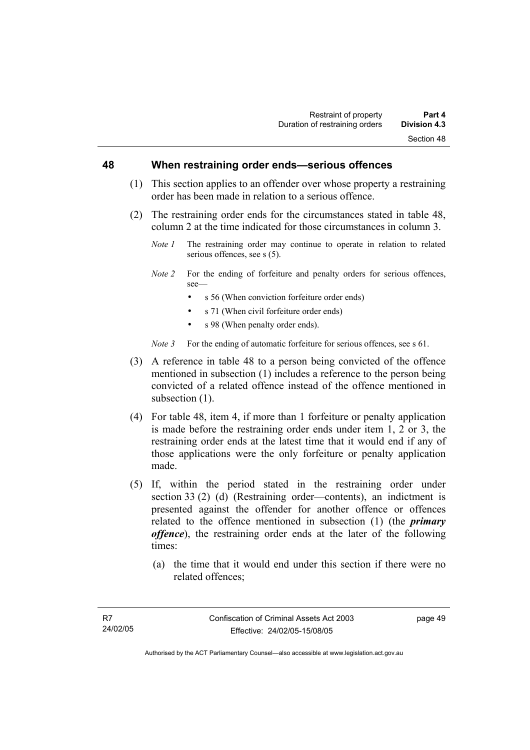#### **48 When restraining order ends—serious offences**

- (1) This section applies to an offender over whose property a restraining order has been made in relation to a serious offence.
- (2) The restraining order ends for the circumstances stated in table 48, column 2 at the time indicated for those circumstances in column 3.
	- *Note 1* The restraining order may continue to operate in relation to related serious offences, see s (5).
	- *Note 2* For the ending of forfeiture and penalty orders for serious offences, see—
		- s 56 (When conviction forfeiture order ends)
		- s 71 (When civil forfeiture order ends)
		- s 98 (When penalty order ends).

*Note 3* For the ending of automatic forfeiture for serious offences, see s 61.

- (3) A reference in table 48 to a person being convicted of the offence mentioned in subsection (1) includes a reference to the person being convicted of a related offence instead of the offence mentioned in subsection  $(1)$ .
- (4) For table 48, item 4, if more than 1 forfeiture or penalty application is made before the restraining order ends under item 1, 2 or 3, the restraining order ends at the latest time that it would end if any of those applications were the only forfeiture or penalty application made.
- (5) If, within the period stated in the restraining order under section 33 (2) (d) (Restraining order—contents), an indictment is presented against the offender for another offence or offences related to the offence mentioned in subsection (1) (the *primary offence*), the restraining order ends at the later of the following times:
	- (a) the time that it would end under this section if there were no related offences;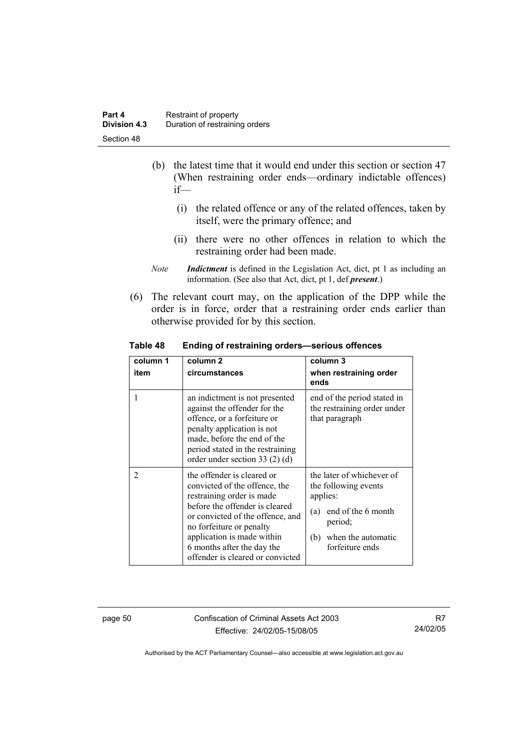- (b) the latest time that it would end under this section or section 47 (When restraining order ends—ordinary indictable offences) if—
	- (i) the related offence or any of the related offences, taken by itself, were the primary offence; and
	- (ii) there were no other offences in relation to which the restraining order had been made.
- *Note Indictment* is defined in the Legislation Act, dict, pt 1 as including an information. (See also that Act, dict, pt 1, def *present*.)
- (6) The relevant court may, on the application of the DPP while the order is in force, order that a restraining order ends earlier than otherwise provided for by this section.

| column 1<br>item | column <sub>2</sub><br>circumstances                                                                                                                                                                                                                                                       | column 3<br>when restraining order<br>ends                                                                                                            |
|------------------|--------------------------------------------------------------------------------------------------------------------------------------------------------------------------------------------------------------------------------------------------------------------------------------------|-------------------------------------------------------------------------------------------------------------------------------------------------------|
| 1                | an indictment is not presented<br>against the offender for the<br>offence, or a forfeiture or<br>penalty application is not<br>made, before the end of the<br>period stated in the restraining<br>order under section $33(2)(d)$                                                           | end of the period stated in<br>the restraining order under<br>that paragraph                                                                          |
| 2                | the offender is cleared or<br>convicted of the offence, the<br>restraining order is made<br>before the offender is cleared<br>or convicted of the offence, and<br>no forfeiture or penalty<br>application is made within<br>6 months after the day the<br>offender is cleared or convicted | the later of whichever of<br>the following events<br>applies:<br>end of the 6 month<br>(a)<br>period;<br>when the automatic<br>(b)<br>forfeiture ends |

**Table 48 Ending of restraining orders—serious offences** 

page 50 Confiscation of Criminal Assets Act 2003 Effective: 24/02/05-15/08/05

R7 24/02/05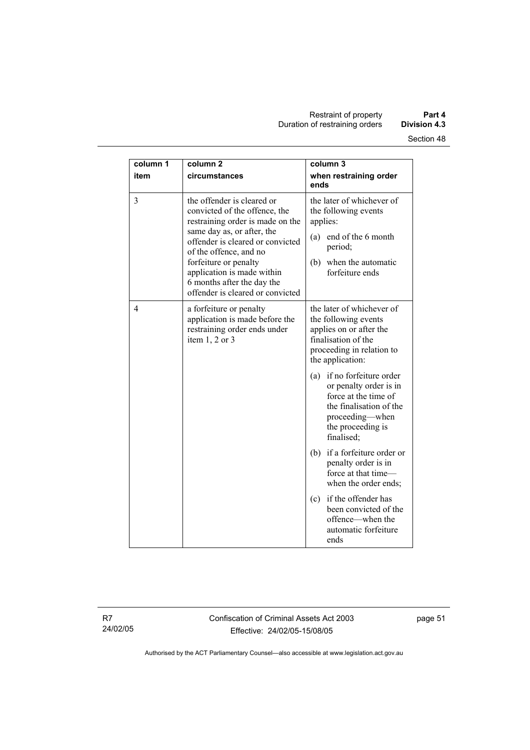| column 1<br>item | column <sub>2</sub><br>circumstances                                                                                                                                                                                                                                                                                 | column 3<br>when restraining order<br>ends                                                                                                                       |
|------------------|----------------------------------------------------------------------------------------------------------------------------------------------------------------------------------------------------------------------------------------------------------------------------------------------------------------------|------------------------------------------------------------------------------------------------------------------------------------------------------------------|
| 3                | the offender is cleared or<br>convicted of the offence, the<br>restraining order is made on the<br>same day as, or after, the<br>offender is cleared or convicted<br>of the offence, and no<br>forfeiture or penalty<br>application is made within<br>6 months after the day the<br>offender is cleared or convicted | the later of whichever of<br>the following events<br>applies:<br>(a) end of the 6 month<br>period;<br>(b) when the automatic<br>forfeiture ends                  |
| 4                | a forfeiture or penalty<br>application is made before the<br>restraining order ends under<br>item $1, 2$ or $3$                                                                                                                                                                                                      | the later of whichever of<br>the following events<br>applies on or after the<br>finalisation of the<br>proceeding in relation to<br>the application:             |
|                  |                                                                                                                                                                                                                                                                                                                      | if no forfeiture order<br>(a)<br>or penalty order is in<br>force at the time of<br>the finalisation of the<br>proceeding—when<br>the proceeding is<br>finalised; |
|                  |                                                                                                                                                                                                                                                                                                                      | (b) if a forfeiture order or<br>penalty order is in<br>force at that time-<br>when the order ends;                                                               |
|                  |                                                                                                                                                                                                                                                                                                                      | if the offender has<br>(c)<br>been convicted of the<br>offence—when the<br>automatic forfeiture<br>ends                                                          |

R7 24/02/05 Confiscation of Criminal Assets Act 2003 Effective: 24/02/05-15/08/05

page 51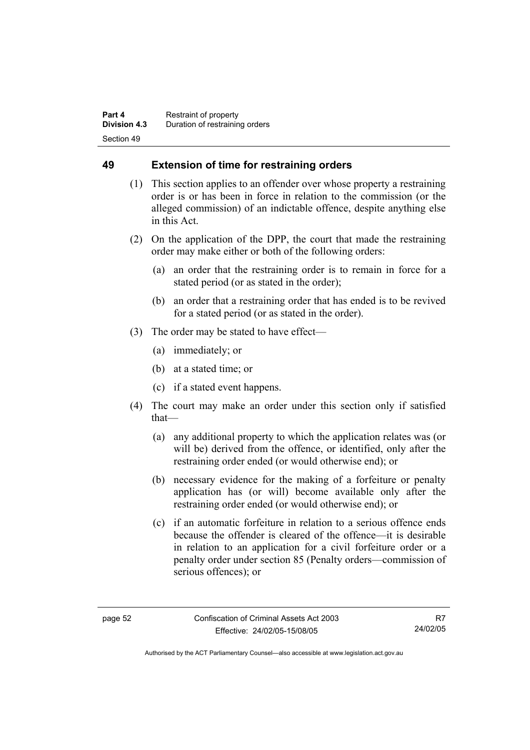# **49 Extension of time for restraining orders**

- (1) This section applies to an offender over whose property a restraining order is or has been in force in relation to the commission (or the alleged commission) of an indictable offence, despite anything else in this Act.
- (2) On the application of the DPP, the court that made the restraining order may make either or both of the following orders:
	- (a) an order that the restraining order is to remain in force for a stated period (or as stated in the order);
	- (b) an order that a restraining order that has ended is to be revived for a stated period (or as stated in the order).
- (3) The order may be stated to have effect—
	- (a) immediately; or
	- (b) at a stated time; or
	- (c) if a stated event happens.
- (4) The court may make an order under this section only if satisfied that—
	- (a) any additional property to which the application relates was (or will be) derived from the offence, or identified, only after the restraining order ended (or would otherwise end); or
	- (b) necessary evidence for the making of a forfeiture or penalty application has (or will) become available only after the restraining order ended (or would otherwise end); or
	- (c) if an automatic forfeiture in relation to a serious offence ends because the offender is cleared of the offence—it is desirable in relation to an application for a civil forfeiture order or a penalty order under section 85 (Penalty orders—commission of serious offences); or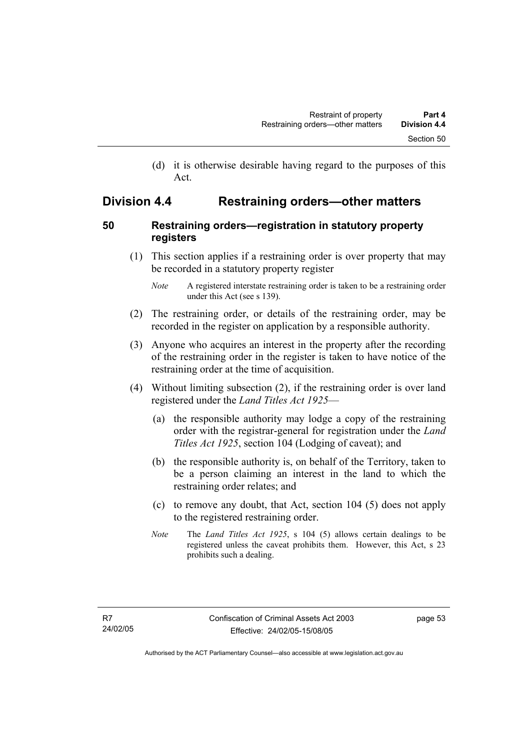(d) it is otherwise desirable having regard to the purposes of this Act.

# **Division 4.4 Restraining orders—other matters**

# **50 Restraining orders—registration in statutory property registers**

 (1) This section applies if a restraining order is over property that may be recorded in a statutory property register

- (2) The restraining order, or details of the restraining order, may be recorded in the register on application by a responsible authority.
- (3) Anyone who acquires an interest in the property after the recording of the restraining order in the register is taken to have notice of the restraining order at the time of acquisition.
- (4) Without limiting subsection (2), if the restraining order is over land registered under the *Land Titles Act 1925*—
	- (a) the responsible authority may lodge a copy of the restraining order with the registrar-general for registration under the *Land Titles Act 1925*, section 104 (Lodging of caveat); and
	- (b) the responsible authority is, on behalf of the Territory, taken to be a person claiming an interest in the land to which the restraining order relates; and
	- (c) to remove any doubt, that Act, section 104 (5) does not apply to the registered restraining order.
	- *Note* The *Land Titles Act 1925*, s 104 (5) allows certain dealings to be registered unless the caveat prohibits them. However, this Act, s 23 prohibits such a dealing.

*Note* A registered interstate restraining order is taken to be a restraining order under this Act (see s 139).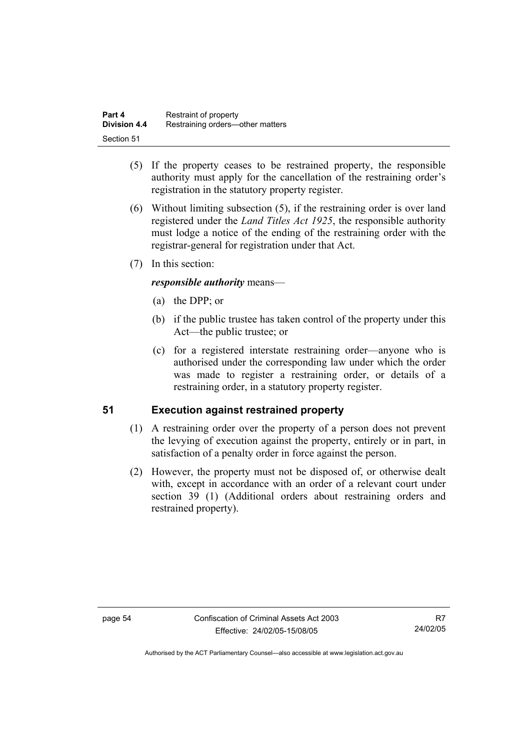| Part 4              | Restraint of property            |
|---------------------|----------------------------------|
| <b>Division 4.4</b> | Restraining orders—other matters |
| Section 51          |                                  |

- (5) If the property ceases to be restrained property, the responsible authority must apply for the cancellation of the restraining order's registration in the statutory property register.
- (6) Without limiting subsection (5), if the restraining order is over land registered under the *Land Titles Act 1925*, the responsible authority must lodge a notice of the ending of the restraining order with the registrar-general for registration under that Act.
- (7) In this section:

### *responsible authority* means—

- (a) the DPP; or
- (b) if the public trustee has taken control of the property under this Act—the public trustee; or
- (c) for a registered interstate restraining order—anyone who is authorised under the corresponding law under which the order was made to register a restraining order, or details of a restraining order, in a statutory property register.

# **51 Execution against restrained property**

- (1) A restraining order over the property of a person does not prevent the levying of execution against the property, entirely or in part, in satisfaction of a penalty order in force against the person.
- (2) However, the property must not be disposed of, or otherwise dealt with, except in accordance with an order of a relevant court under section 39 (1) (Additional orders about restraining orders and restrained property).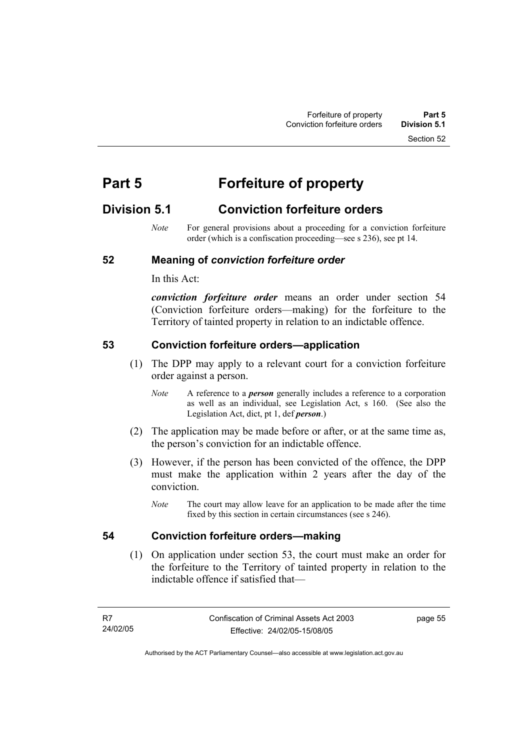Section 52

# **Part 5 Forfeiture of property**

# **Division 5.1 Conviction forfeiture orders**

*Note* For general provisions about a proceeding for a conviction forfeiture order (which is a confiscation proceeding—see s 236), see pt 14.

### **52 Meaning of** *conviction forfeiture order*

In this Act:

*conviction forfeiture order* means an order under section 54 (Conviction forfeiture orders—making) for the forfeiture to the Territory of tainted property in relation to an indictable offence.

#### **53 Conviction forfeiture orders—application**

- (1) The DPP may apply to a relevant court for a conviction forfeiture order against a person.
	- *Note* A reference to a *person* generally includes a reference to a corporation as well as an individual, see Legislation Act, s 160. (See also the Legislation Act, dict, pt 1, def *person*.)
- (2) The application may be made before or after, or at the same time as, the person's conviction for an indictable offence.
- (3) However, if the person has been convicted of the offence, the DPP must make the application within 2 years after the day of the conviction.
	- *Note* The court may allow leave for an application to be made after the time fixed by this section in certain circumstances (see s 246).

#### **54 Conviction forfeiture orders—making**

 (1) On application under section 53, the court must make an order for the forfeiture to the Territory of tainted property in relation to the indictable offence if satisfied that—

page 55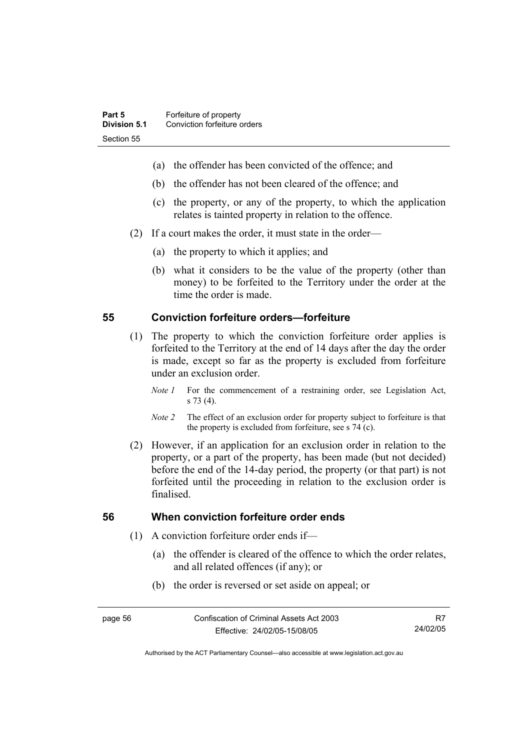- (a) the offender has been convicted of the offence; and
- (b) the offender has not been cleared of the offence; and
- (c) the property, or any of the property, to which the application relates is tainted property in relation to the offence.
- (2) If a court makes the order, it must state in the order—
	- (a) the property to which it applies; and
	- (b) what it considers to be the value of the property (other than money) to be forfeited to the Territory under the order at the time the order is made.

#### **55 Conviction forfeiture orders—forfeiture**

- (1) The property to which the conviction forfeiture order applies is forfeited to the Territory at the end of 14 days after the day the order is made, except so far as the property is excluded from forfeiture under an exclusion order.
	- *Note 1* For the commencement of a restraining order, see Legislation Act, s 73 (4).
	- *Note 2* The effect of an exclusion order for property subject to forfeiture is that the property is excluded from forfeiture, see s 74 (c).
- (2) However, if an application for an exclusion order in relation to the property, or a part of the property, has been made (but not decided) before the end of the 14-day period, the property (or that part) is not forfeited until the proceeding in relation to the exclusion order is finalised.

#### **56 When conviction forfeiture order ends**

- (1) A conviction forfeiture order ends if—
	- (a) the offender is cleared of the offence to which the order relates, and all related offences (if any); or
	- (b) the order is reversed or set aside on appeal; or

R7 24/02/05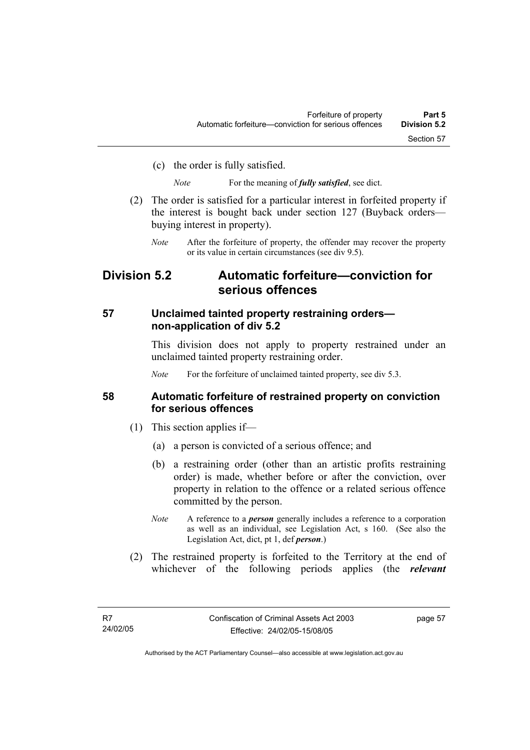(c) the order is fully satisfied.

*Note* For the meaning of *fully satisfied*, see dict.

- (2) The order is satisfied for a particular interest in forfeited property if the interest is bought back under section 127 (Buyback orders buying interest in property).
	- *Note* After the forfeiture of property, the offender may recover the property or its value in certain circumstances (see div 9.5).

# **Division 5.2 Automatic forfeiture—conviction for serious offences**

#### **57 Unclaimed tainted property restraining orders non-application of div 5.2**

This division does not apply to property restrained under an unclaimed tainted property restraining order.

*Note* For the forfeiture of unclaimed tainted property, see div 5.3.

#### **58 Automatic forfeiture of restrained property on conviction for serious offences**

- (1) This section applies if—
	- (a) a person is convicted of a serious offence; and
	- (b) a restraining order (other than an artistic profits restraining order) is made, whether before or after the conviction, over property in relation to the offence or a related serious offence committed by the person.
	- *Note* A reference to a *person* generally includes a reference to a corporation as well as an individual, see Legislation Act, s 160. (See also the Legislation Act, dict, pt 1, def *person*.)
- (2) The restrained property is forfeited to the Territory at the end of whichever of the following periods applies (the *relevant*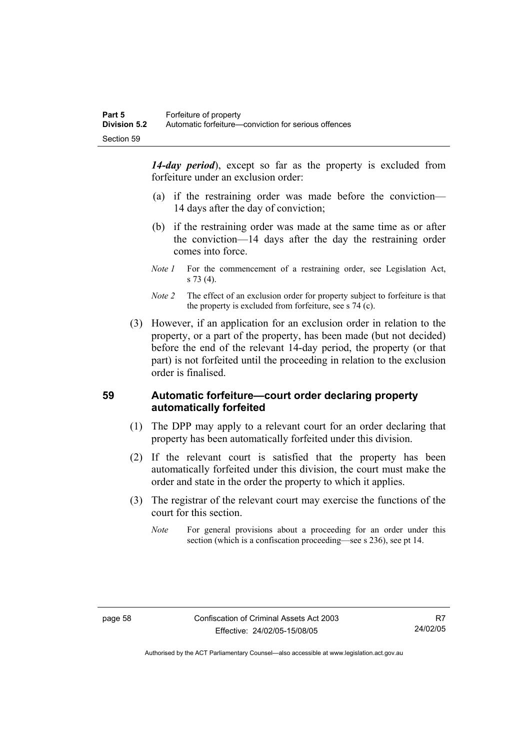*14-day period*), except so far as the property is excluded from forfeiture under an exclusion order:

- (a) if the restraining order was made before the conviction— 14 days after the day of conviction;
- (b) if the restraining order was made at the same time as or after the conviction—14 days after the day the restraining order comes into force.
- *Note 1* For the commencement of a restraining order, see Legislation Act, s 73 (4).
- *Note 2* The effect of an exclusion order for property subject to forfeiture is that the property is excluded from forfeiture, see s 74 (c).
- (3) However, if an application for an exclusion order in relation to the property, or a part of the property, has been made (but not decided) before the end of the relevant 14-day period, the property (or that part) is not forfeited until the proceeding in relation to the exclusion order is finalised.

### **59 Automatic forfeiture—court order declaring property automatically forfeited**

- (1) The DPP may apply to a relevant court for an order declaring that property has been automatically forfeited under this division.
- (2) If the relevant court is satisfied that the property has been automatically forfeited under this division, the court must make the order and state in the order the property to which it applies.
- (3) The registrar of the relevant court may exercise the functions of the court for this section.
	- *Note* For general provisions about a proceeding for an order under this section (which is a confiscation proceeding—see s 236), see pt 14.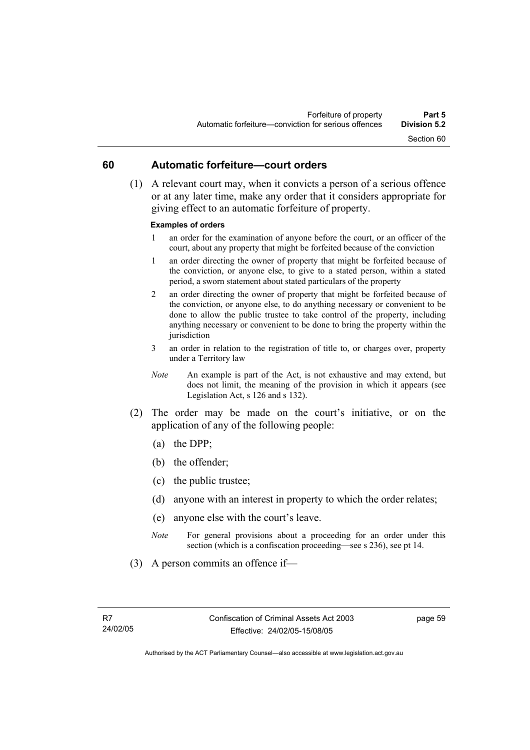# **60 Automatic forfeiture—court orders**

 (1) A relevant court may, when it convicts a person of a serious offence or at any later time, make any order that it considers appropriate for giving effect to an automatic forfeiture of property.

#### **Examples of orders**

- 1 an order for the examination of anyone before the court, or an officer of the court, about any property that might be forfeited because of the conviction
- 1 an order directing the owner of property that might be forfeited because of the conviction, or anyone else, to give to a stated person, within a stated period, a sworn statement about stated particulars of the property
- 2 an order directing the owner of property that might be forfeited because of the conviction, or anyone else, to do anything necessary or convenient to be done to allow the public trustee to take control of the property, including anything necessary or convenient to be done to bring the property within the jurisdiction
- 3 an order in relation to the registration of title to, or charges over, property under a Territory law
- *Note* An example is part of the Act, is not exhaustive and may extend, but does not limit, the meaning of the provision in which it appears (see Legislation Act, s 126 and s 132).
- (2) The order may be made on the court's initiative, or on the application of any of the following people:
	- (a) the DPP;
	- (b) the offender;
	- (c) the public trustee;
	- (d) anyone with an interest in property to which the order relates;
	- (e) anyone else with the court's leave.
	- *Note* For general provisions about a proceeding for an order under this section (which is a confiscation proceeding—see s 236), see pt 14.
- (3) A person commits an offence if—

page 59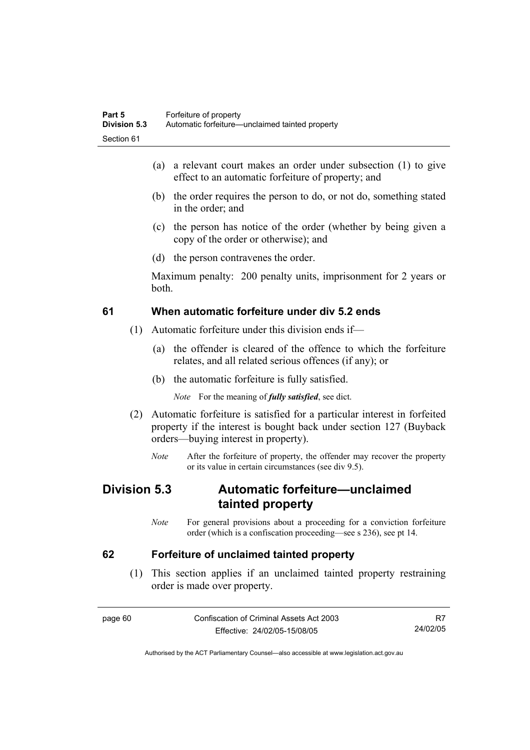- (a) a relevant court makes an order under subsection (1) to give effect to an automatic forfeiture of property; and
- (b) the order requires the person to do, or not do, something stated in the order; and
- (c) the person has notice of the order (whether by being given a copy of the order or otherwise); and
- (d) the person contravenes the order.

Maximum penalty: 200 penalty units, imprisonment for 2 years or both.

# **61 When automatic forfeiture under div 5.2 ends**

- (1) Automatic forfeiture under this division ends if—
	- (a) the offender is cleared of the offence to which the forfeiture relates, and all related serious offences (if any); or
	- (b) the automatic forfeiture is fully satisfied.

*Note* For the meaning of *fully satisfied*, see dict.

- (2) Automatic forfeiture is satisfied for a particular interest in forfeited property if the interest is bought back under section 127 (Buyback orders—buying interest in property).
	- *Note* After the forfeiture of property, the offender may recover the property or its value in certain circumstances (see div 9.5).

# **Division 5.3 Automatic forfeiture—unclaimed tainted property**

*Note* For general provisions about a proceeding for a conviction forfeiture order (which is a confiscation proceeding—see s 236), see pt 14.

# **62 Forfeiture of unclaimed tainted property**

 (1) This section applies if an unclaimed tainted property restraining order is made over property.

page 60 Confiscation of Criminal Assets Act 2003 Effective: 24/02/05-15/08/05

R7 24/02/05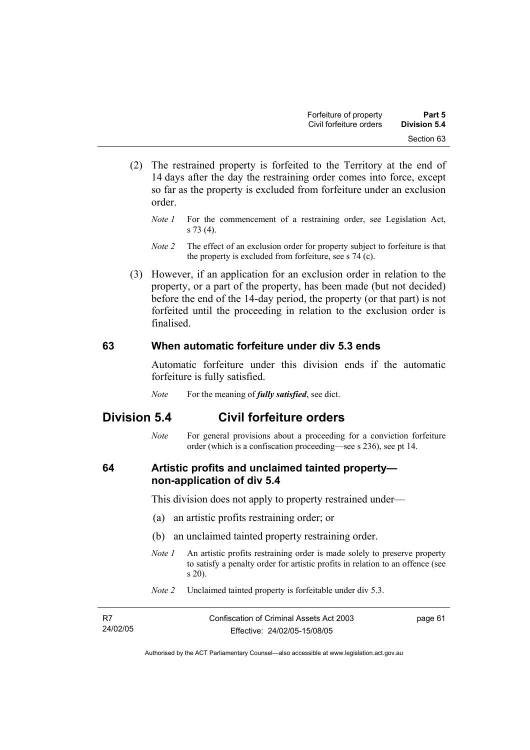- (2) The restrained property is forfeited to the Territory at the end of 14 days after the day the restraining order comes into force, except so far as the property is excluded from forfeiture under an exclusion order.
	- *Note 1* For the commencement of a restraining order, see Legislation Act, s 73 (4).
	- *Note 2* The effect of an exclusion order for property subject to forfeiture is that the property is excluded from forfeiture, see s 74 (c).
- (3) However, if an application for an exclusion order in relation to the property, or a part of the property, has been made (but not decided) before the end of the 14-day period, the property (or that part) is not forfeited until the proceeding in relation to the exclusion order is finalised.

# **63 When automatic forfeiture under div 5.3 ends**

Automatic forfeiture under this division ends if the automatic forfeiture is fully satisfied.

*Note* For the meaning of *fully satisfied*, see dict.

# **Division 5.4 Civil forfeiture orders**

*Note* For general provisions about a proceeding for a conviction forfeiture order (which is a confiscation proceeding—see s 236), see pt 14.

# **64 Artistic profits and unclaimed tainted property non-application of div 5.4**

This division does not apply to property restrained under—

- (a) an artistic profits restraining order; or
- (b) an unclaimed tainted property restraining order.
- *Note 1* An artistic profits restraining order is made solely to preserve property to satisfy a penalty order for artistic profits in relation to an offence (see s 20).
- *Note 2* Unclaimed tainted property is forfeitable under div 5.3.

| - R7     | Confiscation of Criminal Assets Act 2003 | page 61 |
|----------|------------------------------------------|---------|
| 24/02/05 | Effective: 24/02/05-15/08/05             |         |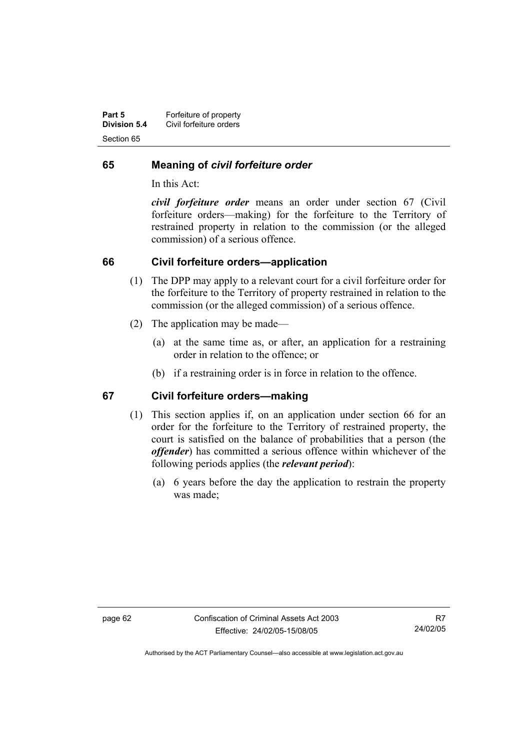| Part 5              | Forfeiture of property  |
|---------------------|-------------------------|
| <b>Division 5.4</b> | Civil forfeiture orders |
| Section 65          |                         |

# **65 Meaning of** *civil forfeiture order*

In this Act:

*civil forfeiture order* means an order under section 67 (Civil forfeiture orders—making) for the forfeiture to the Territory of restrained property in relation to the commission (or the alleged commission) of a serious offence.

# **66 Civil forfeiture orders—application**

- (1) The DPP may apply to a relevant court for a civil forfeiture order for the forfeiture to the Territory of property restrained in relation to the commission (or the alleged commission) of a serious offence.
- (2) The application may be made—
	- (a) at the same time as, or after, an application for a restraining order in relation to the offence; or
	- (b) if a restraining order is in force in relation to the offence.

# **67 Civil forfeiture orders—making**

- (1) This section applies if, on an application under section 66 for an order for the forfeiture to the Territory of restrained property, the court is satisfied on the balance of probabilities that a person (the *offender*) has committed a serious offence within whichever of the following periods applies (the *relevant period*):
	- (a) 6 years before the day the application to restrain the property was made;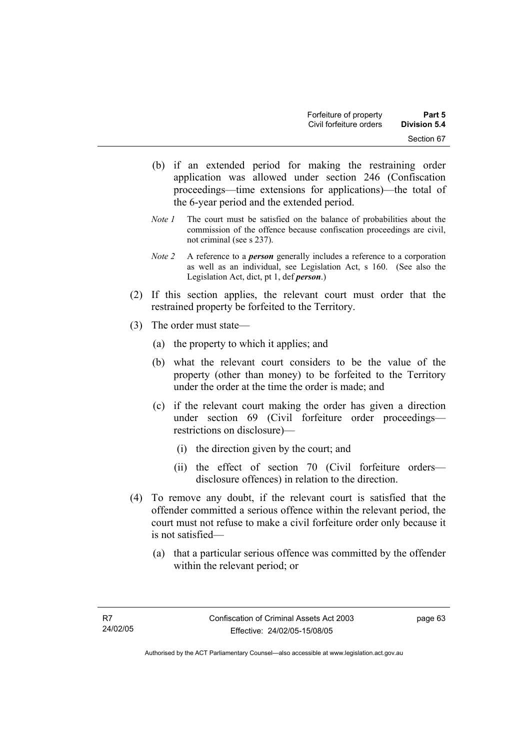- (b) if an extended period for making the restraining order application was allowed under section 246 (Confiscation proceedings—time extensions for applications)—the total of the 6-year period and the extended period.
- *Note 1* The court must be satisfied on the balance of probabilities about the commission of the offence because confiscation proceedings are civil, not criminal (see s 237).
- *Note 2* A reference to a *person* generally includes a reference to a corporation as well as an individual, see Legislation Act, s 160. (See also the Legislation Act, dict, pt 1, def *person*.)
- (2) If this section applies, the relevant court must order that the restrained property be forfeited to the Territory.
- (3) The order must state—
	- (a) the property to which it applies; and
	- (b) what the relevant court considers to be the value of the property (other than money) to be forfeited to the Territory under the order at the time the order is made; and
	- (c) if the relevant court making the order has given a direction under section 69 (Civil forfeiture order proceedings restrictions on disclosure)—
		- (i) the direction given by the court; and
		- (ii) the effect of section 70 (Civil forfeiture orders disclosure offences) in relation to the direction.
- (4) To remove any doubt, if the relevant court is satisfied that the offender committed a serious offence within the relevant period, the court must not refuse to make a civil forfeiture order only because it is not satisfied—
	- (a) that a particular serious offence was committed by the offender within the relevant period; or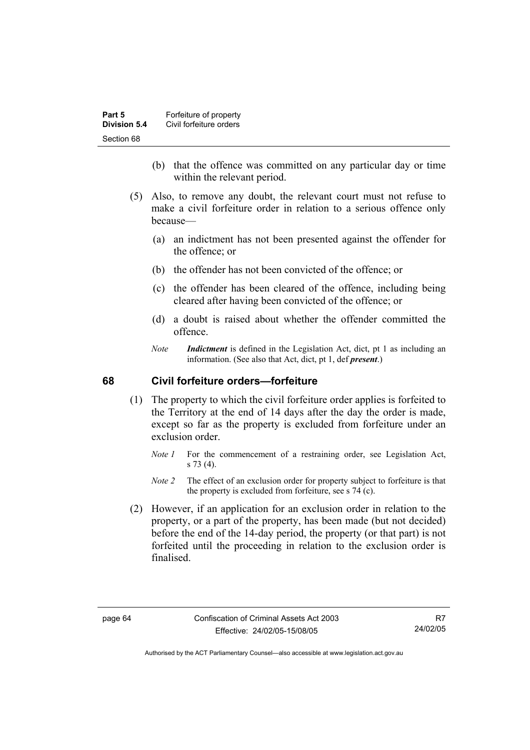| Part 5       | Forfeiture of property  |
|--------------|-------------------------|
| Division 5.4 | Civil forfeiture orders |
| Section 68   |                         |

- (b) that the offence was committed on any particular day or time within the relevant period.
- (5) Also, to remove any doubt, the relevant court must not refuse to make a civil forfeiture order in relation to a serious offence only because—
	- (a) an indictment has not been presented against the offender for the offence; or
	- (b) the offender has not been convicted of the offence; or
	- (c) the offender has been cleared of the offence, including being cleared after having been convicted of the offence; or
	- (d) a doubt is raised about whether the offender committed the offence.
	- *Note Indictment* is defined in the Legislation Act, dict, pt 1 as including an information. (See also that Act, dict, pt 1, def *present*.)

# **68 Civil forfeiture orders—forfeiture**

- (1) The property to which the civil forfeiture order applies is forfeited to the Territory at the end of 14 days after the day the order is made, except so far as the property is excluded from forfeiture under an exclusion order.
	- *Note 1* For the commencement of a restraining order, see Legislation Act, s 73 (4).
	- *Note 2* The effect of an exclusion order for property subject to forfeiture is that the property is excluded from forfeiture, see s 74 (c).
- (2) However, if an application for an exclusion order in relation to the property, or a part of the property, has been made (but not decided) before the end of the 14-day period, the property (or that part) is not forfeited until the proceeding in relation to the exclusion order is finalised.

R7 24/02/05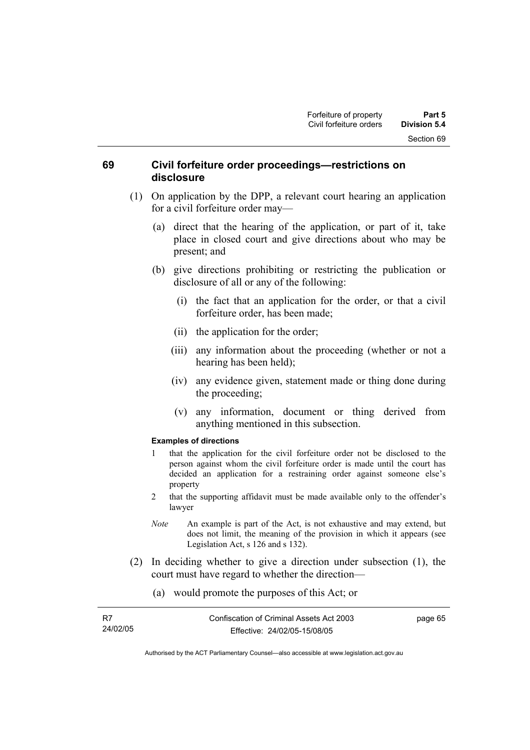# **69 Civil forfeiture order proceedings—restrictions on disclosure**

- (1) On application by the DPP, a relevant court hearing an application for a civil forfeiture order may—
	- (a) direct that the hearing of the application, or part of it, take place in closed court and give directions about who may be present; and
	- (b) give directions prohibiting or restricting the publication or disclosure of all or any of the following:
		- (i) the fact that an application for the order, or that a civil forfeiture order, has been made;
		- (ii) the application for the order;
		- (iii) any information about the proceeding (whether or not a hearing has been held);
		- (iv) any evidence given, statement made or thing done during the proceeding;
		- (v) any information, document or thing derived from anything mentioned in this subsection.

#### **Examples of directions**

- 1 that the application for the civil forfeiture order not be disclosed to the person against whom the civil forfeiture order is made until the court has decided an application for a restraining order against someone else's property
- 2 that the supporting affidavit must be made available only to the offender's lawyer
- *Note* An example is part of the Act, is not exhaustive and may extend, but does not limit, the meaning of the provision in which it appears (see Legislation Act, s 126 and s 132).

page 65

- (2) In deciding whether to give a direction under subsection (1), the court must have regard to whether the direction—
	- (a) would promote the purposes of this Act; or

| R7       | Confiscation of Criminal Assets Act 2003 |
|----------|------------------------------------------|
| 24/02/05 | Effective: 24/02/05-15/08/05             |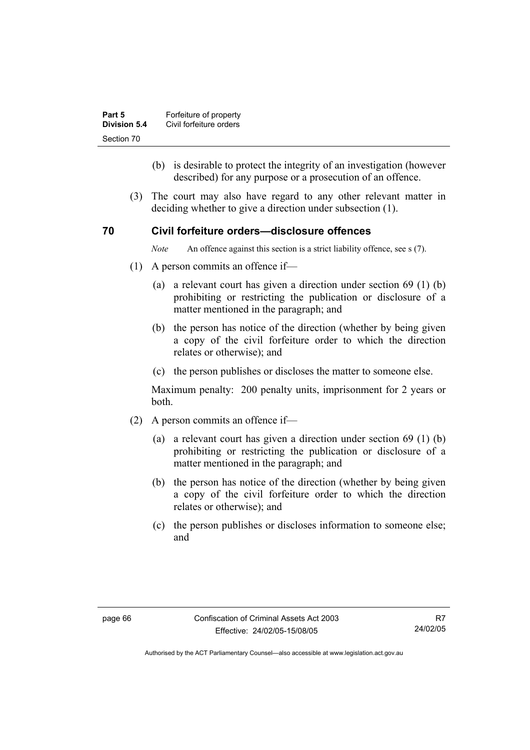| Part 5       | Forfeiture of property  |
|--------------|-------------------------|
| Division 5.4 | Civil forfeiture orders |
| Section 70   |                         |

- (b) is desirable to protect the integrity of an investigation (however described) for any purpose or a prosecution of an offence.
- (3) The court may also have regard to any other relevant matter in deciding whether to give a direction under subsection (1).

### **70 Civil forfeiture orders—disclosure offences**

*Note* An offence against this section is a strict liability offence, see s (7).

- (1) A person commits an offence if—
	- (a) a relevant court has given a direction under section 69 (1) (b) prohibiting or restricting the publication or disclosure of a matter mentioned in the paragraph; and
	- (b) the person has notice of the direction (whether by being given a copy of the civil forfeiture order to which the direction relates or otherwise); and
	- (c) the person publishes or discloses the matter to someone else.

Maximum penalty: 200 penalty units, imprisonment for 2 years or both.

- (2) A person commits an offence if—
	- (a) a relevant court has given a direction under section 69 (1) (b) prohibiting or restricting the publication or disclosure of a matter mentioned in the paragraph; and
	- (b) the person has notice of the direction (whether by being given a copy of the civil forfeiture order to which the direction relates or otherwise); and
	- (c) the person publishes or discloses information to someone else; and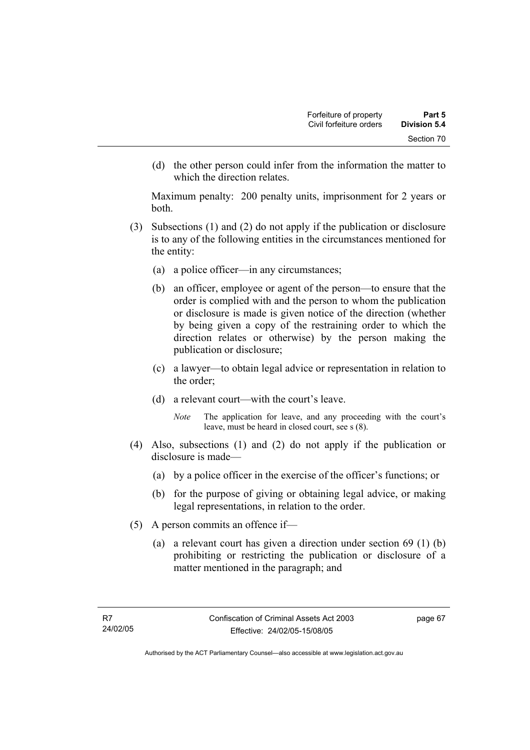(d) the other person could infer from the information the matter to which the direction relates.

Maximum penalty: 200 penalty units, imprisonment for 2 years or both.

- (3) Subsections (1) and (2) do not apply if the publication or disclosure is to any of the following entities in the circumstances mentioned for the entity:
	- (a) a police officer—in any circumstances;
	- (b) an officer, employee or agent of the person—to ensure that the order is complied with and the person to whom the publication or disclosure is made is given notice of the direction (whether by being given a copy of the restraining order to which the direction relates or otherwise) by the person making the publication or disclosure;
	- (c) a lawyer—to obtain legal advice or representation in relation to the order;
	- (d) a relevant court—with the court's leave.
		- *Note* The application for leave, and any proceeding with the court's leave, must be heard in closed court, see s (8).
- (4) Also, subsections (1) and (2) do not apply if the publication or disclosure is made—
	- (a) by a police officer in the exercise of the officer's functions; or
	- (b) for the purpose of giving or obtaining legal advice, or making legal representations, in relation to the order.
- (5) A person commits an offence if—
	- (a) a relevant court has given a direction under section 69 (1) (b) prohibiting or restricting the publication or disclosure of a matter mentioned in the paragraph; and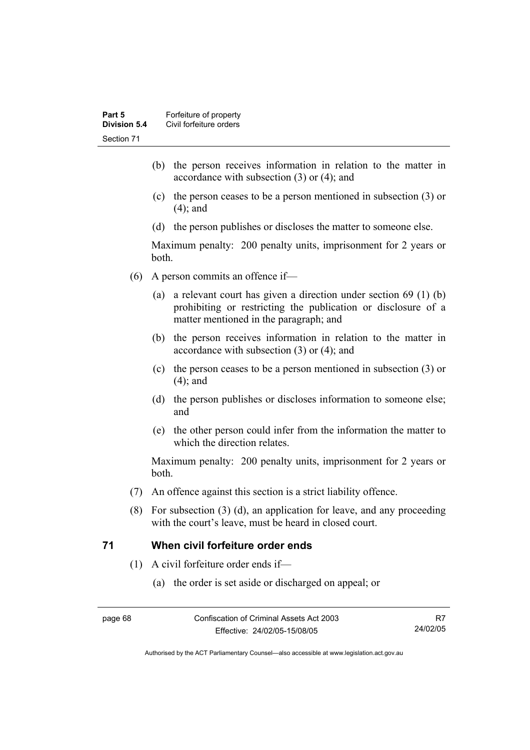- (b) the person receives information in relation to the matter in accordance with subsection (3) or (4); and
- (c) the person ceases to be a person mentioned in subsection (3) or (4); and
- (d) the person publishes or discloses the matter to someone else.

Maximum penalty: 200 penalty units, imprisonment for 2 years or both.

- (6) A person commits an offence if—
	- (a) a relevant court has given a direction under section 69 (1) (b) prohibiting or restricting the publication or disclosure of a matter mentioned in the paragraph; and
	- (b) the person receives information in relation to the matter in accordance with subsection (3) or (4); and
	- (c) the person ceases to be a person mentioned in subsection (3) or (4); and
	- (d) the person publishes or discloses information to someone else; and
	- (e) the other person could infer from the information the matter to which the direction relates.

Maximum penalty: 200 penalty units, imprisonment for 2 years or both.

- (7) An offence against this section is a strict liability offence.
- (8) For subsection (3) (d), an application for leave, and any proceeding with the court's leave, must be heard in closed court.

# **71 When civil forfeiture order ends**

- (1) A civil forfeiture order ends if—
	- (a) the order is set aside or discharged on appeal; or

R7 24/02/05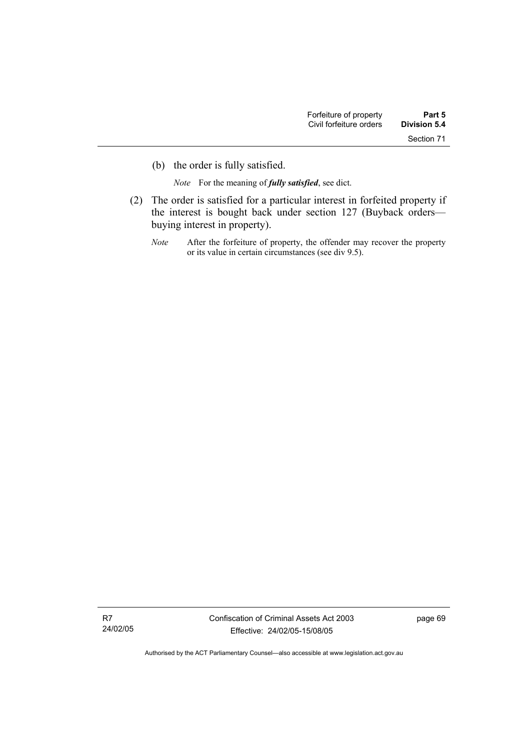(b) the order is fully satisfied.

*Note* For the meaning of *fully satisfied*, see dict.

- (2) The order is satisfied for a particular interest in forfeited property if the interest is bought back under section 127 (Buyback orders buying interest in property).
	- *Note* After the forfeiture of property, the offender may recover the property or its value in certain circumstances (see div 9.5).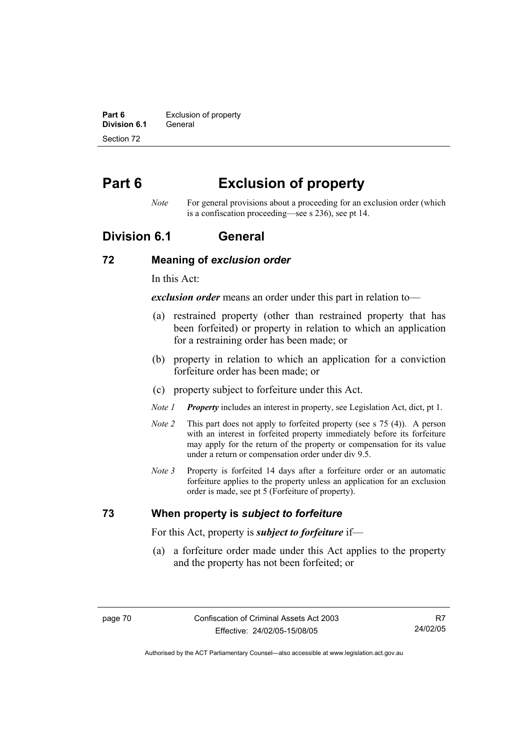**Part 6 Exclusion of property Division 6.1** General Section 72

# **Part 6 Exclusion of property**

*Note* For general provisions about a proceeding for an exclusion order (which is a confiscation proceeding—see s 236), see pt 14.

# **Division 6.1 General**

### **72 Meaning of** *exclusion order*

In this Act:

*exclusion order* means an order under this part in relation to—

- (a) restrained property (other than restrained property that has been forfeited) or property in relation to which an application for a restraining order has been made; or
- (b) property in relation to which an application for a conviction forfeiture order has been made; or
- (c) property subject to forfeiture under this Act.
- *Note 1 Property* includes an interest in property, see Legislation Act, dict, pt 1.
- *Note 2* This part does not apply to forfeited property (see s 75 (4)). A person with an interest in forfeited property immediately before its forfeiture may apply for the return of the property or compensation for its value under a return or compensation order under div 9.5.
- *Note 3* Property is forfeited 14 days after a forfeiture order or an automatic forfeiture applies to the property unless an application for an exclusion order is made, see pt 5 (Forfeiture of property).

# **73 When property is** *subject to forfeiture*

For this Act, property is *subject to forfeiture* if—

 (a) a forfeiture order made under this Act applies to the property and the property has not been forfeited; or

R7 24/02/05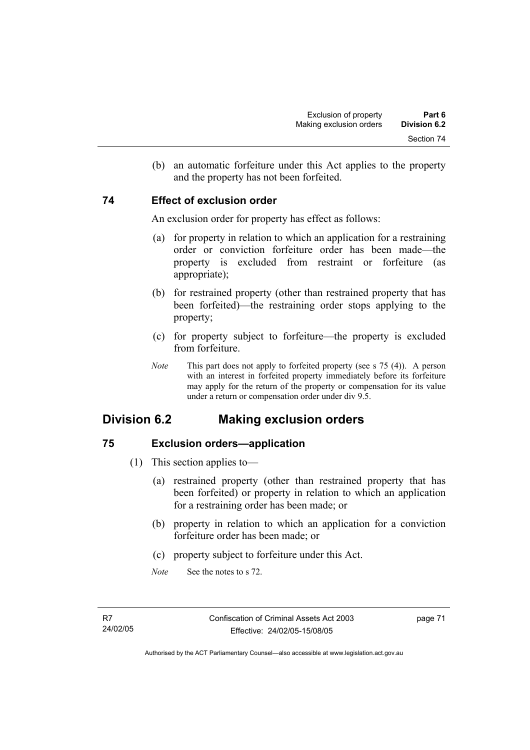(b) an automatic forfeiture under this Act applies to the property and the property has not been forfeited.

# **74 Effect of exclusion order**

An exclusion order for property has effect as follows:

- (a) for property in relation to which an application for a restraining order or conviction forfeiture order has been made—the property is excluded from restraint or forfeiture (as appropriate);
- (b) for restrained property (other than restrained property that has been forfeited)—the restraining order stops applying to the property;
- (c) for property subject to forfeiture—the property is excluded from forfeiture.
- *Note* This part does not apply to forfeited property (see s 75 (4)). A person with an interest in forfeited property immediately before its forfeiture may apply for the return of the property or compensation for its value under a return or compensation order under div 9.5.

# **Division 6.2 Making exclusion orders**

# **75 Exclusion orders—application**

- (1) This section applies to—
	- (a) restrained property (other than restrained property that has been forfeited) or property in relation to which an application for a restraining order has been made; or
	- (b) property in relation to which an application for a conviction forfeiture order has been made; or
	- (c) property subject to forfeiture under this Act.
	- *Note* See the notes to s 72.

page 71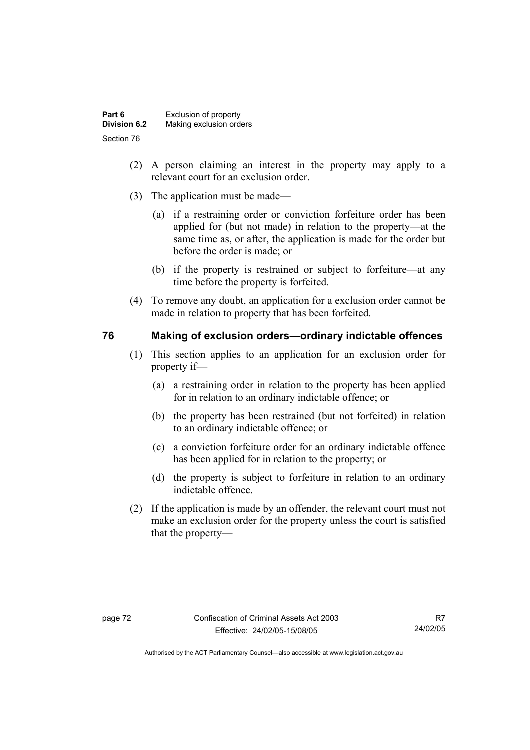| Part 6       | Exclusion of property   |
|--------------|-------------------------|
| Division 6.2 | Making exclusion orders |
| Section 76   |                         |

- (2) A person claiming an interest in the property may apply to a relevant court for an exclusion order.
- (3) The application must be made—
	- (a) if a restraining order or conviction forfeiture order has been applied for (but not made) in relation to the property—at the same time as, or after, the application is made for the order but before the order is made; or
	- (b) if the property is restrained or subject to forfeiture—at any time before the property is forfeited.
- (4) To remove any doubt, an application for a exclusion order cannot be made in relation to property that has been forfeited.

# **76 Making of exclusion orders—ordinary indictable offences**

- (1) This section applies to an application for an exclusion order for property if—
	- (a) a restraining order in relation to the property has been applied for in relation to an ordinary indictable offence; or
	- (b) the property has been restrained (but not forfeited) in relation to an ordinary indictable offence; or
	- (c) a conviction forfeiture order for an ordinary indictable offence has been applied for in relation to the property; or
	- (d) the property is subject to forfeiture in relation to an ordinary indictable offence.
- (2) If the application is made by an offender, the relevant court must not make an exclusion order for the property unless the court is satisfied that the property—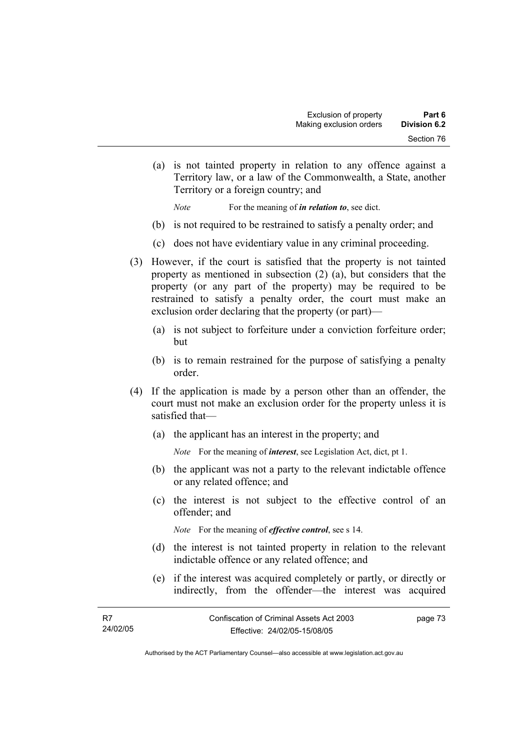(a) is not tainted property in relation to any offence against a Territory law, or a law of the Commonwealth, a State, another Territory or a foreign country; and

*Note* For the meaning of *in relation to*, see dict.

- (b) is not required to be restrained to satisfy a penalty order; and
- (c) does not have evidentiary value in any criminal proceeding.
- (3) However, if the court is satisfied that the property is not tainted property as mentioned in subsection (2) (a), but considers that the property (or any part of the property) may be required to be restrained to satisfy a penalty order, the court must make an exclusion order declaring that the property (or part)—
	- (a) is not subject to forfeiture under a conviction forfeiture order; but
	- (b) is to remain restrained for the purpose of satisfying a penalty order.
- (4) If the application is made by a person other than an offender, the court must not make an exclusion order for the property unless it is satisfied that—
	- (a) the applicant has an interest in the property; and

*Note* For the meaning of *interest*, see Legislation Act, dict, pt 1.

- (b) the applicant was not a party to the relevant indictable offence or any related offence; and
- (c) the interest is not subject to the effective control of an offender; and

*Note* For the meaning of *effective control*, see s 14.

- (d) the interest is not tainted property in relation to the relevant indictable offence or any related offence; and
- (e) if the interest was acquired completely or partly, or directly or indirectly, from the offender—the interest was acquired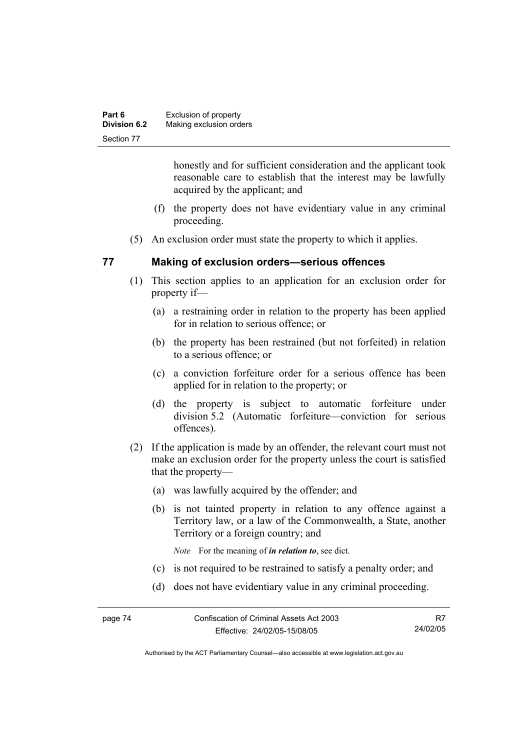| Part 6              | Exclusion of property   |
|---------------------|-------------------------|
| <b>Division 6.2</b> | Making exclusion orders |
| Section 77          |                         |

honestly and for sufficient consideration and the applicant took reasonable care to establish that the interest may be lawfully acquired by the applicant; and

- (f) the property does not have evidentiary value in any criminal proceeding.
- (5) An exclusion order must state the property to which it applies.

# **77 Making of exclusion orders—serious offences**

- (1) This section applies to an application for an exclusion order for property if—
	- (a) a restraining order in relation to the property has been applied for in relation to serious offence; or
	- (b) the property has been restrained (but not forfeited) in relation to a serious offence; or
	- (c) a conviction forfeiture order for a serious offence has been applied for in relation to the property; or
	- (d) the property is subject to automatic forfeiture under division 5.2 (Automatic forfeiture—conviction for serious offences).
- (2) If the application is made by an offender, the relevant court must not make an exclusion order for the property unless the court is satisfied that the property—
	- (a) was lawfully acquired by the offender; and
	- (b) is not tainted property in relation to any offence against a Territory law, or a law of the Commonwealth, a State, another Territory or a foreign country; and

*Note* For the meaning of *in relation to*, see dict.

- (c) is not required to be restrained to satisfy a penalty order; and
- (d) does not have evidentiary value in any criminal proceeding.

R7 24/02/05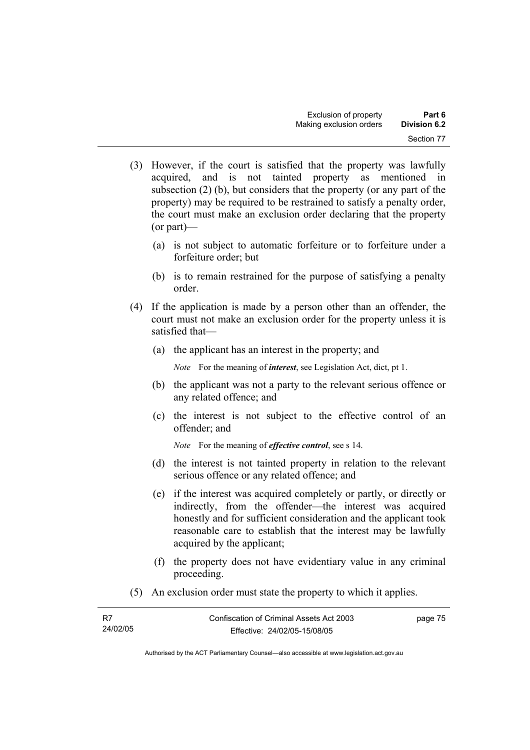- (3) However, if the court is satisfied that the property was lawfully acquired, and is not tainted property as mentioned in subsection (2) (b), but considers that the property (or any part of the property) may be required to be restrained to satisfy a penalty order, the court must make an exclusion order declaring that the property (or part)—
	- (a) is not subject to automatic forfeiture or to forfeiture under a forfeiture order; but
	- (b) is to remain restrained for the purpose of satisfying a penalty order.
- (4) If the application is made by a person other than an offender, the court must not make an exclusion order for the property unless it is satisfied that—
	- (a) the applicant has an interest in the property; and

*Note* For the meaning of *interest*, see Legislation Act, dict, pt 1.

- (b) the applicant was not a party to the relevant serious offence or any related offence; and
- (c) the interest is not subject to the effective control of an offender; and

*Note* For the meaning of *effective control*, see s 14.

- (d) the interest is not tainted property in relation to the relevant serious offence or any related offence; and
- (e) if the interest was acquired completely or partly, or directly or indirectly, from the offender—the interest was acquired honestly and for sufficient consideration and the applicant took reasonable care to establish that the interest may be lawfully acquired by the applicant;
- (f) the property does not have evidentiary value in any criminal proceeding.
- (5) An exclusion order must state the property to which it applies.

| R7       | Confiscation of Criminal Assets Act 2003 | page 75 |
|----------|------------------------------------------|---------|
| 24/02/05 | Effective: 24/02/05-15/08/05             |         |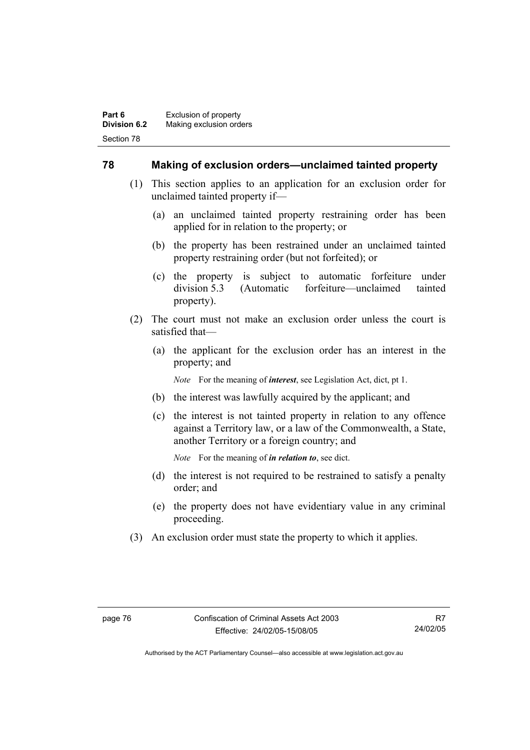# **78 Making of exclusion orders—unclaimed tainted property**

- (1) This section applies to an application for an exclusion order for unclaimed tainted property if—
	- (a) an unclaimed tainted property restraining order has been applied for in relation to the property; or
	- (b) the property has been restrained under an unclaimed tainted property restraining order (but not forfeited); or
	- (c) the property is subject to automatic forfeiture under division 5.3 (Automatic forfeiture—unclaimed tainted property).
- (2) The court must not make an exclusion order unless the court is satisfied that—
	- (a) the applicant for the exclusion order has an interest in the property; and

*Note* For the meaning of *interest*, see Legislation Act, dict, pt 1.

- (b) the interest was lawfully acquired by the applicant; and
- (c) the interest is not tainted property in relation to any offence against a Territory law, or a law of the Commonwealth, a State, another Territory or a foreign country; and

*Note* For the meaning of *in relation to*, see dict.

- (d) the interest is not required to be restrained to satisfy a penalty order; and
- (e) the property does not have evidentiary value in any criminal proceeding.
- (3) An exclusion order must state the property to which it applies.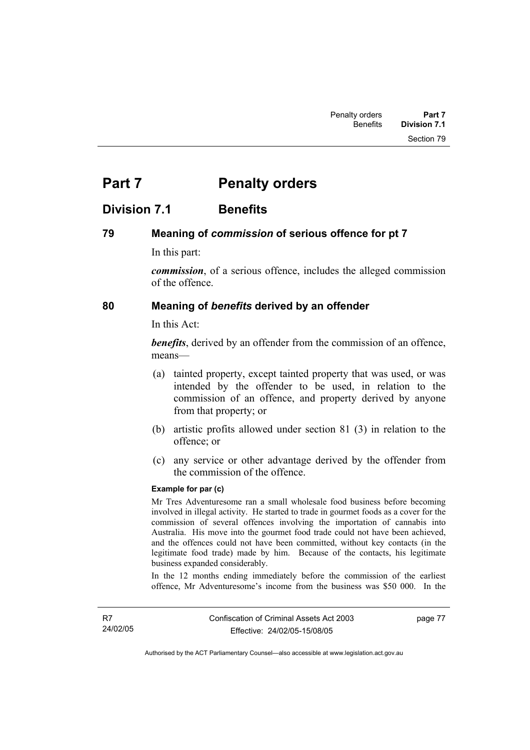# **Part 7** Penalty orders

# **Division 7.1 Benefits**

# **79 Meaning of** *commission* **of serious offence for pt 7**

In this part:

*commission*, of a serious offence, includes the alleged commission of the offence.

# **80 Meaning of** *benefits* **derived by an offender**

In this Act:

*benefits*, derived by an offender from the commission of an offence, means—

- (a) tainted property, except tainted property that was used, or was intended by the offender to be used, in relation to the commission of an offence, and property derived by anyone from that property; or
- (b) artistic profits allowed under section 81 (3) in relation to the offence; or
- (c) any service or other advantage derived by the offender from the commission of the offence.

#### **Example for par (c)**

Mr Tres Adventuresome ran a small wholesale food business before becoming involved in illegal activity. He started to trade in gourmet foods as a cover for the commission of several offences involving the importation of cannabis into Australia. His move into the gourmet food trade could not have been achieved, and the offences could not have been committed, without key contacts (in the legitimate food trade) made by him. Because of the contacts, his legitimate business expanded considerably.

In the 12 months ending immediately before the commission of the earliest offence, Mr Adventuresome's income from the business was \$50 000. In the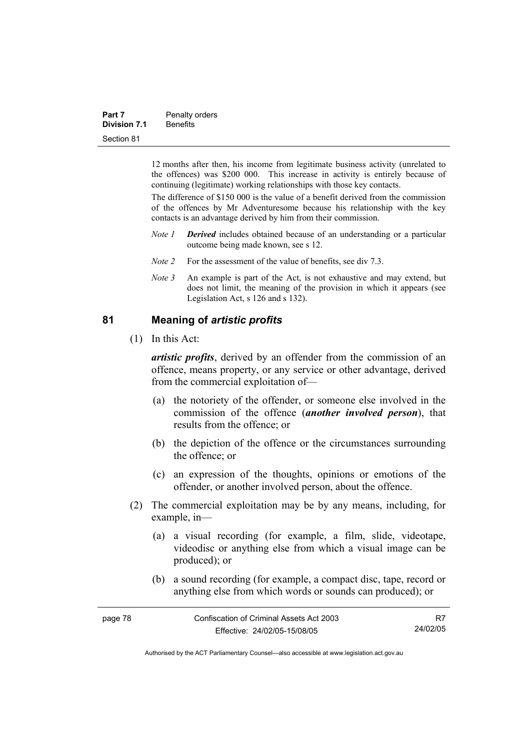| Part 7              | Penalty orders  |
|---------------------|-----------------|
| <b>Division 7.1</b> | <b>Benefits</b> |
| Section 81          |                 |

12 months after then, his income from legitimate business activity (unrelated to the offences) was \$200 000. This increase in activity is entirely because of continuing (legitimate) working relationships with those key contacts.

The difference of \$150 000 is the value of a benefit derived from the commission of the offences by Mr Adventuresome because his relationship with the key contacts is an advantage derived by him from their commission.

- *Note 1 Derived* includes obtained because of an understanding or a particular outcome being made known, see s 12.
- *Note 2* For the assessment of the value of benefits, see div 7.3.
- *Note 3* An example is part of the Act, is not exhaustive and may extend, but does not limit, the meaning of the provision in which it appears (see Legislation Act, s 126 and s 132).

# **81 Meaning of** *artistic profits*

(1) In this Act:

*artistic profits*, derived by an offender from the commission of an offence, means property, or any service or other advantage, derived from the commercial exploitation of—

- (a) the notoriety of the offender, or someone else involved in the commission of the offence (*another involved person*), that results from the offence; or
- (b) the depiction of the offence or the circumstances surrounding the offence; or
- (c) an expression of the thoughts, opinions or emotions of the offender, or another involved person, about the offence.
- (2) The commercial exploitation may be by any means, including, for example, in—
	- (a) a visual recording (for example, a film, slide, videotape, videodisc or anything else from which a visual image can be produced); or
	- (b) a sound recording (for example, a compact disc, tape, record or anything else from which words or sounds can produced); or

| page 78 | Confiscation of Criminal Assets Act 2003 |          |
|---------|------------------------------------------|----------|
|         | Effective: 24/02/05-15/08/05             | 24/02/05 |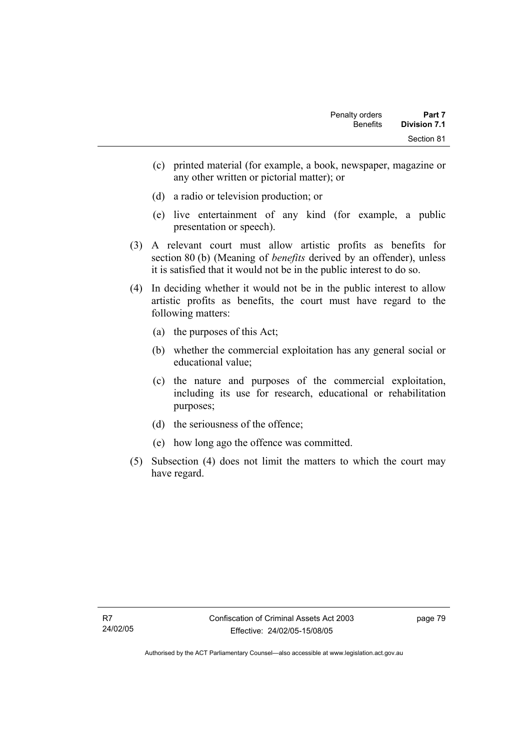- (c) printed material (for example, a book, newspaper, magazine or any other written or pictorial matter); or
- (d) a radio or television production; or
- (e) live entertainment of any kind (for example, a public presentation or speech).
- (3) A relevant court must allow artistic profits as benefits for section 80 (b) (Meaning of *benefits* derived by an offender), unless it is satisfied that it would not be in the public interest to do so.
- (4) In deciding whether it would not be in the public interest to allow artistic profits as benefits, the court must have regard to the following matters:
	- (a) the purposes of this Act;
	- (b) whether the commercial exploitation has any general social or educational value;
	- (c) the nature and purposes of the commercial exploitation, including its use for research, educational or rehabilitation purposes;
	- (d) the seriousness of the offence;
	- (e) how long ago the offence was committed.
- (5) Subsection (4) does not limit the matters to which the court may have regard.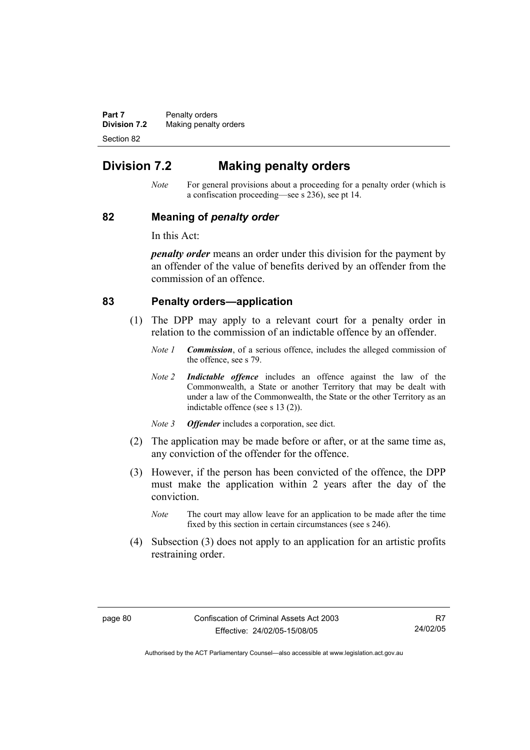**Part 7** Penalty orders **Division 7.2** Making penalty orders Section 82

# **Division 7.2 Making penalty orders**

*Note* For general provisions about a proceeding for a penalty order (which is a confiscation proceeding—see s 236), see pt 14.

### **82 Meaning of** *penalty order*

In this Act:

*penalty order* means an order under this division for the payment by an offender of the value of benefits derived by an offender from the commission of an offence.

# **83 Penalty orders—application**

- (1) The DPP may apply to a relevant court for a penalty order in relation to the commission of an indictable offence by an offender.
	- *Note 1 Commission*, of a serious offence, includes the alleged commission of the offence, see s 79.
	- *Note 2 Indictable offence* includes an offence against the law of the Commonwealth, a State or another Territory that may be dealt with under a law of the Commonwealth, the State or the other Territory as an indictable offence (see s 13 (2)).
	- *Note 3 Offender* includes a corporation, see dict.
- (2) The application may be made before or after, or at the same time as, any conviction of the offender for the offence.
- (3) However, if the person has been convicted of the offence, the DPP must make the application within 2 years after the day of the conviction.
	- *Note* The court may allow leave for an application to be made after the time fixed by this section in certain circumstances (see s 246).
- (4) Subsection (3) does not apply to an application for an artistic profits restraining order.

R7 24/02/05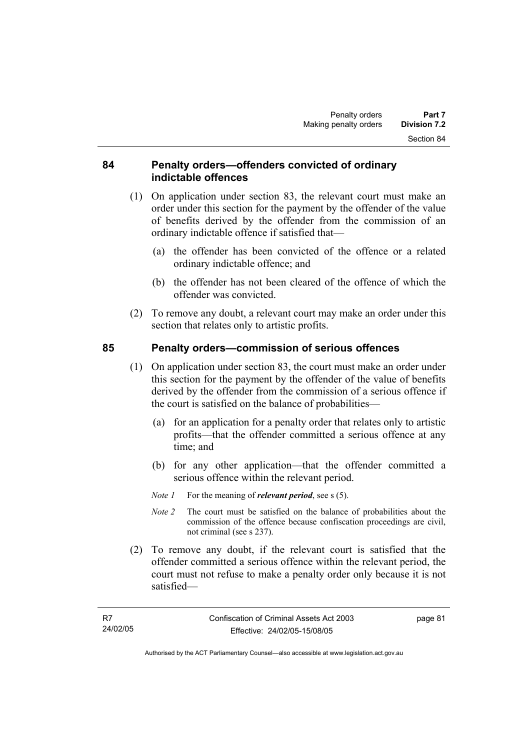# **84 Penalty orders—offenders convicted of ordinary indictable offences**

- (1) On application under section 83, the relevant court must make an order under this section for the payment by the offender of the value of benefits derived by the offender from the commission of an ordinary indictable offence if satisfied that—
	- (a) the offender has been convicted of the offence or a related ordinary indictable offence; and
	- (b) the offender has not been cleared of the offence of which the offender was convicted.
- (2) To remove any doubt, a relevant court may make an order under this section that relates only to artistic profits.

# **85 Penalty orders—commission of serious offences**

- (1) On application under section 83, the court must make an order under this section for the payment by the offender of the value of benefits derived by the offender from the commission of a serious offence if the court is satisfied on the balance of probabilities—
	- (a) for an application for a penalty order that relates only to artistic profits—that the offender committed a serious offence at any time; and
	- (b) for any other application—that the offender committed a serious offence within the relevant period.
	- *Note 1* For the meaning of *relevant period*, see s (5).
	- *Note 2* The court must be satisfied on the balance of probabilities about the commission of the offence because confiscation proceedings are civil, not criminal (see s 237).
- (2) To remove any doubt, if the relevant court is satisfied that the offender committed a serious offence within the relevant period, the court must not refuse to make a penalty order only because it is not satisfied—

page 81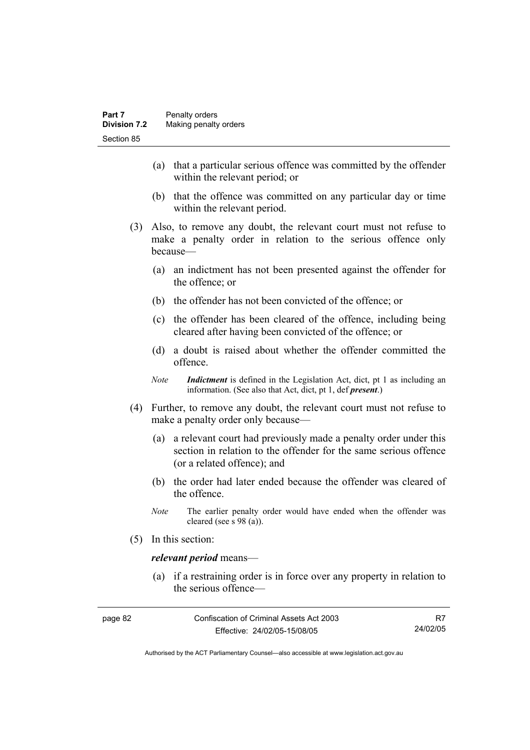- (a) that a particular serious offence was committed by the offender within the relevant period; or
- (b) that the offence was committed on any particular day or time within the relevant period.
- (3) Also, to remove any doubt, the relevant court must not refuse to make a penalty order in relation to the serious offence only because—
	- (a) an indictment has not been presented against the offender for the offence; or
	- (b) the offender has not been convicted of the offence; or
	- (c) the offender has been cleared of the offence, including being cleared after having been convicted of the offence; or
	- (d) a doubt is raised about whether the offender committed the offence.
	- *Note Indictment* is defined in the Legislation Act, dict, pt 1 as including an information. (See also that Act, dict, pt 1, def *present*.)
- (4) Further, to remove any doubt, the relevant court must not refuse to make a penalty order only because—
	- (a) a relevant court had previously made a penalty order under this section in relation to the offender for the same serious offence (or a related offence); and
	- (b) the order had later ended because the offender was cleared of the offence.
	- *Note* The earlier penalty order would have ended when the offender was cleared (see s 98 (a)).
- (5) In this section:

### *relevant period* means—

 (a) if a restraining order is in force over any property in relation to the serious offence—

| page 82 | Confiscation of Criminal Assets Act 2003 |          |
|---------|------------------------------------------|----------|
|         | Effective: 24/02/05-15/08/05             | 24/02/05 |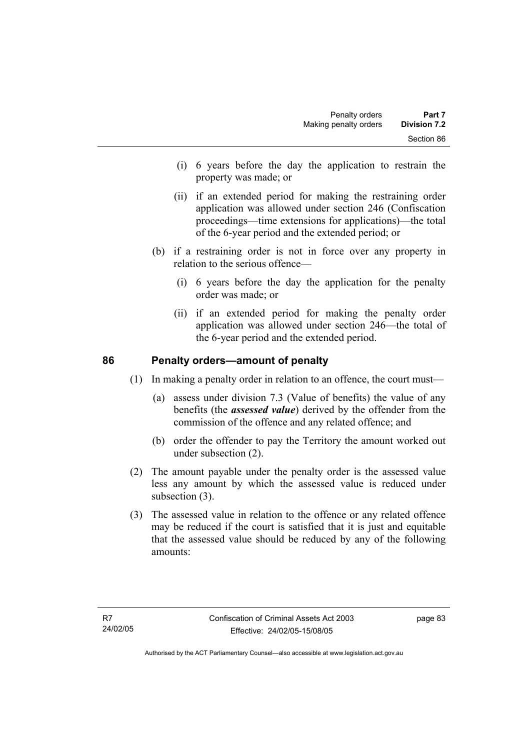- (i) 6 years before the day the application to restrain the property was made; or
- (ii) if an extended period for making the restraining order application was allowed under section 246 (Confiscation proceedings—time extensions for applications)—the total of the 6-year period and the extended period; or
- (b) if a restraining order is not in force over any property in relation to the serious offence—
	- (i) 6 years before the day the application for the penalty order was made; or
	- (ii) if an extended period for making the penalty order application was allowed under section 246—the total of the 6-year period and the extended period.

# **86 Penalty orders—amount of penalty**

(1) In making a penalty order in relation to an offence, the court must—

- (a) assess under division 7.3 (Value of benefits) the value of any benefits (the *assessed value*) derived by the offender from the commission of the offence and any related offence; and
- (b) order the offender to pay the Territory the amount worked out under subsection (2).
- (2) The amount payable under the penalty order is the assessed value less any amount by which the assessed value is reduced under subsection (3).
- (3) The assessed value in relation to the offence or any related offence may be reduced if the court is satisfied that it is just and equitable that the assessed value should be reduced by any of the following amounts: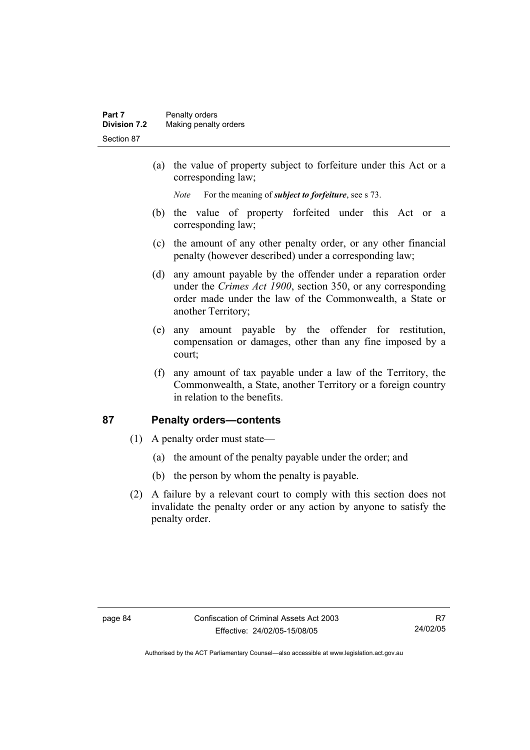(a) the value of property subject to forfeiture under this Act or a corresponding law;

*Note* For the meaning of *subject to forfeiture*, see s 73.

- (b) the value of property forfeited under this Act or a corresponding law;
- (c) the amount of any other penalty order, or any other financial penalty (however described) under a corresponding law;
- (d) any amount payable by the offender under a reparation order under the *Crimes Act 1900*, section 350, or any corresponding order made under the law of the Commonwealth, a State or another Territory;
- (e) any amount payable by the offender for restitution, compensation or damages, other than any fine imposed by a court;
- (f) any amount of tax payable under a law of the Territory, the Commonwealth, a State, another Territory or a foreign country in relation to the benefits.

# **87 Penalty orders—contents**

- (1) A penalty order must state—
	- (a) the amount of the penalty payable under the order; and
	- (b) the person by whom the penalty is payable.
- (2) A failure by a relevant court to comply with this section does not invalidate the penalty order or any action by anyone to satisfy the penalty order.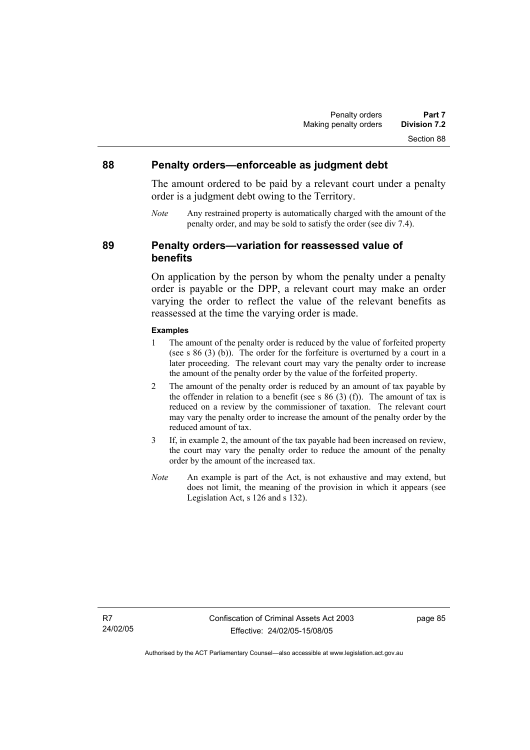### **88 Penalty orders—enforceable as judgment debt**

The amount ordered to be paid by a relevant court under a penalty order is a judgment debt owing to the Territory.

*Note* Any restrained property is automatically charged with the amount of the penalty order, and may be sold to satisfy the order (see div 7.4).

**89 Penalty orders—variation for reassessed value of benefits** 

> On application by the person by whom the penalty under a penalty order is payable or the DPP, a relevant court may make an order varying the order to reflect the value of the relevant benefits as reassessed at the time the varying order is made.

#### **Examples**

- 1 The amount of the penalty order is reduced by the value of forfeited property (see s 86 (3) (b)). The order for the forfeiture is overturned by a court in a later proceeding. The relevant court may vary the penalty order to increase the amount of the penalty order by the value of the forfeited property.
- 2 The amount of the penalty order is reduced by an amount of tax payable by the offender in relation to a benefit (see s  $86$  (3) (f)). The amount of tax is reduced on a review by the commissioner of taxation. The relevant court may vary the penalty order to increase the amount of the penalty order by the reduced amount of tax.
- 3 If, in example 2, the amount of the tax payable had been increased on review, the court may vary the penalty order to reduce the amount of the penalty order by the amount of the increased tax.
- *Note* An example is part of the Act, is not exhaustive and may extend, but does not limit, the meaning of the provision in which it appears (see Legislation Act, s 126 and s 132).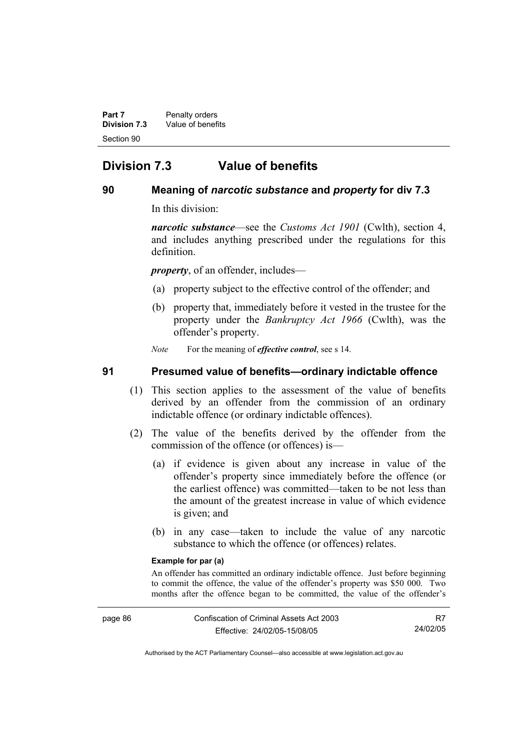**Part 7** Penalty orders **Division 7.3** Value of benefits Section 90

# **Division 7.3 Value of benefits**

# **90 Meaning of** *narcotic substance* **and** *property* **for div 7.3**

In this division:

*narcotic substance*—see the *Customs Act 1901* (Cwlth), section 4, and includes anything prescribed under the regulations for this definition.

*property*, of an offender, includes—

- (a) property subject to the effective control of the offender; and
- (b) property that, immediately before it vested in the trustee for the property under the *Bankruptcy Act 1966* (Cwlth), was the offender's property.

*Note* For the meaning of *effective control*, see s 14.

### **91 Presumed value of benefits—ordinary indictable offence**

- (1) This section applies to the assessment of the value of benefits derived by an offender from the commission of an ordinary indictable offence (or ordinary indictable offences).
- (2) The value of the benefits derived by the offender from the commission of the offence (or offences) is—
	- (a) if evidence is given about any increase in value of the offender's property since immediately before the offence (or the earliest offence) was committed—taken to be not less than the amount of the greatest increase in value of which evidence is given; and
	- (b) in any case—taken to include the value of any narcotic substance to which the offence (or offences) relates.

#### **Example for par (a)**

An offender has committed an ordinary indictable offence. Just before beginning to commit the offence, the value of the offender's property was \$50 000. Two months after the offence began to be committed, the value of the offender's

R7 24/02/05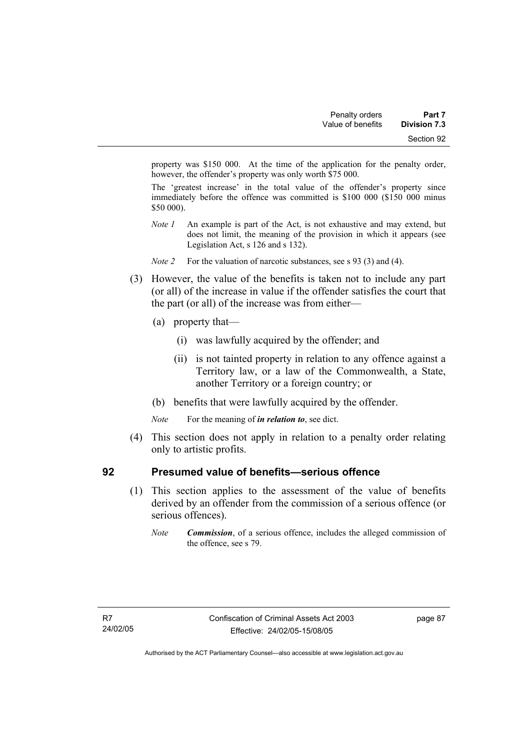property was \$150 000. At the time of the application for the penalty order, however, the offender's property was only worth \$75 000.

The 'greatest increase' in the total value of the offender's property since immediately before the offence was committed is \$100 000 (\$150 000 minus \$50 000).

- *Note 1* An example is part of the Act, is not exhaustive and may extend, but does not limit, the meaning of the provision in which it appears (see Legislation Act, s 126 and s 132).
- *Note 2* For the valuation of narcotic substances, see s 93 (3) and (4).
- (3) However, the value of the benefits is taken not to include any part (or all) of the increase in value if the offender satisfies the court that the part (or all) of the increase was from either—
	- (a) property that—
		- (i) was lawfully acquired by the offender; and
		- (ii) is not tainted property in relation to any offence against a Territory law, or a law of the Commonwealth, a State, another Territory or a foreign country; or
	- (b) benefits that were lawfully acquired by the offender.
	- *Note* For the meaning of *in relation to*, see dict.
- (4) This section does not apply in relation to a penalty order relating only to artistic profits.

# **92 Presumed value of benefits—serious offence**

- (1) This section applies to the assessment of the value of benefits derived by an offender from the commission of a serious offence (or serious offences).
	- *Note Commission*, of a serious offence, includes the alleged commission of the offence, see s 79.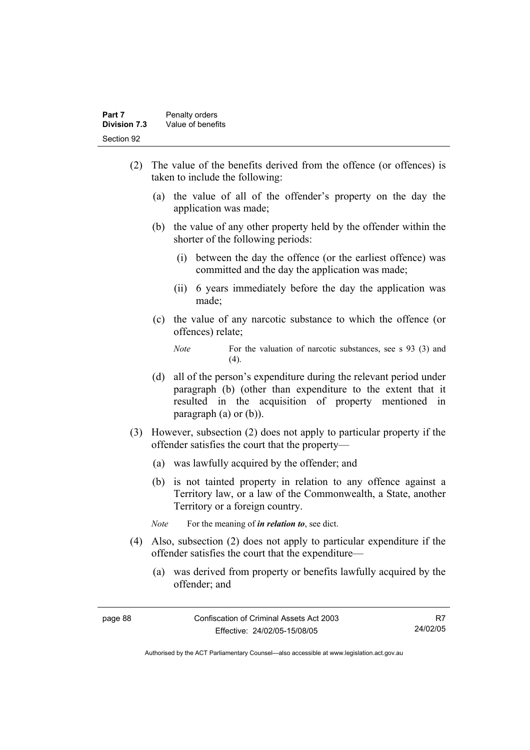- (2) The value of the benefits derived from the offence (or offences) is taken to include the following:
	- (a) the value of all of the offender's property on the day the application was made;
	- (b) the value of any other property held by the offender within the shorter of the following periods:
		- (i) between the day the offence (or the earliest offence) was committed and the day the application was made;
		- (ii) 6 years immediately before the day the application was made;
	- (c) the value of any narcotic substance to which the offence (or offences) relate;

- (d) all of the person's expenditure during the relevant period under paragraph (b) (other than expenditure to the extent that it resulted in the acquisition of property mentioned in paragraph (a) or (b)).
- (3) However, subsection (2) does not apply to particular property if the offender satisfies the court that the property—
	- (a) was lawfully acquired by the offender; and
	- (b) is not tainted property in relation to any offence against a Territory law, or a law of the Commonwealth, a State, another Territory or a foreign country.

*Note* For the meaning of *in relation to*, see dict.

- (4) Also, subsection (2) does not apply to particular expenditure if the offender satisfies the court that the expenditure—
	- (a) was derived from property or benefits lawfully acquired by the offender; and

R7 24/02/05

*Note* For the valuation of narcotic substances, see s 93 (3) and  $(4)$ .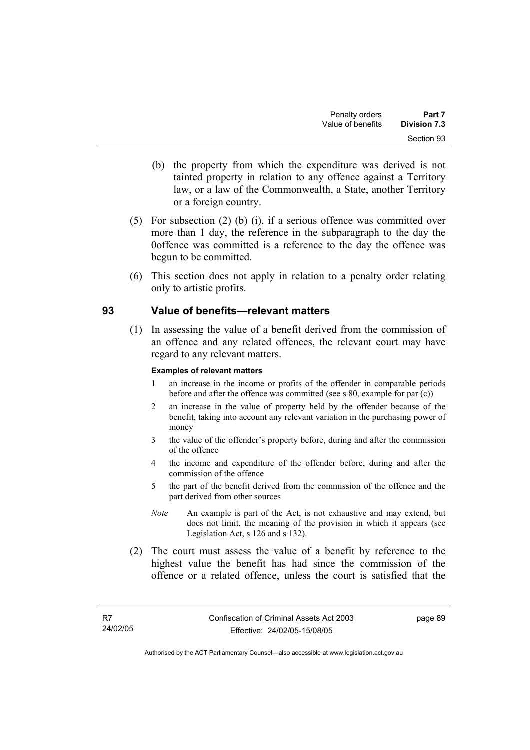- (b) the property from which the expenditure was derived is not tainted property in relation to any offence against a Territory law, or a law of the Commonwealth, a State, another Territory or a foreign country.
- (5) For subsection (2) (b) (i), if a serious offence was committed over more than 1 day, the reference in the subparagraph to the day the 0offence was committed is a reference to the day the offence was begun to be committed.
- (6) This section does not apply in relation to a penalty order relating only to artistic profits.

# **93 Value of benefits—relevant matters**

 (1) In assessing the value of a benefit derived from the commission of an offence and any related offences, the relevant court may have regard to any relevant matters.

### **Examples of relevant matters**

- 1 an increase in the income or profits of the offender in comparable periods before and after the offence was committed (see s 80, example for par (c))
- 2 an increase in the value of property held by the offender because of the benefit, taking into account any relevant variation in the purchasing power of money
- 3 the value of the offender's property before, during and after the commission of the offence
- 4 the income and expenditure of the offender before, during and after the commission of the offence
- 5 the part of the benefit derived from the commission of the offence and the part derived from other sources
- *Note* An example is part of the Act, is not exhaustive and may extend, but does not limit, the meaning of the provision in which it appears (see Legislation Act, s 126 and s 132).
- (2) The court must assess the value of a benefit by reference to the highest value the benefit has had since the commission of the offence or a related offence, unless the court is satisfied that the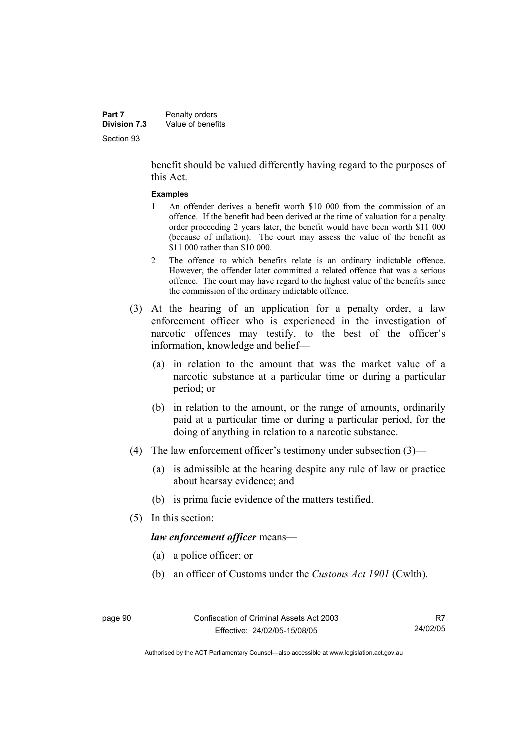benefit should be valued differently having regard to the purposes of this Act.

#### **Examples**

- 1 An offender derives a benefit worth \$10 000 from the commission of an offence. If the benefit had been derived at the time of valuation for a penalty order proceeding 2 years later, the benefit would have been worth \$11 000 (because of inflation). The court may assess the value of the benefit as \$11 000 rather than \$10 000.
- 2 The offence to which benefits relate is an ordinary indictable offence. However, the offender later committed a related offence that was a serious offence. The court may have regard to the highest value of the benefits since the commission of the ordinary indictable offence.
- (3) At the hearing of an application for a penalty order, a law enforcement officer who is experienced in the investigation of narcotic offences may testify, to the best of the officer's information, knowledge and belief—
	- (a) in relation to the amount that was the market value of a narcotic substance at a particular time or during a particular period; or
	- (b) in relation to the amount, or the range of amounts, ordinarily paid at a particular time or during a particular period, for the doing of anything in relation to a narcotic substance.
- (4) The law enforcement officer's testimony under subsection (3)—
	- (a) is admissible at the hearing despite any rule of law or practice about hearsay evidence; and
	- (b) is prima facie evidence of the matters testified.
- (5) In this section:

*law enforcement officer* means—

- (a) a police officer; or
- (b) an officer of Customs under the *Customs Act 1901* (Cwlth).

R7 24/02/05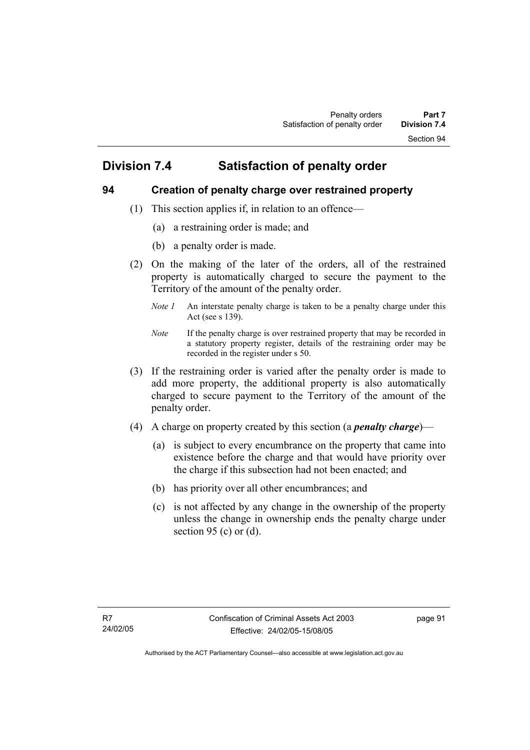# **Division 7.4 Satisfaction of penalty order**

# **94 Creation of penalty charge over restrained property**

- (1) This section applies if, in relation to an offence—
	- (a) a restraining order is made; and
	- (b) a penalty order is made.
- (2) On the making of the later of the orders, all of the restrained property is automatically charged to secure the payment to the Territory of the amount of the penalty order.
	- *Note 1* An interstate penalty charge is taken to be a penalty charge under this Act (see s 139).
	- *Note* If the penalty charge is over restrained property that may be recorded in a statutory property register, details of the restraining order may be recorded in the register under s 50.
- (3) If the restraining order is varied after the penalty order is made to add more property, the additional property is also automatically charged to secure payment to the Territory of the amount of the penalty order.
- (4) A charge on property created by this section (a *penalty charge*)—
	- (a) is subject to every encumbrance on the property that came into existence before the charge and that would have priority over the charge if this subsection had not been enacted; and
	- (b) has priority over all other encumbrances; and
	- (c) is not affected by any change in the ownership of the property unless the change in ownership ends the penalty charge under section 95 (c) or  $(d)$ .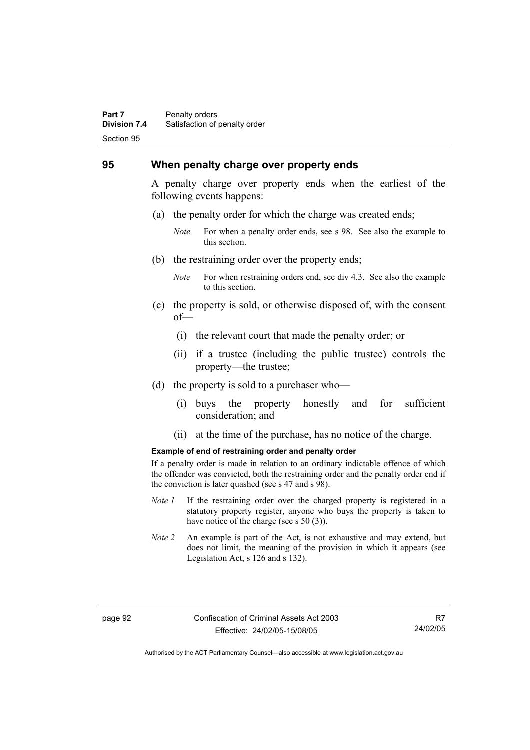#### **Part 7** Penalty orders **Division 7.4** Satisfaction of penalty order Section 95

### **95 When penalty charge over property ends**

A penalty charge over property ends when the earliest of the following events happens:

- (a) the penalty order for which the charge was created ends;
	- *Note* For when a penalty order ends, see s 98. See also the example to this section.
- (b) the restraining order over the property ends;
	- *Note* For when restraining orders end, see div 4.3. See also the example to this section.
- (c) the property is sold, or otherwise disposed of, with the consent of—
	- (i) the relevant court that made the penalty order; or
	- (ii) if a trustee (including the public trustee) controls the property—the trustee;
- (d) the property is sold to a purchaser who—
	- (i) buys the property honestly and for sufficient consideration; and
	- (ii) at the time of the purchase, has no notice of the charge.

#### **Example of end of restraining order and penalty order**

If a penalty order is made in relation to an ordinary indictable offence of which the offender was convicted, both the restraining order and the penalty order end if the conviction is later quashed (see s 47 and s 98).

- *Note 1* If the restraining order over the charged property is registered in a statutory property register, anyone who buys the property is taken to have notice of the charge (see s 50 (3)).
- *Note 2* An example is part of the Act, is not exhaustive and may extend, but does not limit, the meaning of the provision in which it appears (see Legislation Act, s 126 and s 132).

R7 24/02/05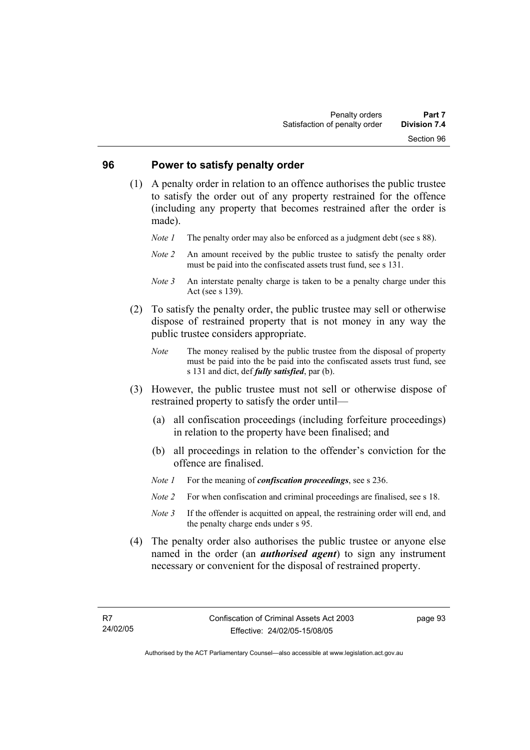### **96 Power to satisfy penalty order**

- (1) A penalty order in relation to an offence authorises the public trustee to satisfy the order out of any property restrained for the offence (including any property that becomes restrained after the order is made).
	- *Note 1* The penalty order may also be enforced as a judgment debt (see s 88).
	- *Note 2* An amount received by the public trustee to satisfy the penalty order must be paid into the confiscated assets trust fund, see s 131.
	- *Note 3* An interstate penalty charge is taken to be a penalty charge under this Act (see s 139).
- (2) To satisfy the penalty order, the public trustee may sell or otherwise dispose of restrained property that is not money in any way the public trustee considers appropriate.
	- *Note* The money realised by the public trustee from the disposal of property must be paid into the be paid into the confiscated assets trust fund, see s 131 and dict, def *fully satisfied*, par (b).
- (3) However, the public trustee must not sell or otherwise dispose of restrained property to satisfy the order until—
	- (a) all confiscation proceedings (including forfeiture proceedings) in relation to the property have been finalised; and
	- (b) all proceedings in relation to the offender's conviction for the offence are finalised.
	- *Note 1* For the meaning of *confiscation proceedings*, see s 236.
	- *Note 2* For when confiscation and criminal proceedings are finalised, see s 18.
	- *Note* 3 If the offender is acquitted on appeal, the restraining order will end, and the penalty charge ends under s 95.
- (4) The penalty order also authorises the public trustee or anyone else named in the order (an *authorised agent*) to sign any instrument necessary or convenient for the disposal of restrained property.

page 93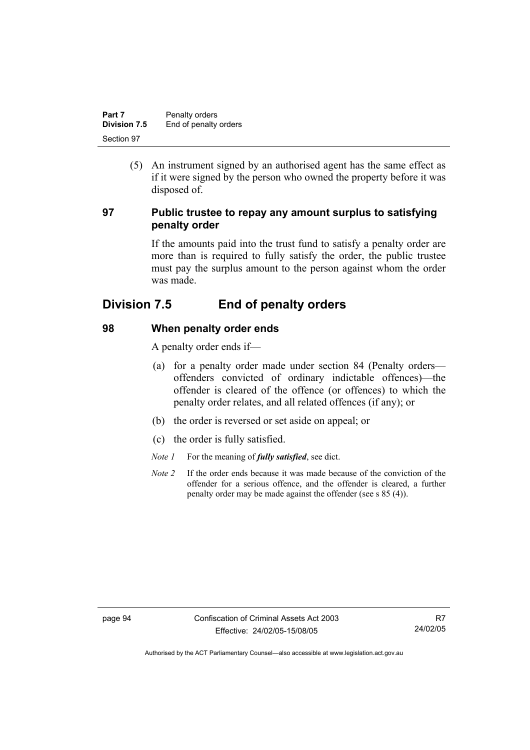| Part 7       | Penalty orders        |
|--------------|-----------------------|
| Division 7.5 | End of penalty orders |
| Section 97   |                       |

 (5) An instrument signed by an authorised agent has the same effect as if it were signed by the person who owned the property before it was disposed of.

# **97 Public trustee to repay any amount surplus to satisfying penalty order**

If the amounts paid into the trust fund to satisfy a penalty order are more than is required to fully satisfy the order, the public trustee must pay the surplus amount to the person against whom the order was made.

# **Division 7.5 End of penalty orders**

# **98 When penalty order ends**

A penalty order ends if—

- (a) for a penalty order made under section 84 (Penalty orders offenders convicted of ordinary indictable offences)—the offender is cleared of the offence (or offences) to which the penalty order relates, and all related offences (if any); or
- (b) the order is reversed or set aside on appeal; or
- (c) the order is fully satisfied.
- *Note 1* For the meaning of *fully satisfied*, see dict.
- *Note 2* If the order ends because it was made because of the conviction of the offender for a serious offence, and the offender is cleared, a further penalty order may be made against the offender (see s 85 (4)).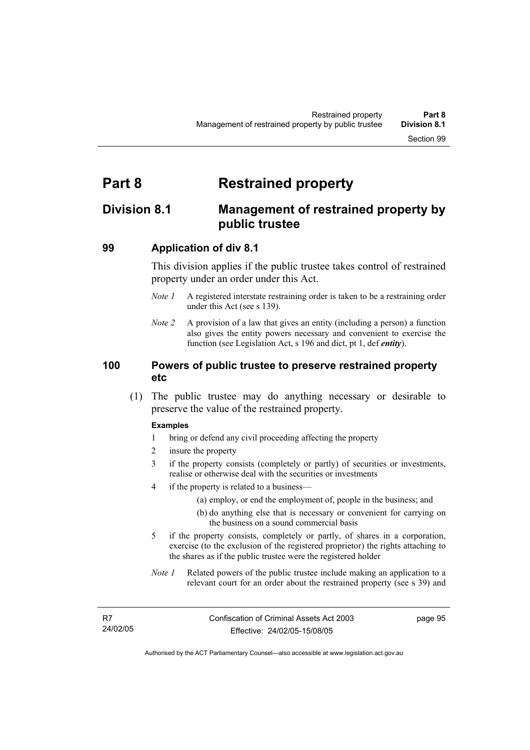# **Part 8 Restrained property**

## **Division 8.1 Management of restrained property by public trustee**

### **99 Application of div 8.1**

This division applies if the public trustee takes control of restrained property under an order under this Act.

- *Note 1* A registered interstate restraining order is taken to be a restraining order under this Act (see s 139).
- *Note 2* A provision of a law that gives an entity (including a person) a function also gives the entity powers necessary and convenient to exercise the function (see Legislation Act, s 196 and dict, pt 1, def *entity*).

## **100 Powers of public trustee to preserve restrained property etc**

 (1) The public trustee may do anything necessary or desirable to preserve the value of the restrained property.

#### **Examples**

- 1 bring or defend any civil proceeding affecting the property
- 2 insure the property
- 3 if the property consists (completely or partly) of securities or investments, realise or otherwise deal with the securities or investments
- 4 if the property is related to a business—
	- (a) employ, or end the employment of, people in the business; and
	- (b) do anything else that is necessary or convenient for carrying on the business on a sound commercial basis
- 5 if the property consists, completely or partly, of shares in a corporation, exercise (to the exclusion of the registered proprietor) the rights attaching to the shares as if the public trustee were the registered holder
- *Note 1* Related powers of the public trustee include making an application to a relevant court for an order about the restrained property (see s 39) and

page 95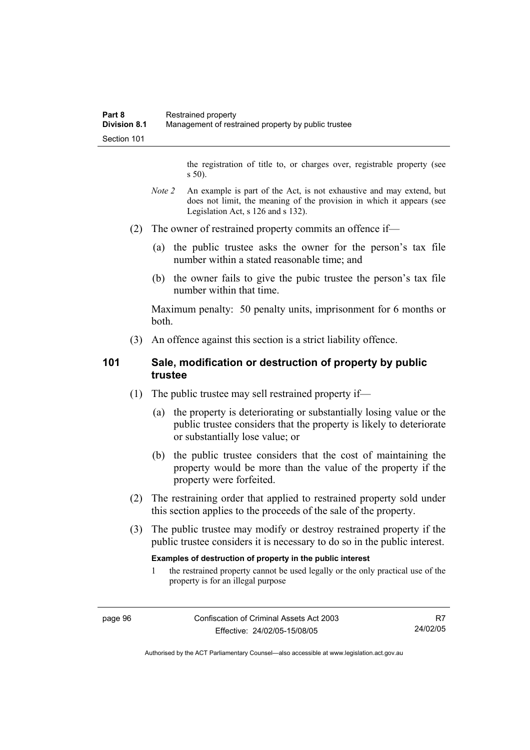the registration of title to, or charges over, registrable property (see s 50).

- *Note* 2 An example is part of the Act, is not exhaustive and may extend, but does not limit, the meaning of the provision in which it appears (see Legislation Act, s 126 and s 132).
- (2) The owner of restrained property commits an offence if—
	- (a) the public trustee asks the owner for the person's tax file number within a stated reasonable time; and
	- (b) the owner fails to give the pubic trustee the person's tax file number within that time.

Maximum penalty: 50 penalty units, imprisonment for 6 months or both.

(3) An offence against this section is a strict liability offence.

## **101 Sale, modification or destruction of property by public trustee**

- (1) The public trustee may sell restrained property if—
	- (a) the property is deteriorating or substantially losing value or the public trustee considers that the property is likely to deteriorate or substantially lose value; or
	- (b) the public trustee considers that the cost of maintaining the property would be more than the value of the property if the property were forfeited.
- (2) The restraining order that applied to restrained property sold under this section applies to the proceeds of the sale of the property.
- (3) The public trustee may modify or destroy restrained property if the public trustee considers it is necessary to do so in the public interest.

#### **Examples of destruction of property in the public interest**

1 the restrained property cannot be used legally or the only practical use of the property is for an illegal purpose

Authorised by the ACT Parliamentary Counsel—also accessible at www.legislation.act.gov.au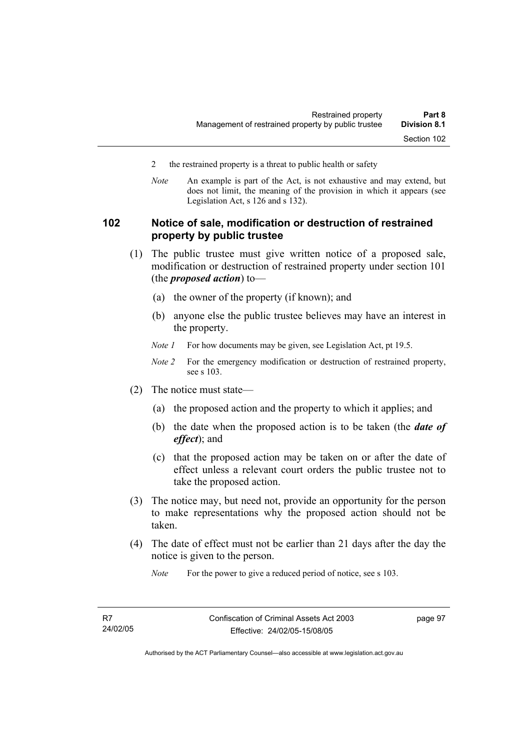- 2 the restrained property is a threat to public health or safety
- *Note* An example is part of the Act, is not exhaustive and may extend, but does not limit, the meaning of the provision in which it appears (see Legislation Act, s 126 and s 132).

## **102 Notice of sale, modification or destruction of restrained property by public trustee**

- (1) The public trustee must give written notice of a proposed sale, modification or destruction of restrained property under section 101 (the *proposed action*) to—
	- (a) the owner of the property (if known); and
	- (b) anyone else the public trustee believes may have an interest in the property.
	- *Note 1* For how documents may be given, see Legislation Act, pt 19.5.
	- *Note 2* For the emergency modification or destruction of restrained property, see s 103.
- (2) The notice must state—
	- (a) the proposed action and the property to which it applies; and
	- (b) the date when the proposed action is to be taken (the *date of effect*); and
	- (c) that the proposed action may be taken on or after the date of effect unless a relevant court orders the public trustee not to take the proposed action.
- (3) The notice may, but need not, provide an opportunity for the person to make representations why the proposed action should not be taken.
- (4) The date of effect must not be earlier than 21 days after the day the notice is given to the person.

*Note* For the power to give a reduced period of notice, see s 103.

Authorised by the ACT Parliamentary Counsel—also accessible at www.legislation.act.gov.au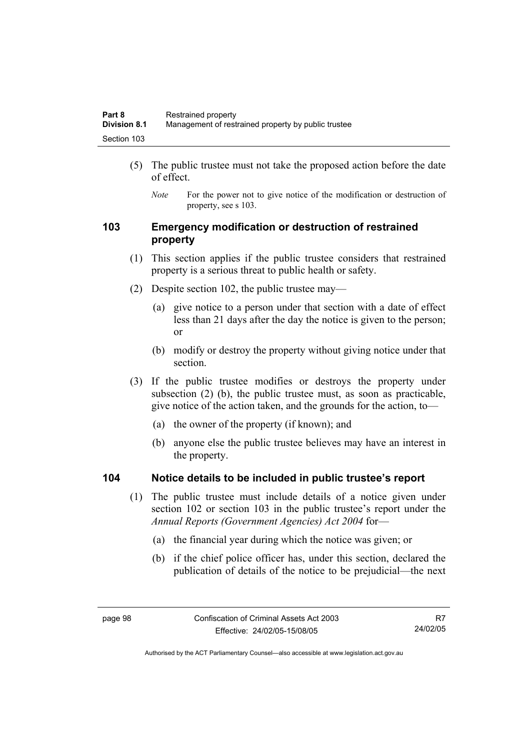- (5) The public trustee must not take the proposed action before the date of effect.
	- *Note* For the power not to give notice of the modification or destruction of property, see s 103.

## **103 Emergency modification or destruction of restrained property**

- (1) This section applies if the public trustee considers that restrained property is a serious threat to public health or safety.
- (2) Despite section 102, the public trustee may—
	- (a) give notice to a person under that section with a date of effect less than 21 days after the day the notice is given to the person; or
	- (b) modify or destroy the property without giving notice under that section.
- (3) If the public trustee modifies or destroys the property under subsection (2) (b), the public trustee must, as soon as practicable, give notice of the action taken, and the grounds for the action, to—
	- (a) the owner of the property (if known); and
	- (b) anyone else the public trustee believes may have an interest in the property.

## **104 Notice details to be included in public trustee's report**

- (1) The public trustee must include details of a notice given under section 102 or section 103 in the public trustee's report under the *Annual Reports (Government Agencies) Act 2004* for—
	- (a) the financial year during which the notice was given; or
	- (b) if the chief police officer has, under this section, declared the publication of details of the notice to be prejudicial—the next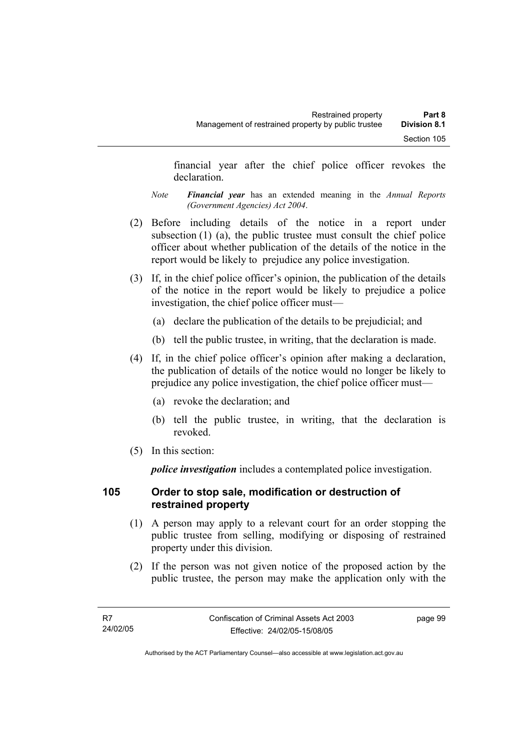financial year after the chief police officer revokes the declaration.

- *Note Financial year* has an extended meaning in the *Annual Reports (Government Agencies) Act 2004*.
- (2) Before including details of the notice in a report under subsection (1) (a), the public trustee must consult the chief police officer about whether publication of the details of the notice in the report would be likely to prejudice any police investigation.
- (3) If, in the chief police officer's opinion, the publication of the details of the notice in the report would be likely to prejudice a police investigation, the chief police officer must—
	- (a) declare the publication of the details to be prejudicial; and
	- (b) tell the public trustee, in writing, that the declaration is made.
- (4) If, in the chief police officer's opinion after making a declaration, the publication of details of the notice would no longer be likely to prejudice any police investigation, the chief police officer must—
	- (a) revoke the declaration; and
	- (b) tell the public trustee, in writing, that the declaration is revoked.
- (5) In this section:

*police investigation* includes a contemplated police investigation.

## **105 Order to stop sale, modification or destruction of restrained property**

- (1) A person may apply to a relevant court for an order stopping the public trustee from selling, modifying or disposing of restrained property under this division.
- (2) If the person was not given notice of the proposed action by the public trustee, the person may make the application only with the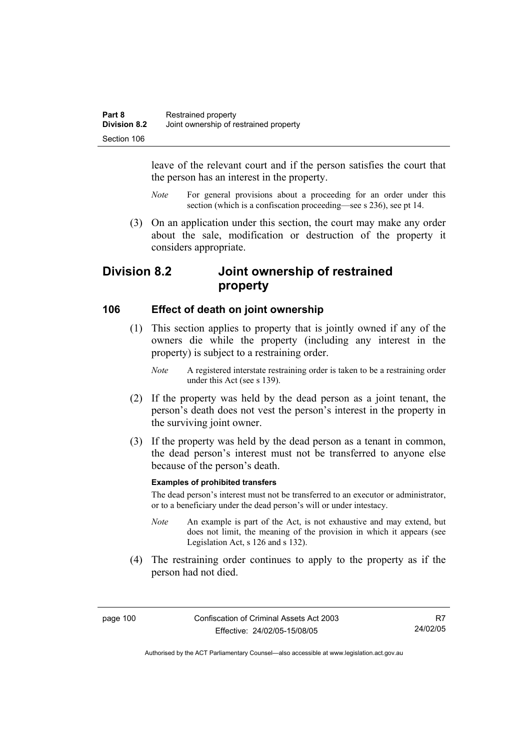leave of the relevant court and if the person satisfies the court that the person has an interest in the property.

- *Note* For general provisions about a proceeding for an order under this section (which is a confiscation proceeding—see s 236), see pt 14.
- (3) On an application under this section, the court may make any order about the sale, modification or destruction of the property it considers appropriate.

## **Division 8.2 Joint ownership of restrained property**

## **106 Effect of death on joint ownership**

- (1) This section applies to property that is jointly owned if any of the owners die while the property (including any interest in the property) is subject to a restraining order.
	- *Note* A registered interstate restraining order is taken to be a restraining order under this Act (see s 139).
- (2) If the property was held by the dead person as a joint tenant, the person's death does not vest the person's interest in the property in the surviving joint owner.
- (3) If the property was held by the dead person as a tenant in common, the dead person's interest must not be transferred to anyone else because of the person's death.

#### **Examples of prohibited transfers**

The dead person's interest must not be transferred to an executor or administrator, or to a beneficiary under the dead person's will or under intestacy.

- *Note* An example is part of the Act, is not exhaustive and may extend, but does not limit, the meaning of the provision in which it appears (see Legislation Act, s 126 and s 132).
- (4) The restraining order continues to apply to the property as if the person had not died.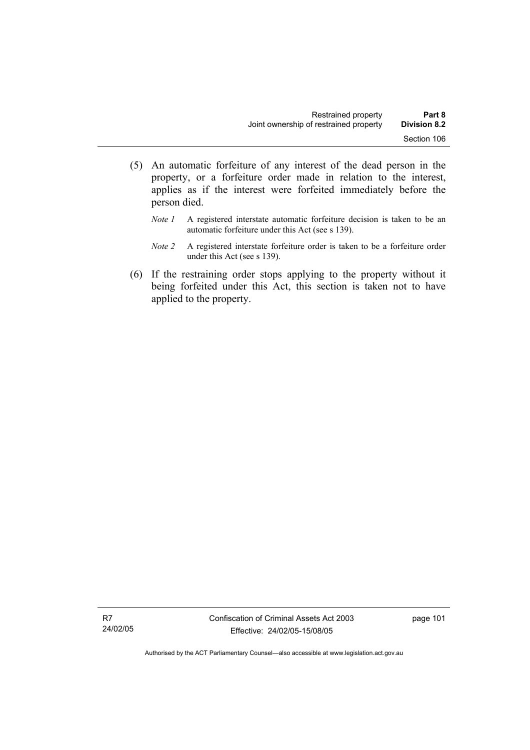- (5) An automatic forfeiture of any interest of the dead person in the property, or a forfeiture order made in relation to the interest, applies as if the interest were forfeited immediately before the person died.
	- *Note 1* A registered interstate automatic forfeiture decision is taken to be an automatic forfeiture under this Act (see s 139).
	- *Note 2* A registered interstate forfeiture order is taken to be a forfeiture order under this Act (see s 139).
- (6) If the restraining order stops applying to the property without it being forfeited under this Act, this section is taken not to have applied to the property.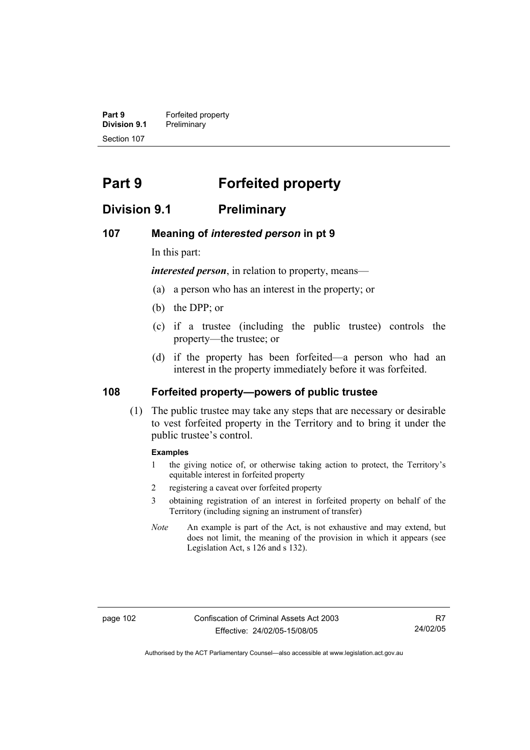**Part 9 Forfeited property Division 9.1** Preliminary Section 107

## **Part 9 Forfeited property**

## **Division 9.1 Preliminary**

### **107 Meaning of** *interested person* **in pt 9**

In this part:

*interested person*, in relation to property, means—

- (a) a person who has an interest in the property; or
- (b) the DPP; or
- (c) if a trustee (including the public trustee) controls the property—the trustee; or
- (d) if the property has been forfeited—a person who had an interest in the property immediately before it was forfeited.

## **108 Forfeited property—powers of public trustee**

 (1) The public trustee may take any steps that are necessary or desirable to vest forfeited property in the Territory and to bring it under the public trustee's control.

#### **Examples**

- 1 the giving notice of, or otherwise taking action to protect, the Territory's equitable interest in forfeited property
- 2 registering a caveat over forfeited property
- 3 obtaining registration of an interest in forfeited property on behalf of the Territory (including signing an instrument of transfer)
- *Note* An example is part of the Act, is not exhaustive and may extend, but does not limit, the meaning of the provision in which it appears (see Legislation Act, s 126 and s 132).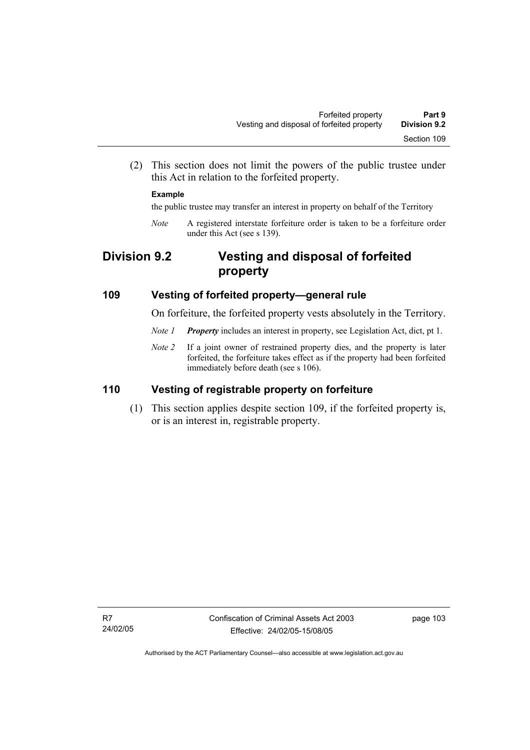(2) This section does not limit the powers of the public trustee under this Act in relation to the forfeited property.

#### **Example**

the public trustee may transfer an interest in property on behalf of the Territory

*Note* A registered interstate forfeiture order is taken to be a forfeiture order under this Act (see s 139).

## **Division 9.2 Vesting and disposal of forfeited property**

## **109 Vesting of forfeited property—general rule**

On forfeiture, the forfeited property vests absolutely in the Territory.

- *Note 1 Property* includes an interest in property, see Legislation Act, dict, pt 1.
- *Note 2* If a joint owner of restrained property dies, and the property is later forfeited, the forfeiture takes effect as if the property had been forfeited immediately before death (see s 106).

## **110 Vesting of registrable property on forfeiture**

 (1) This section applies despite section 109, if the forfeited property is, or is an interest in, registrable property.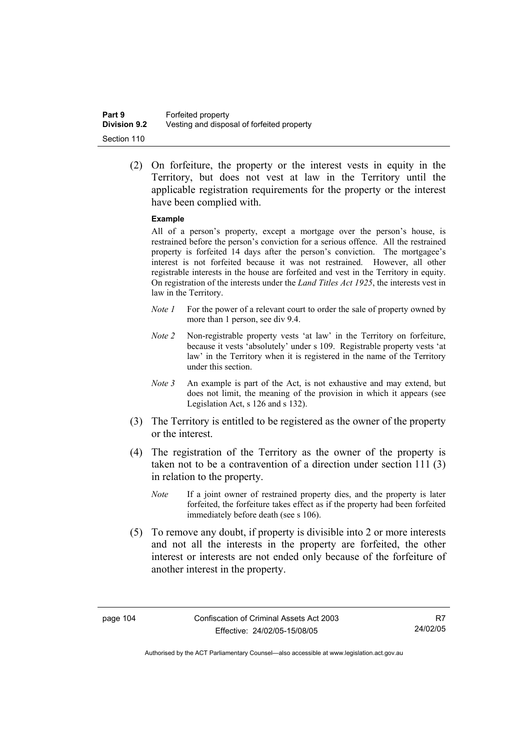(2) On forfeiture, the property or the interest vests in equity in the Territory, but does not vest at law in the Territory until the applicable registration requirements for the property or the interest have been complied with.

#### **Example**

All of a person's property, except a mortgage over the person's house, is restrained before the person's conviction for a serious offence. All the restrained property is forfeited 14 days after the person's conviction. The mortgagee's interest is not forfeited because it was not restrained. However, all other registrable interests in the house are forfeited and vest in the Territory in equity. On registration of the interests under the *Land Titles Act 1925*, the interests vest in law in the Territory.

- *Note 1* For the power of a relevant court to order the sale of property owned by more than 1 person, see div 9.4.
- *Note 2* Non-registrable property vests 'at law' in the Territory on forfeiture, because it vests 'absolutely' under s 109. Registrable property vests 'at law' in the Territory when it is registered in the name of the Territory under this section.
- *Note 3* An example is part of the Act, is not exhaustive and may extend, but does not limit, the meaning of the provision in which it appears (see Legislation Act, s 126 and s 132).
- (3) The Territory is entitled to be registered as the owner of the property or the interest.
- (4) The registration of the Territory as the owner of the property is taken not to be a contravention of a direction under section 111 (3) in relation to the property.
	- *Note* If a joint owner of restrained property dies, and the property is later forfeited, the forfeiture takes effect as if the property had been forfeited immediately before death (see s 106).
- (5) To remove any doubt, if property is divisible into 2 or more interests and not all the interests in the property are forfeited, the other interest or interests are not ended only because of the forfeiture of another interest in the property.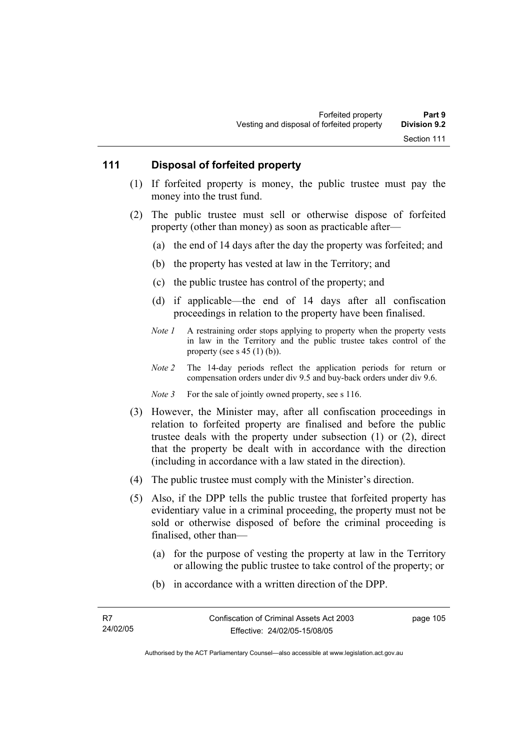## **111 Disposal of forfeited property**

- (1) If forfeited property is money, the public trustee must pay the money into the trust fund.
- (2) The public trustee must sell or otherwise dispose of forfeited property (other than money) as soon as practicable after—
	- (a) the end of 14 days after the day the property was forfeited; and
	- (b) the property has vested at law in the Territory; and
	- (c) the public trustee has control of the property; and
	- (d) if applicable—the end of 14 days after all confiscation proceedings in relation to the property have been finalised.
	- *Note 1* A restraining order stops applying to property when the property vests in law in the Territory and the public trustee takes control of the property (see s  $45$  (1) (b)).
	- *Note 2* The 14-day periods reflect the application periods for return or compensation orders under div 9.5 and buy-back orders under div 9.6.
	- *Note 3* For the sale of jointly owned property, see s 116.
- (3) However, the Minister may, after all confiscation proceedings in relation to forfeited property are finalised and before the public trustee deals with the property under subsection (1) or (2), direct that the property be dealt with in accordance with the direction (including in accordance with a law stated in the direction).
- (4) The public trustee must comply with the Minister's direction.
- (5) Also, if the DPP tells the public trustee that forfeited property has evidentiary value in a criminal proceeding, the property must not be sold or otherwise disposed of before the criminal proceeding is finalised, other than—
	- (a) for the purpose of vesting the property at law in the Territory or allowing the public trustee to take control of the property; or
	- (b) in accordance with a written direction of the DPP.

page 105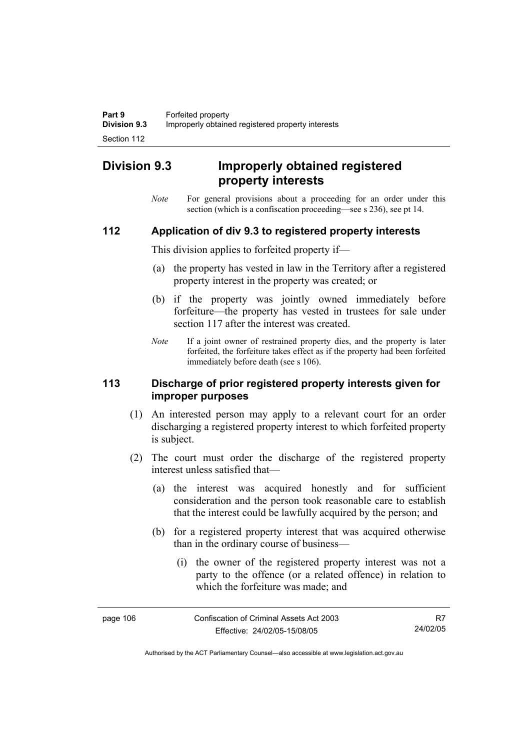## **Division 9.3 Improperly obtained registered property interests**

*Note* For general provisions about a proceeding for an order under this section (which is a confiscation proceeding—see s 236), see pt 14.

## **112 Application of div 9.3 to registered property interests**

This division applies to forfeited property if—

- (a) the property has vested in law in the Territory after a registered property interest in the property was created; or
- (b) if the property was jointly owned immediately before forfeiture—the property has vested in trustees for sale under section 117 after the interest was created.
- *Note* If a joint owner of restrained property dies, and the property is later forfeited, the forfeiture takes effect as if the property had been forfeited immediately before death (see s 106).

## **113 Discharge of prior registered property interests given for improper purposes**

- (1) An interested person may apply to a relevant court for an order discharging a registered property interest to which forfeited property is subject.
- (2) The court must order the discharge of the registered property interest unless satisfied that—
	- (a) the interest was acquired honestly and for sufficient consideration and the person took reasonable care to establish that the interest could be lawfully acquired by the person; and
	- (b) for a registered property interest that was acquired otherwise than in the ordinary course of business—
		- (i) the owner of the registered property interest was not a party to the offence (or a related offence) in relation to which the forfeiture was made; and

| page 106 | Confiscation of Criminal Assets Act 2003 | R7       |
|----------|------------------------------------------|----------|
|          | Effective: 24/02/05-15/08/05             | 24/02/05 |

Authorised by the ACT Parliamentary Counsel—also accessible at www.legislation.act.gov.au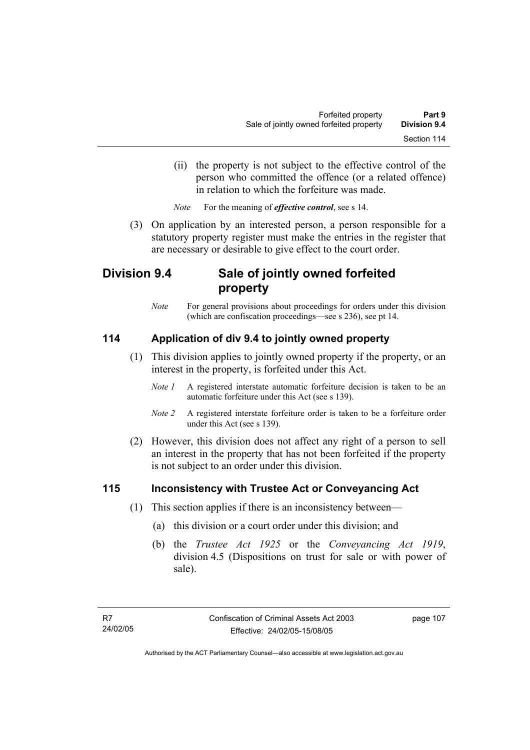(ii) the property is not subject to the effective control of the person who committed the offence (or a related offence) in relation to which the forfeiture was made.

*Note* For the meaning of *effective control*, see s 14.

 (3) On application by an interested person, a person responsible for a statutory property register must make the entries in the register that are necessary or desirable to give effect to the court order.

## **Division 9.4 Sale of jointly owned forfeited property**

*Note* For general provisions about proceedings for orders under this division (which are confiscation proceedings—see s 236), see pt 14.

## **114 Application of div 9.4 to jointly owned property**

- (1) This division applies to jointly owned property if the property, or an interest in the property, is forfeited under this Act.
	- *Note 1* A registered interstate automatic forfeiture decision is taken to be an automatic forfeiture under this Act (see s 139).
	- *Note 2* A registered interstate forfeiture order is taken to be a forfeiture order under this Act (see s 139).
- (2) However, this division does not affect any right of a person to sell an interest in the property that has not been forfeited if the property is not subject to an order under this division.

## **115 Inconsistency with Trustee Act or Conveyancing Act**

- (1) This section applies if there is an inconsistency between—
	- (a) this division or a court order under this division; and
	- (b) the *Trustee Act 1925* or the *Conveyancing Act 1919*, division 4.5 (Dispositions on trust for sale or with power of sale).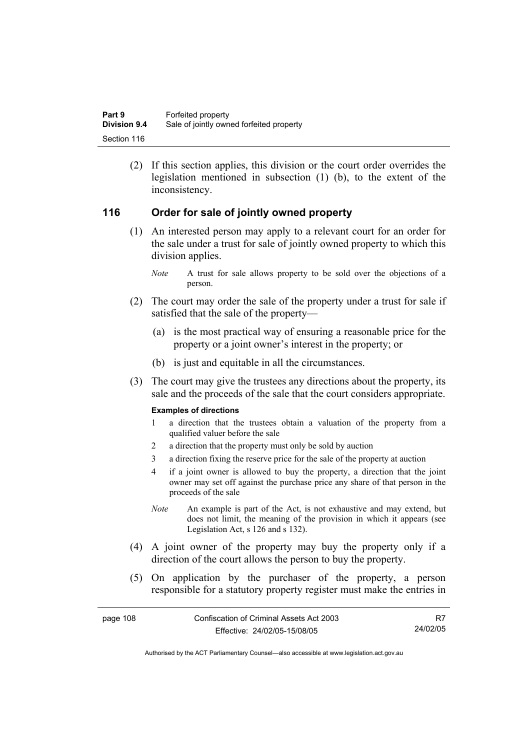(2) If this section applies, this division or the court order overrides the legislation mentioned in subsection (1) (b), to the extent of the inconsistency.

## **116 Order for sale of jointly owned property**

- (1) An interested person may apply to a relevant court for an order for the sale under a trust for sale of jointly owned property to which this division applies.
	- *Note* A trust for sale allows property to be sold over the objections of a person.
- (2) The court may order the sale of the property under a trust for sale if satisfied that the sale of the property—
	- (a) is the most practical way of ensuring a reasonable price for the property or a joint owner's interest in the property; or
	- (b) is just and equitable in all the circumstances.
- (3) The court may give the trustees any directions about the property, its sale and the proceeds of the sale that the court considers appropriate.

#### **Examples of directions**

- 1 a direction that the trustees obtain a valuation of the property from a qualified valuer before the sale
- 2 a direction that the property must only be sold by auction
- 3 a direction fixing the reserve price for the sale of the property at auction
- 4 if a joint owner is allowed to buy the property, a direction that the joint owner may set off against the purchase price any share of that person in the proceeds of the sale
- *Note* An example is part of the Act, is not exhaustive and may extend, but does not limit, the meaning of the provision in which it appears (see Legislation Act, s 126 and s 132).
- (4) A joint owner of the property may buy the property only if a direction of the court allows the person to buy the property.
- (5) On application by the purchaser of the property, a person responsible for a statutory property register must make the entries in

R7 24/02/05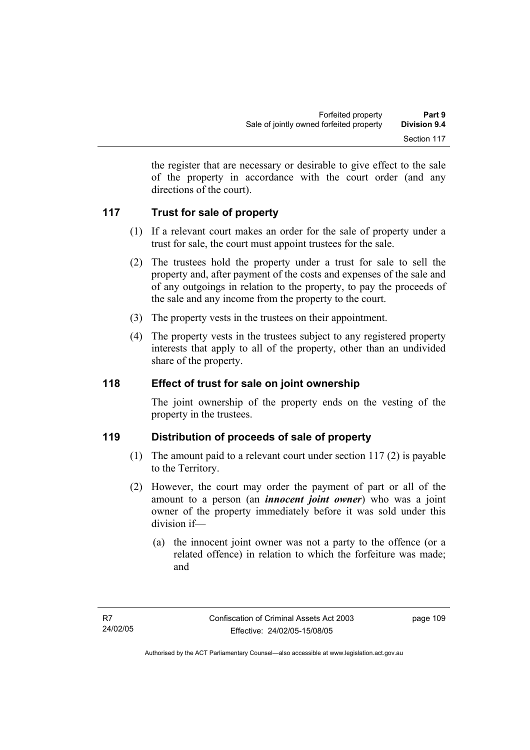the register that are necessary or desirable to give effect to the sale of the property in accordance with the court order (and any directions of the court).

## **117 Trust for sale of property**

- (1) If a relevant court makes an order for the sale of property under a trust for sale, the court must appoint trustees for the sale.
- (2) The trustees hold the property under a trust for sale to sell the property and, after payment of the costs and expenses of the sale and of any outgoings in relation to the property, to pay the proceeds of the sale and any income from the property to the court.
- (3) The property vests in the trustees on their appointment.
- (4) The property vests in the trustees subject to any registered property interests that apply to all of the property, other than an undivided share of the property.

## **118 Effect of trust for sale on joint ownership**

The joint ownership of the property ends on the vesting of the property in the trustees.

## **119 Distribution of proceeds of sale of property**

- (1) The amount paid to a relevant court under section 117 (2) is payable to the Territory.
- (2) However, the court may order the payment of part or all of the amount to a person (an *innocent joint owner*) who was a joint owner of the property immediately before it was sold under this division if—
	- (a) the innocent joint owner was not a party to the offence (or a related offence) in relation to which the forfeiture was made; and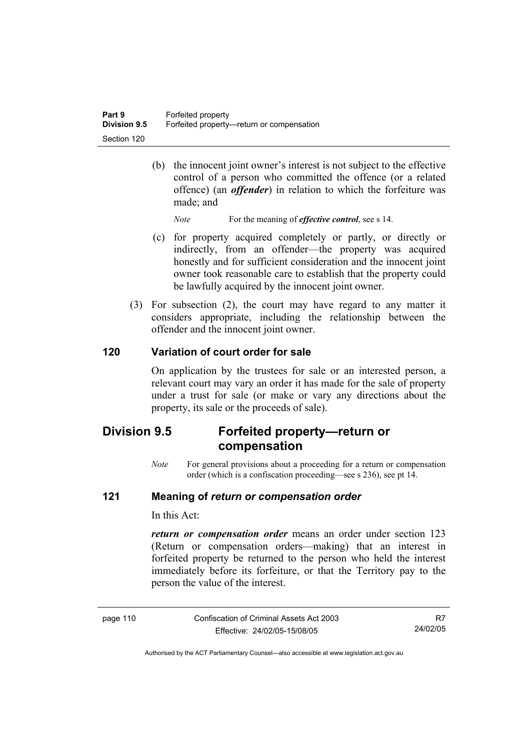(b) the innocent joint owner's interest is not subject to the effective control of a person who committed the offence (or a related offence) (an *offender*) in relation to which the forfeiture was made; and

*Note* For the meaning of *effective control*, see s 14.

- (c) for property acquired completely or partly, or directly or indirectly, from an offender—the property was acquired honestly and for sufficient consideration and the innocent joint owner took reasonable care to establish that the property could be lawfully acquired by the innocent joint owner.
- (3) For subsection (2), the court may have regard to any matter it considers appropriate, including the relationship between the offender and the innocent joint owner.

## **120 Variation of court order for sale**

On application by the trustees for sale or an interested person, a relevant court may vary an order it has made for the sale of property under a trust for sale (or make or vary any directions about the property, its sale or the proceeds of sale).

## **Division 9.5 Forfeited property—return or compensation**

*Note* For general provisions about a proceeding for a return or compensation order (which is a confiscation proceeding—see s 236), see pt 14.

## **121 Meaning of** *return or compensation order*

In this Act:

*return or compensation order* means an order under section 123 (Return or compensation orders—making) that an interest in forfeited property be returned to the person who held the interest immediately before its forfeiture, or that the Territory pay to the person the value of the interest.

| page 110 |  |  |
|----------|--|--|
|----------|--|--|

Confiscation of Criminal Assets Act 2003 Effective: 24/02/05-15/08/05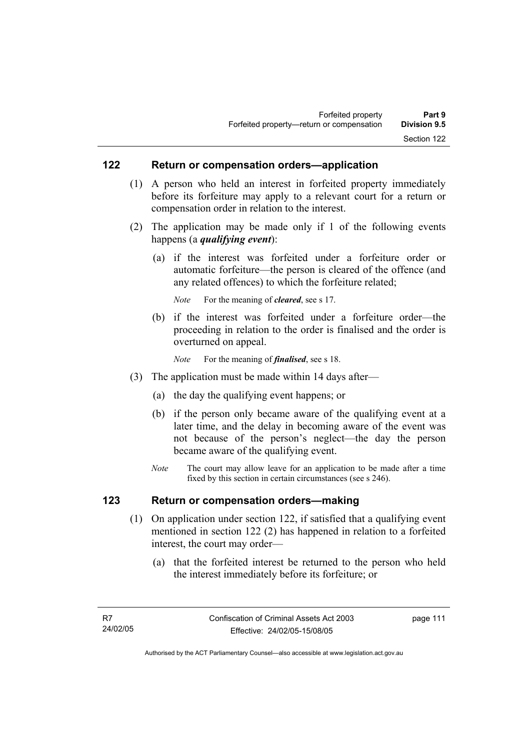## **122 Return or compensation orders—application**

- (1) A person who held an interest in forfeited property immediately before its forfeiture may apply to a relevant court for a return or compensation order in relation to the interest.
- (2) The application may be made only if 1 of the following events happens (a *qualifying event*):
	- (a) if the interest was forfeited under a forfeiture order or automatic forfeiture—the person is cleared of the offence (and any related offences) to which the forfeiture related;

*Note* For the meaning of *cleared*, see s 17.

- (b) if the interest was forfeited under a forfeiture order—the proceeding in relation to the order is finalised and the order is overturned on appeal.
	- *Note* For the meaning of *finalised*, see s 18.
- (3) The application must be made within 14 days after—
	- (a) the day the qualifying event happens; or
	- (b) if the person only became aware of the qualifying event at a later time, and the delay in becoming aware of the event was not because of the person's neglect—the day the person became aware of the qualifying event.
	- *Note* The court may allow leave for an application to be made after a time fixed by this section in certain circumstances (see s 246).

## **123 Return or compensation orders—making**

- (1) On application under section 122, if satisfied that a qualifying event mentioned in section 122 (2) has happened in relation to a forfeited interest, the court may order—
	- (a) that the forfeited interest be returned to the person who held the interest immediately before its forfeiture; or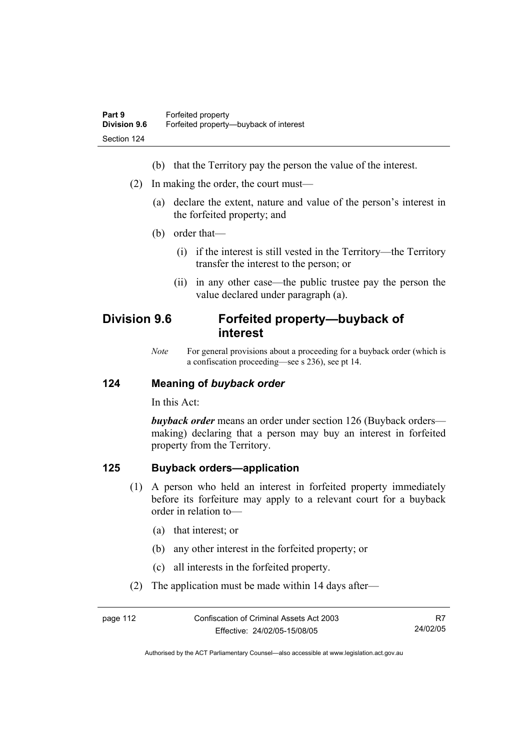- (b) that the Territory pay the person the value of the interest.
- (2) In making the order, the court must—
	- (a) declare the extent, nature and value of the person's interest in the forfeited property; and
	- (b) order that—
		- (i) if the interest is still vested in the Territory—the Territory transfer the interest to the person; or
		- (ii) in any other case—the public trustee pay the person the value declared under paragraph (a).

## **Division 9.6 Forfeited property—buyback of interest**

*Note* For general provisions about a proceeding for a buyback order (which is a confiscation proceeding—see s 236), see pt 14.

## **124 Meaning of** *buyback order*

In this Act:

*buyback order* means an order under section 126 (Buyback orders making) declaring that a person may buy an interest in forfeited property from the Territory.

## **125 Buyback orders—application**

- (1) A person who held an interest in forfeited property immediately before its forfeiture may apply to a relevant court for a buyback order in relation to—
	- (a) that interest; or
	- (b) any other interest in the forfeited property; or
	- (c) all interests in the forfeited property.
- (2) The application must be made within 14 days after—

| page 112 | Confiscation of Criminal Assets Act 2003 |          |
|----------|------------------------------------------|----------|
|          | Effective: 24/02/05-15/08/05             | 24/02/05 |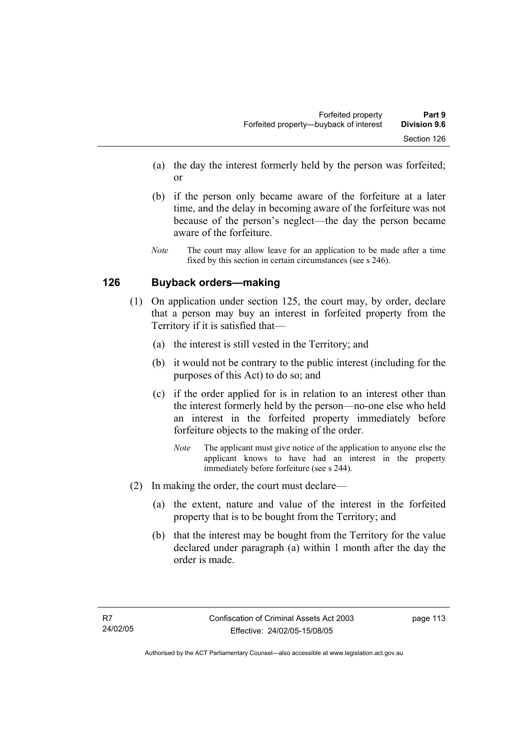- (a) the day the interest formerly held by the person was forfeited; or
- (b) if the person only became aware of the forfeiture at a later time, and the delay in becoming aware of the forfeiture was not because of the person's neglect—the day the person became aware of the forfeiture.
- *Note* The court may allow leave for an application to be made after a time fixed by this section in certain circumstances (see s 246).

## **126 Buyback orders—making**

- (1) On application under section 125, the court may, by order, declare that a person may buy an interest in forfeited property from the Territory if it is satisfied that—
	- (a) the interest is still vested in the Territory; and
	- (b) it would not be contrary to the public interest (including for the purposes of this Act) to do so; and
	- (c) if the order applied for is in relation to an interest other than the interest formerly held by the person—no-one else who held an interest in the forfeited property immediately before forfeiture objects to the making of the order.
		- *Note* The applicant must give notice of the application to anyone else the applicant knows to have had an interest in the property immediately before forfeiture (see s 244).
- (2) In making the order, the court must declare—
	- (a) the extent, nature and value of the interest in the forfeited property that is to be bought from the Territory; and
	- (b) that the interest may be bought from the Territory for the value declared under paragraph (a) within 1 month after the day the order is made.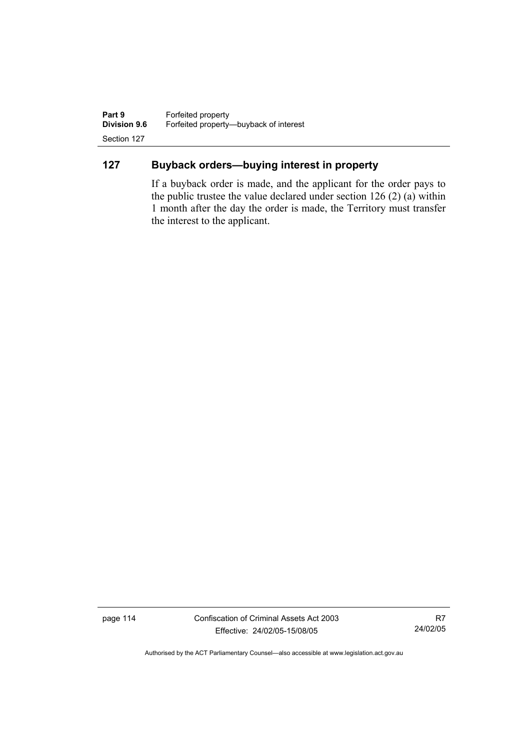**Part 9 Forfeited property**<br>**Division 9.6 Forfeited property-Division 9.6** Forfeited property—buyback of interest Section 127

## **127 Buyback orders—buying interest in property**

If a buyback order is made, and the applicant for the order pays to the public trustee the value declared under section 126 (2) (a) within 1 month after the day the order is made, the Territory must transfer the interest to the applicant.

page 114 Confiscation of Criminal Assets Act 2003 Effective: 24/02/05-15/08/05

R7 24/02/05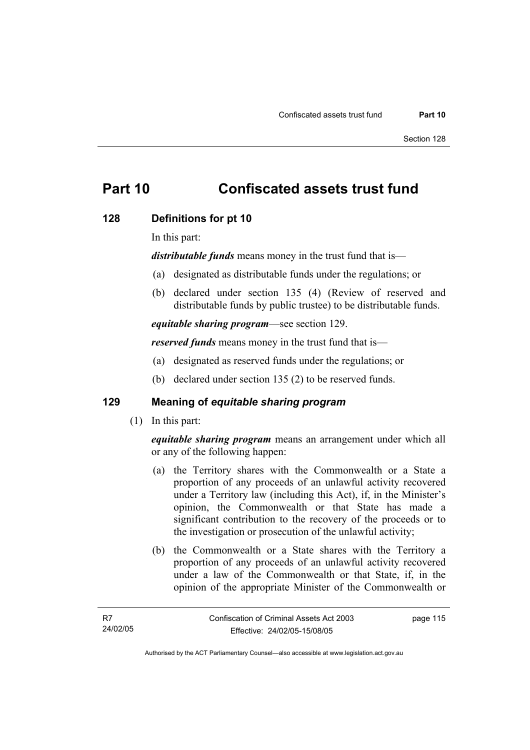## **Part 10 Confiscated assets trust fund**

### **128 Definitions for pt 10**

In this part:

*distributable funds* means money in the trust fund that is—

- (a) designated as distributable funds under the regulations; or
- (b) declared under section 135 (4) (Review of reserved and distributable funds by public trustee) to be distributable funds.

*equitable sharing program*—see section 129.

*reserved funds* means money in the trust fund that is—

- (a) designated as reserved funds under the regulations; or
- (b) declared under section 135 (2) to be reserved funds.

## **129 Meaning of** *equitable sharing program*

(1) In this part:

*equitable sharing program* means an arrangement under which all or any of the following happen:

- (a) the Territory shares with the Commonwealth or a State a proportion of any proceeds of an unlawful activity recovered under a Territory law (including this Act), if, in the Minister's opinion, the Commonwealth or that State has made a significant contribution to the recovery of the proceeds or to the investigation or prosecution of the unlawful activity;
- (b) the Commonwealth or a State shares with the Territory a proportion of any proceeds of an unlawful activity recovered under a law of the Commonwealth or that State, if, in the opinion of the appropriate Minister of the Commonwealth or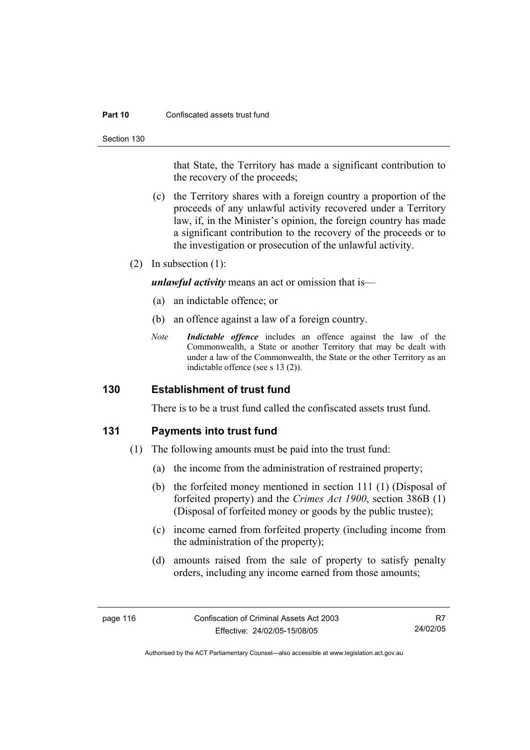#### **Part 10** Confiscated assets trust fund

Section 130

that State, the Territory has made a significant contribution to the recovery of the proceeds;

- (c) the Territory shares with a foreign country a proportion of the proceeds of any unlawful activity recovered under a Territory law, if, in the Minister's opinion, the foreign country has made a significant contribution to the recovery of the proceeds or to the investigation or prosecution of the unlawful activity.
- (2) In subsection (1):

*unlawful activity* means an act or omission that is—

- (a) an indictable offence; or
- (b) an offence against a law of a foreign country.
- *Note Indictable offence* includes an offence against the law of the Commonwealth, a State or another Territory that may be dealt with under a law of the Commonwealth, the State or the other Territory as an indictable offence (see s 13 (2)).

## **130 Establishment of trust fund**

There is to be a trust fund called the confiscated assets trust fund.

### **131 Payments into trust fund**

- (1) The following amounts must be paid into the trust fund:
	- (a) the income from the administration of restrained property;
	- (b) the forfeited money mentioned in section 111 (1) (Disposal of forfeited property) and the *Crimes Act 1900*, section 386B (1) (Disposal of forfeited money or goods by the public trustee);
	- (c) income earned from forfeited property (including income from the administration of the property);
	- (d) amounts raised from the sale of property to satisfy penalty orders, including any income earned from those amounts;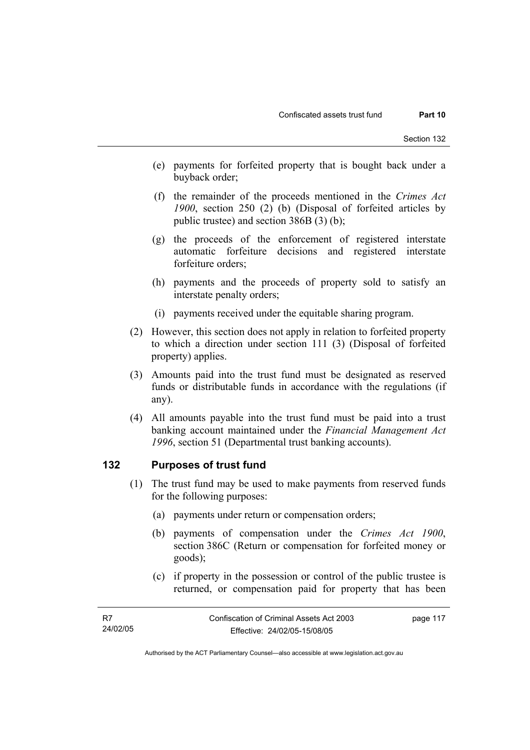- (e) payments for forfeited property that is bought back under a buyback order;
- (f) the remainder of the proceeds mentioned in the *Crimes Act 1900*, section 250 (2) (b) (Disposal of forfeited articles by public trustee) and section 386B (3) (b);
- (g) the proceeds of the enforcement of registered interstate automatic forfeiture decisions and registered interstate forfeiture orders;
- (h) payments and the proceeds of property sold to satisfy an interstate penalty orders;
- (i) payments received under the equitable sharing program.
- (2) However, this section does not apply in relation to forfeited property to which a direction under section 111 (3) (Disposal of forfeited property) applies.
- (3) Amounts paid into the trust fund must be designated as reserved funds or distributable funds in accordance with the regulations (if any).
- (4) All amounts payable into the trust fund must be paid into a trust banking account maintained under the *Financial Management Act 1996*, section 51 (Departmental trust banking accounts).

## **132 Purposes of trust fund**

- (1) The trust fund may be used to make payments from reserved funds for the following purposes:
	- (a) payments under return or compensation orders;
	- (b) payments of compensation under the *Crimes Act 1900*, section 386C (Return or compensation for forfeited money or goods);
	- (c) if property in the possession or control of the public trustee is returned, or compensation paid for property that has been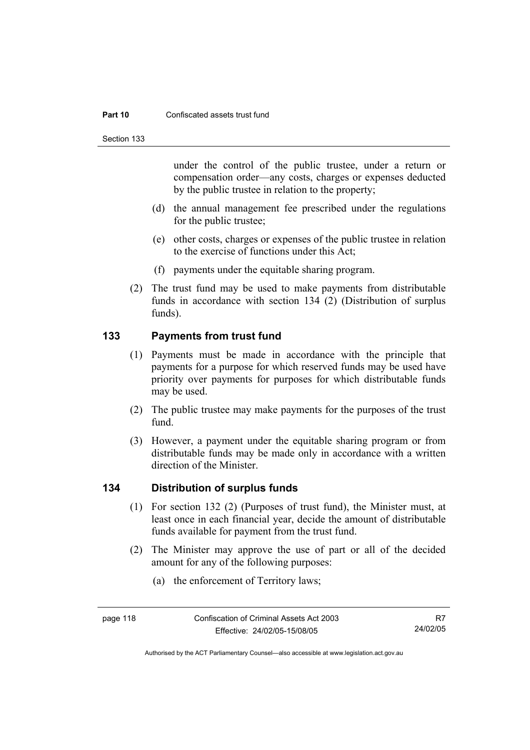#### **Part 10** Confiscated assets trust fund

Section 133

under the control of the public trustee, under a return or compensation order—any costs, charges or expenses deducted by the public trustee in relation to the property;

- (d) the annual management fee prescribed under the regulations for the public trustee;
- (e) other costs, charges or expenses of the public trustee in relation to the exercise of functions under this Act;
- (f) payments under the equitable sharing program.
- (2) The trust fund may be used to make payments from distributable funds in accordance with section 134 (2) (Distribution of surplus funds).

## **133 Payments from trust fund**

- (1) Payments must be made in accordance with the principle that payments for a purpose for which reserved funds may be used have priority over payments for purposes for which distributable funds may be used.
- (2) The public trustee may make payments for the purposes of the trust fund.
- (3) However, a payment under the equitable sharing program or from distributable funds may be made only in accordance with a written direction of the Minister.

## **134 Distribution of surplus funds**

- (1) For section 132 (2) (Purposes of trust fund), the Minister must, at least once in each financial year, decide the amount of distributable funds available for payment from the trust fund.
- (2) The Minister may approve the use of part or all of the decided amount for any of the following purposes:
	- (a) the enforcement of Territory laws;

Authorised by the ACT Parliamentary Counsel—also accessible at www.legislation.act.gov.au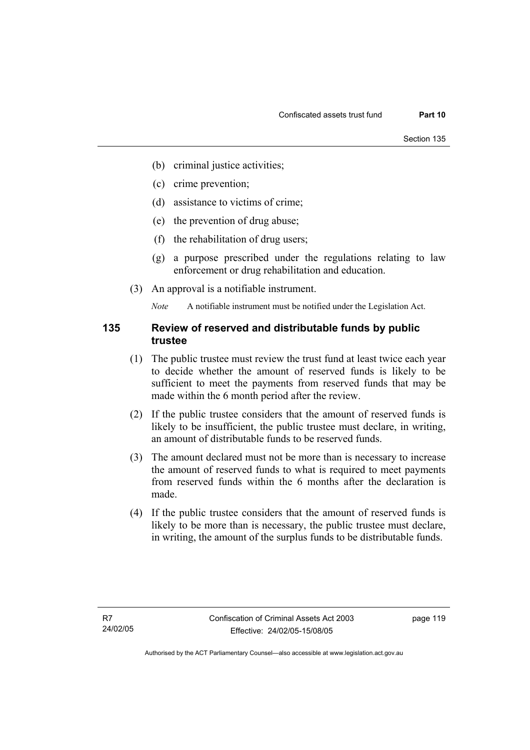- (b) criminal justice activities;
- (c) crime prevention;
- (d) assistance to victims of crime;
- (e) the prevention of drug abuse;
- (f) the rehabilitation of drug users;
- (g) a purpose prescribed under the regulations relating to law enforcement or drug rehabilitation and education.
- (3) An approval is a notifiable instrument.

*Note* A notifiable instrument must be notified under the Legislation Act.

## **135 Review of reserved and distributable funds by public trustee**

- (1) The public trustee must review the trust fund at least twice each year to decide whether the amount of reserved funds is likely to be sufficient to meet the payments from reserved funds that may be made within the 6 month period after the review.
- (2) If the public trustee considers that the amount of reserved funds is likely to be insufficient, the public trustee must declare, in writing, an amount of distributable funds to be reserved funds.
- (3) The amount declared must not be more than is necessary to increase the amount of reserved funds to what is required to meet payments from reserved funds within the 6 months after the declaration is made.
- (4) If the public trustee considers that the amount of reserved funds is likely to be more than is necessary, the public trustee must declare, in writing, the amount of the surplus funds to be distributable funds.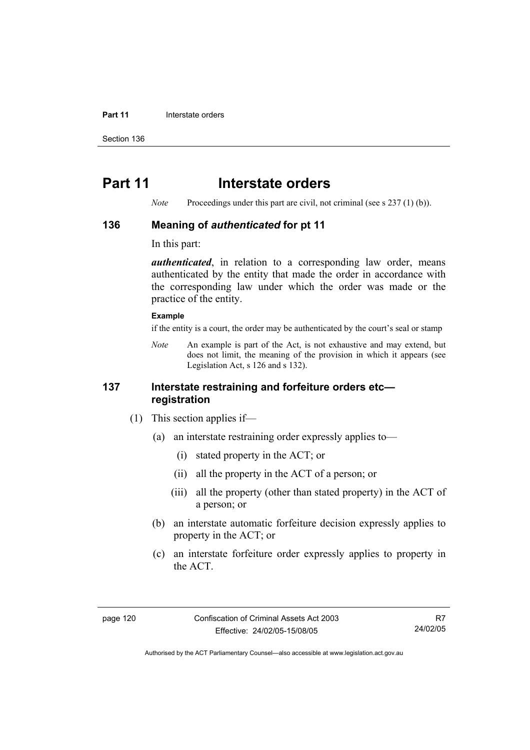#### **Part 11 Interstate orders**

Section 136

## **Part 11** Interstate orders

*Note* Proceedings under this part are civil, not criminal (see s 237 (1) (b)).

### **136 Meaning of** *authenticated* **for pt 11**

In this part:

*authenticated*, in relation to a corresponding law order, means authenticated by the entity that made the order in accordance with the corresponding law under which the order was made or the practice of the entity.

#### **Example**

if the entity is a court, the order may be authenticated by the court's seal or stamp

*Note* An example is part of the Act, is not exhaustive and may extend, but does not limit, the meaning of the provision in which it appears (see Legislation Act, s 126 and s 132).

## **137 Interstate restraining and forfeiture orders etc registration**

- (1) This section applies if—
	- (a) an interstate restraining order expressly applies to—
		- (i) stated property in the ACT; or
		- (ii) all the property in the ACT of a person; or
		- (iii) all the property (other than stated property) in the ACT of a person; or
	- (b) an interstate automatic forfeiture decision expressly applies to property in the ACT; or
	- (c) an interstate forfeiture order expressly applies to property in the ACT.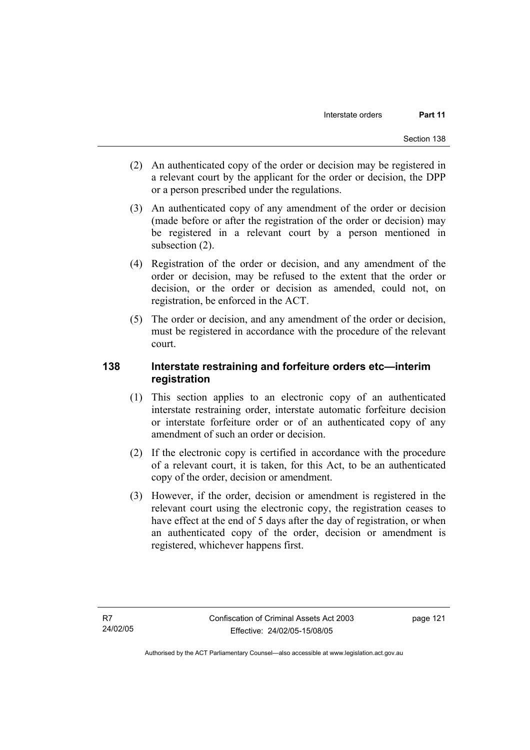- (2) An authenticated copy of the order or decision may be registered in a relevant court by the applicant for the order or decision, the DPP or a person prescribed under the regulations.
- (3) An authenticated copy of any amendment of the order or decision (made before or after the registration of the order or decision) may be registered in a relevant court by a person mentioned in subsection (2).
- (4) Registration of the order or decision, and any amendment of the order or decision, may be refused to the extent that the order or decision, or the order or decision as amended, could not, on registration, be enforced in the ACT.
- (5) The order or decision, and any amendment of the order or decision, must be registered in accordance with the procedure of the relevant court.

## **138 Interstate restraining and forfeiture orders etc—interim registration**

- (1) This section applies to an electronic copy of an authenticated interstate restraining order, interstate automatic forfeiture decision or interstate forfeiture order or of an authenticated copy of any amendment of such an order or decision.
- (2) If the electronic copy is certified in accordance with the procedure of a relevant court, it is taken, for this Act, to be an authenticated copy of the order, decision or amendment.
- (3) However, if the order, decision or amendment is registered in the relevant court using the electronic copy, the registration ceases to have effect at the end of 5 days after the day of registration, or when an authenticated copy of the order, decision or amendment is registered, whichever happens first.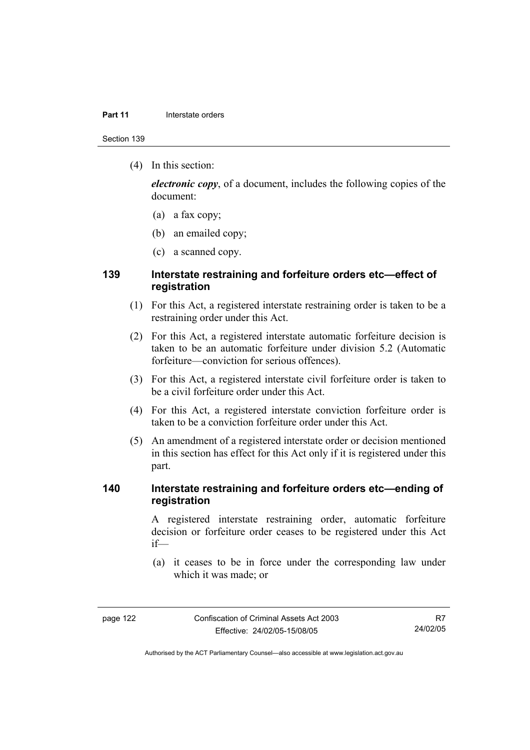#### **Part 11 Interstate orders**

Section 139

(4) In this section:

*electronic copy*, of a document, includes the following copies of the document:

- (a) a fax copy;
- (b) an emailed copy;
- (c) a scanned copy.

## **139 Interstate restraining and forfeiture orders etc—effect of registration**

- (1) For this Act, a registered interstate restraining order is taken to be a restraining order under this Act.
- (2) For this Act, a registered interstate automatic forfeiture decision is taken to be an automatic forfeiture under division 5.2 (Automatic forfeiture—conviction for serious offences).
- (3) For this Act, a registered interstate civil forfeiture order is taken to be a civil forfeiture order under this Act.
- (4) For this Act, a registered interstate conviction forfeiture order is taken to be a conviction forfeiture order under this Act.
- (5) An amendment of a registered interstate order or decision mentioned in this section has effect for this Act only if it is registered under this part.

## **140 Interstate restraining and forfeiture orders etc—ending of registration**

A registered interstate restraining order, automatic forfeiture decision or forfeiture order ceases to be registered under this Act if—

 (a) it ceases to be in force under the corresponding law under which it was made; or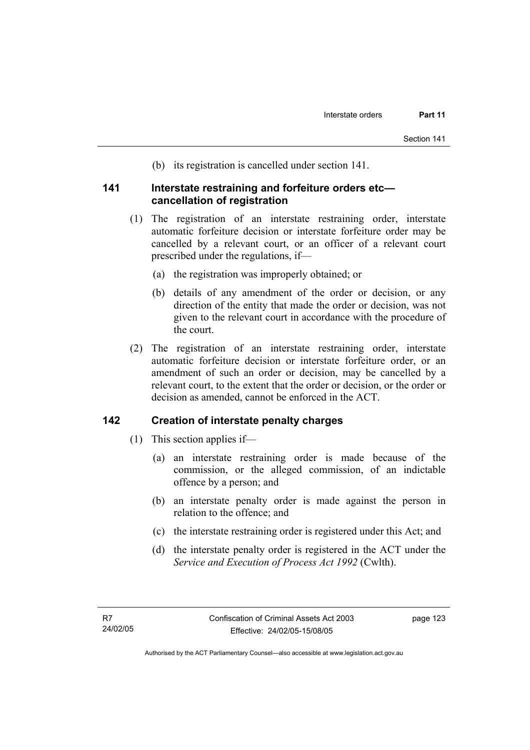(b) its registration is cancelled under section 141.

## **141 Interstate restraining and forfeiture orders etc cancellation of registration**

- (1) The registration of an interstate restraining order, interstate automatic forfeiture decision or interstate forfeiture order may be cancelled by a relevant court, or an officer of a relevant court prescribed under the regulations, if—
	- (a) the registration was improperly obtained; or
	- (b) details of any amendment of the order or decision, or any direction of the entity that made the order or decision, was not given to the relevant court in accordance with the procedure of the court.
- (2) The registration of an interstate restraining order, interstate automatic forfeiture decision or interstate forfeiture order, or an amendment of such an order or decision, may be cancelled by a relevant court, to the extent that the order or decision, or the order or decision as amended, cannot be enforced in the ACT.

## **142 Creation of interstate penalty charges**

- (1) This section applies if—
	- (a) an interstate restraining order is made because of the commission, or the alleged commission, of an indictable offence by a person; and
	- (b) an interstate penalty order is made against the person in relation to the offence; and
	- (c) the interstate restraining order is registered under this Act; and
	- (d) the interstate penalty order is registered in the ACT under the *Service and Execution of Process Act 1992* (Cwlth).

Authorised by the ACT Parliamentary Counsel—also accessible at www.legislation.act.gov.au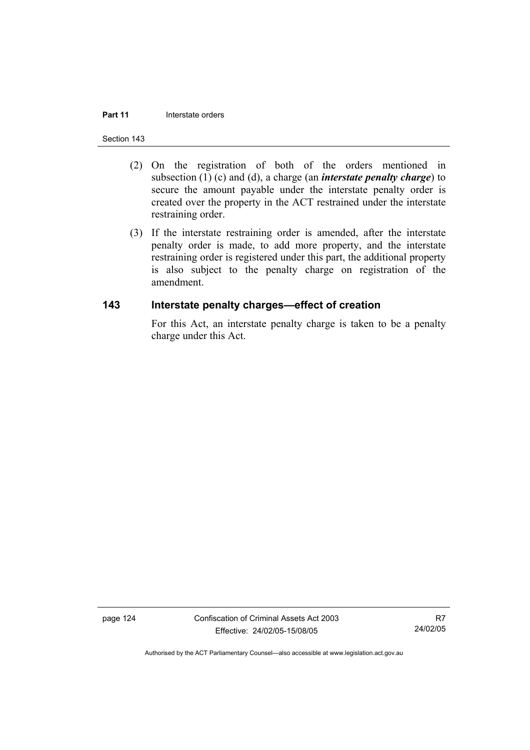#### **Part 11 Interstate orders**

#### Section 143

- (2) On the registration of both of the orders mentioned in subsection (1) (c) and (d), a charge (an *interstate penalty charge*) to secure the amount payable under the interstate penalty order is created over the property in the ACT restrained under the interstate restraining order.
- (3) If the interstate restraining order is amended, after the interstate penalty order is made, to add more property, and the interstate restraining order is registered under this part, the additional property is also subject to the penalty charge on registration of the amendment.

### **143 Interstate penalty charges—effect of creation**

For this Act, an interstate penalty charge is taken to be a penalty charge under this Act.

page 124 Confiscation of Criminal Assets Act 2003 Effective: 24/02/05-15/08/05

R7 24/02/05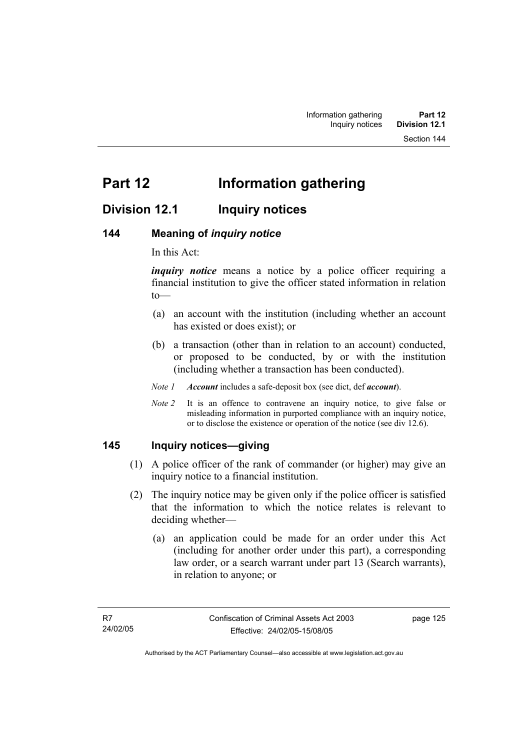## **Division 12.1 Inquiry notices**

## **144 Meaning of** *inquiry notice*

In this Act:

*inquiry notice* means a notice by a police officer requiring a financial institution to give the officer stated information in relation to—

- (a) an account with the institution (including whether an account has existed or does exist); or
- (b) a transaction (other than in relation to an account) conducted, or proposed to be conducted, by or with the institution (including whether a transaction has been conducted).

*Note 1 Account* includes a safe-deposit box (see dict, def *account*).

*Note 2* It is an offence to contravene an inquiry notice, to give false or misleading information in purported compliance with an inquiry notice, or to disclose the existence or operation of the notice (see div 12.6).

## **145 Inquiry notices—giving**

- (1) A police officer of the rank of commander (or higher) may give an inquiry notice to a financial institution.
- (2) The inquiry notice may be given only if the police officer is satisfied that the information to which the notice relates is relevant to deciding whether—
	- (a) an application could be made for an order under this Act (including for another order under this part), a corresponding law order, or a search warrant under part 13 (Search warrants), in relation to anyone; or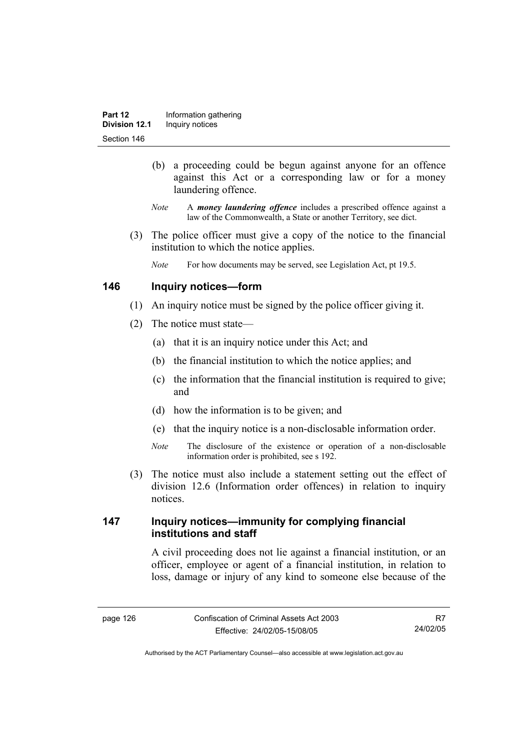- (b) a proceeding could be begun against anyone for an offence against this Act or a corresponding law or for a money laundering offence.
- *Note* A *money laundering offence* includes a prescribed offence against a law of the Commonwealth, a State or another Territory, see dict.
- (3) The police officer must give a copy of the notice to the financial institution to which the notice applies.
	- *Note* For how documents may be served, see Legislation Act, pt 19.5.

## **146 Inquiry notices—form**

- (1) An inquiry notice must be signed by the police officer giving it.
- (2) The notice must state—
	- (a) that it is an inquiry notice under this Act; and
	- (b) the financial institution to which the notice applies; and
	- (c) the information that the financial institution is required to give; and
	- (d) how the information is to be given; and
	- (e) that the inquiry notice is a non-disclosable information order.
	- *Note* The disclosure of the existence or operation of a non-disclosable information order is prohibited, see s 192.
- (3) The notice must also include a statement setting out the effect of division 12.6 (Information order offences) in relation to inquiry notices.

## **147 Inquiry notices—immunity for complying financial institutions and staff**

A civil proceeding does not lie against a financial institution, or an officer, employee or agent of a financial institution, in relation to loss, damage or injury of any kind to someone else because of the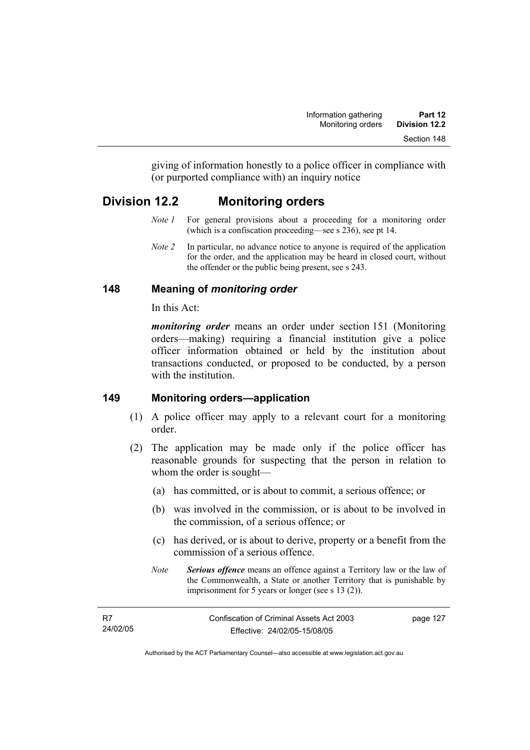giving of information honestly to a police officer in compliance with (or purported compliance with) an inquiry notice

## **Division 12.2 Monitoring orders**

- *Note 1* For general provisions about a proceeding for a monitoring order (which is a confiscation proceeding—see s 236), see pt 14.
- *Note 2* In particular, no advance notice to anyone is required of the application for the order, and the application may be heard in closed court, without the offender or the public being present, see s 243.

## **148 Meaning of** *monitoring order*

In this Act:

*monitoring order* means an order under section 151 (Monitoring orders—making) requiring a financial institution give a police officer information obtained or held by the institution about transactions conducted, or proposed to be conducted, by a person with the institution

## **149 Monitoring orders—application**

- (1) A police officer may apply to a relevant court for a monitoring order.
- (2) The application may be made only if the police officer has reasonable grounds for suspecting that the person in relation to whom the order is sought—
	- (a) has committed, or is about to commit, a serious offence; or
	- (b) was involved in the commission, or is about to be involved in the commission, of a serious offence; or
	- (c) has derived, or is about to derive, property or a benefit from the commission of a serious offence.
	- *Note Serious offence* means an offence against a Territory law or the law of the Commonwealth, a State or another Territory that is punishable by imprisonment for 5 years or longer (see s 13 (2)).

| - R7     | Confiscation of Criminal Assets Act 2003 | page 127 |
|----------|------------------------------------------|----------|
| 24/02/05 | Effective: 24/02/05-15/08/05             |          |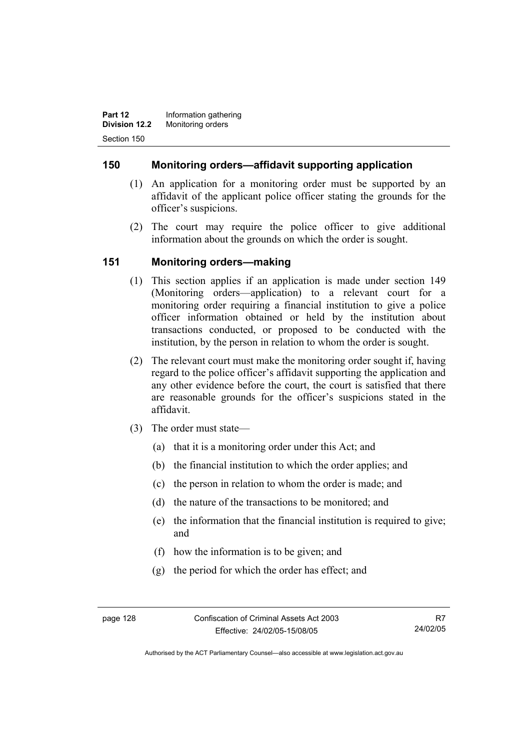**Part 12 Information gathering Division 12.2** Monitoring orders Section 150

## **150 Monitoring orders—affidavit supporting application**

- (1) An application for a monitoring order must be supported by an affidavit of the applicant police officer stating the grounds for the officer's suspicions.
- (2) The court may require the police officer to give additional information about the grounds on which the order is sought.

## **151 Monitoring orders—making**

- (1) This section applies if an application is made under section 149 (Monitoring orders—application) to a relevant court for a monitoring order requiring a financial institution to give a police officer information obtained or held by the institution about transactions conducted, or proposed to be conducted with the institution, by the person in relation to whom the order is sought.
- (2) The relevant court must make the monitoring order sought if, having regard to the police officer's affidavit supporting the application and any other evidence before the court, the court is satisfied that there are reasonable grounds for the officer's suspicions stated in the affidavit.
- (3) The order must state—
	- (a) that it is a monitoring order under this Act; and
	- (b) the financial institution to which the order applies; and
	- (c) the person in relation to whom the order is made; and
	- (d) the nature of the transactions to be monitored; and
	- (e) the information that the financial institution is required to give; and
	- (f) how the information is to be given; and
	- (g) the period for which the order has effect; and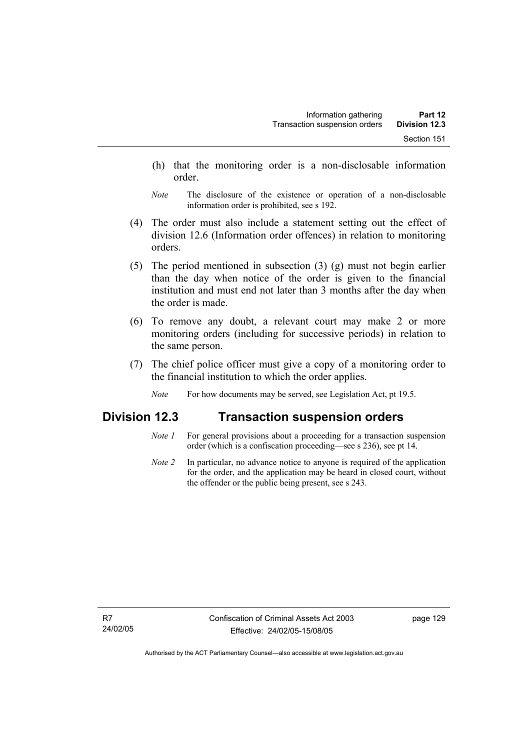- (h) that the monitoring order is a non-disclosable information order.
- *Note* The disclosure of the existence or operation of a non-disclosable information order is prohibited, see s 192.
- (4) The order must also include a statement setting out the effect of division 12.6 (Information order offences) in relation to monitoring orders.
- (5) The period mentioned in subsection (3) (g) must not begin earlier than the day when notice of the order is given to the financial institution and must end not later than 3 months after the day when the order is made.
- (6) To remove any doubt, a relevant court may make 2 or more monitoring orders (including for successive periods) in relation to the same person.
- (7) The chief police officer must give a copy of a monitoring order to the financial institution to which the order applies.
	- *Note* For how documents may be served, see Legislation Act, pt 19.5.

## **Division 12.3 Transaction suspension orders**

- *Note 1* For general provisions about a proceeding for a transaction suspension order (which is a confiscation proceeding—see s 236), see pt 14.
- *Note 2* In particular, no advance notice to anyone is required of the application for the order, and the application may be heard in closed court, without the offender or the public being present, see s 243.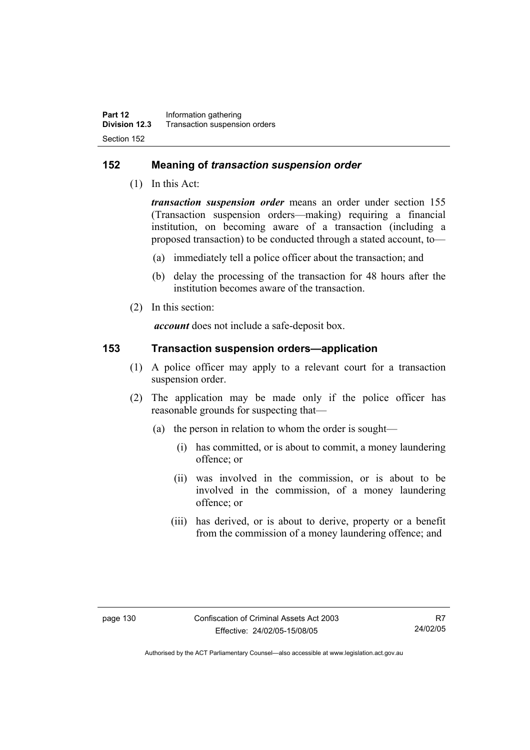## **152 Meaning of** *transaction suspension order*

(1) In this Act:

*transaction suspension order* means an order under section 155 (Transaction suspension orders—making) requiring a financial institution, on becoming aware of a transaction (including a proposed transaction) to be conducted through a stated account, to—

- (a) immediately tell a police officer about the transaction; and
- (b) delay the processing of the transaction for 48 hours after the institution becomes aware of the transaction.
- (2) In this section:

*account* does not include a safe-deposit box.

### **153 Transaction suspension orders—application**

- (1) A police officer may apply to a relevant court for a transaction suspension order.
- (2) The application may be made only if the police officer has reasonable grounds for suspecting that—
	- (a) the person in relation to whom the order is sought—
		- (i) has committed, or is about to commit, a money laundering offence; or
		- (ii) was involved in the commission, or is about to be involved in the commission, of a money laundering offence; or
		- (iii) has derived, or is about to derive, property or a benefit from the commission of a money laundering offence; and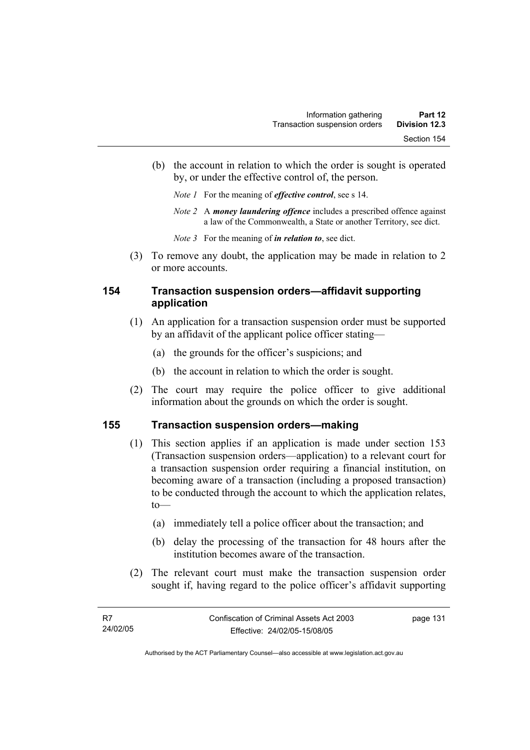- (b) the account in relation to which the order is sought is operated by, or under the effective control of, the person.
	- *Note 1* For the meaning of *effective control*, see s 14.
	- *Note 2* A *money laundering offence* includes a prescribed offence against a law of the Commonwealth, a State or another Territory, see dict.
	- *Note 3* For the meaning of *in relation to*, see dict.
- (3) To remove any doubt, the application may be made in relation to 2 or more accounts.

## **154 Transaction suspension orders—affidavit supporting application**

- (1) An application for a transaction suspension order must be supported by an affidavit of the applicant police officer stating—
	- (a) the grounds for the officer's suspicions; and
	- (b) the account in relation to which the order is sought.
- (2) The court may require the police officer to give additional information about the grounds on which the order is sought.

#### **155 Transaction suspension orders—making**

- (1) This section applies if an application is made under section 153 (Transaction suspension orders—application) to a relevant court for a transaction suspension order requiring a financial institution, on becoming aware of a transaction (including a proposed transaction) to be conducted through the account to which the application relates,  $to$ —
	- (a) immediately tell a police officer about the transaction; and
	- (b) delay the processing of the transaction for 48 hours after the institution becomes aware of the transaction.
- (2) The relevant court must make the transaction suspension order sought if, having regard to the police officer's affidavit supporting

page 131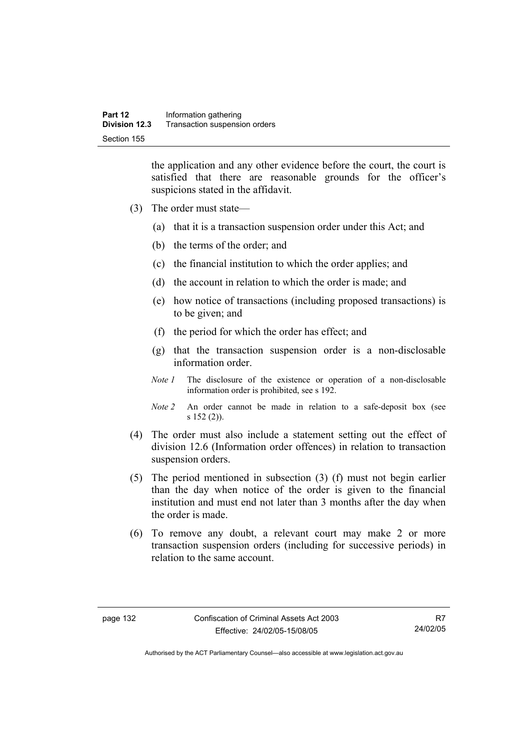the application and any other evidence before the court, the court is satisfied that there are reasonable grounds for the officer's suspicions stated in the affidavit.

- (3) The order must state—
	- (a) that it is a transaction suspension order under this Act; and
	- (b) the terms of the order; and
	- (c) the financial institution to which the order applies; and
	- (d) the account in relation to which the order is made; and
	- (e) how notice of transactions (including proposed transactions) is to be given; and
	- (f) the period for which the order has effect; and
	- (g) that the transaction suspension order is a non-disclosable information order.
	- *Note 1* The disclosure of the existence or operation of a non-disclosable information order is prohibited, see s 192.
	- *Note 2* An order cannot be made in relation to a safe-deposit box (see s 152 (2)).
- (4) The order must also include a statement setting out the effect of division 12.6 (Information order offences) in relation to transaction suspension orders.
- (5) The period mentioned in subsection (3) (f) must not begin earlier than the day when notice of the order is given to the financial institution and must end not later than 3 months after the day when the order is made.
- (6) To remove any doubt, a relevant court may make 2 or more transaction suspension orders (including for successive periods) in relation to the same account.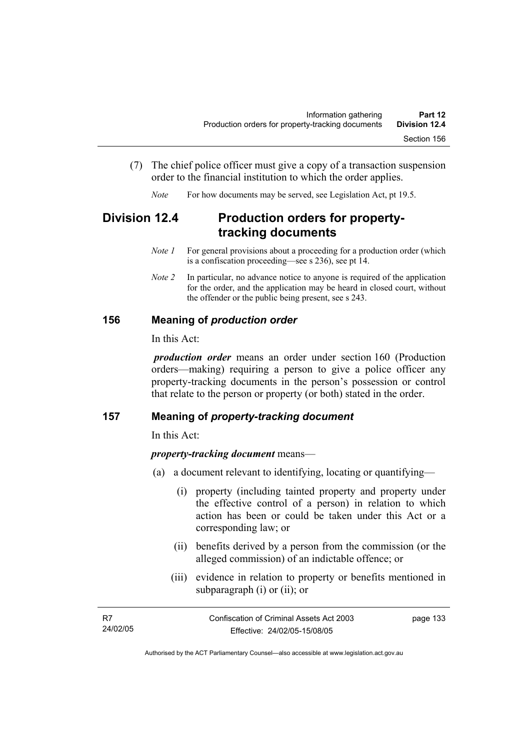- (7) The chief police officer must give a copy of a transaction suspension order to the financial institution to which the order applies.
	- *Note* For how documents may be served, see Legislation Act, pt 19.5.

# **Division 12.4 Production orders for propertytracking documents**

- *Note 1* For general provisions about a proceeding for a production order (which is a confiscation proceeding—see s 236), see pt 14.
- *Note 2* In particular, no advance notice to anyone is required of the application for the order, and the application may be heard in closed court, without the offender or the public being present, see s 243.

## **156 Meaning of** *production order*

In this Act:

*production order* means an order under section 160 (Production orders—making) requiring a person to give a police officer any property-tracking documents in the person's possession or control that relate to the person or property (or both) stated in the order.

#### **157 Meaning of** *property-tracking document*

In this Act:

#### *property-tracking document* means—

- (a) a document relevant to identifying, locating or quantifying—
	- (i) property (including tainted property and property under the effective control of a person) in relation to which action has been or could be taken under this Act or a corresponding law; or
	- (ii) benefits derived by a person from the commission (or the alleged commission) of an indictable offence; or
	- (iii) evidence in relation to property or benefits mentioned in subparagraph (i) or (ii); or

| - R7     | Confiscation of Criminal Assets Act 2003 | page 133 |
|----------|------------------------------------------|----------|
| 24/02/05 | Effective: 24/02/05-15/08/05             |          |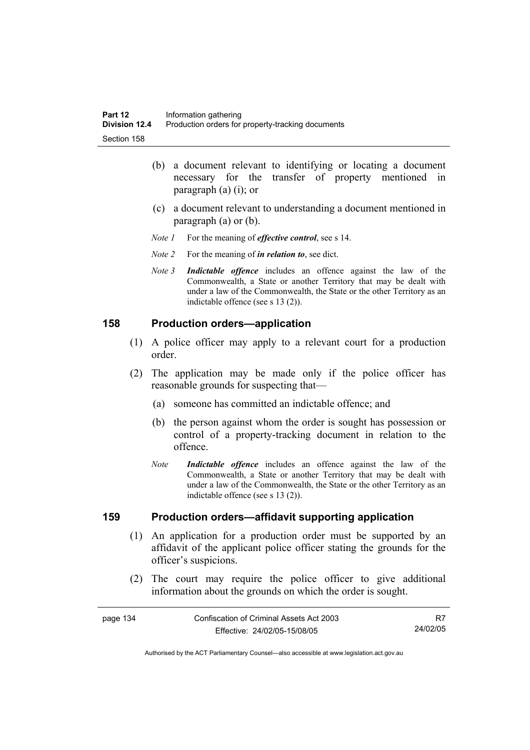- (b) a document relevant to identifying or locating a document necessary for the transfer of property mentioned in paragraph (a) (i); or
- (c) a document relevant to understanding a document mentioned in paragraph (a) or (b).
- *Note 1* For the meaning of *effective control*, see s 14.
- *Note 2* For the meaning of *in relation to*, see dict.
- *Note 3 Indictable offence* includes an offence against the law of the Commonwealth, a State or another Territory that may be dealt with under a law of the Commonwealth, the State or the other Territory as an indictable offence (see s 13 (2)).

#### **158 Production orders—application**

- (1) A police officer may apply to a relevant court for a production order.
- (2) The application may be made only if the police officer has reasonable grounds for suspecting that—
	- (a) someone has committed an indictable offence; and
	- (b) the person against whom the order is sought has possession or control of a property-tracking document in relation to the offence.
	- *Note Indictable offence* includes an offence against the law of the Commonwealth, a State or another Territory that may be dealt with under a law of the Commonwealth, the State or the other Territory as an indictable offence (see s 13 (2)).

#### **159 Production orders—affidavit supporting application**

- (1) An application for a production order must be supported by an affidavit of the applicant police officer stating the grounds for the officer's suspicions.
- (2) The court may require the police officer to give additional information about the grounds on which the order is sought.

| page 134 |  |
|----------|--|
|----------|--|

R7 24/02/05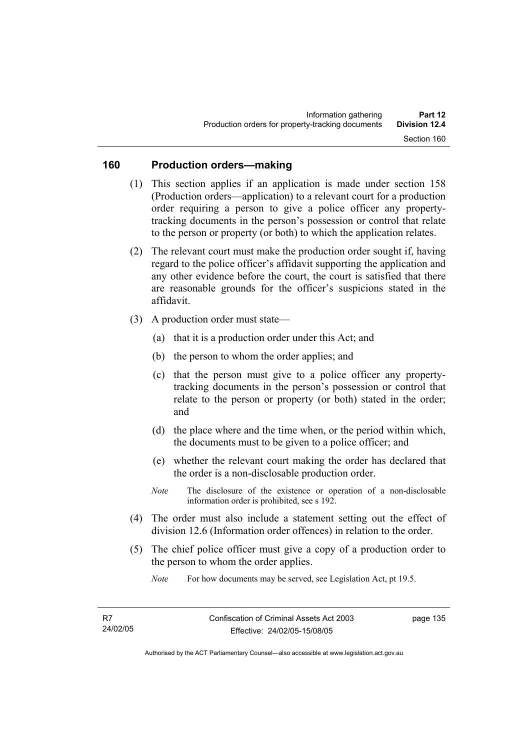## **160 Production orders—making**

- (1) This section applies if an application is made under section 158 (Production orders—application) to a relevant court for a production order requiring a person to give a police officer any propertytracking documents in the person's possession or control that relate to the person or property (or both) to which the application relates.
- (2) The relevant court must make the production order sought if, having regard to the police officer's affidavit supporting the application and any other evidence before the court, the court is satisfied that there are reasonable grounds for the officer's suspicions stated in the affidavit.
- (3) A production order must state—
	- (a) that it is a production order under this Act; and
	- (b) the person to whom the order applies; and
	- (c) that the person must give to a police officer any propertytracking documents in the person's possession or control that relate to the person or property (or both) stated in the order; and
	- (d) the place where and the time when, or the period within which, the documents must to be given to a police officer; and
	- (e) whether the relevant court making the order has declared that the order is a non-disclosable production order.
	- *Note* The disclosure of the existence or operation of a non-disclosable information order is prohibited, see s 192.
- (4) The order must also include a statement setting out the effect of division 12.6 (Information order offences) in relation to the order.
- (5) The chief police officer must give a copy of a production order to the person to whom the order applies.

*Note* For how documents may be served, see Legislation Act, pt 19.5.

page 135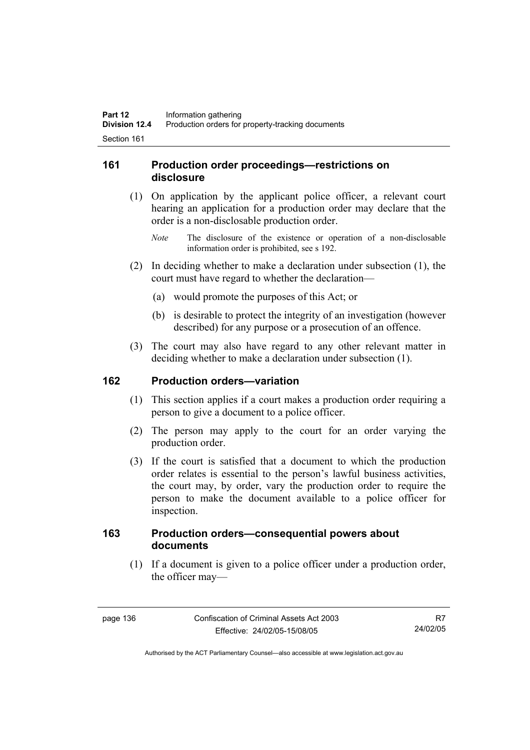## **161 Production order proceedings—restrictions on disclosure**

- (1) On application by the applicant police officer, a relevant court hearing an application for a production order may declare that the order is a non-disclosable production order.
	- *Note* The disclosure of the existence or operation of a non-disclosable information order is prohibited, see s 192.
- (2) In deciding whether to make a declaration under subsection (1), the court must have regard to whether the declaration—
	- (a) would promote the purposes of this Act; or
	- (b) is desirable to protect the integrity of an investigation (however described) for any purpose or a prosecution of an offence.
- (3) The court may also have regard to any other relevant matter in deciding whether to make a declaration under subsection (1).

#### **162 Production orders—variation**

- (1) This section applies if a court makes a production order requiring a person to give a document to a police officer.
- (2) The person may apply to the court for an order varying the production order.
- (3) If the court is satisfied that a document to which the production order relates is essential to the person's lawful business activities, the court may, by order, vary the production order to require the person to make the document available to a police officer for inspection.

## **163 Production orders—consequential powers about documents**

 (1) If a document is given to a police officer under a production order, the officer may—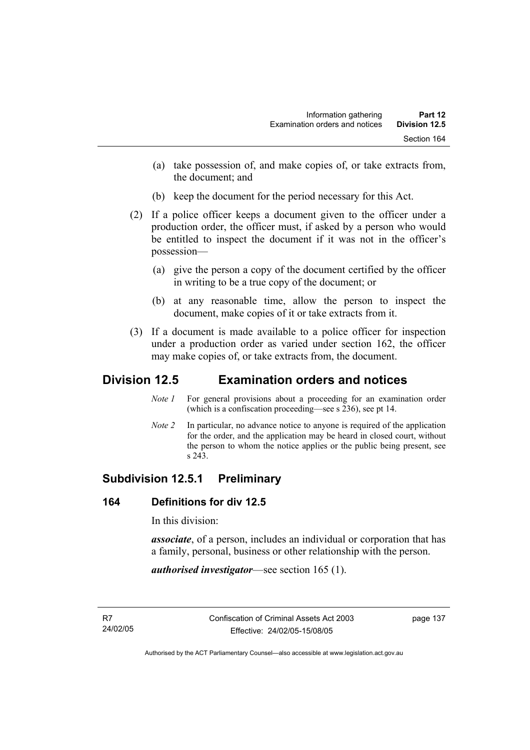- (a) take possession of, and make copies of, or take extracts from, the document; and
- (b) keep the document for the period necessary for this Act.
- (2) If a police officer keeps a document given to the officer under a production order, the officer must, if asked by a person who would be entitled to inspect the document if it was not in the officer's possession—
	- (a) give the person a copy of the document certified by the officer in writing to be a true copy of the document; or
	- (b) at any reasonable time, allow the person to inspect the document, make copies of it or take extracts from it.
- (3) If a document is made available to a police officer for inspection under a production order as varied under section 162, the officer may make copies of, or take extracts from, the document.

# **Division 12.5 Examination orders and notices**

- *Note 1* For general provisions about a proceeding for an examination order (which is a confiscation proceeding—see s 236), see pt 14.
- *Note 2* In particular, no advance notice to anyone is required of the application for the order, and the application may be heard in closed court, without the person to whom the notice applies or the public being present, see s 243.

# **Subdivision 12.5.1 Preliminary**

## **164 Definitions for div 12.5**

In this division:

*associate*, of a person, includes an individual or corporation that has a family, personal, business or other relationship with the person.

*authorised investigator*—see section 165 (1).

page 137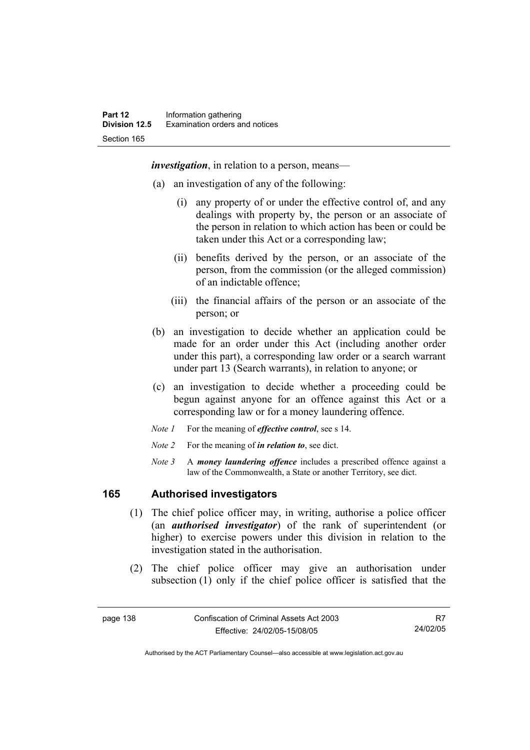*investigation*, in relation to a person, means—

- (a) an investigation of any of the following:
	- (i) any property of or under the effective control of, and any dealings with property by, the person or an associate of the person in relation to which action has been or could be taken under this Act or a corresponding law;
	- (ii) benefits derived by the person, or an associate of the person, from the commission (or the alleged commission) of an indictable offence;
	- (iii) the financial affairs of the person or an associate of the person; or
- (b) an investigation to decide whether an application could be made for an order under this Act (including another order under this part), a corresponding law order or a search warrant under part 13 (Search warrants), in relation to anyone; or
- (c) an investigation to decide whether a proceeding could be begun against anyone for an offence against this Act or a corresponding law or for a money laundering offence.
- *Note 1* For the meaning of *effective control*, see s 14.
- *Note 2* For the meaning of *in relation to*, see dict.
- *Note 3* A *money laundering offence* includes a prescribed offence against a law of the Commonwealth, a State or another Territory, see dict.

## **165 Authorised investigators**

- (1) The chief police officer may, in writing, authorise a police officer (an *authorised investigator*) of the rank of superintendent (or higher) to exercise powers under this division in relation to the investigation stated in the authorisation.
- (2) The chief police officer may give an authorisation under subsection (1) only if the chief police officer is satisfied that the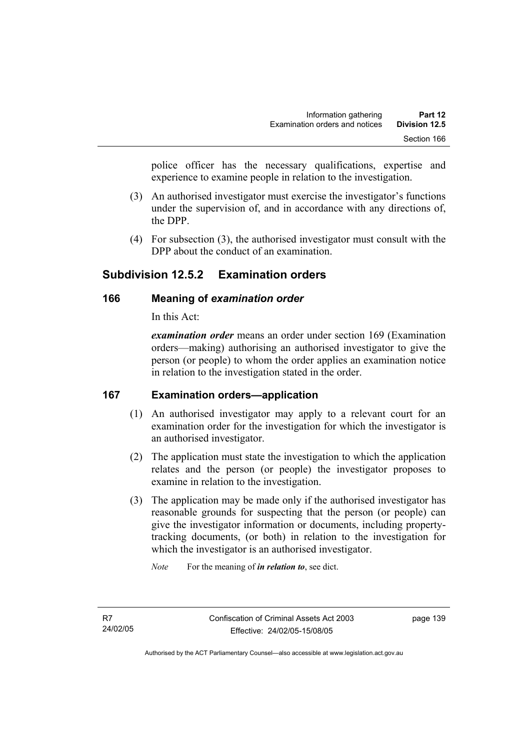police officer has the necessary qualifications, expertise and experience to examine people in relation to the investigation.

- (3) An authorised investigator must exercise the investigator's functions under the supervision of, and in accordance with any directions of, the DPP.
- (4) For subsection (3), the authorised investigator must consult with the DPP about the conduct of an examination.

# **Subdivision 12.5.2 Examination orders**

## **166 Meaning of** *examination order*

In this Act:

*examination order* means an order under section 169 (Examination orders—making) authorising an authorised investigator to give the person (or people) to whom the order applies an examination notice in relation to the investigation stated in the order.

## **167 Examination orders—application**

- (1) An authorised investigator may apply to a relevant court for an examination order for the investigation for which the investigator is an authorised investigator.
- (2) The application must state the investigation to which the application relates and the person (or people) the investigator proposes to examine in relation to the investigation.
- (3) The application may be made only if the authorised investigator has reasonable grounds for suspecting that the person (or people) can give the investigator information or documents, including propertytracking documents, (or both) in relation to the investigation for which the investigator is an authorised investigator.

*Note* For the meaning of *in relation to*, see dict.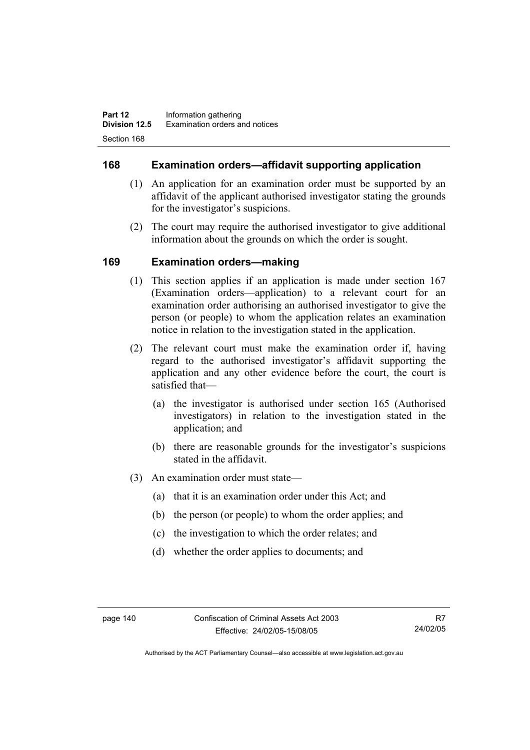## **168 Examination orders—affidavit supporting application**

- (1) An application for an examination order must be supported by an affidavit of the applicant authorised investigator stating the grounds for the investigator's suspicions.
- (2) The court may require the authorised investigator to give additional information about the grounds on which the order is sought.

## **169 Examination orders—making**

- (1) This section applies if an application is made under section 167 (Examination orders—application) to a relevant court for an examination order authorising an authorised investigator to give the person (or people) to whom the application relates an examination notice in relation to the investigation stated in the application.
- (2) The relevant court must make the examination order if, having regard to the authorised investigator's affidavit supporting the application and any other evidence before the court, the court is satisfied that—
	- (a) the investigator is authorised under section 165 (Authorised investigators) in relation to the investigation stated in the application; and
	- (b) there are reasonable grounds for the investigator's suspicions stated in the affidavit.
- (3) An examination order must state—
	- (a) that it is an examination order under this Act; and
	- (b) the person (or people) to whom the order applies; and
	- (c) the investigation to which the order relates; and
	- (d) whether the order applies to documents; and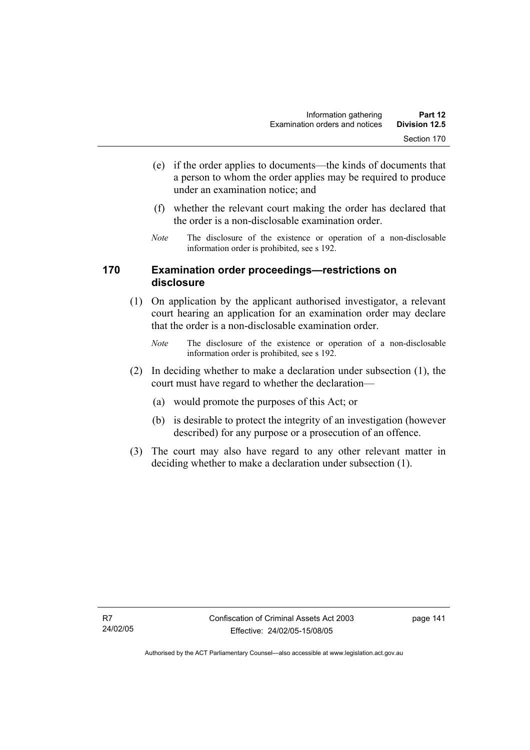- (e) if the order applies to documents—the kinds of documents that a person to whom the order applies may be required to produce under an examination notice; and
- (f) whether the relevant court making the order has declared that the order is a non-disclosable examination order.
- *Note* The disclosure of the existence or operation of a non-disclosable information order is prohibited, see s 192.

## **170 Examination order proceedings—restrictions on disclosure**

- (1) On application by the applicant authorised investigator, a relevant court hearing an application for an examination order may declare that the order is a non-disclosable examination order.
	- *Note* The disclosure of the existence or operation of a non-disclosable information order is prohibited, see s 192.
- (2) In deciding whether to make a declaration under subsection (1), the court must have regard to whether the declaration—
	- (a) would promote the purposes of this Act; or
	- (b) is desirable to protect the integrity of an investigation (however described) for any purpose or a prosecution of an offence.
- (3) The court may also have regard to any other relevant matter in deciding whether to make a declaration under subsection (1).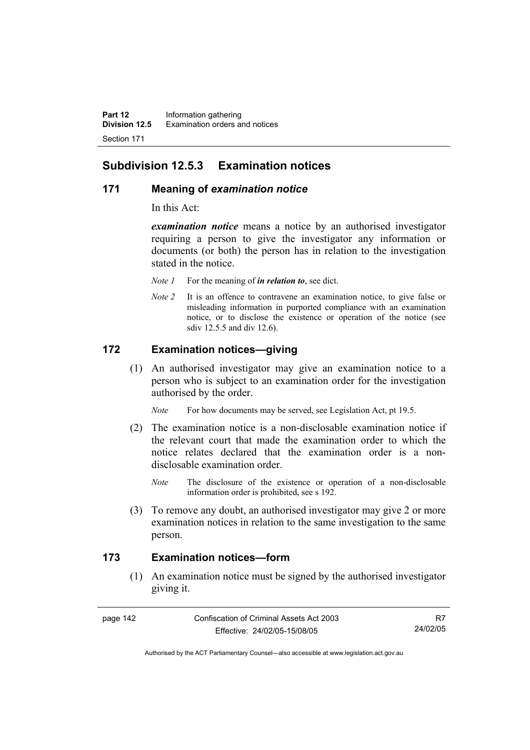## **Subdivision 12.5.3 Examination notices**

#### **171 Meaning of** *examination notice*

In this Act:

*examination notice* means a notice by an authorised investigator requiring a person to give the investigator any information or documents (or both) the person has in relation to the investigation stated in the notice.

- *Note 1* For the meaning of *in relation to*, see dict.
- *Note 2* It is an offence to contravene an examination notice, to give false or misleading information in purported compliance with an examination notice, or to disclose the existence or operation of the notice (see sdiv 12.5.5 and div 12.6).

## **172 Examination notices—giving**

 (1) An authorised investigator may give an examination notice to a person who is subject to an examination order for the investigation authorised by the order.

*Note* For how documents may be served, see Legislation Act, pt 19.5.

- (2) The examination notice is a non-disclosable examination notice if the relevant court that made the examination order to which the notice relates declared that the examination order is a nondisclosable examination order.
	- *Note* The disclosure of the existence or operation of a non-disclosable information order is prohibited, see s 192.
- (3) To remove any doubt, an authorised investigator may give 2 or more examination notices in relation to the same investigation to the same person.

## **173 Examination notices—form**

 (1) An examination notice must be signed by the authorised investigator giving it.

R7 24/02/05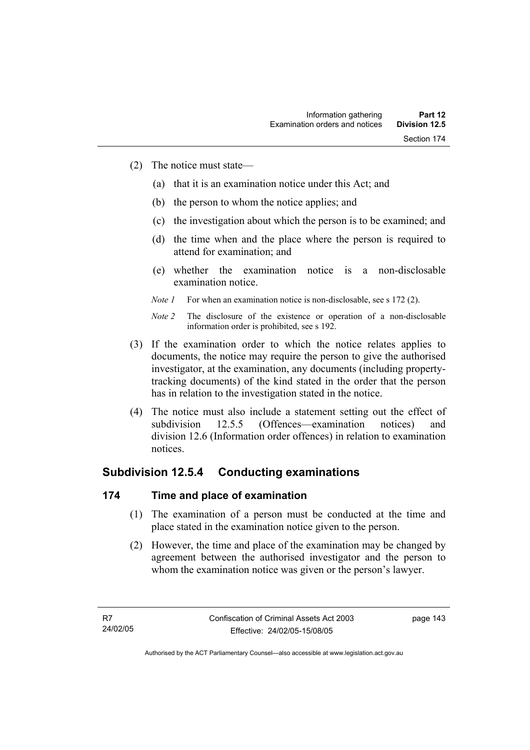- (2) The notice must state—
	- (a) that it is an examination notice under this Act; and
	- (b) the person to whom the notice applies; and
	- (c) the investigation about which the person is to be examined; and
	- (d) the time when and the place where the person is required to attend for examination; and
	- (e) whether the examination notice is a non-disclosable examination notice.
	- *Note 1* For when an examination notice is non-disclosable, see s 172 (2).

- (3) If the examination order to which the notice relates applies to documents, the notice may require the person to give the authorised investigator, at the examination, any documents (including propertytracking documents) of the kind stated in the order that the person has in relation to the investigation stated in the notice.
- (4) The notice must also include a statement setting out the effect of subdivision 12.5.5 (Offences—examination notices) and division 12.6 (Information order offences) in relation to examination notices.

# **Subdivision 12.5.4 Conducting examinations**

## **174 Time and place of examination**

- (1) The examination of a person must be conducted at the time and place stated in the examination notice given to the person.
- (2) However, the time and place of the examination may be changed by agreement between the authorised investigator and the person to whom the examination notice was given or the person's lawyer.

page 143

*Note 2* The disclosure of the existence or operation of a non-disclosable information order is prohibited, see s 192.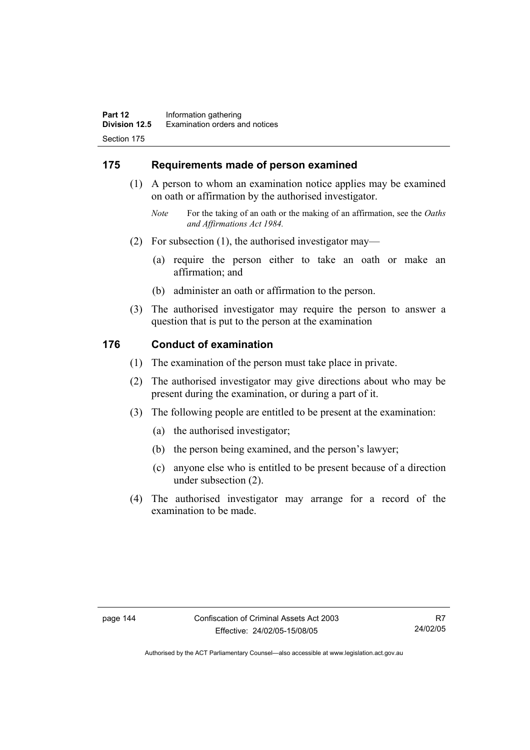## **175 Requirements made of person examined**

- (1) A person to whom an examination notice applies may be examined on oath or affirmation by the authorised investigator.
	- *Note* For the taking of an oath or the making of an affirmation, see the *Oaths and Affirmations Act 1984.*
- (2) For subsection (1), the authorised investigator may—
	- (a) require the person either to take an oath or make an affirmation; and
	- (b) administer an oath or affirmation to the person.
- (3) The authorised investigator may require the person to answer a question that is put to the person at the examination

#### **176 Conduct of examination**

- (1) The examination of the person must take place in private.
- (2) The authorised investigator may give directions about who may be present during the examination, or during a part of it.
- (3) The following people are entitled to be present at the examination:
	- (a) the authorised investigator;
	- (b) the person being examined, and the person's lawyer;
	- (c) anyone else who is entitled to be present because of a direction under subsection (2).
- (4) The authorised investigator may arrange for a record of the examination to be made.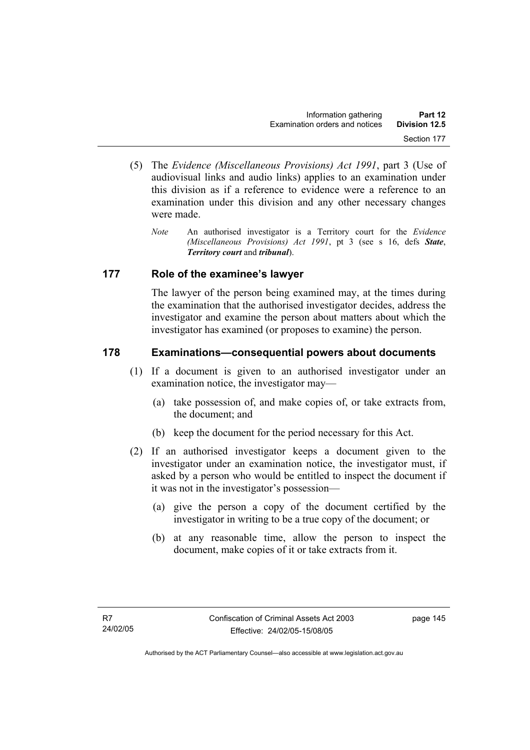- (5) The *Evidence (Miscellaneous Provisions) Act 1991*, part 3 (Use of audiovisual links and audio links) applies to an examination under this division as if a reference to evidence were a reference to an examination under this division and any other necessary changes were made.
	- *Note* An authorised investigator is a Territory court for the *Evidence (Miscellaneous Provisions) Act 1991*, pt 3 (see s 16, defs *State*, *Territory court* and *tribunal*).

## **177 Role of the examinee's lawyer**

The lawyer of the person being examined may, at the times during the examination that the authorised investigator decides, address the investigator and examine the person about matters about which the investigator has examined (or proposes to examine) the person.

## **178 Examinations—consequential powers about documents**

- (1) If a document is given to an authorised investigator under an examination notice, the investigator may—
	- (a) take possession of, and make copies of, or take extracts from, the document; and
	- (b) keep the document for the period necessary for this Act.
- (2) If an authorised investigator keeps a document given to the investigator under an examination notice, the investigator must, if asked by a person who would be entitled to inspect the document if it was not in the investigator's possession—
	- (a) give the person a copy of the document certified by the investigator in writing to be a true copy of the document; or
	- (b) at any reasonable time, allow the person to inspect the document, make copies of it or take extracts from it.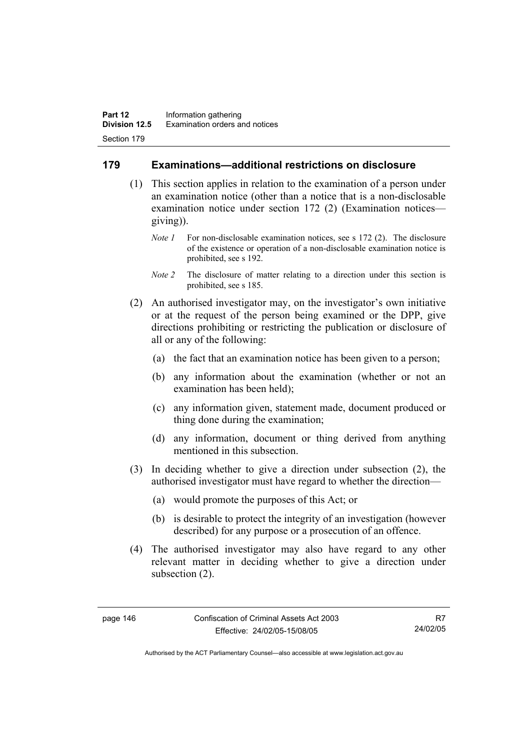## **179 Examinations—additional restrictions on disclosure**

- (1) This section applies in relation to the examination of a person under an examination notice (other than a notice that is a non-disclosable examination notice under section 172 (2) (Examination notices giving)).
	- *Note 1* For non-disclosable examination notices, see s 172 (2). The disclosure of the existence or operation of a non-disclosable examination notice is prohibited, see s 192.
	- *Note 2* The disclosure of matter relating to a direction under this section is prohibited, see s 185.
- (2) An authorised investigator may, on the investigator's own initiative or at the request of the person being examined or the DPP, give directions prohibiting or restricting the publication or disclosure of all or any of the following:
	- (a) the fact that an examination notice has been given to a person;
	- (b) any information about the examination (whether or not an examination has been held);
	- (c) any information given, statement made, document produced or thing done during the examination;
	- (d) any information, document or thing derived from anything mentioned in this subsection.
- (3) In deciding whether to give a direction under subsection (2), the authorised investigator must have regard to whether the direction—
	- (a) would promote the purposes of this Act; or
	- (b) is desirable to protect the integrity of an investigation (however described) for any purpose or a prosecution of an offence.
- (4) The authorised investigator may also have regard to any other relevant matter in deciding whether to give a direction under subsection (2).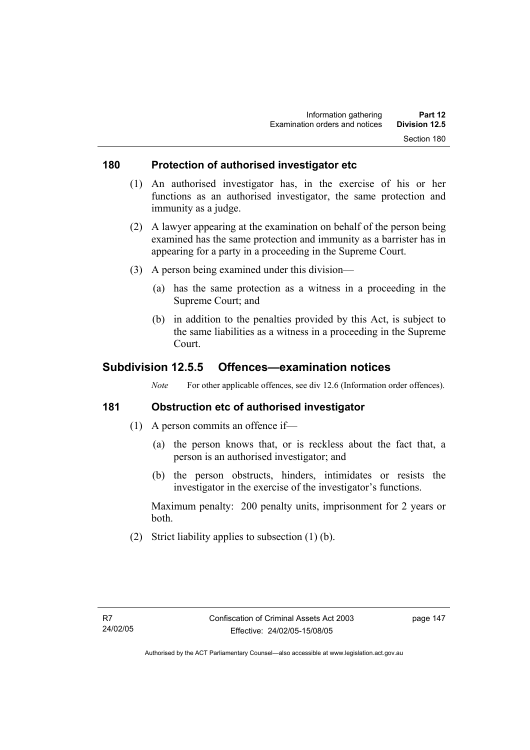#### **180 Protection of authorised investigator etc**

- (1) An authorised investigator has, in the exercise of his or her functions as an authorised investigator, the same protection and immunity as a judge.
- (2) A lawyer appearing at the examination on behalf of the person being examined has the same protection and immunity as a barrister has in appearing for a party in a proceeding in the Supreme Court.
- (3) A person being examined under this division—
	- (a) has the same protection as a witness in a proceeding in the Supreme Court; and
	- (b) in addition to the penalties provided by this Act, is subject to the same liabilities as a witness in a proceeding in the Supreme Court.

## **Subdivision 12.5.5 Offences—examination notices**

*Note* For other applicable offences, see div 12.6 (Information order offences).

## **181 Obstruction etc of authorised investigator**

- (1) A person commits an offence if—
	- (a) the person knows that, or is reckless about the fact that, a person is an authorised investigator; and
	- (b) the person obstructs, hinders, intimidates or resists the investigator in the exercise of the investigator's functions.

Maximum penalty: 200 penalty units, imprisonment for 2 years or both.

(2) Strict liability applies to subsection (1) (b).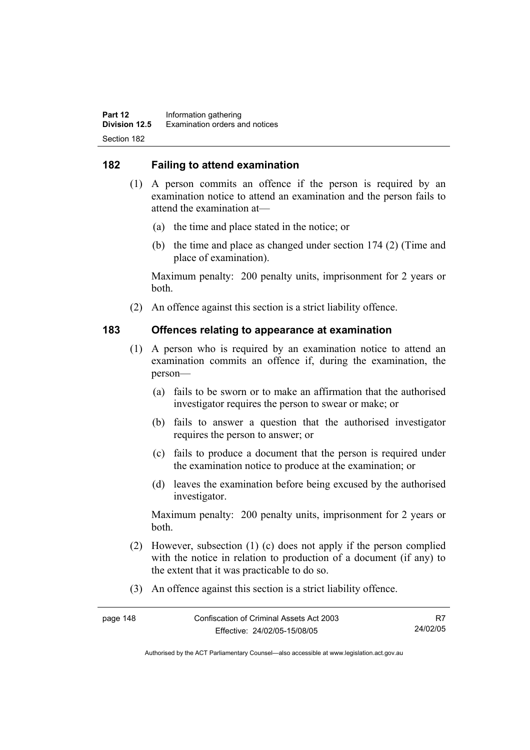## **182 Failing to attend examination**

- (1) A person commits an offence if the person is required by an examination notice to attend an examination and the person fails to attend the examination at—
	- (a) the time and place stated in the notice; or
	- (b) the time and place as changed under section 174 (2) (Time and place of examination).

Maximum penalty: 200 penalty units, imprisonment for 2 years or both.

(2) An offence against this section is a strict liability offence.

#### **183 Offences relating to appearance at examination**

- (1) A person who is required by an examination notice to attend an examination commits an offence if, during the examination, the person—
	- (a) fails to be sworn or to make an affirmation that the authorised investigator requires the person to swear or make; or
	- (b) fails to answer a question that the authorised investigator requires the person to answer; or
	- (c) fails to produce a document that the person is required under the examination notice to produce at the examination; or
	- (d) leaves the examination before being excused by the authorised investigator.

Maximum penalty: 200 penalty units, imprisonment for 2 years or both.

- (2) However, subsection (1) (c) does not apply if the person complied with the notice in relation to production of a document (if any) to the extent that it was practicable to do so.
- (3) An offence against this section is a strict liability offence.

| page 148 | Confiscation of Criminal Assets Act 2003 |          |
|----------|------------------------------------------|----------|
|          | Effective: 24/02/05-15/08/05             | 24/02/05 |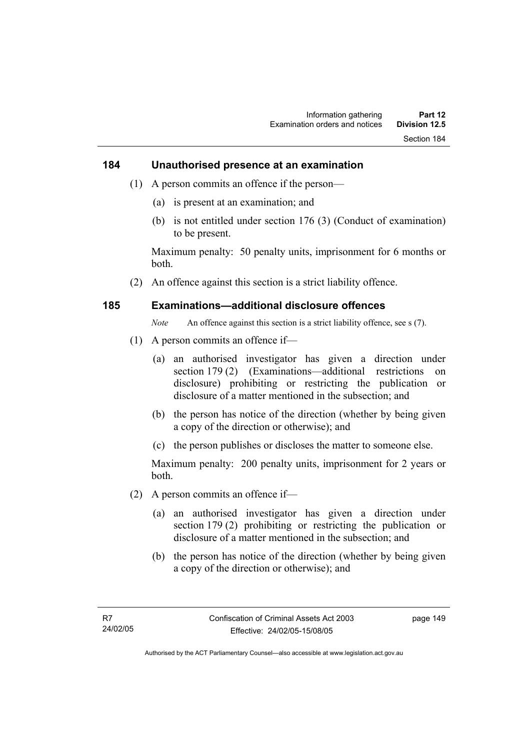#### **184 Unauthorised presence at an examination**

- (1) A person commits an offence if the person—
	- (a) is present at an examination; and
	- (b) is not entitled under section 176 (3) (Conduct of examination) to be present.

Maximum penalty: 50 penalty units, imprisonment for 6 months or both.

(2) An offence against this section is a strict liability offence.

#### **185 Examinations—additional disclosure offences**

*Note* An offence against this section is a strict liability offence, see s (7).

- (1) A person commits an offence if—
	- (a) an authorised investigator has given a direction under section 179 (2) (Examinations—additional restrictions on disclosure) prohibiting or restricting the publication or disclosure of a matter mentioned in the subsection; and
	- (b) the person has notice of the direction (whether by being given a copy of the direction or otherwise); and
	- (c) the person publishes or discloses the matter to someone else.

Maximum penalty: 200 penalty units, imprisonment for 2 years or both.

- (2) A person commits an offence if—
	- (a) an authorised investigator has given a direction under section 179 (2) prohibiting or restricting the publication or disclosure of a matter mentioned in the subsection; and
	- (b) the person has notice of the direction (whether by being given a copy of the direction or otherwise); and

page 149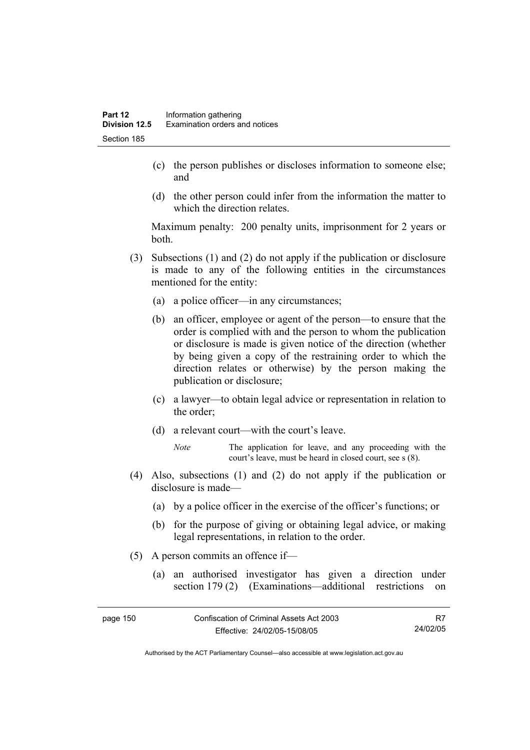- (c) the person publishes or discloses information to someone else; and
- (d) the other person could infer from the information the matter to which the direction relates.

Maximum penalty: 200 penalty units, imprisonment for 2 years or both.

- (3) Subsections (1) and (2) do not apply if the publication or disclosure is made to any of the following entities in the circumstances mentioned for the entity:
	- (a) a police officer—in any circumstances;
	- (b) an officer, employee or agent of the person—to ensure that the order is complied with and the person to whom the publication or disclosure is made is given notice of the direction (whether by being given a copy of the restraining order to which the direction relates or otherwise) by the person making the publication or disclosure;
	- (c) a lawyer—to obtain legal advice or representation in relation to the order;
	- (d) a relevant court—with the court's leave.
		- *Note* The application for leave, and any proceeding with the court's leave, must be heard in closed court, see s (8).
- (4) Also, subsections (1) and (2) do not apply if the publication or disclosure is made—
	- (a) by a police officer in the exercise of the officer's functions; or
	- (b) for the purpose of giving or obtaining legal advice, or making legal representations, in relation to the order.
- (5) A person commits an offence if—
	- (a) an authorised investigator has given a direction under section 179 (2) (Examinations—additional restrictions on

| page 150 | Confiscation of Criminal Assets Act 2003 | R7       |
|----------|------------------------------------------|----------|
|          | Effective: 24/02/05-15/08/05             | 24/02/05 |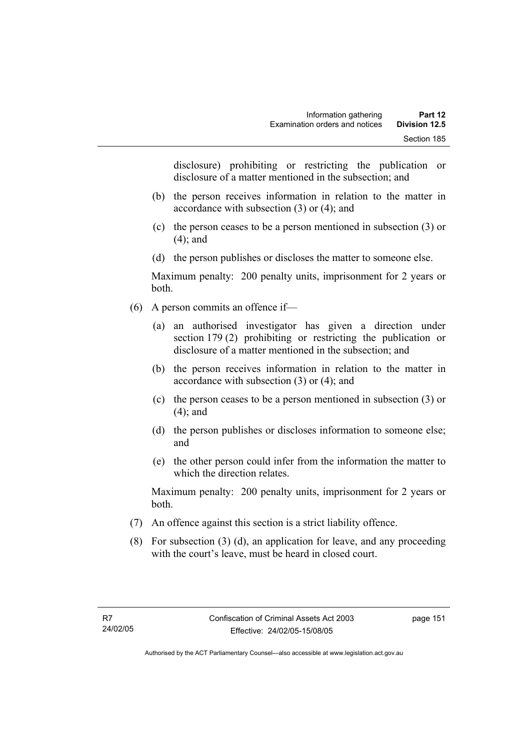disclosure) prohibiting or restricting the publication or disclosure of a matter mentioned in the subsection; and

- (b) the person receives information in relation to the matter in accordance with subsection (3) or (4); and
- (c) the person ceases to be a person mentioned in subsection (3) or (4); and
- (d) the person publishes or discloses the matter to someone else.

Maximum penalty: 200 penalty units, imprisonment for 2 years or both.

- (6) A person commits an offence if—
	- (a) an authorised investigator has given a direction under section 179 (2) prohibiting or restricting the publication or disclosure of a matter mentioned in the subsection; and
	- (b) the person receives information in relation to the matter in accordance with subsection (3) or (4); and
	- (c) the person ceases to be a person mentioned in subsection (3) or (4); and
	- (d) the person publishes or discloses information to someone else; and
	- (e) the other person could infer from the information the matter to which the direction relates.

Maximum penalty: 200 penalty units, imprisonment for 2 years or both.

- (7) An offence against this section is a strict liability offence.
- (8) For subsection (3) (d), an application for leave, and any proceeding with the court's leave, must be heard in closed court.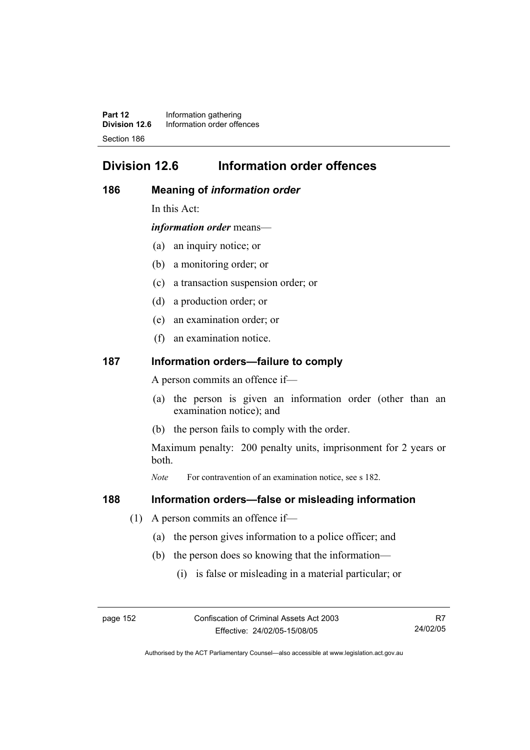**Part 12** Information gathering<br>**Division 12.6** Information order offer **Division 12.6** Information order offences Section 186

# **Division 12.6 Information order offences**

#### **186 Meaning of** *information order*

In this Act:

*information order* means—

- (a) an inquiry notice; or
- (b) a monitoring order; or
- (c) a transaction suspension order; or
- (d) a production order; or
- (e) an examination order; or
- (f) an examination notice.

#### **187 Information orders—failure to comply**

A person commits an offence if—

- (a) the person is given an information order (other than an examination notice); and
- (b) the person fails to comply with the order.

Maximum penalty: 200 penalty units, imprisonment for 2 years or both.

*Note* For contravention of an examination notice, see s 182.

#### **188 Information orders—false or misleading information**

- (1) A person commits an offence if—
	- (a) the person gives information to a police officer; and
	- (b) the person does so knowing that the information—
		- (i) is false or misleading in a material particular; or

R7 24/02/05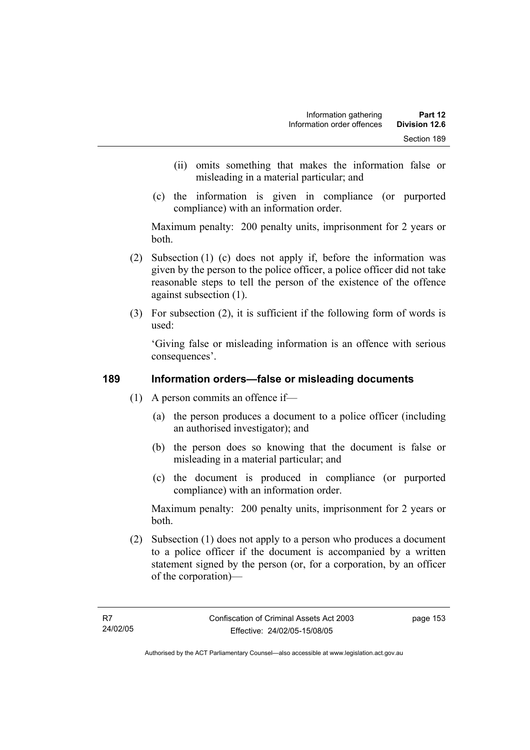- (ii) omits something that makes the information false or misleading in a material particular; and
- (c) the information is given in compliance (or purported compliance) with an information order.

Maximum penalty: 200 penalty units, imprisonment for 2 years or both.

- (2) Subsection (1) (c) does not apply if, before the information was given by the person to the police officer, a police officer did not take reasonable steps to tell the person of the existence of the offence against subsection (1).
- (3) For subsection (2), it is sufficient if the following form of words is used:

'Giving false or misleading information is an offence with serious consequences'.

## **189 Information orders—false or misleading documents**

- (1) A person commits an offence if—
	- (a) the person produces a document to a police officer (including an authorised investigator); and
	- (b) the person does so knowing that the document is false or misleading in a material particular; and
	- (c) the document is produced in compliance (or purported compliance) with an information order.

Maximum penalty: 200 penalty units, imprisonment for 2 years or both.

 (2) Subsection (1) does not apply to a person who produces a document to a police officer if the document is accompanied by a written statement signed by the person (or, for a corporation, by an officer of the corporation)—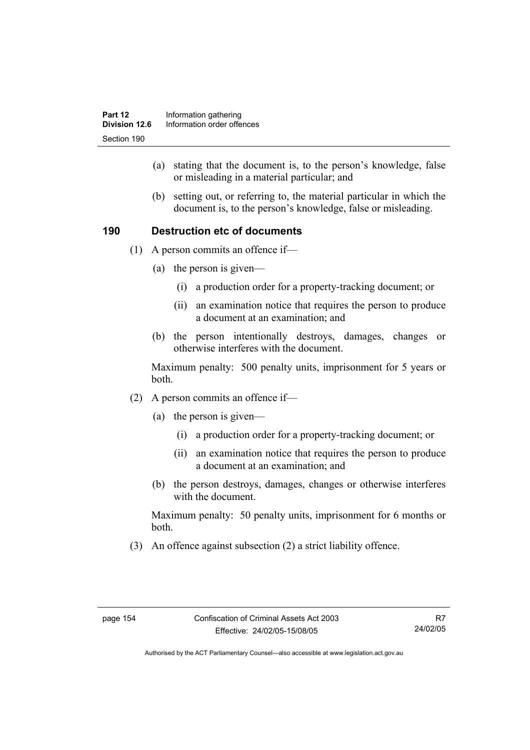- (a) stating that the document is, to the person's knowledge, false or misleading in a material particular; and
- (b) setting out, or referring to, the material particular in which the document is, to the person's knowledge, false or misleading.

## **190 Destruction etc of documents**

- (1) A person commits an offence if—
	- (a) the person is given—
		- (i) a production order for a property-tracking document; or
		- (ii) an examination notice that requires the person to produce a document at an examination; and
	- (b) the person intentionally destroys, damages, changes or otherwise interferes with the document.

Maximum penalty: 500 penalty units, imprisonment for 5 years or both.

- (2) A person commits an offence if—
	- (a) the person is given—
		- (i) a production order for a property-tracking document; or
		- (ii) an examination notice that requires the person to produce a document at an examination; and
	- (b) the person destroys, damages, changes or otherwise interferes with the document.

Maximum penalty: 50 penalty units, imprisonment for 6 months or both.

(3) An offence against subsection (2) a strict liability offence.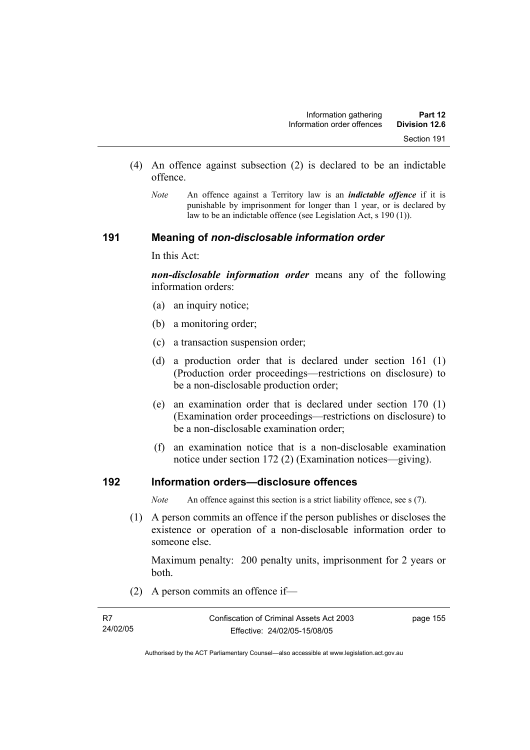- (4) An offence against subsection (2) is declared to be an indictable offence.
	- *Note* An offence against a Territory law is an *indictable offence* if it is punishable by imprisonment for longer than 1 year, or is declared by law to be an indictable offence (see Legislation Act, s 190 (1)).

#### **191 Meaning of** *non-disclosable information order*

In this Act:

*non-disclosable information order* means any of the following information orders:

- (a) an inquiry notice;
- (b) a monitoring order;
- (c) a transaction suspension order;
- (d) a production order that is declared under section 161 (1) (Production order proceedings—restrictions on disclosure) to be a non-disclosable production order;
- (e) an examination order that is declared under section 170 (1) (Examination order proceedings—restrictions on disclosure) to be a non-disclosable examination order;
- (f) an examination notice that is a non-disclosable examination notice under section 172 (2) (Examination notices—giving).

## **192 Information orders—disclosure offences**

*Note* An offence against this section is a strict liability offence, see s (7).

 (1) A person commits an offence if the person publishes or discloses the existence or operation of a non-disclosable information order to someone else.

Maximum penalty: 200 penalty units, imprisonment for 2 years or both.

(2) A person commits an offence if—

| R7       | Confiscation of Criminal Assets Act 2003 | page 155 |
|----------|------------------------------------------|----------|
| 24/02/05 | Effective: 24/02/05-15/08/05             |          |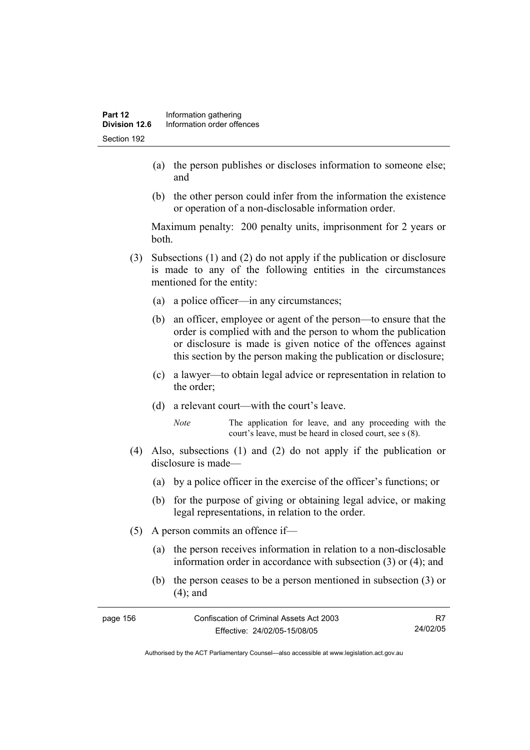- (a) the person publishes or discloses information to someone else; and
- (b) the other person could infer from the information the existence or operation of a non-disclosable information order.

Maximum penalty: 200 penalty units, imprisonment for 2 years or both.

- (3) Subsections (1) and (2) do not apply if the publication or disclosure is made to any of the following entities in the circumstances mentioned for the entity:
	- (a) a police officer—in any circumstances;
	- (b) an officer, employee or agent of the person—to ensure that the order is complied with and the person to whom the publication or disclosure is made is given notice of the offences against this section by the person making the publication or disclosure;
	- (c) a lawyer—to obtain legal advice or representation in relation to the order;
	- (d) a relevant court—with the court's leave.
		- *Note* The application for leave, and any proceeding with the court's leave, must be heard in closed court, see s (8).
- (4) Also, subsections (1) and (2) do not apply if the publication or disclosure is made—
	- (a) by a police officer in the exercise of the officer's functions; or
	- (b) for the purpose of giving or obtaining legal advice, or making legal representations, in relation to the order.
- (5) A person commits an offence if—
	- (a) the person receives information in relation to a non-disclosable information order in accordance with subsection (3) or (4); and
	- (b) the person ceases to be a person mentioned in subsection (3) or (4); and

| page 156 | Confiscation of Criminal Assets Act 2003 |          |
|----------|------------------------------------------|----------|
|          | Effective: 24/02/05-15/08/05             | 24/02/05 |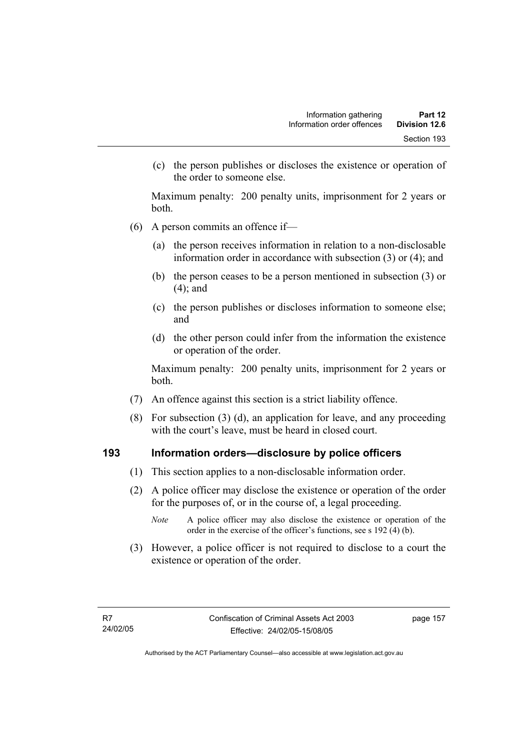(c) the person publishes or discloses the existence or operation of the order to someone else.

Maximum penalty: 200 penalty units, imprisonment for 2 years or both.

- (6) A person commits an offence if—
	- (a) the person receives information in relation to a non-disclosable information order in accordance with subsection (3) or (4); and
	- (b) the person ceases to be a person mentioned in subsection (3) or (4); and
	- (c) the person publishes or discloses information to someone else; and
	- (d) the other person could infer from the information the existence or operation of the order.

Maximum penalty: 200 penalty units, imprisonment for 2 years or both.

- (7) An offence against this section is a strict liability offence.
- (8) For subsection (3) (d), an application for leave, and any proceeding with the court's leave, must be heard in closed court.

#### **193 Information orders—disclosure by police officers**

- (1) This section applies to a non-disclosable information order.
- (2) A police officer may disclose the existence or operation of the order for the purposes of, or in the course of, a legal proceeding.
	- *Note* A police officer may also disclose the existence or operation of the order in the exercise of the officer's functions, see s 192 (4) (b).
- (3) However, a police officer is not required to disclose to a court the existence or operation of the order.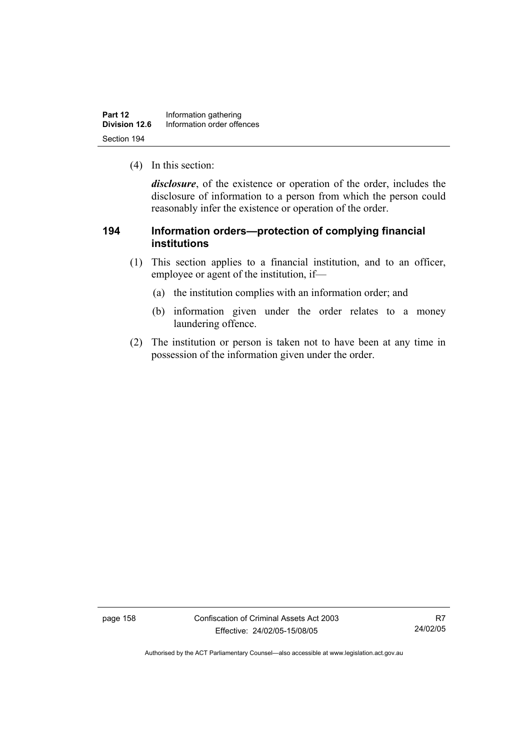| Part 12       | Information gathering      |
|---------------|----------------------------|
| Division 12.6 | Information order offences |
| Section 194   |                            |

(4) In this section:

*disclosure*, of the existence or operation of the order, includes the disclosure of information to a person from which the person could reasonably infer the existence or operation of the order.

## **194 Information orders—protection of complying financial institutions**

- (1) This section applies to a financial institution, and to an officer, employee or agent of the institution, if—
	- (a) the institution complies with an information order; and
	- (b) information given under the order relates to a money laundering offence.
- (2) The institution or person is taken not to have been at any time in possession of the information given under the order.

page 158 Confiscation of Criminal Assets Act 2003 Effective: 24/02/05-15/08/05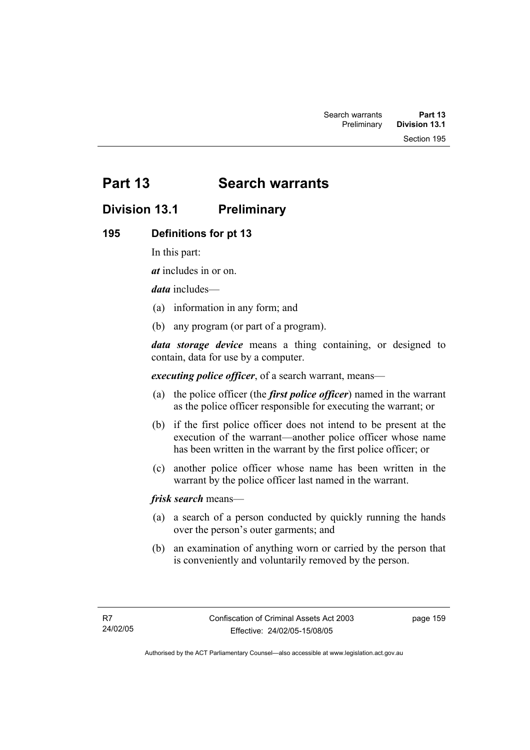Section 195

# **Part 13 Search warrants**

# **Division 13.1 Preliminary**

## **195 Definitions for pt 13**

In this part:

*at* includes in or on.

*data* includes—

- (a) information in any form; and
- (b) any program (or part of a program).

*data storage device* means a thing containing, or designed to contain, data for use by a computer.

*executing police officer*, of a search warrant, means—

- (a) the police officer (the *first police officer*) named in the warrant as the police officer responsible for executing the warrant; or
- (b) if the first police officer does not intend to be present at the execution of the warrant—another police officer whose name has been written in the warrant by the first police officer; or
- (c) another police officer whose name has been written in the warrant by the police officer last named in the warrant.

*frisk search* means—

- (a) a search of a person conducted by quickly running the hands over the person's outer garments; and
- (b) an examination of anything worn or carried by the person that is conveniently and voluntarily removed by the person.

page 159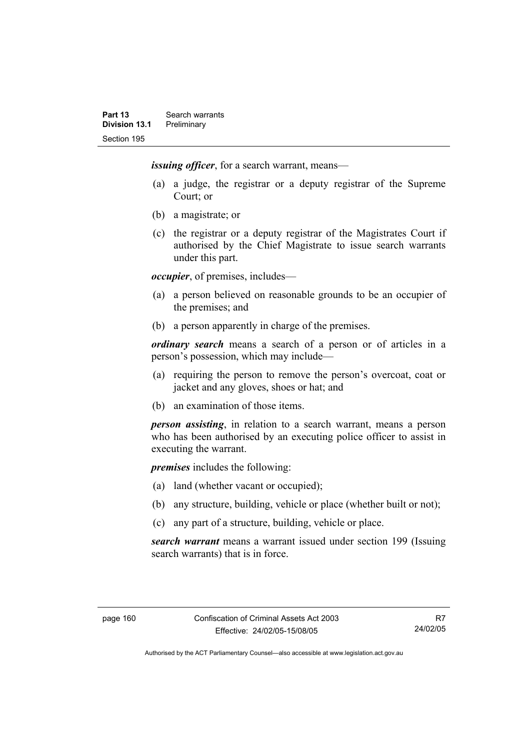*issuing officer*, for a search warrant, means—

- (a) a judge, the registrar or a deputy registrar of the Supreme Court; or
- (b) a magistrate; or
- (c) the registrar or a deputy registrar of the Magistrates Court if authorised by the Chief Magistrate to issue search warrants under this part.

*occupier*, of premises, includes—

- (a) a person believed on reasonable grounds to be an occupier of the premises; and
- (b) a person apparently in charge of the premises.

*ordinary search* means a search of a person or of articles in a person's possession, which may include—

- (a) requiring the person to remove the person's overcoat, coat or jacket and any gloves, shoes or hat; and
- (b) an examination of those items.

*person assisting*, in relation to a search warrant, means a person who has been authorised by an executing police officer to assist in executing the warrant.

*premises* includes the following:

- (a) land (whether vacant or occupied);
- (b) any structure, building, vehicle or place (whether built or not);
- (c) any part of a structure, building, vehicle or place.

*search warrant* means a warrant issued under section 199 (Issuing search warrants) that is in force.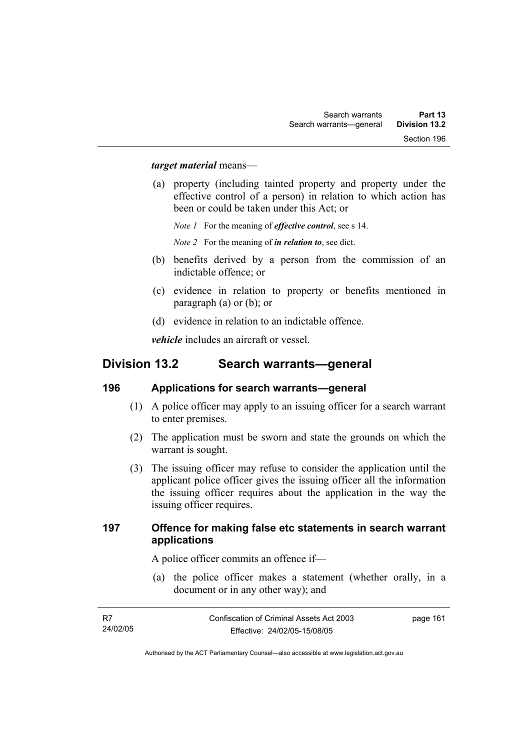#### *target material* means—

 (a) property (including tainted property and property under the effective control of a person) in relation to which action has been or could be taken under this Act; or

*Note 1* For the meaning of *effective control*, see s 14.

*Note 2* For the meaning of *in relation to*, see dict.

- (b) benefits derived by a person from the commission of an indictable offence; or
- (c) evidence in relation to property or benefits mentioned in paragraph (a) or (b); or
- (d) evidence in relation to an indictable offence.

*vehicle* includes an aircraft or vessel.

## **Division 13.2 Search warrants—general**

#### **196 Applications for search warrants—general**

- (1) A police officer may apply to an issuing officer for a search warrant to enter premises.
- (2) The application must be sworn and state the grounds on which the warrant is sought.
- (3) The issuing officer may refuse to consider the application until the applicant police officer gives the issuing officer all the information the issuing officer requires about the application in the way the issuing officer requires.

#### **197 Offence for making false etc statements in search warrant applications**

A police officer commits an offence if—

 (a) the police officer makes a statement (whether orally, in a document or in any other way); and

| - R7     | Confiscation of Criminal Assets Act 2003 | page 161 |
|----------|------------------------------------------|----------|
| 24/02/05 | Effective: 24/02/05-15/08/05             |          |
|          |                                          |          |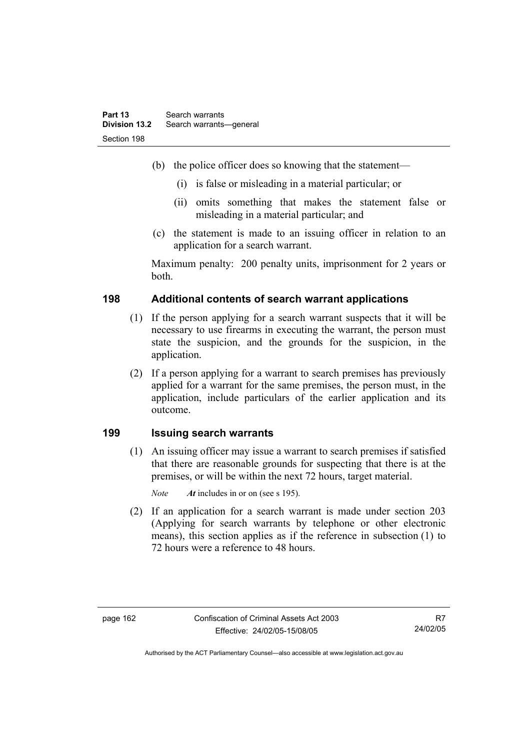- (b) the police officer does so knowing that the statement—
	- (i) is false or misleading in a material particular; or
	- (ii) omits something that makes the statement false or misleading in a material particular; and
- (c) the statement is made to an issuing officer in relation to an application for a search warrant.

Maximum penalty: 200 penalty units, imprisonment for 2 years or both.

## **198 Additional contents of search warrant applications**

- (1) If the person applying for a search warrant suspects that it will be necessary to use firearms in executing the warrant, the person must state the suspicion, and the grounds for the suspicion, in the application.
- (2) If a person applying for a warrant to search premises has previously applied for a warrant for the same premises, the person must, in the application, include particulars of the earlier application and its outcome.

#### **199 Issuing search warrants**

 (1) An issuing officer may issue a warrant to search premises if satisfied that there are reasonable grounds for suspecting that there is at the premises, or will be within the next 72 hours, target material.

*Note At* includes in or on (see s 195).

 (2) If an application for a search warrant is made under section 203 (Applying for search warrants by telephone or other electronic means), this section applies as if the reference in subsection (1) to 72 hours were a reference to 48 hours.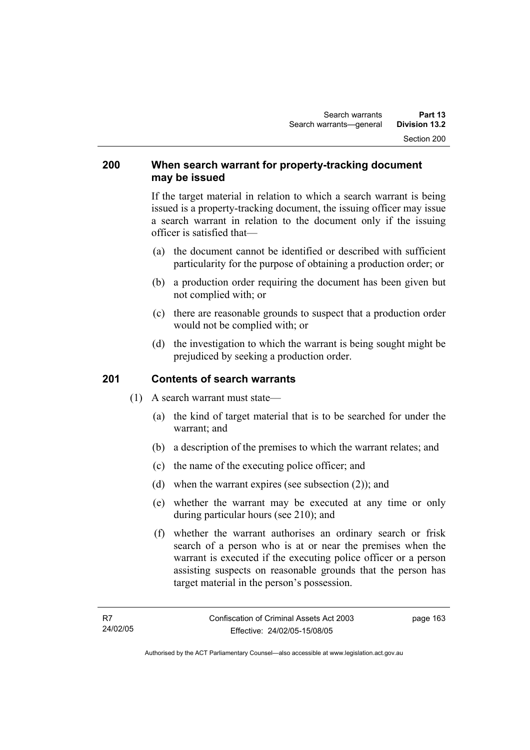#### **200 When search warrant for property-tracking document may be issued**

If the target material in relation to which a search warrant is being issued is a property-tracking document, the issuing officer may issue a search warrant in relation to the document only if the issuing officer is satisfied that—

- (a) the document cannot be identified or described with sufficient particularity for the purpose of obtaining a production order; or
- (b) a production order requiring the document has been given but not complied with; or
- (c) there are reasonable grounds to suspect that a production order would not be complied with; or
- (d) the investigation to which the warrant is being sought might be prejudiced by seeking a production order.

## **201 Contents of search warrants**

- (1) A search warrant must state—
	- (a) the kind of target material that is to be searched for under the warrant; and
	- (b) a description of the premises to which the warrant relates; and
	- (c) the name of the executing police officer; and
	- (d) when the warrant expires (see subsection (2)); and
	- (e) whether the warrant may be executed at any time or only during particular hours (see 210); and
	- (f) whether the warrant authorises an ordinary search or frisk search of a person who is at or near the premises when the warrant is executed if the executing police officer or a person assisting suspects on reasonable grounds that the person has target material in the person's possession.

page 163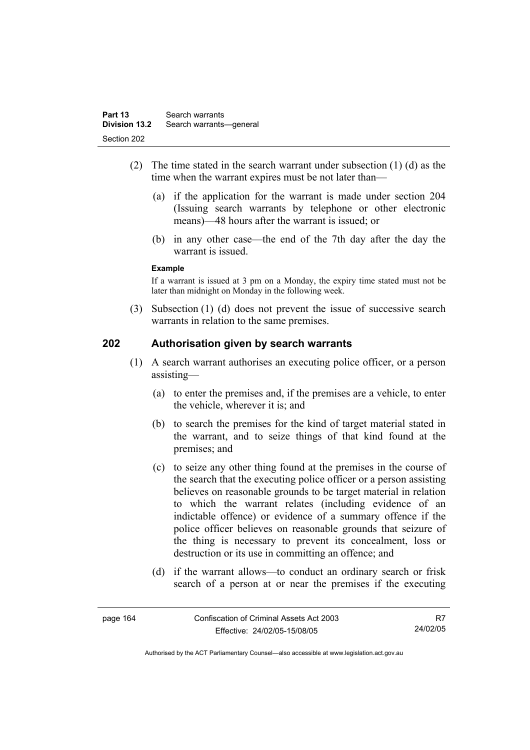- (2) The time stated in the search warrant under subsection (1) (d) as the time when the warrant expires must be not later than—
	- (a) if the application for the warrant is made under section 204 (Issuing search warrants by telephone or other electronic means)—48 hours after the warrant is issued; or
	- (b) in any other case—the end of the 7th day after the day the warrant is issued.

#### **Example**

If a warrant is issued at 3 pm on a Monday, the expiry time stated must not be later than midnight on Monday in the following week.

 (3) Subsection (1) (d) does not prevent the issue of successive search warrants in relation to the same premises.

#### **202 Authorisation given by search warrants**

- (1) A search warrant authorises an executing police officer, or a person assisting—
	- (a) to enter the premises and, if the premises are a vehicle, to enter the vehicle, wherever it is: and
	- (b) to search the premises for the kind of target material stated in the warrant, and to seize things of that kind found at the premises; and
	- (c) to seize any other thing found at the premises in the course of the search that the executing police officer or a person assisting believes on reasonable grounds to be target material in relation to which the warrant relates (including evidence of an indictable offence) or evidence of a summary offence if the police officer believes on reasonable grounds that seizure of the thing is necessary to prevent its concealment, loss or destruction or its use in committing an offence; and
	- (d) if the warrant allows—to conduct an ordinary search or frisk search of a person at or near the premises if the executing

| page 164 | Confiscation of Criminal Assets Act 2003 | R7       |
|----------|------------------------------------------|----------|
|          | Effective: 24/02/05-15/08/05             | 24/02/05 |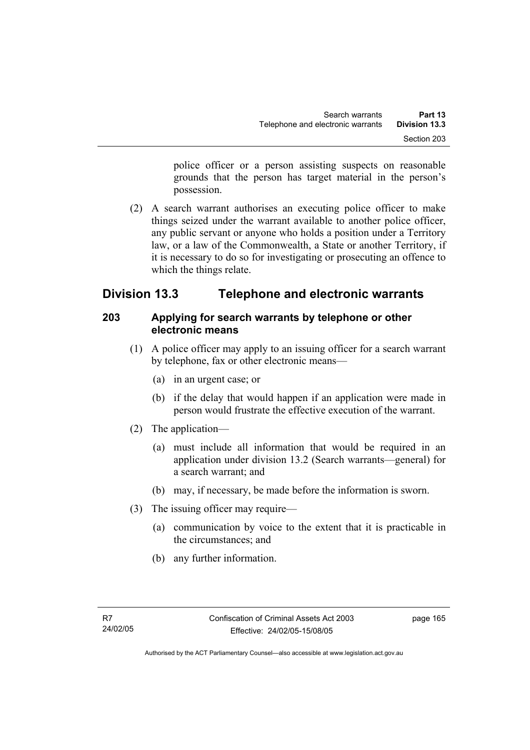police officer or a person assisting suspects on reasonable grounds that the person has target material in the person's possession.

 (2) A search warrant authorises an executing police officer to make things seized under the warrant available to another police officer, any public servant or anyone who holds a position under a Territory law, or a law of the Commonwealth, a State or another Territory, if it is necessary to do so for investigating or prosecuting an offence to which the things relate.

# **Division 13.3 Telephone and electronic warrants**

## **203 Applying for search warrants by telephone or other electronic means**

- (1) A police officer may apply to an issuing officer for a search warrant by telephone, fax or other electronic means—
	- (a) in an urgent case; or
	- (b) if the delay that would happen if an application were made in person would frustrate the effective execution of the warrant.
- (2) The application—
	- (a) must include all information that would be required in an application under division 13.2 (Search warrants—general) for a search warrant; and
	- (b) may, if necessary, be made before the information is sworn.
- (3) The issuing officer may require—
	- (a) communication by voice to the extent that it is practicable in the circumstances; and
	- (b) any further information.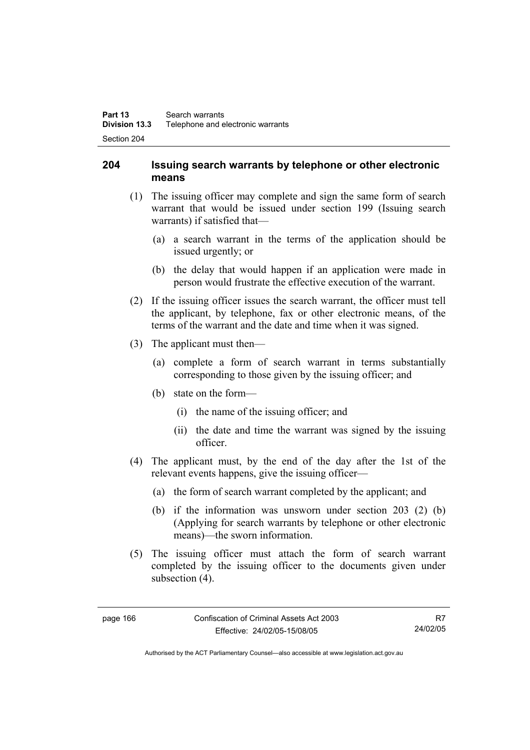## **204 Issuing search warrants by telephone or other electronic means**

- (1) The issuing officer may complete and sign the same form of search warrant that would be issued under section 199 (Issuing search warrants) if satisfied that—
	- (a) a search warrant in the terms of the application should be issued urgently; or
	- (b) the delay that would happen if an application were made in person would frustrate the effective execution of the warrant.
- (2) If the issuing officer issues the search warrant, the officer must tell the applicant, by telephone, fax or other electronic means, of the terms of the warrant and the date and time when it was signed.
- (3) The applicant must then—
	- (a) complete a form of search warrant in terms substantially corresponding to those given by the issuing officer; and
	- (b) state on the form—
		- (i) the name of the issuing officer; and
		- (ii) the date and time the warrant was signed by the issuing officer.
- (4) The applicant must, by the end of the day after the 1st of the relevant events happens, give the issuing officer—
	- (a) the form of search warrant completed by the applicant; and
	- (b) if the information was unsworn under section 203 (2) (b) (Applying for search warrants by telephone or other electronic means)—the sworn information.
- (5) The issuing officer must attach the form of search warrant completed by the issuing officer to the documents given under subsection  $(4)$ .

Authorised by the ACT Parliamentary Counsel—also accessible at www.legislation.act.gov.au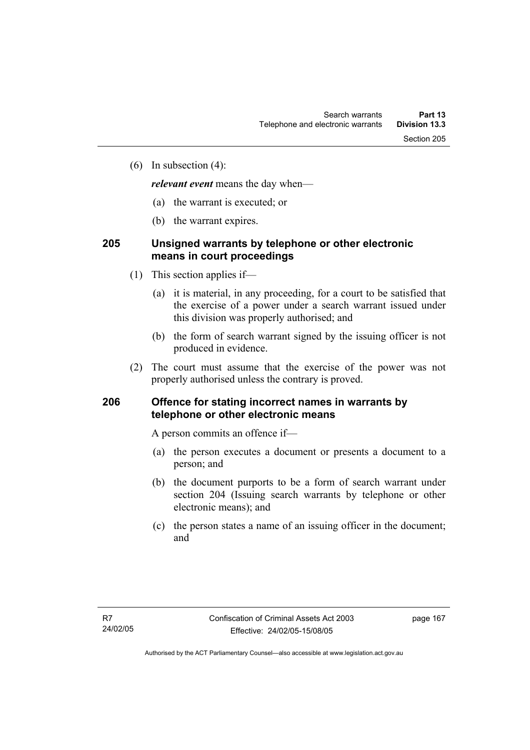(6) In subsection (4):

*relevant event* means the day when—

- (a) the warrant is executed; or
- (b) the warrant expires.

## **205 Unsigned warrants by telephone or other electronic means in court proceedings**

- (1) This section applies if—
	- (a) it is material, in any proceeding, for a court to be satisfied that the exercise of a power under a search warrant issued under this division was properly authorised; and
	- (b) the form of search warrant signed by the issuing officer is not produced in evidence.
- (2) The court must assume that the exercise of the power was not properly authorised unless the contrary is proved.

### **206 Offence for stating incorrect names in warrants by telephone or other electronic means**

A person commits an offence if—

- (a) the person executes a document or presents a document to a person; and
- (b) the document purports to be a form of search warrant under section 204 (Issuing search warrants by telephone or other electronic means); and
- (c) the person states a name of an issuing officer in the document; and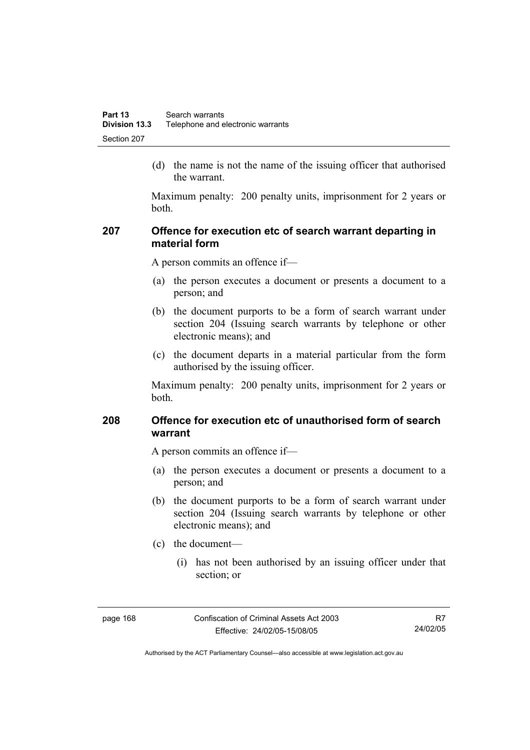(d) the name is not the name of the issuing officer that authorised the warrant.

Maximum penalty: 200 penalty units, imprisonment for 2 years or both.

### **207 Offence for execution etc of search warrant departing in material form**

A person commits an offence if—

- (a) the person executes a document or presents a document to a person; and
- (b) the document purports to be a form of search warrant under section 204 (Issuing search warrants by telephone or other electronic means); and
- (c) the document departs in a material particular from the form authorised by the issuing officer.

Maximum penalty: 200 penalty units, imprisonment for 2 years or both.

### **208 Offence for execution etc of unauthorised form of search warrant**

A person commits an offence if—

- (a) the person executes a document or presents a document to a person; and
- (b) the document purports to be a form of search warrant under section 204 (Issuing search warrants by telephone or other electronic means); and
- (c) the document—
	- (i) has not been authorised by an issuing officer under that section; or

page 168 Confiscation of Criminal Assets Act 2003 Effective: 24/02/05-15/08/05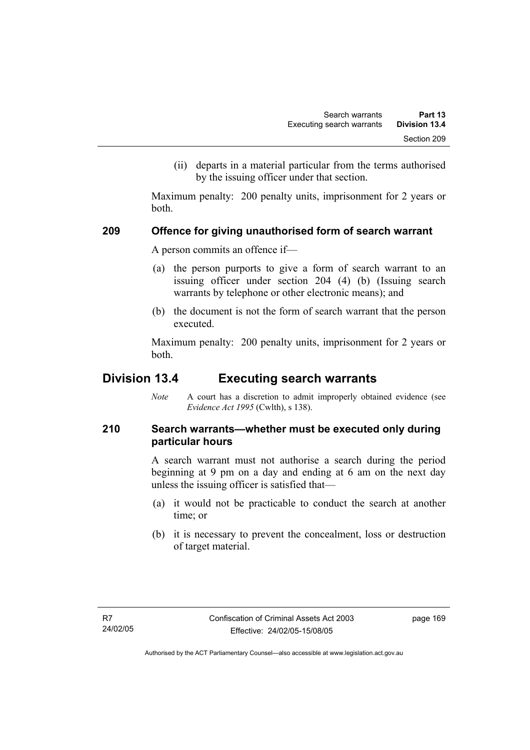(ii) departs in a material particular from the terms authorised by the issuing officer under that section.

Maximum penalty: 200 penalty units, imprisonment for 2 years or both.

### **209 Offence for giving unauthorised form of search warrant**

A person commits an offence if—

- (a) the person purports to give a form of search warrant to an issuing officer under section 204 (4) (b) (Issuing search warrants by telephone or other electronic means); and
- (b) the document is not the form of search warrant that the person executed.

Maximum penalty: 200 penalty units, imprisonment for 2 years or both.

# **Division 13.4 Executing search warrants**

*Note* A court has a discretion to admit improperly obtained evidence (see *Evidence Act 1995* (Cwlth), s 138).

# **210 Search warrants—whether must be executed only during particular hours**

A search warrant must not authorise a search during the period beginning at 9 pm on a day and ending at 6 am on the next day unless the issuing officer is satisfied that—

- (a) it would not be practicable to conduct the search at another time; or
- (b) it is necessary to prevent the concealment, loss or destruction of target material.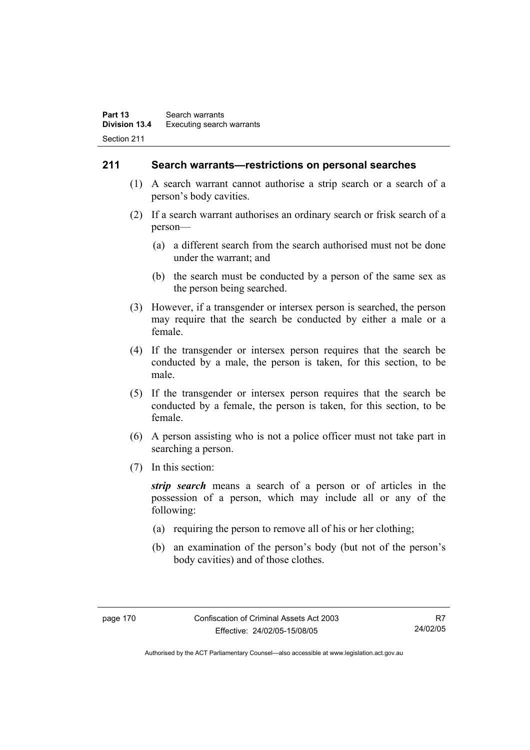### **211 Search warrants—restrictions on personal searches**

- (1) A search warrant cannot authorise a strip search or a search of a person's body cavities.
- (2) If a search warrant authorises an ordinary search or frisk search of a person—
	- (a) a different search from the search authorised must not be done under the warrant; and
	- (b) the search must be conducted by a person of the same sex as the person being searched.
- (3) However, if a transgender or intersex person is searched, the person may require that the search be conducted by either a male or a female.
- (4) If the transgender or intersex person requires that the search be conducted by a male, the person is taken, for this section, to be male.
- (5) If the transgender or intersex person requires that the search be conducted by a female, the person is taken, for this section, to be female.
- (6) A person assisting who is not a police officer must not take part in searching a person.
- (7) In this section:

*strip search* means a search of a person or of articles in the possession of a person, which may include all or any of the following:

- (a) requiring the person to remove all of his or her clothing;
- (b) an examination of the person's body (but not of the person's body cavities) and of those clothes.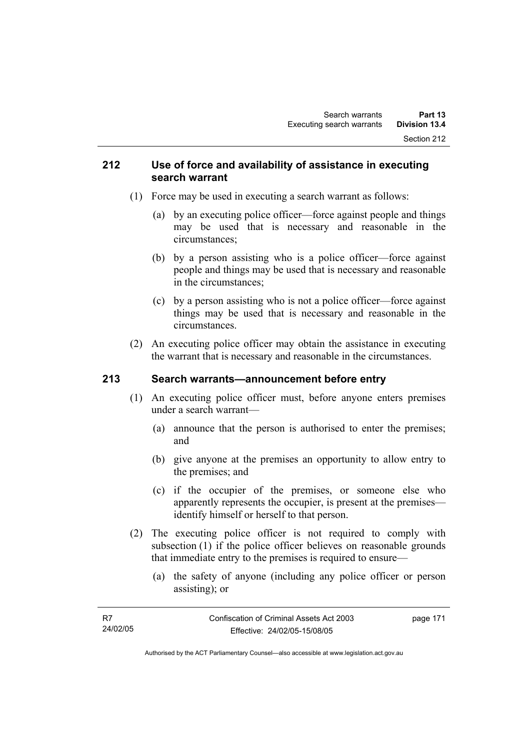### **212 Use of force and availability of assistance in executing search warrant**

- (1) Force may be used in executing a search warrant as follows:
	- (a) by an executing police officer—force against people and things may be used that is necessary and reasonable in the circumstances;
	- (b) by a person assisting who is a police officer—force against people and things may be used that is necessary and reasonable in the circumstances;
	- (c) by a person assisting who is not a police officer—force against things may be used that is necessary and reasonable in the circumstances.
- (2) An executing police officer may obtain the assistance in executing the warrant that is necessary and reasonable in the circumstances.

# **213 Search warrants—announcement before entry**

- (1) An executing police officer must, before anyone enters premises under a search warrant—
	- (a) announce that the person is authorised to enter the premises; and
	- (b) give anyone at the premises an opportunity to allow entry to the premises; and
	- (c) if the occupier of the premises, or someone else who apparently represents the occupier, is present at the premises identify himself or herself to that person.
- (2) The executing police officer is not required to comply with subsection (1) if the police officer believes on reasonable grounds that immediate entry to the premises is required to ensure—
	- (a) the safety of anyone (including any police officer or person assisting); or

| - R7     | Confiscation of Criminal Assets Act 2003 | page 171 |
|----------|------------------------------------------|----------|
| 24/02/05 | Effective: 24/02/05-15/08/05             |          |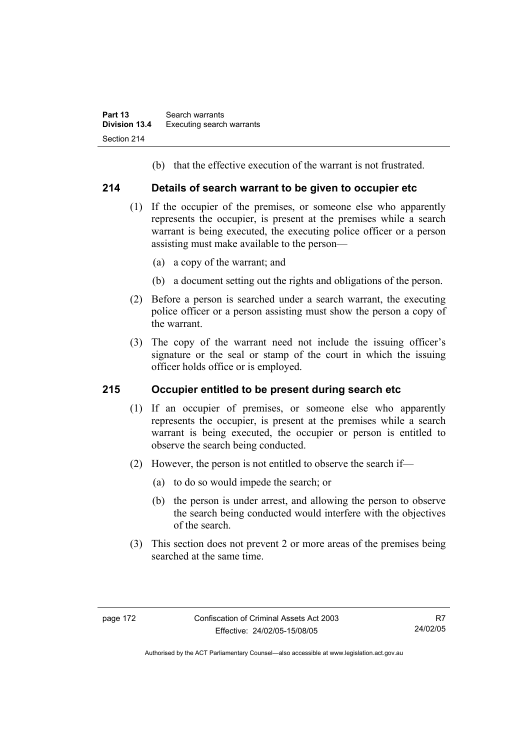(b) that the effective execution of the warrant is not frustrated.

### **214 Details of search warrant to be given to occupier etc**

- (1) If the occupier of the premises, or someone else who apparently represents the occupier, is present at the premises while a search warrant is being executed, the executing police officer or a person assisting must make available to the person—
	- (a) a copy of the warrant; and
	- (b) a document setting out the rights and obligations of the person.
- (2) Before a person is searched under a search warrant, the executing police officer or a person assisting must show the person a copy of the warrant.
- (3) The copy of the warrant need not include the issuing officer's signature or the seal or stamp of the court in which the issuing officer holds office or is employed.

# **215 Occupier entitled to be present during search etc**

- (1) If an occupier of premises, or someone else who apparently represents the occupier, is present at the premises while a search warrant is being executed, the occupier or person is entitled to observe the search being conducted.
- (2) However, the person is not entitled to observe the search if—
	- (a) to do so would impede the search; or
	- (b) the person is under arrest, and allowing the person to observe the search being conducted would interfere with the objectives of the search.
- (3) This section does not prevent 2 or more areas of the premises being searched at the same time.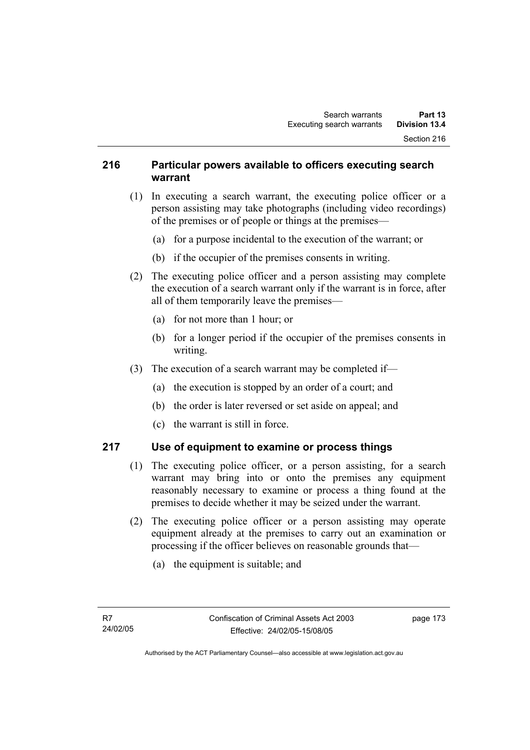### **216 Particular powers available to officers executing search warrant**

- (1) In executing a search warrant, the executing police officer or a person assisting may take photographs (including video recordings) of the premises or of people or things at the premises—
	- (a) for a purpose incidental to the execution of the warrant; or
	- (b) if the occupier of the premises consents in writing.
- (2) The executing police officer and a person assisting may complete the execution of a search warrant only if the warrant is in force, after all of them temporarily leave the premises—
	- (a) for not more than 1 hour; or
	- (b) for a longer period if the occupier of the premises consents in writing.
- (3) The execution of a search warrant may be completed if—
	- (a) the execution is stopped by an order of a court; and
	- (b) the order is later reversed or set aside on appeal; and
	- (c) the warrant is still in force.

# **217 Use of equipment to examine or process things**

- (1) The executing police officer, or a person assisting, for a search warrant may bring into or onto the premises any equipment reasonably necessary to examine or process a thing found at the premises to decide whether it may be seized under the warrant.
- (2) The executing police officer or a person assisting may operate equipment already at the premises to carry out an examination or processing if the officer believes on reasonable grounds that—
	- (a) the equipment is suitable; and

page 173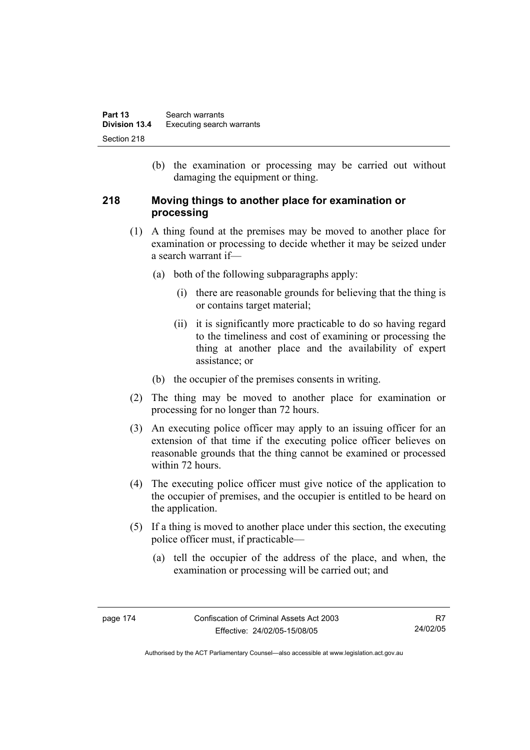(b) the examination or processing may be carried out without damaging the equipment or thing.

### **218 Moving things to another place for examination or processing**

- (1) A thing found at the premises may be moved to another place for examination or processing to decide whether it may be seized under a search warrant if—
	- (a) both of the following subparagraphs apply:
		- (i) there are reasonable grounds for believing that the thing is or contains target material;
		- (ii) it is significantly more practicable to do so having regard to the timeliness and cost of examining or processing the thing at another place and the availability of expert assistance; or
	- (b) the occupier of the premises consents in writing.
- (2) The thing may be moved to another place for examination or processing for no longer than 72 hours.
- (3) An executing police officer may apply to an issuing officer for an extension of that time if the executing police officer believes on reasonable grounds that the thing cannot be examined or processed within 72 hours.
- (4) The executing police officer must give notice of the application to the occupier of premises, and the occupier is entitled to be heard on the application.
- (5) If a thing is moved to another place under this section, the executing police officer must, if practicable—
	- (a) tell the occupier of the address of the place, and when, the examination or processing will be carried out; and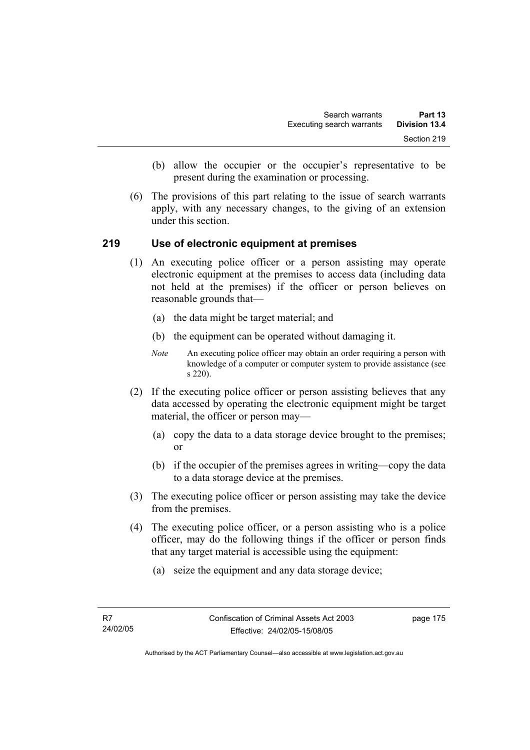- (b) allow the occupier or the occupier's representative to be present during the examination or processing.
- (6) The provisions of this part relating to the issue of search warrants apply, with any necessary changes, to the giving of an extension under this section.

### **219 Use of electronic equipment at premises**

- (1) An executing police officer or a person assisting may operate electronic equipment at the premises to access data (including data not held at the premises) if the officer or person believes on reasonable grounds that—
	- (a) the data might be target material; and
	- (b) the equipment can be operated without damaging it.
	- *Note* An executing police officer may obtain an order requiring a person with knowledge of a computer or computer system to provide assistance (see s 220).
- (2) If the executing police officer or person assisting believes that any data accessed by operating the electronic equipment might be target material, the officer or person may—
	- (a) copy the data to a data storage device brought to the premises; or
	- (b) if the occupier of the premises agrees in writing—copy the data to a data storage device at the premises.
- (3) The executing police officer or person assisting may take the device from the premises.
- (4) The executing police officer, or a person assisting who is a police officer, may do the following things if the officer or person finds that any target material is accessible using the equipment:
	- (a) seize the equipment and any data storage device;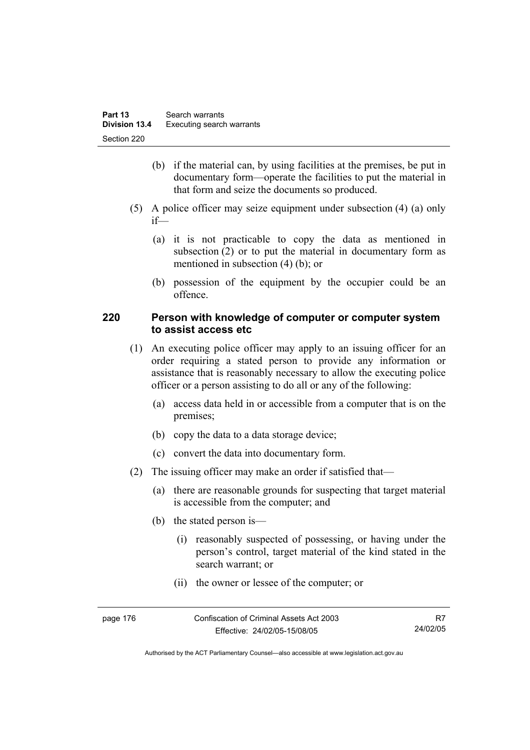- (b) if the material can, by using facilities at the premises, be put in documentary form—operate the facilities to put the material in that form and seize the documents so produced.
- (5) A police officer may seize equipment under subsection (4) (a) only if—
	- (a) it is not practicable to copy the data as mentioned in subsection (2) or to put the material in documentary form as mentioned in subsection (4) (b); or
	- (b) possession of the equipment by the occupier could be an offence.

### **220 Person with knowledge of computer or computer system to assist access etc**

- (1) An executing police officer may apply to an issuing officer for an order requiring a stated person to provide any information or assistance that is reasonably necessary to allow the executing police officer or a person assisting to do all or any of the following:
	- (a) access data held in or accessible from a computer that is on the premises;
	- (b) copy the data to a data storage device;
	- (c) convert the data into documentary form.
- (2) The issuing officer may make an order if satisfied that—
	- (a) there are reasonable grounds for suspecting that target material is accessible from the computer; and
	- (b) the stated person is—
		- (i) reasonably suspected of possessing, or having under the person's control, target material of the kind stated in the search warrant; or
		- (ii) the owner or lessee of the computer; or

| page 176 | Confiscation of Criminal Assets Act 2003 |          |
|----------|------------------------------------------|----------|
|          | Effective: 24/02/05-15/08/05             | 24/02/05 |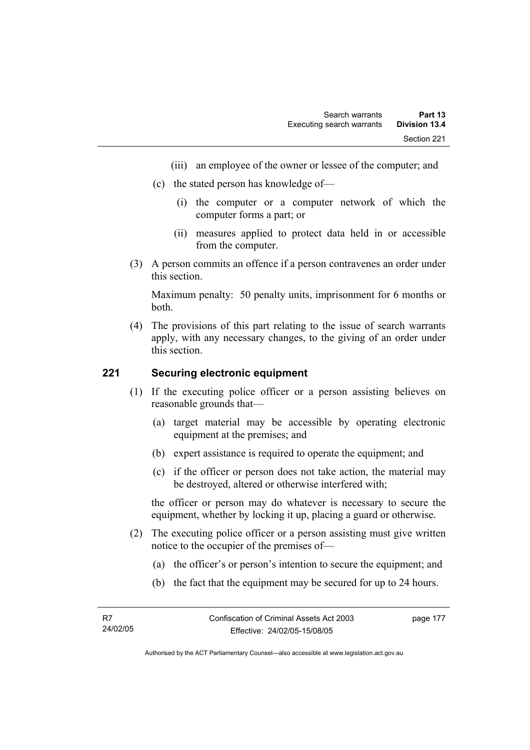- (iii) an employee of the owner or lessee of the computer; and
- (c) the stated person has knowledge of—
	- (i) the computer or a computer network of which the computer forms a part; or
	- (ii) measures applied to protect data held in or accessible from the computer.
- (3) A person commits an offence if a person contravenes an order under this section.

Maximum penalty: 50 penalty units, imprisonment for 6 months or both.

 (4) The provisions of this part relating to the issue of search warrants apply, with any necessary changes, to the giving of an order under this section.

### **221 Securing electronic equipment**

- (1) If the executing police officer or a person assisting believes on reasonable grounds that—
	- (a) target material may be accessible by operating electronic equipment at the premises; and
	- (b) expert assistance is required to operate the equipment; and
	- (c) if the officer or person does not take action, the material may be destroyed, altered or otherwise interfered with;

the officer or person may do whatever is necessary to secure the equipment, whether by locking it up, placing a guard or otherwise.

- (2) The executing police officer or a person assisting must give written notice to the occupier of the premises of—
	- (a) the officer's or person's intention to secure the equipment; and
	- (b) the fact that the equipment may be secured for up to 24 hours.

page 177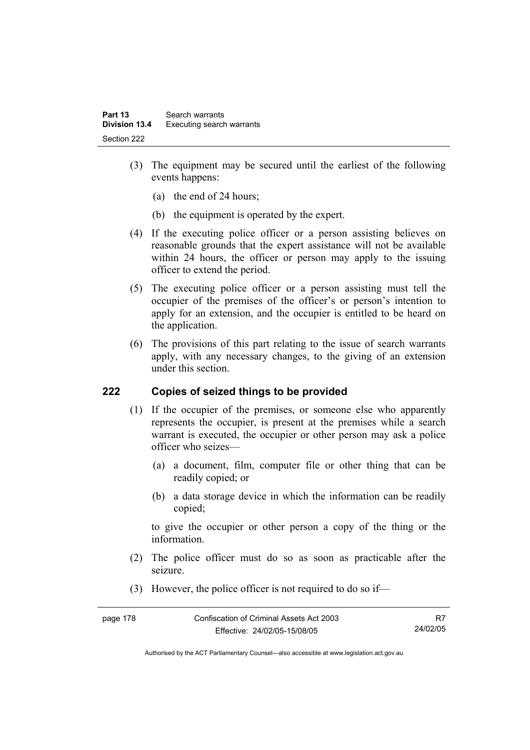- (3) The equipment may be secured until the earliest of the following events happens:
	- (a) the end of 24 hours;
	- (b) the equipment is operated by the expert.
- (4) If the executing police officer or a person assisting believes on reasonable grounds that the expert assistance will not be available within 24 hours, the officer or person may apply to the issuing officer to extend the period.
- (5) The executing police officer or a person assisting must tell the occupier of the premises of the officer's or person's intention to apply for an extension, and the occupier is entitled to be heard on the application.
- (6) The provisions of this part relating to the issue of search warrants apply, with any necessary changes, to the giving of an extension under this section.

# **222 Copies of seized things to be provided**

- (1) If the occupier of the premises, or someone else who apparently represents the occupier, is present at the premises while a search warrant is executed, the occupier or other person may ask a police officer who seizes—
	- (a) a document, film, computer file or other thing that can be readily copied; or
	- (b) a data storage device in which the information can be readily copied;

to give the occupier or other person a copy of the thing or the information.

- (2) The police officer must do so as soon as practicable after the seizure.
- (3) However, the police officer is not required to do so if—

| page 178 | Confiscation of Criminal Assets Act 2003 |          |
|----------|------------------------------------------|----------|
|          | Effective: 24/02/05-15/08/05             | 24/02/05 |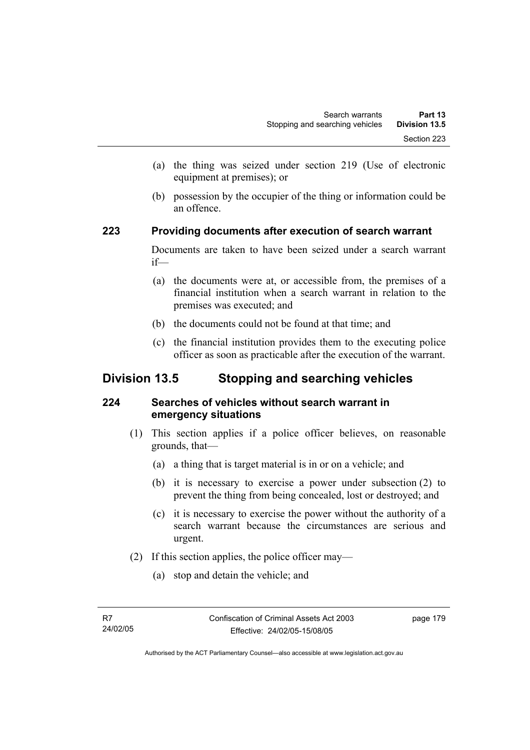- (a) the thing was seized under section 219 (Use of electronic equipment at premises); or
- (b) possession by the occupier of the thing or information could be an offence.

### **223 Providing documents after execution of search warrant**

Documents are taken to have been seized under a search warrant if—

- (a) the documents were at, or accessible from, the premises of a financial institution when a search warrant in relation to the premises was executed; and
- (b) the documents could not be found at that time; and
- (c) the financial institution provides them to the executing police officer as soon as practicable after the execution of the warrant.

# **Division 13.5 Stopping and searching vehicles**

# **224 Searches of vehicles without search warrant in emergency situations**

- (1) This section applies if a police officer believes, on reasonable grounds, that—
	- (a) a thing that is target material is in or on a vehicle; and
	- (b) it is necessary to exercise a power under subsection (2) to prevent the thing from being concealed, lost or destroyed; and
	- (c) it is necessary to exercise the power without the authority of a search warrant because the circumstances are serious and urgent.
- (2) If this section applies, the police officer may—
	- (a) stop and detain the vehicle; and

page 179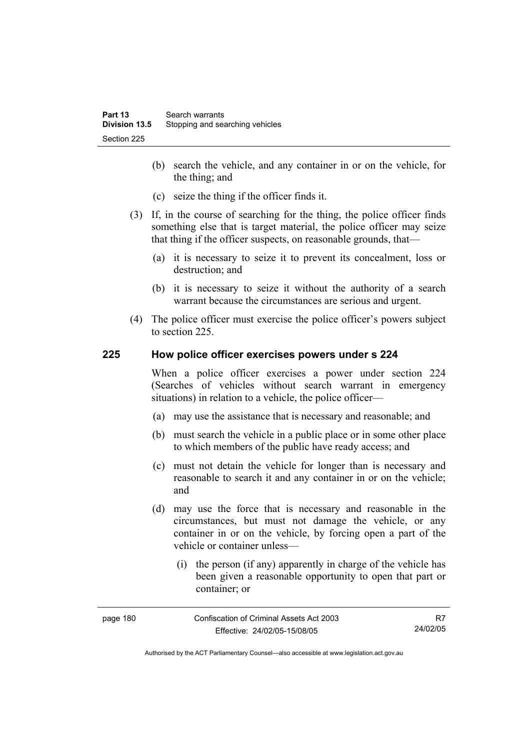- (b) search the vehicle, and any container in or on the vehicle, for the thing; and
- (c) seize the thing if the officer finds it.
- (3) If, in the course of searching for the thing, the police officer finds something else that is target material, the police officer may seize that thing if the officer suspects, on reasonable grounds, that—
	- (a) it is necessary to seize it to prevent its concealment, loss or destruction; and
	- (b) it is necessary to seize it without the authority of a search warrant because the circumstances are serious and urgent.
- (4) The police officer must exercise the police officer's powers subject to section 225.

### **225 How police officer exercises powers under s 224**

When a police officer exercises a power under section 224 (Searches of vehicles without search warrant in emergency situations) in relation to a vehicle, the police officer—

- (a) may use the assistance that is necessary and reasonable; and
- (b) must search the vehicle in a public place or in some other place to which members of the public have ready access; and
- (c) must not detain the vehicle for longer than is necessary and reasonable to search it and any container in or on the vehicle; and
- (d) may use the force that is necessary and reasonable in the circumstances, but must not damage the vehicle, or any container in or on the vehicle, by forcing open a part of the vehicle or container unless—
	- (i) the person (if any) apparently in charge of the vehicle has been given a reasonable opportunity to open that part or container; or

| page 180 | Confiscation of Criminal Assets Act 2003 | R7       |
|----------|------------------------------------------|----------|
|          | Effective: 24/02/05-15/08/05             | 24/02/05 |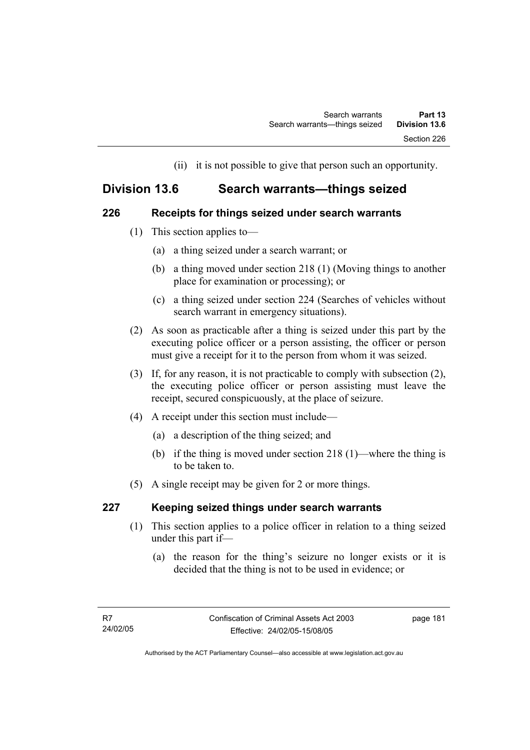(ii) it is not possible to give that person such an opportunity.

# **Division 13.6 Search warrants—things seized**

### **226 Receipts for things seized under search warrants**

- (1) This section applies to—
	- (a) a thing seized under a search warrant; or
	- (b) a thing moved under section 218 (1) (Moving things to another place for examination or processing); or
	- (c) a thing seized under section 224 (Searches of vehicles without search warrant in emergency situations).
- (2) As soon as practicable after a thing is seized under this part by the executing police officer or a person assisting, the officer or person must give a receipt for it to the person from whom it was seized.
- (3) If, for any reason, it is not practicable to comply with subsection (2), the executing police officer or person assisting must leave the receipt, secured conspicuously, at the place of seizure.
- (4) A receipt under this section must include—
	- (a) a description of the thing seized; and
	- (b) if the thing is moved under section 218 (1)—where the thing is to be taken to.
- (5) A single receipt may be given for 2 or more things.

# **227 Keeping seized things under search warrants**

- (1) This section applies to a police officer in relation to a thing seized under this part if—
	- (a) the reason for the thing's seizure no longer exists or it is decided that the thing is not to be used in evidence; or

page 181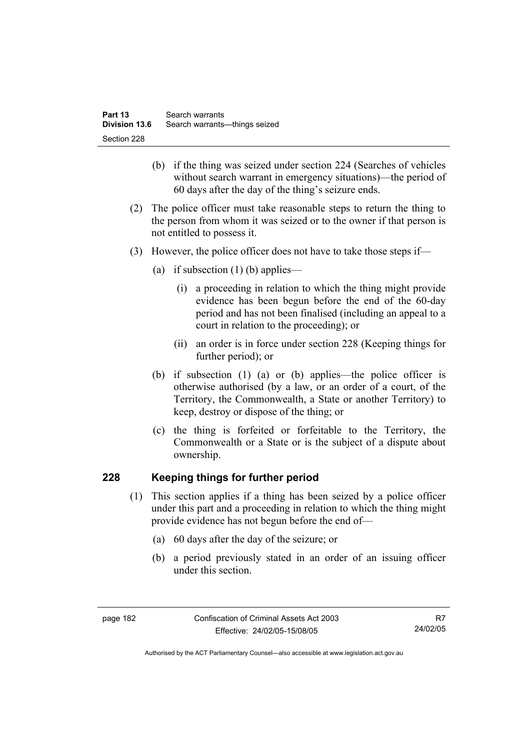- (b) if the thing was seized under section 224 (Searches of vehicles without search warrant in emergency situations)—the period of 60 days after the day of the thing's seizure ends.
- (2) The police officer must take reasonable steps to return the thing to the person from whom it was seized or to the owner if that person is not entitled to possess it.
- (3) However, the police officer does not have to take those steps if—
	- (a) if subsection  $(1)$  (b) applies—
		- (i) a proceeding in relation to which the thing might provide evidence has been begun before the end of the 60-day period and has not been finalised (including an appeal to a court in relation to the proceeding); or
		- (ii) an order is in force under section 228 (Keeping things for further period); or
	- (b) if subsection (1) (a) or (b) applies—the police officer is otherwise authorised (by a law, or an order of a court, of the Territory, the Commonwealth, a State or another Territory) to keep, destroy or dispose of the thing; or
	- (c) the thing is forfeited or forfeitable to the Territory, the Commonwealth or a State or is the subject of a dispute about ownership.

# **228 Keeping things for further period**

- (1) This section applies if a thing has been seized by a police officer under this part and a proceeding in relation to which the thing might provide evidence has not begun before the end of—
	- (a) 60 days after the day of the seizure; or
	- (b) a period previously stated in an order of an issuing officer under this section.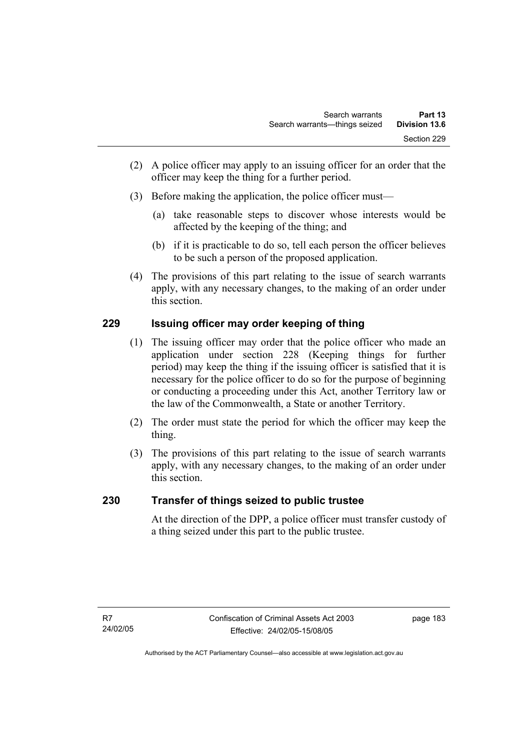- (2) A police officer may apply to an issuing officer for an order that the officer may keep the thing for a further period.
- (3) Before making the application, the police officer must—
	- (a) take reasonable steps to discover whose interests would be affected by the keeping of the thing; and
	- (b) if it is practicable to do so, tell each person the officer believes to be such a person of the proposed application.
- (4) The provisions of this part relating to the issue of search warrants apply, with any necessary changes, to the making of an order under this section.

# **229 Issuing officer may order keeping of thing**

- (1) The issuing officer may order that the police officer who made an application under section 228 (Keeping things for further period) may keep the thing if the issuing officer is satisfied that it is necessary for the police officer to do so for the purpose of beginning or conducting a proceeding under this Act, another Territory law or the law of the Commonwealth, a State or another Territory.
- (2) The order must state the period for which the officer may keep the thing.
- (3) The provisions of this part relating to the issue of search warrants apply, with any necessary changes, to the making of an order under this section.

# **230 Transfer of things seized to public trustee**

At the direction of the DPP, a police officer must transfer custody of a thing seized under this part to the public trustee.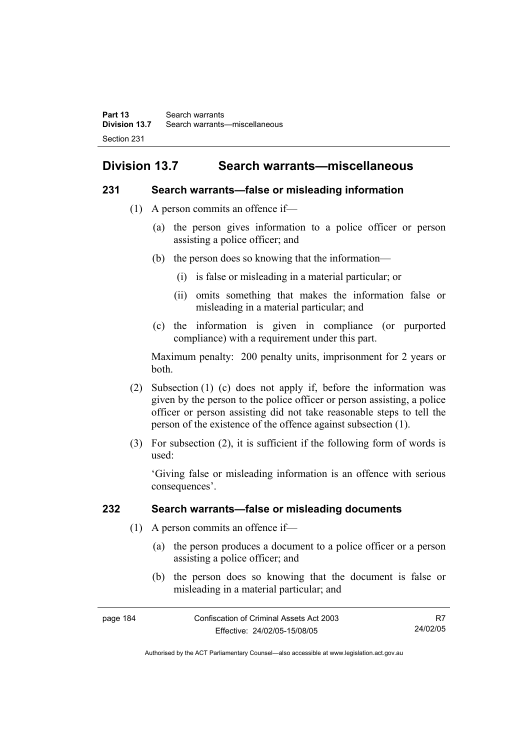# **Division 13.7 Search warrants—miscellaneous**

### **231 Search warrants—false or misleading information**

- (1) A person commits an offence if—
	- (a) the person gives information to a police officer or person assisting a police officer; and
	- (b) the person does so knowing that the information—
		- (i) is false or misleading in a material particular; or
		- (ii) omits something that makes the information false or misleading in a material particular; and
	- (c) the information is given in compliance (or purported compliance) with a requirement under this part.

Maximum penalty: 200 penalty units, imprisonment for 2 years or both.

- (2) Subsection (1) (c) does not apply if, before the information was given by the person to the police officer or person assisting, a police officer or person assisting did not take reasonable steps to tell the person of the existence of the offence against subsection (1).
- (3) For subsection (2), it is sufficient if the following form of words is used:

'Giving false or misleading information is an offence with serious consequences'.

# **232 Search warrants—false or misleading documents**

- (1) A person commits an offence if—
	- (a) the person produces a document to a police officer or a person assisting a police officer; and
	- (b) the person does so knowing that the document is false or misleading in a material particular; and

| page 184 | Confiscation of Criminal Assets Act 2003 |          |
|----------|------------------------------------------|----------|
|          | Effective: 24/02/05-15/08/05             | 24/02/05 |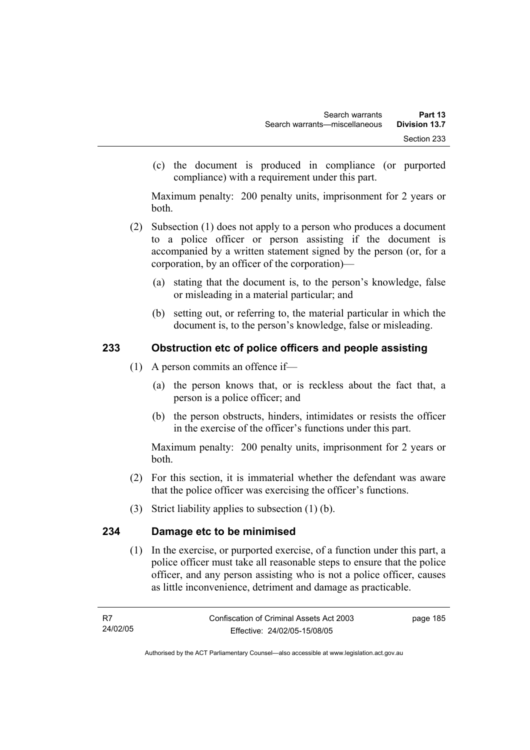(c) the document is produced in compliance (or purported compliance) with a requirement under this part.

Maximum penalty: 200 penalty units, imprisonment for 2 years or both.

- (2) Subsection (1) does not apply to a person who produces a document to a police officer or person assisting if the document is accompanied by a written statement signed by the person (or, for a corporation, by an officer of the corporation)—
	- (a) stating that the document is, to the person's knowledge, false or misleading in a material particular; and
	- (b) setting out, or referring to, the material particular in which the document is, to the person's knowledge, false or misleading.

# **233 Obstruction etc of police officers and people assisting**

- (1) A person commits an offence if—
	- (a) the person knows that, or is reckless about the fact that, a person is a police officer; and
	- (b) the person obstructs, hinders, intimidates or resists the officer in the exercise of the officer's functions under this part.

Maximum penalty: 200 penalty units, imprisonment for 2 years or both.

- (2) For this section, it is immaterial whether the defendant was aware that the police officer was exercising the officer's functions.
- (3) Strict liability applies to subsection (1) (b).

# **234 Damage etc to be minimised**

 (1) In the exercise, or purported exercise, of a function under this part, a police officer must take all reasonable steps to ensure that the police officer, and any person assisting who is not a police officer, causes as little inconvenience, detriment and damage as practicable.

page 185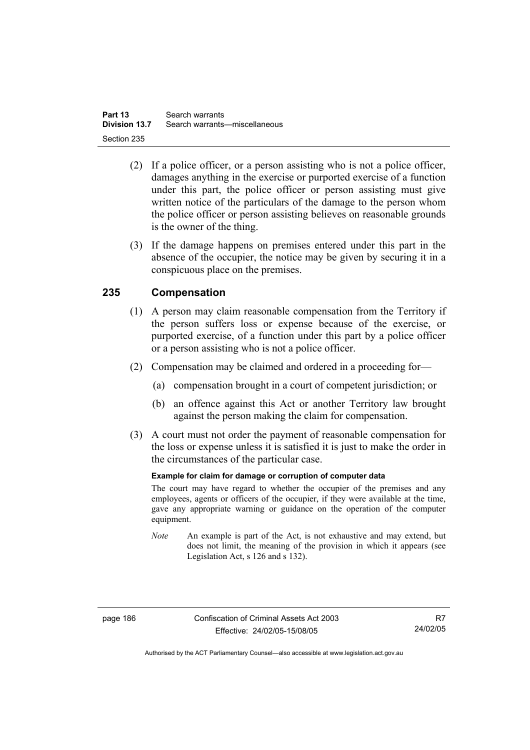- (2) If a police officer, or a person assisting who is not a police officer, damages anything in the exercise or purported exercise of a function under this part, the police officer or person assisting must give written notice of the particulars of the damage to the person whom the police officer or person assisting believes on reasonable grounds is the owner of the thing.
- (3) If the damage happens on premises entered under this part in the absence of the occupier, the notice may be given by securing it in a conspicuous place on the premises.

# **235 Compensation**

- (1) A person may claim reasonable compensation from the Territory if the person suffers loss or expense because of the exercise, or purported exercise, of a function under this part by a police officer or a person assisting who is not a police officer.
- (2) Compensation may be claimed and ordered in a proceeding for—
	- (a) compensation brought in a court of competent jurisdiction; or
	- (b) an offence against this Act or another Territory law brought against the person making the claim for compensation.
- (3) A court must not order the payment of reasonable compensation for the loss or expense unless it is satisfied it is just to make the order in the circumstances of the particular case.

#### **Example for claim for damage or corruption of computer data**

The court may have regard to whether the occupier of the premises and any employees, agents or officers of the occupier, if they were available at the time, gave any appropriate warning or guidance on the operation of the computer equipment.

*Note* An example is part of the Act, is not exhaustive and may extend, but does not limit, the meaning of the provision in which it appears (see Legislation Act, s 126 and s 132).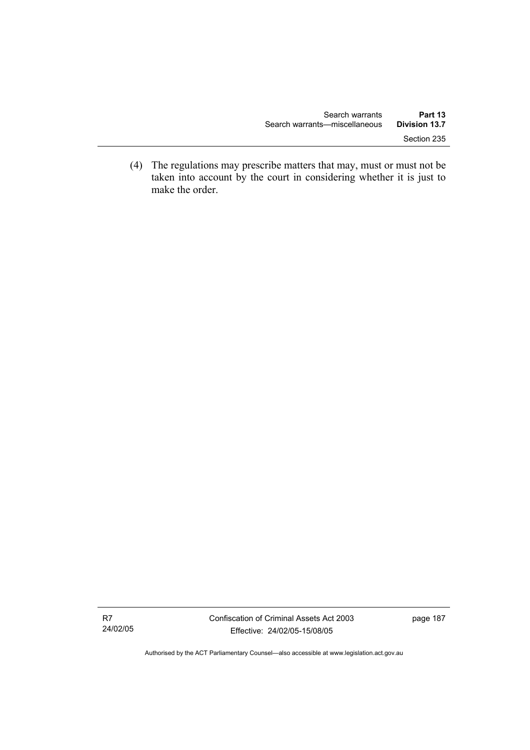(4) The regulations may prescribe matters that may, must or must not be taken into account by the court in considering whether it is just to make the order.

R7 24/02/05 page 187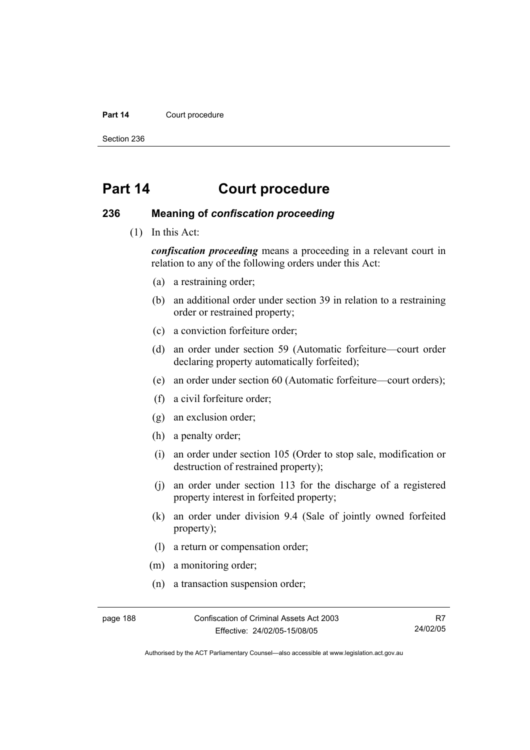#### Part 14 **Court procedure**

Section 236

# **Part 14 Court procedure**

### **236 Meaning of** *confiscation proceeding*

(1) In this Act:

*confiscation proceeding* means a proceeding in a relevant court in relation to any of the following orders under this Act:

- (a) a restraining order;
- (b) an additional order under section 39 in relation to a restraining order or restrained property;
- (c) a conviction forfeiture order;
- (d) an order under section 59 (Automatic forfeiture—court order declaring property automatically forfeited);
- (e) an order under section 60 (Automatic forfeiture—court orders);
- (f) a civil forfeiture order;
- (g) an exclusion order;
- (h) a penalty order;
- (i) an order under section 105 (Order to stop sale, modification or destruction of restrained property);
- (j) an order under section 113 for the discharge of a registered property interest in forfeited property;
- (k) an order under division 9.4 (Sale of jointly owned forfeited property);
- (l) a return or compensation order;
- (m) a monitoring order;
- (n) a transaction suspension order;

page 188 Confiscation of Criminal Assets Act 2003 Effective: 24/02/05-15/08/05

R7 24/02/05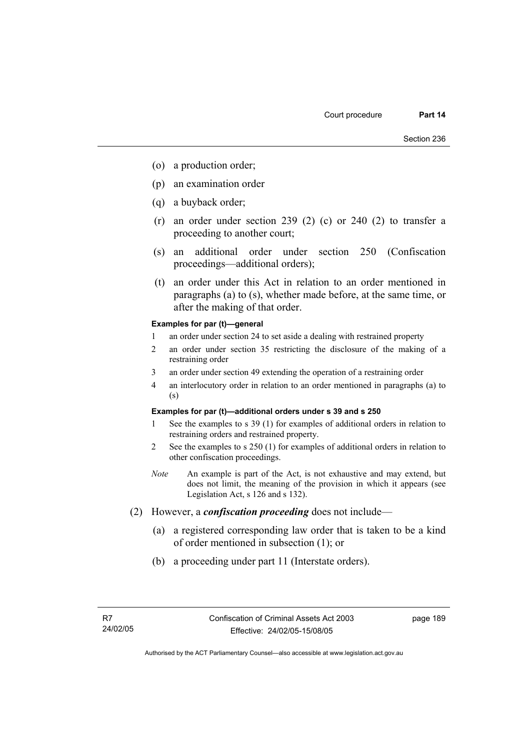- (o) a production order;
- (p) an examination order
- (q) a buyback order;
- (r) an order under section 239 (2) (c) or 240 (2) to transfer a proceeding to another court;
- (s) an additional order under section 250 (Confiscation proceedings—additional orders);
- (t) an order under this Act in relation to an order mentioned in paragraphs (a) to (s), whether made before, at the same time, or after the making of that order.

#### **Examples for par (t)—general**

- 1 an order under section 24 to set aside a dealing with restrained property
- 2 an order under section 35 restricting the disclosure of the making of a restraining order
- 3 an order under section 49 extending the operation of a restraining order
- 4 an interlocutory order in relation to an order mentioned in paragraphs (a) to (s)

#### **Examples for par (t)—additional orders under s 39 and s 250**

- 1 See the examples to s 39 (1) for examples of additional orders in relation to restraining orders and restrained property.
- 2 See the examples to s 250 (1) for examples of additional orders in relation to other confiscation proceedings.
- *Note* An example is part of the Act, is not exhaustive and may extend, but does not limit, the meaning of the provision in which it appears (see Legislation Act, s 126 and s 132).
- (2) However, a *confiscation proceeding* does not include—
	- (a) a registered corresponding law order that is taken to be a kind of order mentioned in subsection (1); or
	- (b) a proceeding under part 11 (Interstate orders).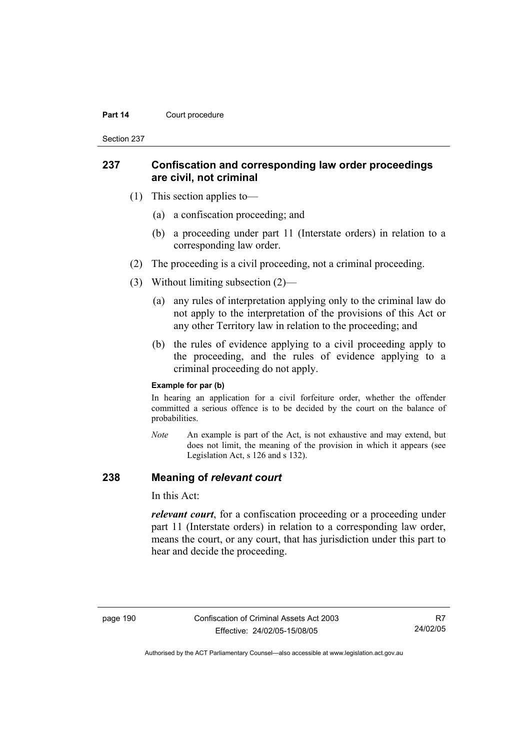#### **Part 14 Court procedure**

Section 237

### **237 Confiscation and corresponding law order proceedings are civil, not criminal**

- (1) This section applies to—
	- (a) a confiscation proceeding; and
	- (b) a proceeding under part 11 (Interstate orders) in relation to a corresponding law order.
- (2) The proceeding is a civil proceeding, not a criminal proceeding.
- (3) Without limiting subsection (2)—
	- (a) any rules of interpretation applying only to the criminal law do not apply to the interpretation of the provisions of this Act or any other Territory law in relation to the proceeding; and
	- (b) the rules of evidence applying to a civil proceeding apply to the proceeding, and the rules of evidence applying to a criminal proceeding do not apply.

#### **Example for par (b)**

In hearing an application for a civil forfeiture order, whether the offender committed a serious offence is to be decided by the court on the balance of probabilities.

*Note* An example is part of the Act, is not exhaustive and may extend, but does not limit, the meaning of the provision in which it appears (see Legislation Act, s 126 and s 132).

### **238 Meaning of** *relevant court*

In this Act:

*relevant court*, for a confiscation proceeding or a proceeding under part 11 (Interstate orders) in relation to a corresponding law order, means the court, or any court, that has jurisdiction under this part to hear and decide the proceeding.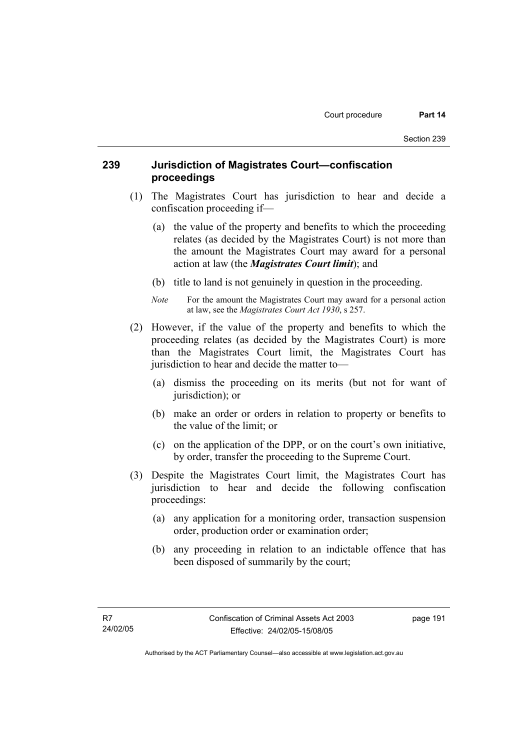## **239 Jurisdiction of Magistrates Court—confiscation proceedings**

- (1) The Magistrates Court has jurisdiction to hear and decide a confiscation proceeding if—
	- (a) the value of the property and benefits to which the proceeding relates (as decided by the Magistrates Court) is not more than the amount the Magistrates Court may award for a personal action at law (the *Magistrates Court limit*); and
	- (b) title to land is not genuinely in question in the proceeding.
	- *Note* For the amount the Magistrates Court may award for a personal action at law, see the *Magistrates Court Act 1930*, s 257.
- (2) However, if the value of the property and benefits to which the proceeding relates (as decided by the Magistrates Court) is more than the Magistrates Court limit, the Magistrates Court has jurisdiction to hear and decide the matter to—
	- (a) dismiss the proceeding on its merits (but not for want of jurisdiction); or
	- (b) make an order or orders in relation to property or benefits to the value of the limit; or
	- (c) on the application of the DPP, or on the court's own initiative, by order, transfer the proceeding to the Supreme Court.
- (3) Despite the Magistrates Court limit, the Magistrates Court has jurisdiction to hear and decide the following confiscation proceedings:
	- (a) any application for a monitoring order, transaction suspension order, production order or examination order;
	- (b) any proceeding in relation to an indictable offence that has been disposed of summarily by the court;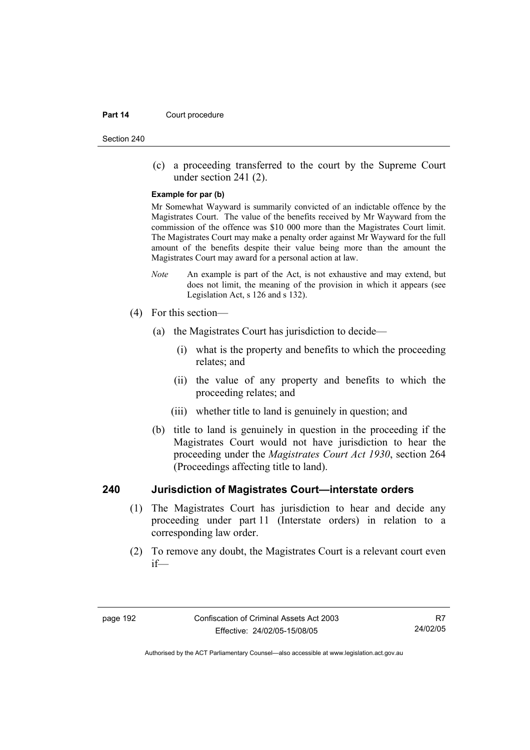#### **Part 14 Court procedure**

Section 240

 (c) a proceeding transferred to the court by the Supreme Court under section 241 (2).

#### **Example for par (b)**

Mr Somewhat Wayward is summarily convicted of an indictable offence by the Magistrates Court. The value of the benefits received by Mr Wayward from the commission of the offence was \$10 000 more than the Magistrates Court limit. The Magistrates Court may make a penalty order against Mr Wayward for the full amount of the benefits despite their value being more than the amount the Magistrates Court may award for a personal action at law.

- *Note* An example is part of the Act, is not exhaustive and may extend, but does not limit, the meaning of the provision in which it appears (see Legislation Act, s 126 and s 132).
- (4) For this section—
	- (a) the Magistrates Court has jurisdiction to decide—
		- (i) what is the property and benefits to which the proceeding relates; and
		- (ii) the value of any property and benefits to which the proceeding relates; and
		- (iii) whether title to land is genuinely in question; and
	- (b) title to land is genuinely in question in the proceeding if the Magistrates Court would not have jurisdiction to hear the proceeding under the *Magistrates Court Act 1930*, section 264 (Proceedings affecting title to land).

### **240 Jurisdiction of Magistrates Court—interstate orders**

- (1) The Magistrates Court has jurisdiction to hear and decide any proceeding under part 11 (Interstate orders) in relation to a corresponding law order.
- (2) To remove any doubt, the Magistrates Court is a relevant court even if—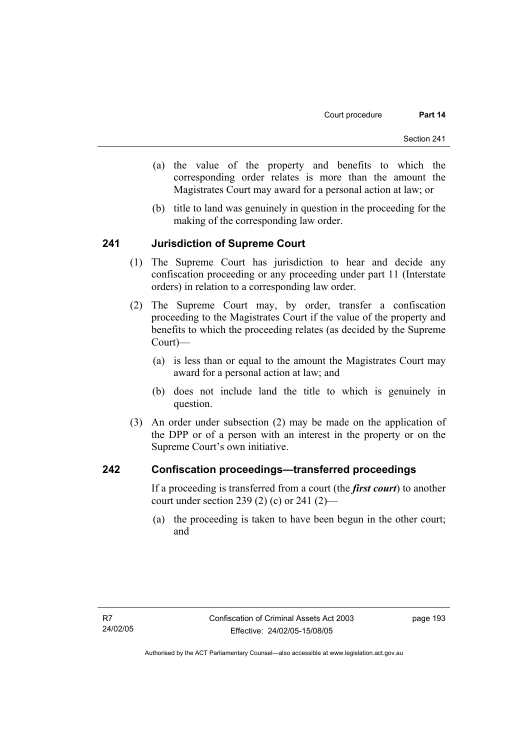- (a) the value of the property and benefits to which the corresponding order relates is more than the amount the Magistrates Court may award for a personal action at law; or
- (b) title to land was genuinely in question in the proceeding for the making of the corresponding law order.

### **241 Jurisdiction of Supreme Court**

- (1) The Supreme Court has jurisdiction to hear and decide any confiscation proceeding or any proceeding under part 11 (Interstate orders) in relation to a corresponding law order.
- (2) The Supreme Court may, by order, transfer a confiscation proceeding to the Magistrates Court if the value of the property and benefits to which the proceeding relates (as decided by the Supreme Court)—
	- (a) is less than or equal to the amount the Magistrates Court may award for a personal action at law; and
	- (b) does not include land the title to which is genuinely in question.
- (3) An order under subsection (2) may be made on the application of the DPP or of a person with an interest in the property or on the Supreme Court's own initiative.

### **242 Confiscation proceedings—transferred proceedings**

If a proceeding is transferred from a court (the *first court*) to another court under section 239 (2) (c) or 241 (2)—

 (a) the proceeding is taken to have been begun in the other court; and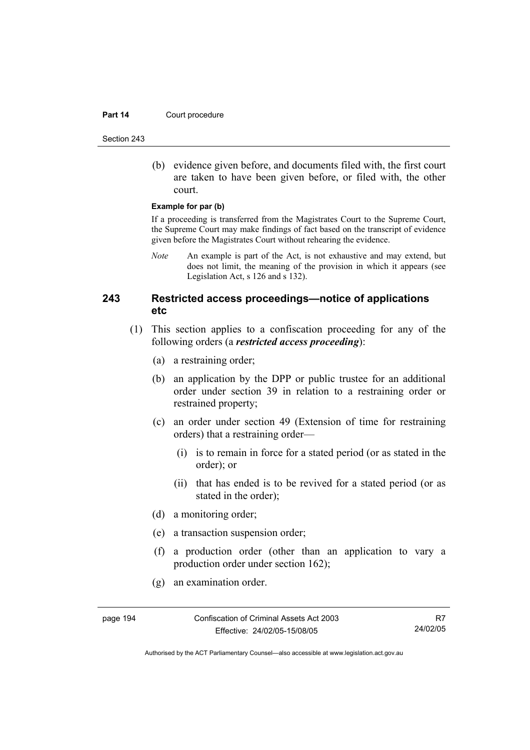#### **Part 14 Court procedure**

Section 243

 (b) evidence given before, and documents filed with, the first court are taken to have been given before, or filed with, the other court.

#### **Example for par (b)**

If a proceeding is transferred from the Magistrates Court to the Supreme Court, the Supreme Court may make findings of fact based on the transcript of evidence given before the Magistrates Court without rehearing the evidence.

*Note* An example is part of the Act, is not exhaustive and may extend, but does not limit, the meaning of the provision in which it appears (see Legislation Act, s 126 and s 132).

## **243 Restricted access proceedings—notice of applications etc**

- (1) This section applies to a confiscation proceeding for any of the following orders (a *restricted access proceeding*):
	- (a) a restraining order;
	- (b) an application by the DPP or public trustee for an additional order under section 39 in relation to a restraining order or restrained property;
	- (c) an order under section 49 (Extension of time for restraining orders) that a restraining order—
		- (i) is to remain in force for a stated period (or as stated in the order); or
		- (ii) that has ended is to be revived for a stated period (or as stated in the order);
	- (d) a monitoring order;
	- (e) a transaction suspension order;
	- (f) a production order (other than an application to vary a production order under section 162);
	- (g) an examination order.

page 194 Confiscation of Criminal Assets Act 2003 Effective: 24/02/05-15/08/05

R7 24/02/05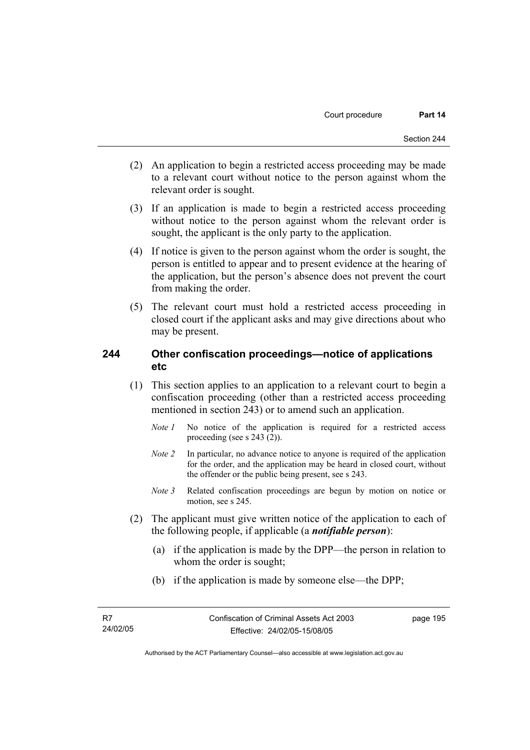- (2) An application to begin a restricted access proceeding may be made to a relevant court without notice to the person against whom the relevant order is sought.
- (3) If an application is made to begin a restricted access proceeding without notice to the person against whom the relevant order is sought, the applicant is the only party to the application.
- (4) If notice is given to the person against whom the order is sought, the person is entitled to appear and to present evidence at the hearing of the application, but the person's absence does not prevent the court from making the order.
- (5) The relevant court must hold a restricted access proceeding in closed court if the applicant asks and may give directions about who may be present.

### **244 Other confiscation proceedings—notice of applications etc**

- (1) This section applies to an application to a relevant court to begin a confiscation proceeding (other than a restricted access proceeding mentioned in section 243) or to amend such an application.
	- *Note 1* No notice of the application is required for a restricted access proceeding (see s 243 (2)).
	- *Note 2* In particular, no advance notice to anyone is required of the application for the order, and the application may be heard in closed court, without the offender or the public being present, see s 243.
	- *Note 3* Related confiscation proceedings are begun by motion on notice or motion, see s 245.
- (2) The applicant must give written notice of the application to each of the following people, if applicable (a *notifiable person*):
	- (a) if the application is made by the DPP—the person in relation to whom the order is sought;
	- (b) if the application is made by someone else—the DPP;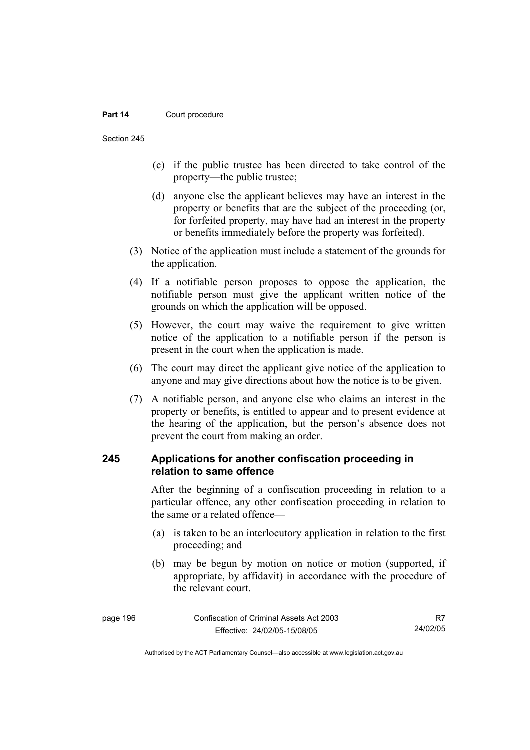#### **Part 14 Court procedure**

Section 245

- (c) if the public trustee has been directed to take control of the property—the public trustee;
- (d) anyone else the applicant believes may have an interest in the property or benefits that are the subject of the proceeding (or, for forfeited property, may have had an interest in the property or benefits immediately before the property was forfeited).
- (3) Notice of the application must include a statement of the grounds for the application.
- (4) If a notifiable person proposes to oppose the application, the notifiable person must give the applicant written notice of the grounds on which the application will be opposed.
- (5) However, the court may waive the requirement to give written notice of the application to a notifiable person if the person is present in the court when the application is made.
- (6) The court may direct the applicant give notice of the application to anyone and may give directions about how the notice is to be given.
- (7) A notifiable person, and anyone else who claims an interest in the property or benefits, is entitled to appear and to present evidence at the hearing of the application, but the person's absence does not prevent the court from making an order.

## **245 Applications for another confiscation proceeding in relation to same offence**

After the beginning of a confiscation proceeding in relation to a particular offence, any other confiscation proceeding in relation to the same or a related offence—

- (a) is taken to be an interlocutory application in relation to the first proceeding; and
- (b) may be begun by motion on notice or motion (supported, if appropriate, by affidavit) in accordance with the procedure of the relevant court.

| page 196 | Confiscation of Criminal Assets Act 2003 |          |
|----------|------------------------------------------|----------|
|          | Effective: 24/02/05-15/08/05             | 24/02/05 |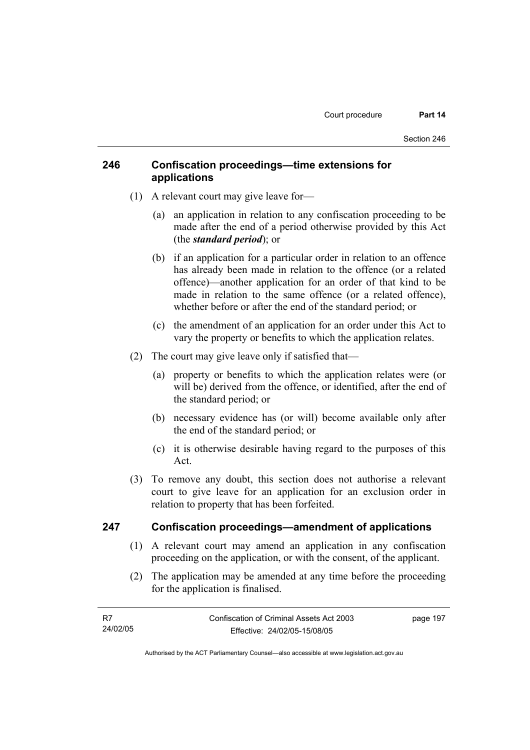## **246 Confiscation proceedings—time extensions for applications**

- (1) A relevant court may give leave for—
	- (a) an application in relation to any confiscation proceeding to be made after the end of a period otherwise provided by this Act (the *standard period*); or
	- (b) if an application for a particular order in relation to an offence has already been made in relation to the offence (or a related offence)—another application for an order of that kind to be made in relation to the same offence (or a related offence), whether before or after the end of the standard period; or
	- (c) the amendment of an application for an order under this Act to vary the property or benefits to which the application relates.
- (2) The court may give leave only if satisfied that—
	- (a) property or benefits to which the application relates were (or will be) derived from the offence, or identified, after the end of the standard period; or
	- (b) necessary evidence has (or will) become available only after the end of the standard period; or
	- (c) it is otherwise desirable having regard to the purposes of this Act.
- (3) To remove any doubt, this section does not authorise a relevant court to give leave for an application for an exclusion order in relation to property that has been forfeited.

### **247 Confiscation proceedings—amendment of applications**

- (1) A relevant court may amend an application in any confiscation proceeding on the application, or with the consent, of the applicant.
- (2) The application may be amended at any time before the proceeding for the application is finalised.

| - R7     | Confiscation of Criminal Assets Act 2003 | page 197 |
|----------|------------------------------------------|----------|
| 24/02/05 | Effective: 24/02/05-15/08/05             |          |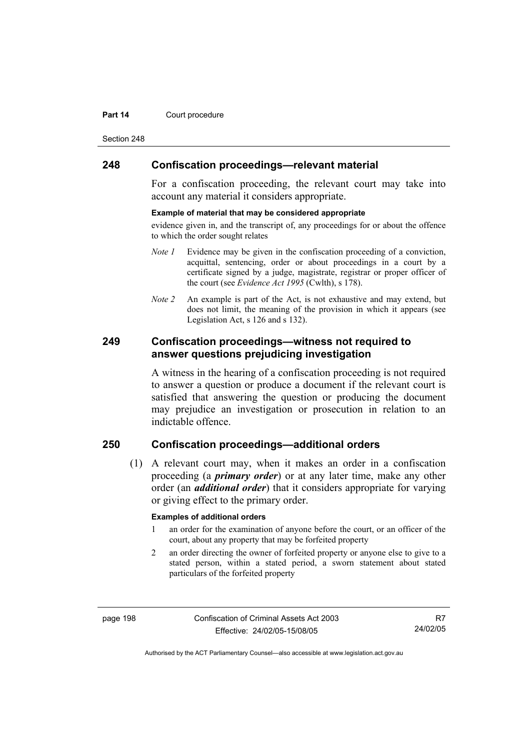#### **Part 14 Court procedure**

Section 248

### **248 Confiscation proceedings—relevant material**

For a confiscation proceeding, the relevant court may take into account any material it considers appropriate.

#### **Example of material that may be considered appropriate**

evidence given in, and the transcript of, any proceedings for or about the offence to which the order sought relates

- *Note 1* Evidence may be given in the confiscation proceeding of a conviction, acquittal, sentencing, order or about proceedings in a court by a certificate signed by a judge, magistrate, registrar or proper officer of the court (see *Evidence Act 1995* (Cwlth), s 178).
- *Note* 2 An example is part of the Act, is not exhaustive and may extend, but does not limit, the meaning of the provision in which it appears (see Legislation Act, s 126 and s 132).

### **249 Confiscation proceedings—witness not required to answer questions prejudicing investigation**

A witness in the hearing of a confiscation proceeding is not required to answer a question or produce a document if the relevant court is satisfied that answering the question or producing the document may prejudice an investigation or prosecution in relation to an indictable offence.

# **250 Confiscation proceedings—additional orders**

 (1) A relevant court may, when it makes an order in a confiscation proceeding (a *primary order*) or at any later time, make any other order (an *additional order*) that it considers appropriate for varying or giving effect to the primary order.

#### **Examples of additional orders**

- 1 an order for the examination of anyone before the court, or an officer of the court, about any property that may be forfeited property
- 2 an order directing the owner of forfeited property or anyone else to give to a stated person, within a stated period, a sworn statement about stated particulars of the forfeited property

page 198 Confiscation of Criminal Assets Act 2003 Effective: 24/02/05-15/08/05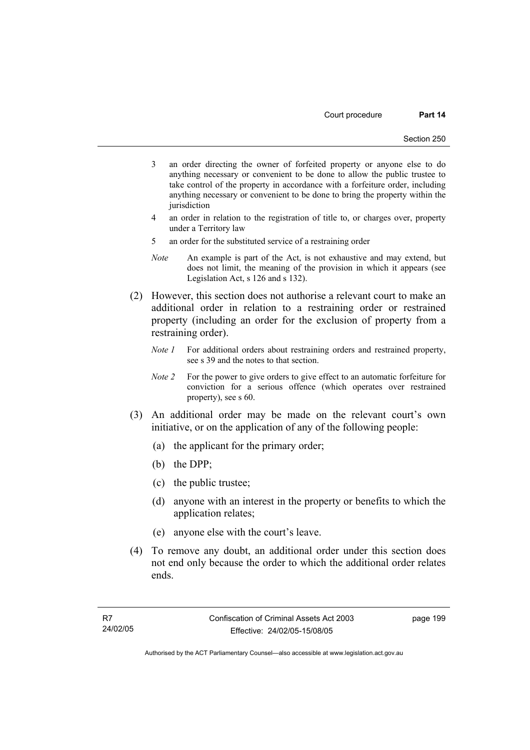- 3 an order directing the owner of forfeited property or anyone else to do anything necessary or convenient to be done to allow the public trustee to take control of the property in accordance with a forfeiture order, including anything necessary or convenient to be done to bring the property within the iurisdiction
- 4 an order in relation to the registration of title to, or charges over, property under a Territory law
- 5 an order for the substituted service of a restraining order
- *Note* An example is part of the Act, is not exhaustive and may extend, but does not limit, the meaning of the provision in which it appears (see Legislation Act, s 126 and s 132).
- (2) However, this section does not authorise a relevant court to make an additional order in relation to a restraining order or restrained property (including an order for the exclusion of property from a restraining order).
	- *Note 1* For additional orders about restraining orders and restrained property, see s 39 and the notes to that section.
	- *Note 2* For the power to give orders to give effect to an automatic forfeiture for conviction for a serious offence (which operates over restrained property), see s 60.
- (3) An additional order may be made on the relevant court's own initiative, or on the application of any of the following people:
	- (a) the applicant for the primary order;
	- (b) the DPP;
	- (c) the public trustee;
	- (d) anyone with an interest in the property or benefits to which the application relates;
	- (e) anyone else with the court's leave.
- (4) To remove any doubt, an additional order under this section does not end only because the order to which the additional order relates ends.

page 199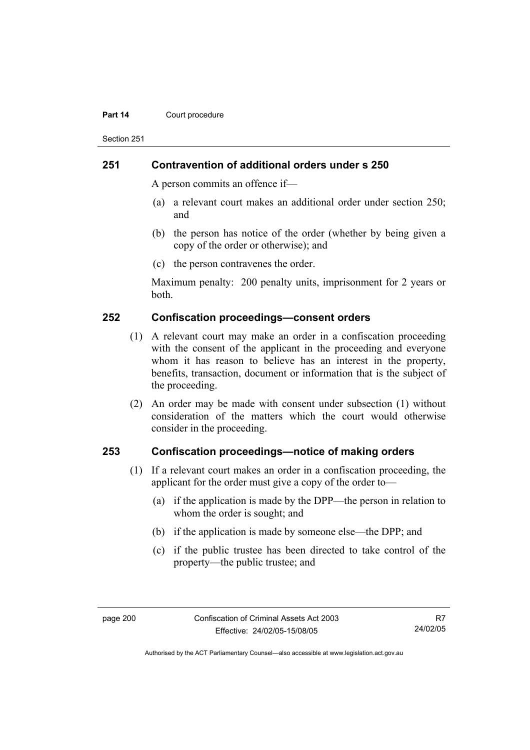#### **Part 14 Court procedure**

Section 251

### **251 Contravention of additional orders under s 250**

A person commits an offence if—

- (a) a relevant court makes an additional order under section 250; and
- (b) the person has notice of the order (whether by being given a copy of the order or otherwise); and
- (c) the person contravenes the order.

Maximum penalty: 200 penalty units, imprisonment for 2 years or both.

### **252 Confiscation proceedings—consent orders**

- (1) A relevant court may make an order in a confiscation proceeding with the consent of the applicant in the proceeding and everyone whom it has reason to believe has an interest in the property, benefits, transaction, document or information that is the subject of the proceeding.
- (2) An order may be made with consent under subsection (1) without consideration of the matters which the court would otherwise consider in the proceeding.

### **253 Confiscation proceedings—notice of making orders**

- (1) If a relevant court makes an order in a confiscation proceeding, the applicant for the order must give a copy of the order to—
	- (a) if the application is made by the DPP—the person in relation to whom the order is sought; and
	- (b) if the application is made by someone else—the DPP; and
	- (c) if the public trustee has been directed to take control of the property—the public trustee; and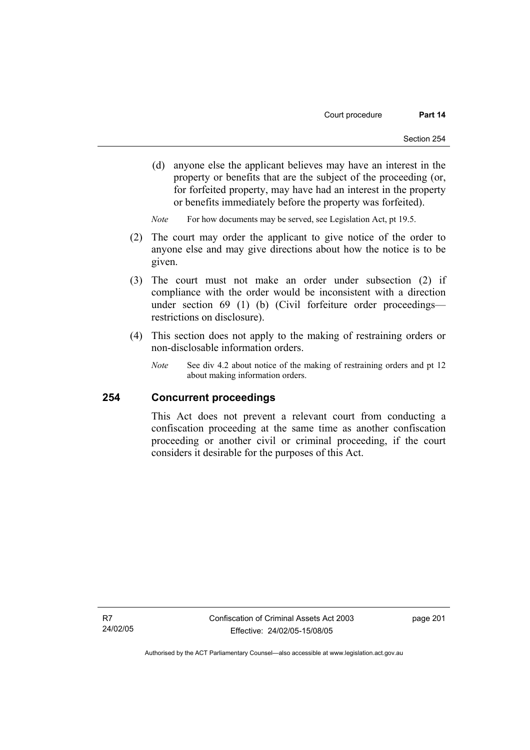(d) anyone else the applicant believes may have an interest in the property or benefits that are the subject of the proceeding (or, for forfeited property, may have had an interest in the property or benefits immediately before the property was forfeited).

*Note* For how documents may be served, see Legislation Act, pt 19.5.

- (2) The court may order the applicant to give notice of the order to anyone else and may give directions about how the notice is to be given.
- (3) The court must not make an order under subsection (2) if compliance with the order would be inconsistent with a direction under section 69 (1) (b) (Civil forfeiture order proceedings restrictions on disclosure).
- (4) This section does not apply to the making of restraining orders or non-disclosable information orders.
	- *Note* See div 4.2 about notice of the making of restraining orders and pt 12 about making information orders.

### **254 Concurrent proceedings**

This Act does not prevent a relevant court from conducting a confiscation proceeding at the same time as another confiscation proceeding or another civil or criminal proceeding, if the court considers it desirable for the purposes of this Act.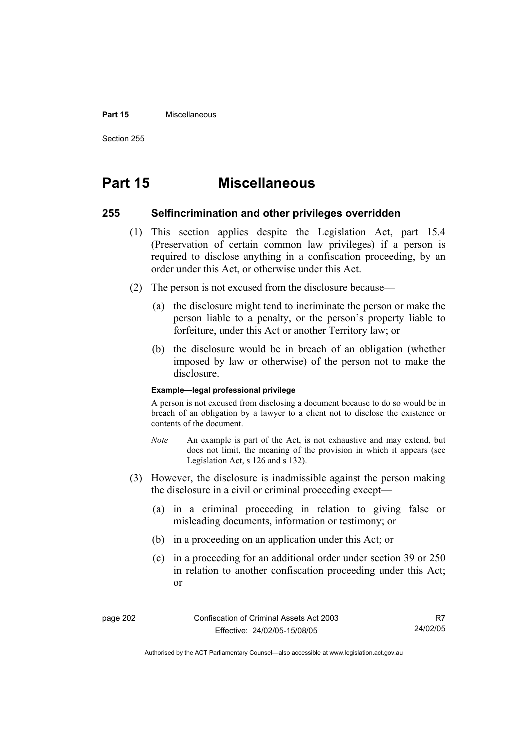#### **Part 15** Miscellaneous

Section 255

# **Part 15 Miscellaneous**

### **255 Selfincrimination and other privileges overridden**

- (1) This section applies despite the Legislation Act, part 15.4 (Preservation of certain common law privileges) if a person is required to disclose anything in a confiscation proceeding, by an order under this Act, or otherwise under this Act.
- (2) The person is not excused from the disclosure because—
	- (a) the disclosure might tend to incriminate the person or make the person liable to a penalty, or the person's property liable to forfeiture, under this Act or another Territory law; or
	- (b) the disclosure would be in breach of an obligation (whether imposed by law or otherwise) of the person not to make the disclosure.

#### **Example—legal professional privilege**

A person is not excused from disclosing a document because to do so would be in breach of an obligation by a lawyer to a client not to disclose the existence or contents of the document.

- *Note* An example is part of the Act, is not exhaustive and may extend, but does not limit, the meaning of the provision in which it appears (see Legislation Act, s 126 and s 132).
- (3) However, the disclosure is inadmissible against the person making the disclosure in a civil or criminal proceeding except—
	- (a) in a criminal proceeding in relation to giving false or misleading documents, information or testimony; or
	- (b) in a proceeding on an application under this Act; or
	- (c) in a proceeding for an additional order under section 39 or 250 in relation to another confiscation proceeding under this Act; or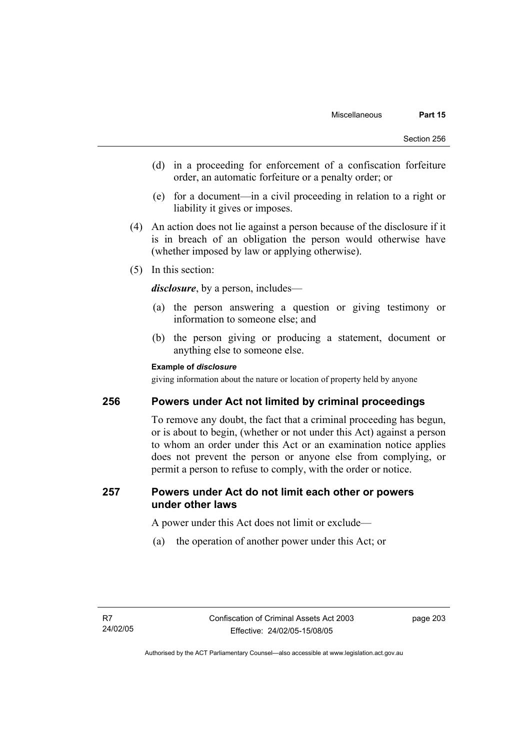- (d) in a proceeding for enforcement of a confiscation forfeiture order, an automatic forfeiture or a penalty order; or
- (e) for a document—in a civil proceeding in relation to a right or liability it gives or imposes.
- (4) An action does not lie against a person because of the disclosure if it is in breach of an obligation the person would otherwise have (whether imposed by law or applying otherwise).
- (5) In this section:

*disclosure*, by a person, includes—

- (a) the person answering a question or giving testimony or information to someone else; and
- (b) the person giving or producing a statement, document or anything else to someone else.

## **Example of** *disclosure*

giving information about the nature or location of property held by anyone

## **256 Powers under Act not limited by criminal proceedings**

To remove any doubt, the fact that a criminal proceeding has begun, or is about to begin, (whether or not under this Act) against a person to whom an order under this Act or an examination notice applies does not prevent the person or anyone else from complying, or permit a person to refuse to comply, with the order or notice.

## **257 Powers under Act do not limit each other or powers under other laws**

A power under this Act does not limit or exclude—

(a) the operation of another power under this Act; or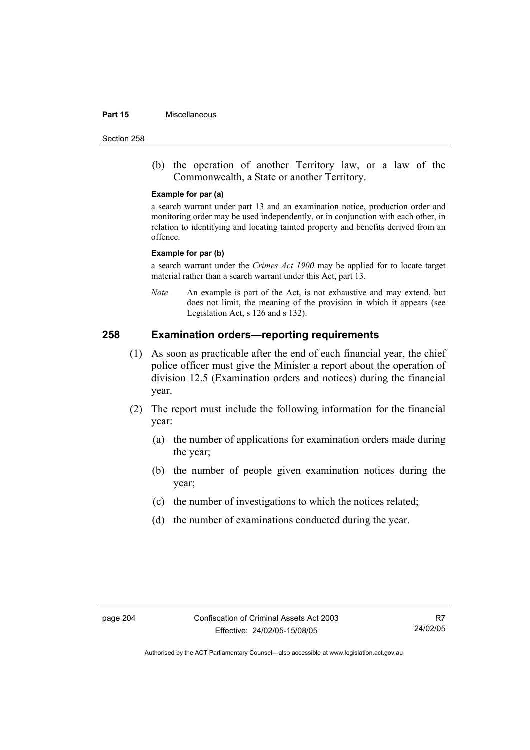#### **Part 15** Miscellaneous

Section 258

 (b) the operation of another Territory law, or a law of the Commonwealth, a State or another Territory.

#### **Example for par (a)**

a search warrant under part 13 and an examination notice, production order and monitoring order may be used independently, or in conjunction with each other, in relation to identifying and locating tainted property and benefits derived from an offence.

#### **Example for par (b)**

a search warrant under the *Crimes Act 1900* may be applied for to locate target material rather than a search warrant under this Act, part 13.

*Note* An example is part of the Act, is not exhaustive and may extend, but does not limit, the meaning of the provision in which it appears (see Legislation Act, s 126 and s 132).

## **258 Examination orders—reporting requirements**

- (1) As soon as practicable after the end of each financial year, the chief police officer must give the Minister a report about the operation of division 12.5 (Examination orders and notices) during the financial year.
- (2) The report must include the following information for the financial year:
	- (a) the number of applications for examination orders made during the year;
	- (b) the number of people given examination notices during the year;
	- (c) the number of investigations to which the notices related;
	- (d) the number of examinations conducted during the year.

R7 24/02/05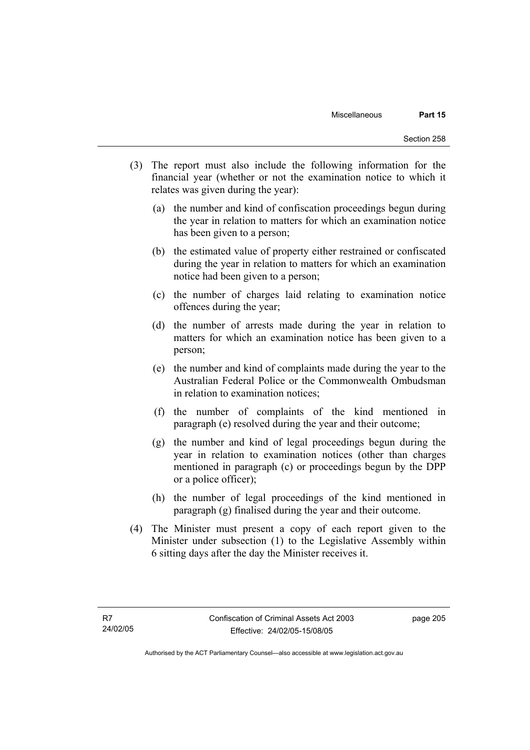- (3) The report must also include the following information for the financial year (whether or not the examination notice to which it relates was given during the year):
	- (a) the number and kind of confiscation proceedings begun during the year in relation to matters for which an examination notice has been given to a person;
	- (b) the estimated value of property either restrained or confiscated during the year in relation to matters for which an examination notice had been given to a person;
	- (c) the number of charges laid relating to examination notice offences during the year;
	- (d) the number of arrests made during the year in relation to matters for which an examination notice has been given to a person;
	- (e) the number and kind of complaints made during the year to the Australian Federal Police or the Commonwealth Ombudsman in relation to examination notices;
	- (f) the number of complaints of the kind mentioned in paragraph (e) resolved during the year and their outcome;
	- (g) the number and kind of legal proceedings begun during the year in relation to examination notices (other than charges mentioned in paragraph (c) or proceedings begun by the DPP or a police officer);
	- (h) the number of legal proceedings of the kind mentioned in paragraph (g) finalised during the year and their outcome.
- (4) The Minister must present a copy of each report given to the Minister under subsection (1) to the Legislative Assembly within 6 sitting days after the day the Minister receives it.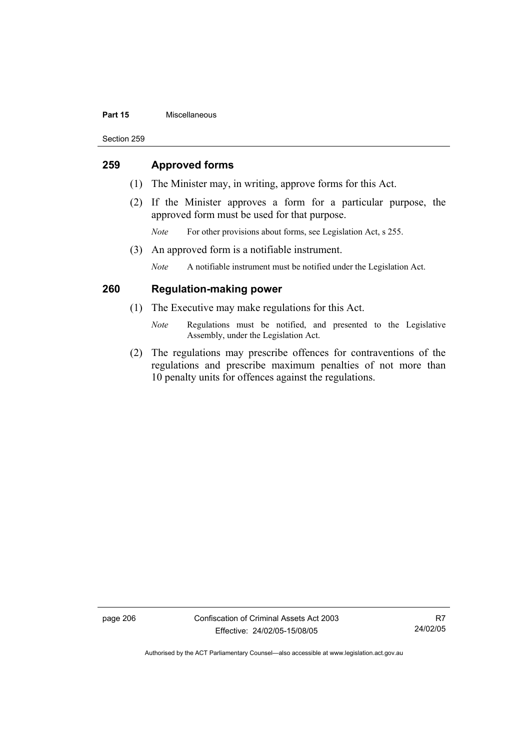#### **Part 15** Miscellaneous

Section 259

## **259 Approved forms**

- (1) The Minister may, in writing, approve forms for this Act.
- (2) If the Minister approves a form for a particular purpose, the approved form must be used for that purpose.
	- *Note* For other provisions about forms, see Legislation Act, s 255.
- (3) An approved form is a notifiable instrument.

*Note* A notifiable instrument must be notified under the Legislation Act.

## **260 Regulation-making power**

- (1) The Executive may make regulations for this Act.
	- *Note* Regulations must be notified, and presented to the Legislative Assembly, under the Legislation Act.
- (2) The regulations may prescribe offences for contraventions of the regulations and prescribe maximum penalties of not more than 10 penalty units for offences against the regulations.

page 206 Confiscation of Criminal Assets Act 2003 Effective: 24/02/05-15/08/05

R7 24/02/05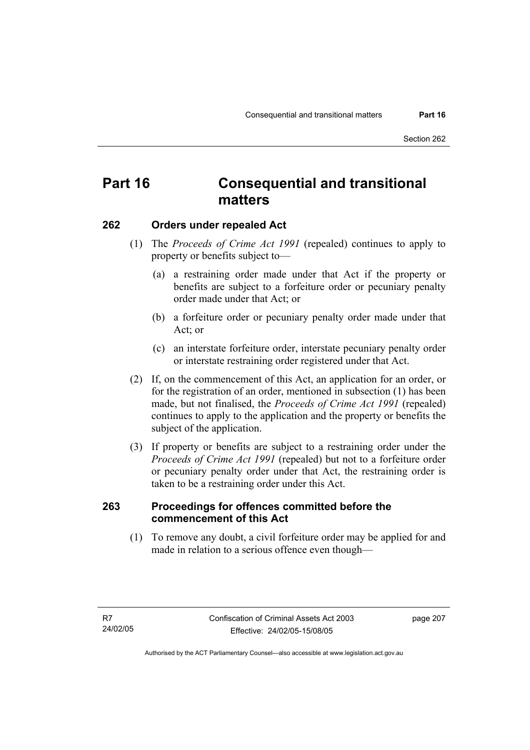# **Part 16 Consequential and transitional matters**

## **262 Orders under repealed Act**

- (1) The *Proceeds of Crime Act 1991* (repealed) continues to apply to property or benefits subject to—
	- (a) a restraining order made under that Act if the property or benefits are subject to a forfeiture order or pecuniary penalty order made under that Act; or
	- (b) a forfeiture order or pecuniary penalty order made under that Act; or
	- (c) an interstate forfeiture order, interstate pecuniary penalty order or interstate restraining order registered under that Act.
- (2) If, on the commencement of this Act, an application for an order, or for the registration of an order, mentioned in subsection (1) has been made, but not finalised, the *Proceeds of Crime Act 1991* (repealed) continues to apply to the application and the property or benefits the subject of the application.
- (3) If property or benefits are subject to a restraining order under the *Proceeds of Crime Act 1991* (repealed) but not to a forfeiture order or pecuniary penalty order under that Act, the restraining order is taken to be a restraining order under this Act.

## **263 Proceedings for offences committed before the commencement of this Act**

 (1) To remove any doubt, a civil forfeiture order may be applied for and made in relation to a serious offence even though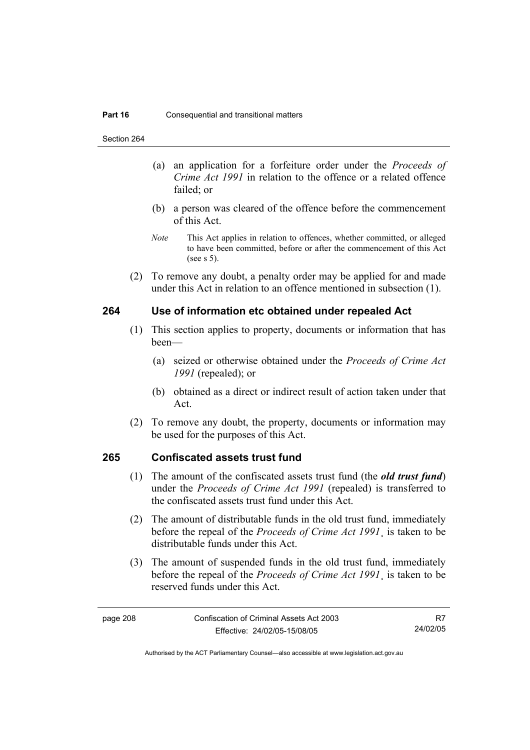Section 264

- (a) an application for a forfeiture order under the *Proceeds of Crime Act 1991* in relation to the offence or a related offence failed; or
- (b) a person was cleared of the offence before the commencement of this Act.
- *Note* This Act applies in relation to offences, whether committed, or alleged to have been committed, before or after the commencement of this Act (see s 5).
- (2) To remove any doubt, a penalty order may be applied for and made under this Act in relation to an offence mentioned in subsection (1).

## **264 Use of information etc obtained under repealed Act**

- (1) This section applies to property, documents or information that has been—
	- (a) seized or otherwise obtained under the *Proceeds of Crime Act 1991* (repealed); or
	- (b) obtained as a direct or indirect result of action taken under that Act.
- (2) To remove any doubt, the property, documents or information may be used for the purposes of this Act.

## **265 Confiscated assets trust fund**

- (1) The amount of the confiscated assets trust fund (the *old trust fund*) under the *Proceeds of Crime Act 1991* (repealed) is transferred to the confiscated assets trust fund under this Act.
- (2) The amount of distributable funds in the old trust fund, immediately before the repeal of the *Proceeds of Crime Act 1991*¸ is taken to be distributable funds under this Act.
- (3) The amount of suspended funds in the old trust fund, immediately before the repeal of the *Proceeds of Crime Act 1991*¸ is taken to be reserved funds under this Act.

R7 24/02/05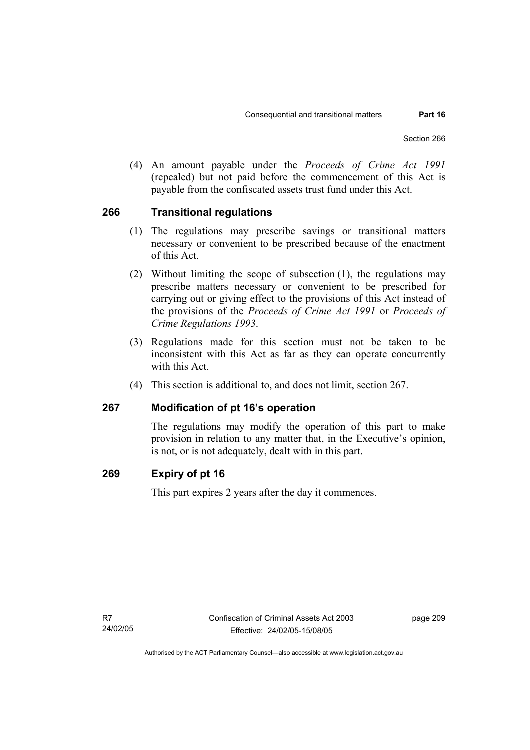(4) An amount payable under the *Proceeds of Crime Act 1991* (repealed) but not paid before the commencement of this Act is payable from the confiscated assets trust fund under this Act.

## **266 Transitional regulations**

- (1) The regulations may prescribe savings or transitional matters necessary or convenient to be prescribed because of the enactment of this Act.
- (2) Without limiting the scope of subsection (1), the regulations may prescribe matters necessary or convenient to be prescribed for carrying out or giving effect to the provisions of this Act instead of the provisions of the *Proceeds of Crime Act 1991* or *Proceeds of Crime Regulations 1993*.
- (3) Regulations made for this section must not be taken to be inconsistent with this Act as far as they can operate concurrently with this Act.
- (4) This section is additional to, and does not limit, section 267.

## **267 Modification of pt 16's operation**

The regulations may modify the operation of this part to make provision in relation to any matter that, in the Executive's opinion, is not, or is not adequately, dealt with in this part.

## **269 Expiry of pt 16**

This part expires 2 years after the day it commences.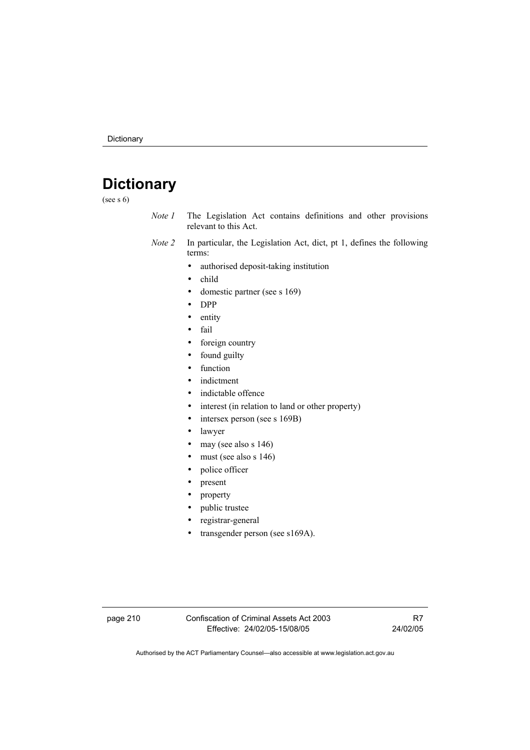# **Dictionary**

(see s 6)

- *Note 1* The Legislation Act contains definitions and other provisions relevant to this Act.
- *Note 2* In particular, the Legislation Act, dict, pt 1, defines the following terms:
	- authorised deposit-taking institution
	- child
	- domestic partner (see s 169)
	- DPP
	- entity
	- fail
	- foreign country
	- found guilty
	- function
	- indictment
	- indictable offence
	- interest (in relation to land or other property)
	- intersex person (see s 169B)
	- lawyer
	- may (see also s 146)
	- must (see also s 146)
	- police officer
	- present
	- property
	- public trustee
	- registrar-general
	- transgender person (see s169A).

page 210 Confiscation of Criminal Assets Act 2003 Effective: 24/02/05-15/08/05

R7 24/02/05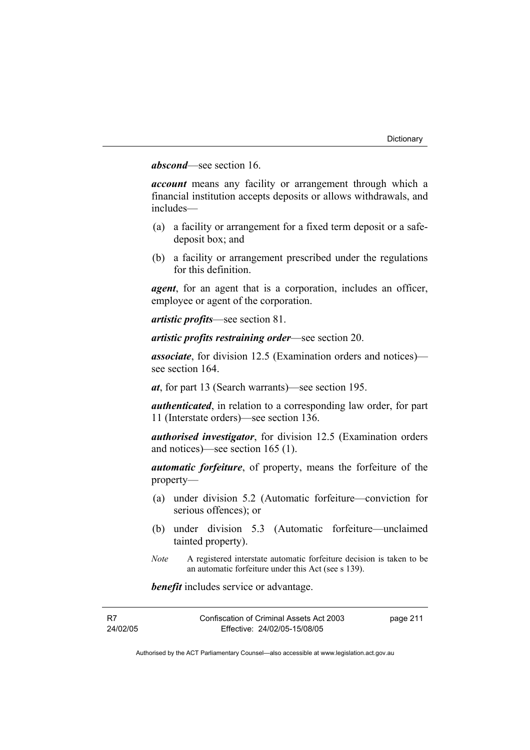## *abscond*—see section 16.

*account* means any facility or arrangement through which a financial institution accepts deposits or allows withdrawals, and includes—

- (a) a facility or arrangement for a fixed term deposit or a safedeposit box; and
- (b) a facility or arrangement prescribed under the regulations for this definition.

*agent*, for an agent that is a corporation, includes an officer, employee or agent of the corporation.

*artistic profits*—see section 81.

*artistic profits restraining order*—see section 20.

*associate*, for division 12.5 (Examination orders and notices) see section 164.

*at*, for part 13 (Search warrants)—see section 195.

*authenticated*, in relation to a corresponding law order, for part 11 (Interstate orders)—see section 136.

*authorised investigator*, for division 12.5 (Examination orders and notices)—see section 165 (1).

*automatic forfeiture*, of property, means the forfeiture of the property—

- (a) under division 5.2 (Automatic forfeiture—conviction for serious offences); or
- (b) under division 5.3 (Automatic forfeiture—unclaimed tainted property).
- *Note* A registered interstate automatic forfeiture decision is taken to be an automatic forfeiture under this Act (see s 139).

*benefit* includes service or advantage.

| - R7     | Confiscation of Criminal Assets Act 2003 | page 211 |
|----------|------------------------------------------|----------|
| 24/02/05 | Effective: 24/02/05-15/08/05             |          |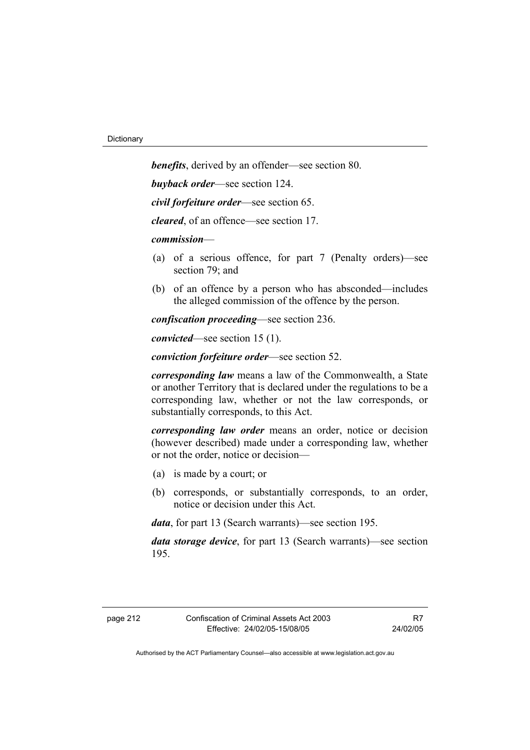*benefits*, derived by an offender—see section 80. *buyback order*—see section 124. *civil forfeiture order*—see section 65.

*cleared*, of an offence—see section 17.

*commission*—

- (a) of a serious offence, for part 7 (Penalty orders)—see section 79; and
- (b) of an offence by a person who has absconded—includes the alleged commission of the offence by the person.

*confiscation proceeding*—see section 236.

*convicted*—see section 15 (1).

*conviction forfeiture order*—see section 52.

*corresponding law* means a law of the Commonwealth, a State or another Territory that is declared under the regulations to be a corresponding law, whether or not the law corresponds, or substantially corresponds, to this Act.

*corresponding law order* means an order, notice or decision (however described) made under a corresponding law, whether or not the order, notice or decision—

- (a) is made by a court; or
- (b) corresponds, or substantially corresponds, to an order, notice or decision under this Act.

*data*, for part 13 (Search warrants)—see section 195.

*data storage device*, for part 13 (Search warrants)—see section 195.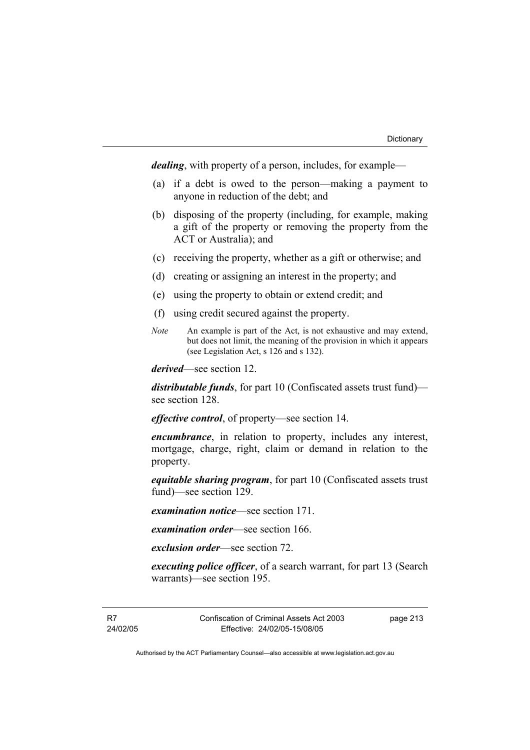*dealing*, with property of a person, includes, for example—

- (a) if a debt is owed to the person—making a payment to anyone in reduction of the debt; and
- (b) disposing of the property (including, for example, making a gift of the property or removing the property from the ACT or Australia); and
- (c) receiving the property, whether as a gift or otherwise; and
- (d) creating or assigning an interest in the property; and
- (e) using the property to obtain or extend credit; and
- (f) using credit secured against the property.
- *Note* An example is part of the Act, is not exhaustive and may extend, but does not limit, the meaning of the provision in which it appears (see Legislation Act, s 126 and s 132).

*derived*—see section 12.

*distributable funds*, for part 10 (Confiscated assets trust fund) see section 128.

*effective control*, of property—see section 14.

*encumbrance*, in relation to property, includes any interest, mortgage, charge, right, claim or demand in relation to the property.

*equitable sharing program*, for part 10 (Confiscated assets trust fund)—see section 129.

*examination notice*—see section 171.

*examination order*—see section 166.

*exclusion order*—see section 72.

*executing police officer*, of a search warrant, for part 13 (Search warrants)—see section 195.

R7 24/02/05 Confiscation of Criminal Assets Act 2003 Effective: 24/02/05-15/08/05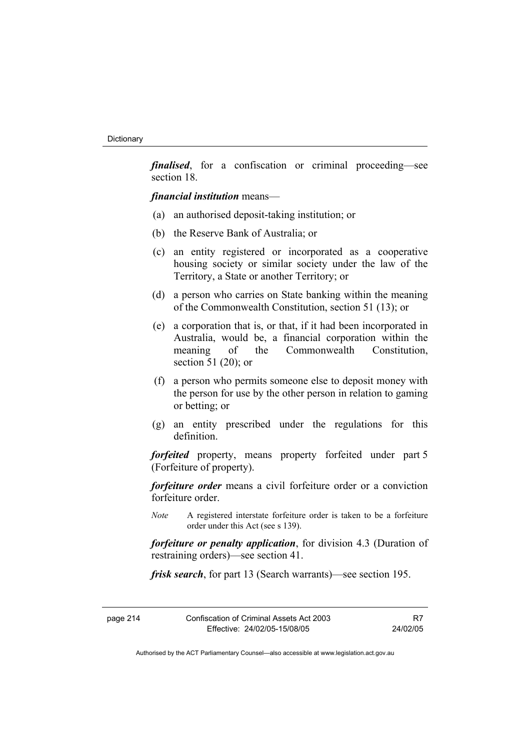*finalised*, for a confiscation or criminal proceeding—see section 18.

*financial institution* means—

- (a) an authorised deposit-taking institution; or
- (b) the Reserve Bank of Australia; or
- (c) an entity registered or incorporated as a cooperative housing society or similar society under the law of the Territory, a State or another Territory; or
- (d) a person who carries on State banking within the meaning of the Commonwealth Constitution, section 51 (13); or
- (e) a corporation that is, or that, if it had been incorporated in Australia, would be, a financial corporation within the meaning of the Commonwealth Constitution section 51 (20); or
- (f) a person who permits someone else to deposit money with the person for use by the other person in relation to gaming or betting; or
- (g) an entity prescribed under the regulations for this definition.

*forfeited* property, means property forfeited under part 5 (Forfeiture of property).

*forfeiture order* means a civil forfeiture order or a conviction forfeiture order.

*Note* A registered interstate forfeiture order is taken to be a forfeiture order under this Act (see s 139).

*forfeiture or penalty application*, for division 4.3 (Duration of restraining orders)—see section 41.

*frisk search*, for part 13 (Search warrants)—see section 195.

| page 214 | Confiscation of Criminal Assets Act 2003 | R7       |
|----------|------------------------------------------|----------|
|          | Effective: 24/02/05-15/08/05             | 24/02/05 |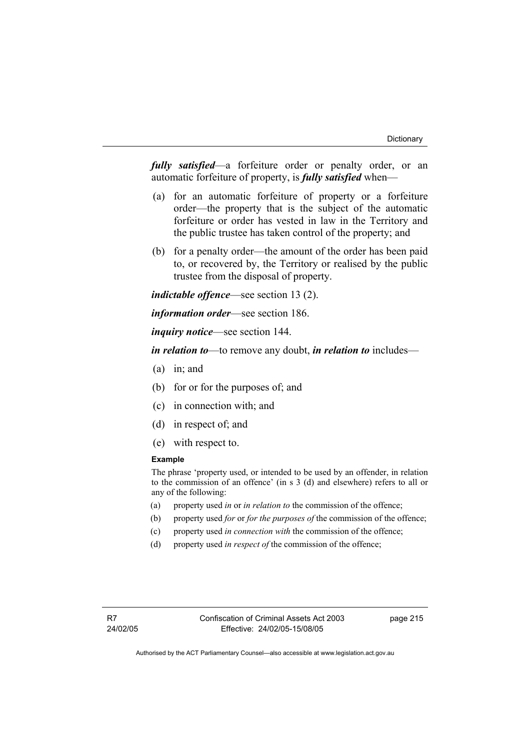*fully satisfied*—a forfeiture order or penalty order, or an automatic forfeiture of property, is *fully satisfied* when—

- (a) for an automatic forfeiture of property or a forfeiture order—the property that is the subject of the automatic forfeiture or order has vested in law in the Territory and the public trustee has taken control of the property; and
- (b) for a penalty order—the amount of the order has been paid to, or recovered by, the Territory or realised by the public trustee from the disposal of property.

*indictable offence*—see section 13 (2).

*information order*—see section 186.

*inquiry notice*—see section 144.

*in relation to*—to remove any doubt, *in relation to* includes—

- (a) in; and
- (b) for or for the purposes of; and
- (c) in connection with; and
- (d) in respect of; and
- (e) with respect to.

#### **Example**

The phrase 'property used, or intended to be used by an offender, in relation to the commission of an offence' (in s 3 (d) and elsewhere) refers to all or any of the following:

- (a) property used *in* or *in relation to* the commission of the offence;
- (b) property used *for* or *for the purposes of* the commission of the offence;
- (c) property used *in connection with* the commission of the offence;
- (d) property used *in respect of* the commission of the offence;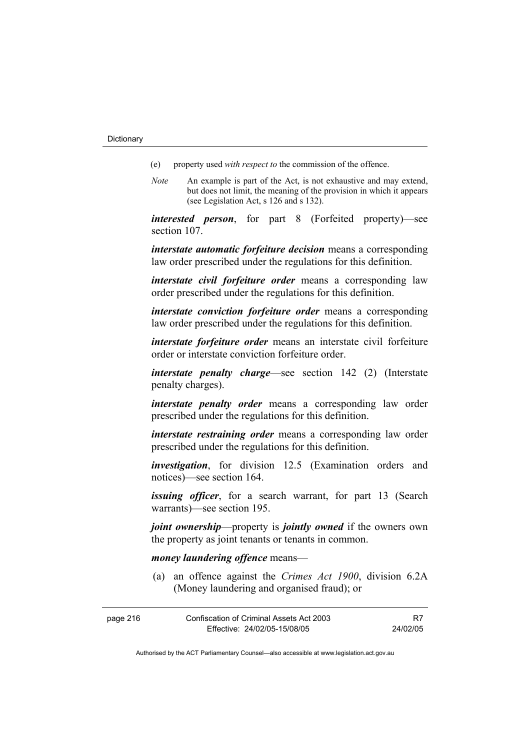- (e) property used *with respect to* the commission of the offence.
- *Note* An example is part of the Act, is not exhaustive and may extend, but does not limit, the meaning of the provision in which it appears (see Legislation Act, s 126 and s 132).

*interested person*, for part 8 (Forfeited property)—see section 107.

*interstate automatic forfeiture decision* means a corresponding law order prescribed under the regulations for this definition.

*interstate civil forfeiture order* means a corresponding law order prescribed under the regulations for this definition.

*interstate conviction forfeiture order* means a corresponding law order prescribed under the regulations for this definition.

*interstate forfeiture order* means an interstate civil forfeiture order or interstate conviction forfeiture order.

*interstate penalty charge*—see section 142 (2) (Interstate penalty charges).

*interstate penalty order* means a corresponding law order prescribed under the regulations for this definition.

*interstate restraining order* means a corresponding law order prescribed under the regulations for this definition.

*investigation*, for division 12.5 (Examination orders and notices)—see section 164.

*issuing officer*, for a search warrant, for part 13 (Search warrants)—see section 195.

*joint ownership*—property is *jointly owned* if the owners own the property as joint tenants or tenants in common.

#### *money laundering offence* means—

 (a) an offence against the *Crimes Act 1900*, division 6.2A (Money laundering and organised fraud); or

| page 216 | Confiscation of Criminal Assets Act 2003 |          |
|----------|------------------------------------------|----------|
|          | Effective: 24/02/05-15/08/05             | 24/02/05 |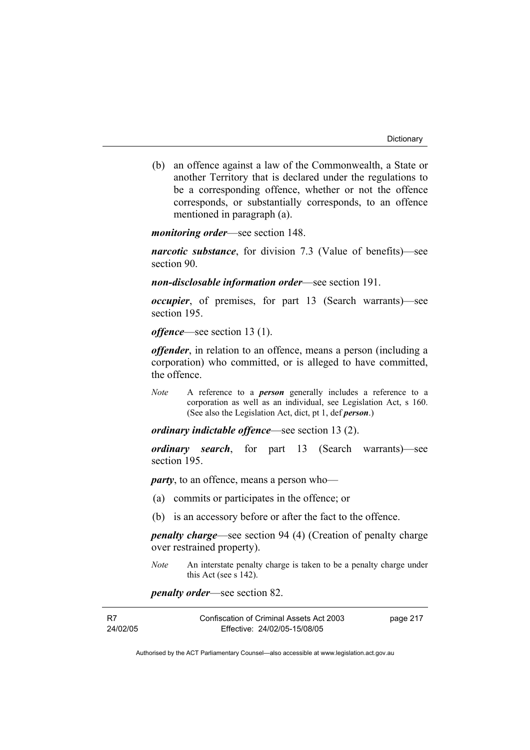(b) an offence against a law of the Commonwealth, a State or another Territory that is declared under the regulations to be a corresponding offence, whether or not the offence corresponds, or substantially corresponds, to an offence mentioned in paragraph (a).

*monitoring order*—see section 148.

*narcotic substance*, for division 7.3 (Value of benefits)—see section 90.

*non-disclosable information order*—see section 191.

*occupier*, of premises, for part 13 (Search warrants)—see section 195.

*offence*—see section 13 (1).

*offender*, in relation to an offence, means a person (including a corporation) who committed, or is alleged to have committed, the offence.

*Note* A reference to a *person* generally includes a reference to a corporation as well as an individual, see Legislation Act, s 160. (See also the Legislation Act, dict, pt 1, def *person*.)

*ordinary indictable offence*—see section 13 (2).

*ordinary search*, for part 13 (Search warrants)—see section 195.

*party*, to an offence, means a person who—

- (a) commits or participates in the offence; or
- (b) is an accessory before or after the fact to the offence.

*penalty charge*—see section 94 (4) (Creation of penalty charge over restrained property).

*Note* An interstate penalty charge is taken to be a penalty charge under this Act (see s 142).

*penalty order*—see section 82.

| - R7     | Confiscation of Criminal Assets Act 2003 | page 217 |
|----------|------------------------------------------|----------|
| 24/02/05 | Effective: 24/02/05-15/08/05             |          |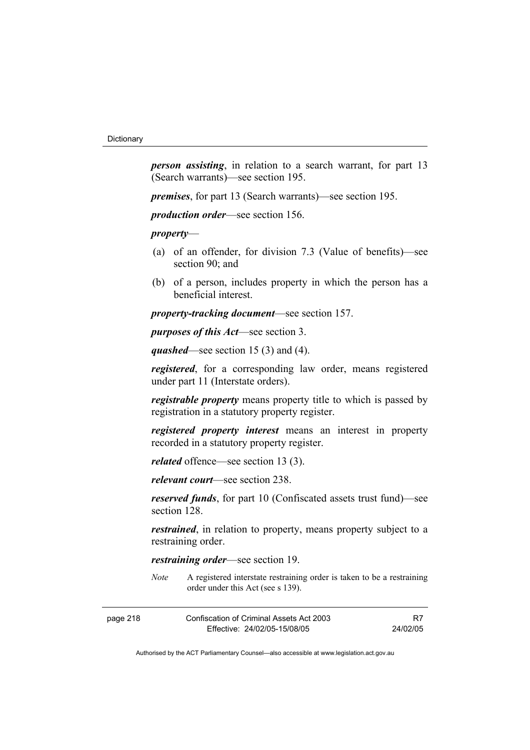*person assisting*, in relation to a search warrant, for part 13 (Search warrants)—see section 195.

*premises*, for part 13 (Search warrants)—see section 195.

*production order*—see section 156.

*property*—

- (a) of an offender, for division 7.3 (Value of benefits)—see section 90; and
- (b) of a person, includes property in which the person has a beneficial interest.

*property-tracking document*—see section 157.

*purposes of this Act*—see section 3.

*quashed*—see section 15 (3) and (4).

*registered*, for a corresponding law order, means registered under part 11 (Interstate orders).

*registrable property* means property title to which is passed by registration in a statutory property register.

*registered property interest* means an interest in property recorded in a statutory property register.

*related* offence—see section 13 (3).

*relevant court*—see section 238.

*reserved funds*, for part 10 (Confiscated assets trust fund)—see section 128.

*restrained*, in relation to property, means property subject to a restraining order.

*restraining order*—see section 19.

*Note* A registered interstate restraining order is taken to be a restraining order under this Act (see s 139).

| page 218 | Confiscation of Criminal Assets Act 2003 | R7       |
|----------|------------------------------------------|----------|
|          | Effective: 24/02/05-15/08/05             | 24/02/05 |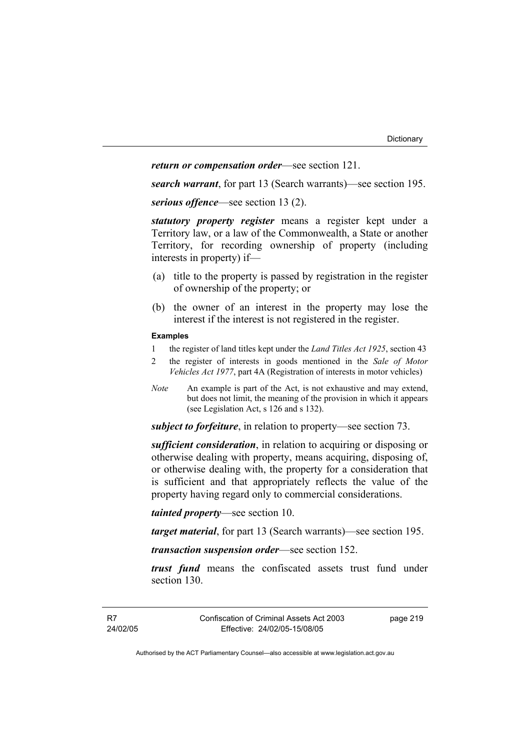### *return or compensation order*—see section 121.

*search warrant*, for part 13 (Search warrants)—see section 195.

*serious offence*—see section 13 (2).

*statutory property register* means a register kept under a Territory law, or a law of the Commonwealth, a State or another Territory, for recording ownership of property (including interests in property) if—

- (a) title to the property is passed by registration in the register of ownership of the property; or
- (b) the owner of an interest in the property may lose the interest if the interest is not registered in the register.

#### **Examples**

- 1 the register of land titles kept under the *Land Titles Act 1925*, section 43
- 2 the register of interests in goods mentioned in the *Sale of Motor Vehicles Act 1977*, part 4A (Registration of interests in motor vehicles)
- *Note* An example is part of the Act, is not exhaustive and may extend, but does not limit, the meaning of the provision in which it appears (see Legislation Act, s 126 and s 132).

*subject to forfeiture*, in relation to property—see section 73.

*sufficient consideration*, in relation to acquiring or disposing or otherwise dealing with property, means acquiring, disposing of, or otherwise dealing with, the property for a consideration that is sufficient and that appropriately reflects the value of the property having regard only to commercial considerations.

*tainted property*—see section 10.

*target material*, for part 13 (Search warrants)—see section 195.

*transaction suspension order*—see section 152.

*trust fund* means the confiscated assets trust fund under section 130.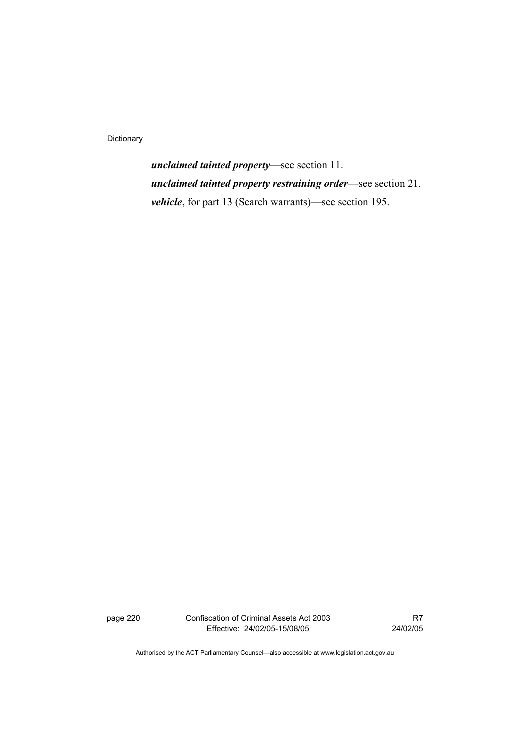Dictionary

*unclaimed tainted property*—see section 11. *unclaimed tainted property restraining order*—see section 21. *vehicle*, for part 13 (Search warrants)—see section 195.

page 220 Confiscation of Criminal Assets Act 2003 Effective: 24/02/05-15/08/05

R7 24/02/05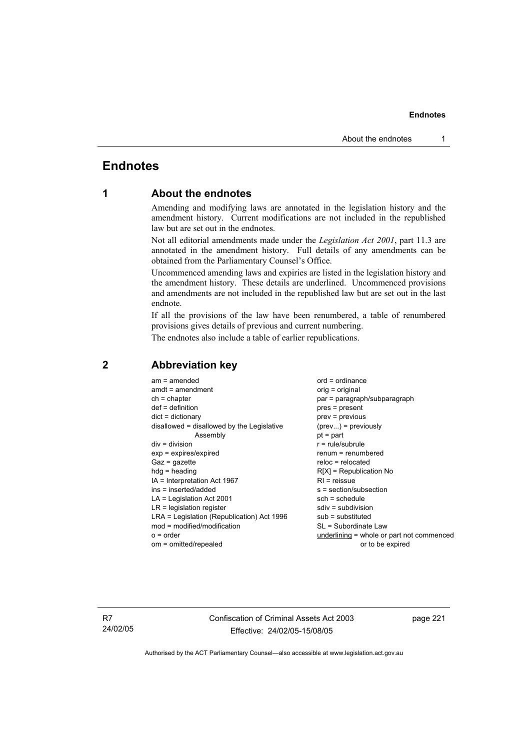## **Endnotes**

## **1 About the endnotes**

Amending and modifying laws are annotated in the legislation history and the amendment history. Current modifications are not included in the republished law but are set out in the endnotes.

Not all editorial amendments made under the *Legislation Act 2001*, part 11.3 are annotated in the amendment history. Full details of any amendments can be obtained from the Parliamentary Counsel's Office.

Uncommenced amending laws and expiries are listed in the legislation history and the amendment history. These details are underlined. Uncommenced provisions and amendments are not included in the republished law but are set out in the last endnote.

If all the provisions of the law have been renumbered, a table of renumbered provisions gives details of previous and current numbering.

The endnotes also include a table of earlier republications.

| $am = amended$                             | $ord = ordinance$                         |
|--------------------------------------------|-------------------------------------------|
| $amdt = amendment$                         | orig = original                           |
| $ch = chapter$                             | par = paragraph/subparagraph              |
| $def = definition$                         | $pres = present$                          |
| $dict = dictionary$                        | prev = previous                           |
| disallowed = disallowed by the Legislative | $(\text{prev}) = \text{previously}$       |
| Assembly                                   | $pt = part$                               |
| $div = division$                           | $r = rule/subrule$                        |
| $exp = expires/expired$                    | $renum = renumbered$                      |
| $Gaz = gazette$                            | $reloc = relocated$                       |
| $h dq =$ heading                           | $R[X]$ = Republication No                 |
| $IA = Interpretation Act 1967$             | $RI =$ reissue                            |
| ins = inserted/added                       | s = section/subsection                    |
| $LA =$ Legislation Act 2001                | $sch = schedule$                          |
| $LR =$ legislation register                | $sdiv = subdivision$                      |
| LRA = Legislation (Republication) Act 1996 | $sub =$ substituted                       |
|                                            |                                           |
| $mod = modified/modification$              | SL = Subordinate Law                      |
| $o = order$                                | underlining = whole or part not commenced |
| om = omitted/repealed                      | or to be expired                          |

## **2 Abbreviation key**

R7 24/02/05 Confiscation of Criminal Assets Act 2003 Effective: 24/02/05-15/08/05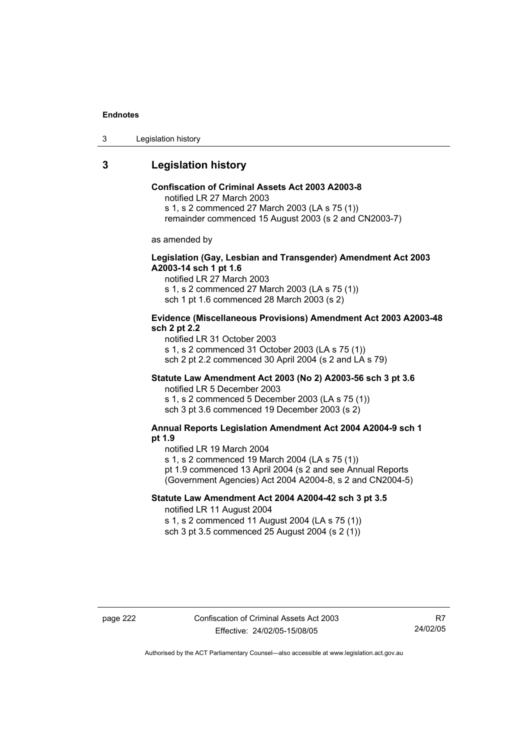3 Legislation history

## **3 Legislation history**

## **Confiscation of Criminal Assets Act 2003 A2003-8**

notified LR 27 March 2003

s 1, s 2 commenced 27 March 2003 (LA s 75 (1))

remainder commenced 15 August 2003 (s 2 and CN2003-7)

as amended by

### **Legislation (Gay, Lesbian and Transgender) Amendment Act 2003 A2003-14 sch 1 pt 1.6**

notified LR 27 March 2003 s 1, s 2 commenced 27 March 2003 (LA s 75 (1)) sch 1 pt 1.6 commenced 28 March 2003 (s 2)

#### **Evidence (Miscellaneous Provisions) Amendment Act 2003 A2003-48 sch 2 pt 2.2**

notified LR 31 October 2003 s 1, s 2 commenced 31 October 2003 (LA s 75 (1)) sch 2 pt 2.2 commenced 30 April 2004 (s 2 and LA s 79)

## **Statute Law Amendment Act 2003 (No 2) A2003-56 sch 3 pt 3.6**

notified LR 5 December 2003 s 1, s 2 commenced 5 December 2003 (LA s 75 (1)) sch 3 pt 3.6 commenced 19 December 2003 (s 2)

#### **Annual Reports Legislation Amendment Act 2004 A2004-9 sch 1 pt 1.9**

notified LR 19 March 2004

s 1, s 2 commenced 19 March 2004 (LA s 75 (1))

pt 1.9 commenced 13 April 2004 (s 2 and see Annual Reports (Government Agencies) Act 2004 A2004-8, s 2 and CN2004-5)

### **Statute Law Amendment Act 2004 A2004-42 sch 3 pt 3.5**  notified LR 11 August 2004

s 1, s 2 commenced 11 August 2004 (LA s 75 (1)) sch 3 pt 3.5 commenced 25 August 2004 (s 2 (1))

R7 24/02/05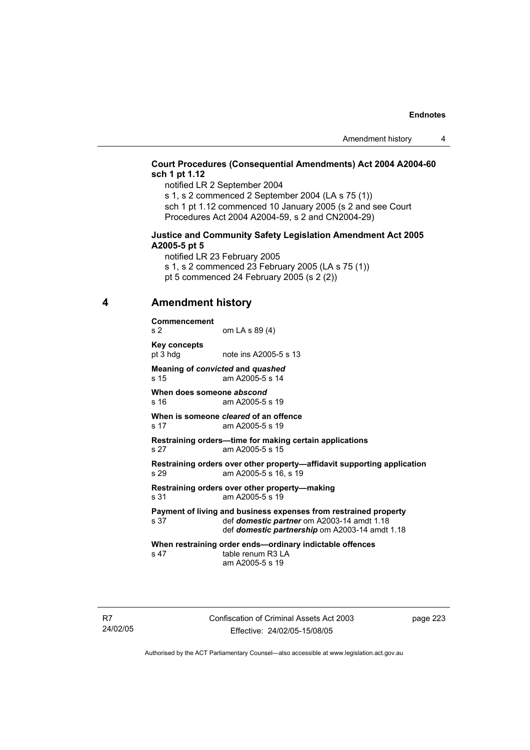## **Court Procedures (Consequential Amendments) Act 2004 A2004-60 sch 1 pt 1.12**

notified LR 2 September 2004 s 1, s 2 commenced 2 September 2004 (LA s 75 (1))

sch 1 pt 1.12 commenced 10 January 2005 (s 2 and see Court Procedures Act 2004 A2004-59, s 2 and CN2004-29)

#### **Justice and Community Safety Legislation Amendment Act 2005 A2005-5 pt 5**

notified LR 23 February 2005 s 1, s 2 commenced 23 February 2005 (LA s 75 (1)) pt 5 commenced 24 February 2005 (s 2 (2))

## **4 Amendment history**

**Commencement**  s 2 om LA s 89 (4) **Key concepts** 

pt 3 hdg note ins A2005-5 s 13

**Meaning of** *convicted* **and** *quashed* s 15 am A2005-5 s 14

**When does someone** *abscond* s 16 am A2005-5 s 19

**When is someone** *cleared* **of an offence**  s 17 am A2005-5 s 19

**Restraining orders—time for making certain applications**  s 27 am A2005-5 s 15

**Restraining orders over other property—affidavit supporting application**  s 29 am A2005-5 s 16, s 19

**Restraining orders over other property—making**  s 31 am A2005-5 s 19

**Payment of living and business expenses from restrained property** s 37 def *domestic partner* om A2003-14 amdt 1.18 def *domestic partner* om A2003-14 amdt 1.18 def *domestic partnership* om A2003-14 amdt 1.18

**When restraining order ends—ordinary indictable offences**  s 47 table renum R3 LA am A2005-5 s 19

R7 24/02/05 Confiscation of Criminal Assets Act 2003 Effective: 24/02/05-15/08/05

page 223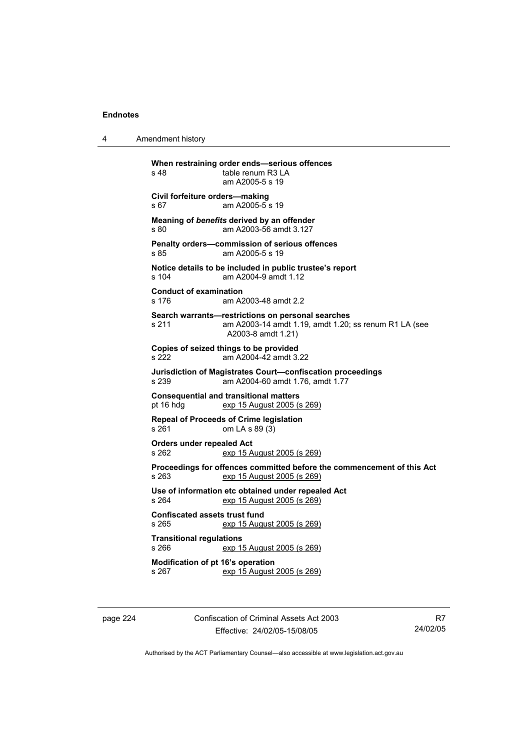4 Amendment history **When restraining order ends—serious offences**  s 48 table renum R3 LA am A2005-5 s 19 **Civil forfeiture orders—making**  s 67 am A2005-5 s 19 **Meaning of** *benefits* **derived by an offender**  s 80 am A2003-56 amdt 3.127 **Penalty orders—commission of serious offences**  s 85 am A2005-5 s 19 **Notice details to be included in public trustee's report**  s 104 am A2004-9 amdt 1.12 **Conduct of examination**  s 176 am A2003-48 amdt 2.2 **Search warrants—restrictions on personal searches**  s 211 am A2003-14 amdt 1.19, amdt 1.20; ss renum R1 LA (see A2003-8 amdt 1.21) **Copies of seized things to be provided**  s 222 am A2004-42 amdt 3.22 **Jurisdiction of Magistrates Court—confiscation proceedings**  s 239 am A2004-60 amdt 1.76, amdt 1.77 **Consequential and transitional matters**  exp 15 August 2005 (s 269) **Repeal of Proceeds of Crime legislation**  s 261 om LA s 89 (3) **Orders under repealed Act**  s 262 exp 15 August 2005 (s 269) **Proceedings for offences committed before the commencement of this Act**  s 263 exp 15 August 2005 (s 269) **Use of information etc obtained under repealed Act**  s 264 exp 15 August 2005 (s 269) **Confiscated assets trust fund**  s 265 exp 15 August 2005 (s 269) **Transitional regulations**  s 266 exp 15 August 2005 (s 269) **Modification of pt 16's operation**  s 267 exp 15 August 2005 (s 269)

page 224 Confiscation of Criminal Assets Act 2003 Effective: 24/02/05-15/08/05

R7 24/02/05